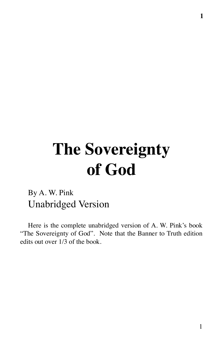# **The Sovereignty of God**

By A. W. Pink Unabridged Version

Here is the complete unabridged version of A. W. Pink's book "The Sovereignty of God". Note that the Banner to Truth edition edits out over 1/3 of the book.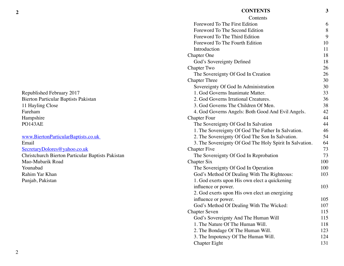### Republished February 2017 Bierton Particular Baptists Pakistan 11 Hayling Close Fareham Hampshire PO143AE

<www.BiertonParticularBaptists.co.uk> Email [SecretaryDolores@yahoo.co.uk](mailto:SecretaryDolores@yahoo.co.uk) Christchurch Bierton Particular Baptists Pakistan Mao-Mubarik Road Younabad Rahim Yar Khan Punjab, Pakistan

### **CONTENTS 3**

| Contents                                                |     |
|---------------------------------------------------------|-----|
| Foreword To The First Edition                           | 6   |
| Foreword To The Second Edition                          | 8   |
| Foreword To The Third Edition                           | 9   |
| Foreword To The Fourth Edition                          | 10  |
| Introduction                                            | 11  |
| Chapter One                                             | 18  |
| God's Sovereignty Defined                               | 18  |
| Chapter Two                                             | 26  |
| The Sovereignty Of God In Creation                      | 26  |
| <b>Chapter Three</b>                                    | 30  |
| Sovereignty Of God In Administration                    | 30  |
| 1. God Governs Inanimate Matter.                        | 33  |
| 2. God Governs Irrational Creatures.                    | 36  |
| 3. God Governs The Children Of Men.                     | 38  |
| 4. God Governs Angels: Both Good And Evil Angels.       | 42  |
| Chapter Four                                            | 44  |
| The Sovereignty Of God In Salvation                     | 44  |
| 1. The Sovereignty Of God The Father In Salvation.      | 46  |
| 2. The Sovereignty Of God The Son In Salvation.         | 54  |
| 3. The Sovereignty Of God The Holy Spirit In Salvation. | 64  |
| Chapter Five                                            | 73  |
| The Sovereignty Of God In Reprobation                   | 73  |
| Chapter Six                                             | 100 |
| The Sovereignty Of God In Operation                     | 100 |
| God's Method Of Dealing With The Righteous:             | 103 |
| 1. God exerts upon His own elect a quickening           |     |
| influence or power.                                     | 103 |
| 2. God exerts upon His own elect an energizing          |     |
| influence or power.                                     | 105 |
| God's Method Of Dealing With The Wicked:                | 107 |
| Chapter Seven                                           | 115 |
| God's Sovereignty And The Human Will                    | 115 |
| 1. The Nature Of The Human Will.                        | 118 |
| 2. The Bondage Of The Human Will.                       | 123 |
| 3. The Impotency Of The Human Will.                     | 124 |
| <b>Chapter Eight</b>                                    | 131 |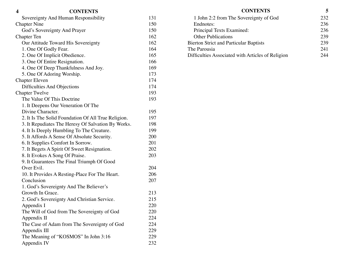### **4 CONTENTS CONTENTS**

| Sovereignty And Human Responsibility                | 131 |
|-----------------------------------------------------|-----|
| <b>Chapter Nine</b>                                 | 150 |
| God's Sovereignty And Prayer                        | 150 |
| Chapter Ten                                         | 162 |
| Our Attitude Toward His Sovereignty                 | 162 |
| 1. One Of Godly Fear.                               | 164 |
| 2. One Of Implicit Obedience.                       | 165 |
| 3. One Of Entire Resignation.                       | 166 |
| 4. One Of Deep Thankfulness And Joy.                | 169 |
| 5. One Of Adoring Worship.                          | 173 |
| <b>Chapter Eleven</b>                               | 174 |
| Difficulties And Objections                         | 174 |
| <b>Chapter Twelve</b>                               | 193 |
| The Value Of This Doctrine                          | 193 |
| 1. It Deepens Our Veneration Of The                 |     |
| Divine Character.                                   | 195 |
| 2. It Is The Solid Foundation Of All True Religion. | 197 |
| 3. It Repudiates The Heresy Of Salvation By Works.  | 198 |
| 4. It Is Deeply Humbling To The Creature.           | 199 |
| 5. It Affords A Sense Of Absolute Security.         | 200 |
| 6. It Supplies Comfort In Sorrow.                   | 201 |
| 7. It Begets A Spirit Of Sweet Resignation.         | 202 |
| 8. It Evokes A Song Of Praise.                      | 203 |
| 9. It Guarantees The Final Triumph Of Good          |     |
| Over Evil.                                          | 204 |
| 10. It Provides A Resting-Place For The Heart.      | 206 |
| Conclusion                                          | 207 |
| 1. God's Sovereignty And The Believer's             |     |
| Growth In Grace.                                    | 213 |
| 2. God's Sovereignty And Christian Service.         | 215 |
| Appendix I                                          | 220 |
| The Will of God from The Sovereignty of God         | 220 |
| Appendix II                                         | 224 |
| The Case of Adam from The Sovereignty of God        | 224 |
| Appendix III                                        | 229 |
| The Meaning of "KOSMOS" In John 3:16                | 229 |
| Appendix IV                                         | 232 |

| <b>CONTENTS</b>                                   |     |
|---------------------------------------------------|-----|
| 1 John 2:2 from The Sovereignty of God            | 232 |
| Endnotes:                                         | 236 |
| Principal Texts Examined:                         | 236 |
| <b>Other Publications</b>                         | 239 |
| <b>Bierton Strict and Particular Baptists</b>     | 239 |
| The Parousia                                      | 241 |
| Difficulties Associated with Articles of Religion | 244 |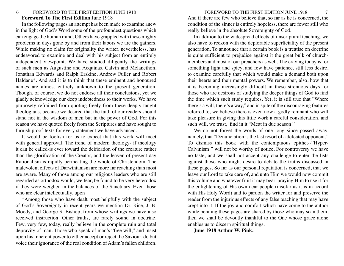## **Foreword To The First Edition** June 1918

In the following pages an attempt has been made to examine anew in the light of God's Word some of the profoundest questions which can engage the human mind. Others have grappled with these mighty problems in days gone by and from their labors we are the gainers. While making no claim for originality the writer, nevertheless, has endeavored to examine and deal with his subject from an entirely independent viewpoint. We have studied diligently the writings of such men as Augustine and Acquinas, Calvin and Melanethon, Jonathan Edwards and Ralph Erskine, Andrew Fuller and Robert Haldane\*. And sad it is to think that these eminent and honoured names are almost entirely unknown to the present generation. Though, of course, we do not endorse all their conclusions, yet we gladly acknowledge our deep indebtedness to their works. We have purposely refrained from quoting freely from these deeply taught theologians, because we desired that the faith of our readers should stand not in the wisdom of men but in the power of God. For this reason we have quoted freely from the Scriptures and have sought to furnish proof-texts for every statement we have advanced.

It would be foolish for us to expect that this work will meet with general approval. The trend of modern theology- if theology it can be called-is ever toward the deification of the creature rather than the glorification of the Creator, and the leaven of present-day Rationalism is rapidly permeating the whole of Christendom. The malevolent effects of Darwinianism are more far reaching than most are aware. Many of those among our religious leaders who are still regarded as orthodox would, we fear, be found to be very heterodox if they were weighed in the balances of the Sanctuary. Even those who are clear intellectually, upon

\*Among those who have dealt most helpfully with the subject of God's Sovereignty in recent years we mention Dr. Rice, J. B. Moody, and George S. Bishop, from whose writings we have also received instruction. Other truths, are rarely sound in doctrine. Few, very few, today, really believe in the complete ruin and total depravity of man. Those who speak of man's "free will," and insist upon his inherent power to either accept or reject the Saviour, do but voice their ignorance of the real condition of Adam's fallen children.

<span id="page-3-0"></span>6 FOREWORD TO THE FIRST EDITION JUNE 1918 FOREWORD TO THE FIRST EDITION JUNE 1918 7 And if there are few who believe that, so far as he is concerned, the condition of the sinner is entirely hopeless, there are fewer still who really believe in the absolute Sovereignty of God.

> In addition to the widespread effects of unscriptural teaching, we also have to reckon with the deplorable superficiality of the present generation. To announce that a certain book is a treatise on doctrine is quite sufficient to prejudice against it the great bulk of churchmembers and most of our preachers as well. The craving today is for something light and spicy, and few have patience, still less desire, to examine carefully that which would make a demand both upon their hearts and their mental powers. We remember, also, how that it is becoming increasingly difficult in these strenuous days for those who are desirous of studying the deeper things of God to find the time which such study requires. Yet, it is still true that "Where there's a will, there's a way," and in spite of the discouraging features referred to, we believe there is even now a godly remnant who will take pleasure in giving this little work a careful consideration, and such will, we trust, find in it "Meat in due season."

> We do not forget the words of one long since passed away, namely, that "Denunciation is the last resort of a defeated opponent." To dismiss this book with the contemptuous epithet--"Hyper-Calvinism!" will not be worthy of notice. For controversy we have no taste, and we shall not accept any challenge to enter the lists against those who might desire to debate the truths discussed in these pages. So far as our personal reputation is concerned, that we leave our Lord to take care of, and unto Him we would now commit this volume and whatever fruit it may bear, praying Him to use it for the enlightening of His own dear people (insofar as it is in accord with His Holy Word) and to pardon the writer for and preserve the reader from the injurious effects of any false teaching that may have crept into it. If the joy and comfort which have come to the author while penning these pages are shared by those who may scan them, then we shall be devoutly thankful to the One whose grace alone enables us to discern spiritual things.

**June 1918 Arthur W. Pink.**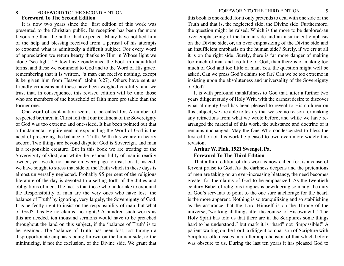### <span id="page-4-0"></span>FOREWORD TO THE THIRD EDITION 9 **8** FOREWORD TO THE SECOND EDITION **Foreword To The Second Edition**

It is now two years since the first edition of this work was presented to the Christian public. Its reception has been far more favourable than the author had expected. Many have notified him of the help and blessing received from a perusal of his attempts to expound what is admittedly a difficult subject. For every word of appreciation we return hearty thanks to Him in Whose light we alone "see light." A few have condemned the book in unqualified terms, and these we commend to God and to the Word of His grace, remembering that it is written, "a man can receive nothing, except it be given him from Heaven" (John 3:27). Others have sent us friendly criticisms and these have been weighed carefully, and we trust that, in consequence, this revised edition will be unto those who are members of the household of faith more pro table than the former one.

One word of explanation seems to be called for. A number of respected brethren in Christ felt that our treatment of the Sovereignty of God was too extreme and one-sided. It has been pointed out that a fundamental requirement in expounding the Word of God is the need of preserving the balance of Truth. With this we are in hearty accord. Two things are beyond dispute: God is Sovereign, and man is a responsible creature. But in this book we are treating of the Sovereignty of God, and while the responsibility of man is readily owned, yet, we do not pause on every page to insist on it; instead, we have sought to stress that side of the Truth which in these days is almost universally neglected. Probably 95 per cent of the religious literature of the day is devoted to a setting forth of the duties and obligations of men. The fact is that those who undertake to expound the Responsibility of man are the very ones who have lost 'the balance of Truth' by ignoring, very largely, the Sovereignty of God. It is perfectly right to insist on the responsibility of man, but what of God?- has He no claims, no rights! A hundred such works as this are needed, ten thousand sermons would have to be preached throughout the land on this subject, if the 'balance of Truth' is to be regained. The 'balance of Truth' has been lost, lost through a disproportionate emphasis being thrown on the human side, to the minimizing, if not the exclusion, of the Divine side. We grant that

this book is one-sided, for it only pretends to deal with one side of the Truth and that is, the neglected side, the Divine side. Furthermore, the question might be raised: Which is the more to be deplored-an over emphasizing of the human side and an insufficient emphasis on the Divine side, or, an over emphasizing of the Divine side and an insufficient emphasis on the human side? Surely, if we err at all it is on the right side. Surely, there is far more danger of making too much of man and too little of God, than there is of making too much of God and too little of man. Yea, the question might well be asked, Can we press God's claims too far? Can we be too extreme in insisting upon the absoluteness and universality of the Sovereignty of God?

It is with profound thankfulness to God that, after a further two years diligent study of Holy Writ, with the earnest desire to discover what almighty God has been pleased to reveal to His children on this subject, we are able to testify that we see no reason for making any retractions from what we wrote before, and while we have rearranged the material of this work, the substance and doctrine of it remains unchanged. May the One Who condescended to bless the first edition of this work be pleased to own even more widely this revision.

### **Arthur W. Pink, 1921 Swengel, Pa. Foreword To The Third Edition**

That a third edition of this work is now called for, is a cause of fervent praise to God. As the darkness deepens and the pretentions of men are taking on an ever-increasing blatancy, the need becomes greater for the claims of God to be emphasized. As the twentieth century Babel of religious tongues is bewildering so many, the duty of God's servants to point to the one sure anchorage for the heart, is the more apparent. Nothing is so tranquilizing and so stabilishing as the assurance that the Lord Himself is on the Throne of the universe, "working all things after the counsel of His own will." The Holy Spirit has told us that there are in the Scriptures some things hard to be understood," but mark it is "hard" not "impossible!" A patient waiting on the Lord, a diligent comparison of Scripture with Scripture, often issues in a fuller apprehension of that which before was obscure to us. During the last ten years it has pleased God to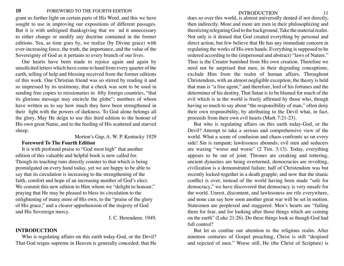<span id="page-5-0"></span>grant us further light on certain parts of His Word, and this we have sought to use in improving our expositions of different passages. But it is with unfeigned thanksgiving that we nd it unnecessary to either change or modify any doctrine contained in the former editions. Yea, as time goes by, we realize (by Divine grace) with ever-increasing force, the truth, the importance, and the value of the Sovereignty of God as it pertains to every branch of our lives.

Our hearts have been made to rejoice again and again by unsolicited letters which have come to hand from every quarter of the earth, telling of help and blessing received from the former editions of this work. One Christian friend was so stirred by reading it and so impressed by its testimony, that a check was sent to be used in sending free copies to missionaries in fifty foreign countries, "that its glorious message may encircle the globe"; numbers of whom have written us to say how much they have been strengthened in their fight with the powers of darkness. To God alone belongs all the glory. May He deign to use this third edition to the honour of His own great Name, and to the feeding of His scattered and starved sheep.

### Morton's Gap, A. W. P. Kentucky 1929

### **Foreword To The Fourth Edition**

It is with profound praise to "God most high" that another edition of this valuable and helpful book is now called for. Though its teaching runs directly counter to that which is being promulgated on every hand today, yet we are happy to be able to say that its circulation is increasing to the strengthening of the faith, comfort and hope of an increasing number of God's elect. We commit this new edition to Him whom we "delight to honour," praying that He may be pleased to bless its circulation to the enlightening of many more of His own, to the "praise of the glory of His grace," and a clearer apprehension of the majesty of God and His Sovereign mercy.

I. C. Herendeen. 1949.

### **INTRODUCTION**

Who is regulating affairs on this earth today-God, or the Devil? That God reigns supreme in Heaven is generally conceded; that He

does so over this world, is almost universally denied-if not directly, then indirectly. More and more are men in their philosophizing and theorizing relegating God to the background. Take the material realm. Not only is it denied that God created everything by personal and direct action, but few believe that He has any immediate concern in regulating the works of His own hands. Everything is supposed to be ordered according to the (impersonal and abstract) "laws of Nature." Thus is the Creator banished from His own creation. Therefore we need not be surprised that men, in their degrading conceptions, exclude Him from the realm of human affairs. Throughout Christendom, with an almost negligible exception, the theory is held that man is "a free agent," and therefore, lord of his fortunes and the determiner of his destiny. That Satan is to be blamed for much of the evil which is in the world is freely affirmed by those who, though having so much to say about "the responsibility of man," often deny their own responsibility, by attributing to the Devil what, in fact, proceeds from their own evil hearts (Mark 7:21-23).

But who is regulating affairs on this earth today-God, or the Devil? Attempt to take a serious and comprehensive view of the world. What a scene of confusion and chaos confronts us on every side! Sin is rampant; lawlessness abounds; evil men and seducers are waxing "worse and worse" (2 Tim. 3:13). Today, everything appears to be out of joint. Thrones are creaking and tottering, ancient dynasties are being overturned, democracies are revolting, civilization is a demonstrated failure; half of Christendom was but recently locked-together in a death grapple; and now that the titanic conflict is over, instead of the world having been made "safe for democracy," we have discovered that democracy is very unsafe for the world. Unrest, discontent, and lawlessness are rife everywhere, and none can say how soon another great war will be set in motion. Statesmen are perplexed and staggered. Men's hearts are "failing them for fear, and for looking after those things which are coming on the earth" (Luke 21:26). Do these things look as though God had full control?

But let us confine our attention to the religious realm. After nineteen centuries of Gospel preaching, Christ is still "despised and rejected of men." Worse still, He (the Christ of Scripture) is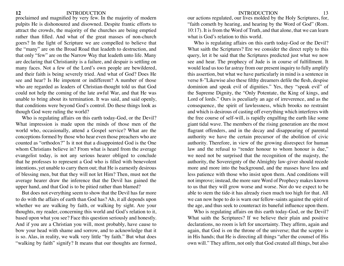### **12** INTRODUCTIONINTRODUCTION 13

proclaimed and magnified by very few. In the majority of modern pulpits He is dishonoured and disowned. Despite frantic efforts to attract the crowds, the majority of the churches are being emptied rather than filled. And what of the great masses of non-church goers? In the light of Scripture we are compelled to believe that the "many" are on the Broad Road that leadeth to destruction, and that only "few" are on the Narrow Way that leadeth unto life. Many are declaring that Christianity is a failure, and despair is settling on many faces. Not a few of the Lord's own people are bewildered, and their faith is being severely tried. And what of God? Does He see and hear? Is He impotent or indifferent? A number of those who are regarded as leaders of Christian-thought told us that God could not help the coming of the late awful War, and that He was unable to bring about its termination. It was said, and said openly, that conditions were beyond God's control. Do these things look as though God were ruling the world?

Who is regulating affairs on this earth today-God, or the Devil? What impression is made upon the minds of those men of the world who, occasionally, attend a Gospel service? What are the conceptions formed by those who hear even those preachers who are counted as "orthodox?" Is it not that a disappointed God is the One whom Christians believe in? From what is heard from the average evangelist today, is not any serious hearer obliged to conclude that he professes to represent a God who is filled with benevolent intentions, yet unable to carry them out; that He is earnestly desirous of blessing men, but that they will not let Him? Then, must not the average hearer draw the inference that the Devil has gained the upper hand, and that God is to be pitied rather than blamed?

But does not everything seem to show that the Devil has far more to do with the affairs of earth than God has? Ah, it all depends upon whether we are walking by faith, or walking by sight. Are your thoughts, my reader, concerning this world and God's relation to it, based upon what you see? Face this question seriously and honestly. And if you are a Christian you will, most probably, have cause to bow your head with shame and sorrow, and to acknowledge that it is so. Alas, in reality, we walk very little "by faith." But what does "walking by faith" signify? It means that our thoughts are formed,

our actions regulated, our lives molded by the Holy Scriptures, for, "faith cometh by hearing, and hearing by the Word of God" (Rom. 10:17). It is from the Word of Truth, and that alone, that we can learn what is God's relation to this world.

Who is regulating affairs on this earth today-God or the Devil? What saith the Scriptures? Ere we consider the direct reply to this query, let it be said that the Scriptures predicted just what we now see and hear. The prophecy of Jude is in course of fulfillment. It would lead us too far astray from our present inquiry to fully amplify this assertion, but what we have particularly in mind is a sentence in verse 8-"Likewise also these filthy dreamers defile the flesh, despise dominion and speak evil of dignities." Yes, they "speak evil" of the Supreme Dignity, the "Only Potentate, the King of kings, and Lord of lords." Ours is peculiarly an age of irreverence, and as the consequence, the spirit of lawlessness, which brooks no restraint and which is desirous of casting off everything which interferes with the free course of self-will, is rapidly engulfing the earth like some giant tidal wave. The members of the rising generation are the most flagrant offenders, and in the decay and disappearing of parental authority we have the certain precursor of the abolition of civic authority. Therefore, in view of the growing disrespect for human law and the refusal to "render honour to whom honour is due," we need not be surprised that the recognition of the majesty, the authority, the Sovereignty of the Almighty law-giver should recede more and more into the background, and the masses have less and less patience with those who insist upon them. And conditions will not improve; instead, the more sure Word of Prophecy makes known to us that they will grow worse and worse. Nor do we expect to be able to stem the tide-it has already risen much too high for that. All we can now hope to do is warn our fellow-saints against the spirit of the age, and thus seek to counteract its baneful influence upon them.

Who is regulating affairs on this earth today-God, or the Devil? What saith the Scriptures? If we believe their plain and positive declarations, no room is left for uncertainty. They affirm, again and again, that God is on the throne of the universe; that the sceptre is in His hands; that He is directing all things "after the counsel of His own will." They affirm, not only that God created all things, but also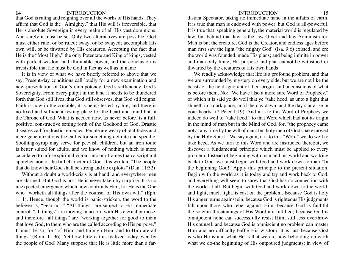### **14** INTRODUCTIONINTRODUCTION 15

that God is ruling and reigning over all the works of His hands. They affirm that God is the "Almighty," that His will is irreversible, that He is absolute Sovereign in every realm of all His vast dominions. And surely it must be so. Only two alternatives are possible: God must either rule, or be ruled; sway, or be swayed; accomplish His own will, or be thwarted by His creatures. Accepting the fact that He is the "Most High," the only Potentate and King of kings, vested with perfect wisdom and illimitable power, and the conclusion is irresistible that He must be God in fact as well as in name.

It is in view of what we have briefly referred to above that we say, Present-day conditions call loudly for a new examination and new presentation of God's omnipotency, God's sufficiency, God's Sovereignty. From every pulpit in the land it needs to be thundered forth that God still lives, that God still observes, that God still reigns. Faith is now in the crucible, it is being tested by fire, and there is no fixed and sufficient resting-place for the heart and mind but in the Throne of God. What is needed now, as never before, is a full, positive, constructive setting forth of the Godhood of God. Drastic diseases call for drastic remedies. People are weary of platitudes and mere generalizations-the call is for something definite and specific. Soothing-syrup may serve for peevish children, but an iron tonic is better suited for adults, and we know of nothing which is more calculated to infuse spiritual vigour into our frames than a scriptural apprehension of the full character of God. It is written, "The people that do know their God shall be strong and do exploits" (Dan. 11:32).

Without a doubt a world-crisis is at hand, and everywhere men are alarmed. But God is not! He is never taken by surprise. It is no unexpected emergency which now confronts Him, for He is the One who "worketh all things after the counsel of His own will" (Eph. 1:11). Hence, though the world is panic-stricken, the word to the believer is, "Fear not!" "All things" are subject to His immediate control: "all things" are moving in accord with His eternal purpose, and therefore "all things" are "working together for good to them that love God, to them who are the called according to His purpose." It must be so, for "of Him, and through Him, and to Him are all things" (Rom. 11:36). Yet how little is this realized today even by the people of God! Many suppose that He is little more than a far-

distant Spectator, taking no immediate hand in the affairs of earth. It is true that man is endowed with power, but God is all-powerful. It is true that, speaking generally, the material world is regulated by law, but behind that law is the law-Giver and law-Administrator. Man is but the creature. God is the Creator, and endless ages before man first saw the light "the mighty God" (Isa. 9:6) existed, and ere the world was founded, made His plans; and being infinite in power and man only finite, His purpose and plan cannot be withstood or thwarted by the creatures of His own hands.

We readily acknowledge that life is a profound problem, and that we are surrounded by mystery on every side; but we are not like the beasts of the field-ignorant of their origin, and unconscious of what is before them. No: "We have also a more sure Word of Prophecy," of which it is said ye do well that ye "take heed, as unto a light that shineth in a dark place, until the day dawn, and the day star arise in your hearts" (2 Peter 1:19). And it is to this Word of Prophecy we indeed do well to "take heed," to that Word which had not its origin in the mind of man but in the Mind of God, for, "the prophecy came not at any time by the will of man: but holy men of God spake moved by the Holy Spirit." We say again, it is to this "Word" we do well to take heed. As we turn to this Word and are instructed thereout, we discover a fundamental principle which must be applied to every problem: Instead of beginning with man and his world and working back to God, we must begin with God and work down to man-"In the beginning God!" Apply this principle to the present situation. Begin with the world as it is today and try and work back to God, and everything will seem to show that God has no connection with the world at all. But begin with God and work down to the world, and light, much light, is cast on the problem. Because God is holy His anger burns against sin; because God is righteous His judgments fall upon those who rebel against Him; because God is faithful the solemn threatenings of His Word are fulfilled; because God is omnipotent none can successfully resist Him, still less overthrow His counsel; and because God is omniscient no problem can master Him and no difficulty baffle His wisdom. It is just because God is who He is and what He is that we are now beholding on earth what we do-the beginning of His outpoured judgments: in view of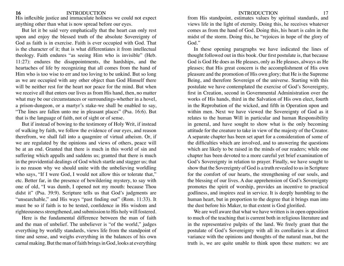His inflexible justice and immaculate holiness we could not expect anything other than what is now spread before our eyes.

But let it be said very emphatically that the heart can only rest upon and enjoy the blessed truth of the absolute Sovereignty of God as faith is in exercise. Faith is ever occupied with God. That is the character of it; that is what differentiates it from intellectual theology. Faith endures "as seeing Him who is invisible" (Heb. 11:27): endures the disappointments, the hardships, and the heartaches of life by recognizing that all comes from the hand of Him who is too wise to err and too loving to be unkind. But so long as we are occupied with any other object than God Himself there will be neither rest for the heart nor peace for the mind. But when we receive all that enters our lives as from His hand, then, no matter what may be our circumstances or surroundings-whether in a hovel, a prison-dungeon, or a martyr's stake-we shall be enabled to say, "The lines are fallen unto me in pleasant places" (Psa. 16:6). But that is the language of faith, not of sight or of sense.

But if instead of bowing to the testimony of Holy Writ, if instead of walking by faith, we follow the evidence of our eyes, and reason therefrom, we shall fall into a quagmire of virtual atheism. Or, if we are regulated by the opinions and views of others, peace will be at an end. Granted that there is much in this world of sin and suffering which appalls and saddens us; granted that there is much in the providential dealings of God which startle and stagger us; that is no reason why we should unite with the unbelieving worldling who says, "If I were God, I would not allow this or tolerate that," etc. Better far, in the presence of bewildering mystery, to say with one of old, "I was dumb, I opened not my mouth: because Thou didst it" (Psa. 39:9). Scripture tells us that God's judgments are "unsearchable," and His ways "past finding out" (Rom. 11:33). It must be so if faith is to be tested, confidence in His wisdom and righteousness strengthened, and submission to His holy will fostered.

Here is the fundamental difference between the man of faith and the man of unbelief. The unbeliever is "of the world," judges everything by worldly standards, views life from the standpoint of time and sense, and weighs everything in the balances of his own carnal making. But the man of faith brings in God, looks at everything

from His standpoint, estimates values by spiritual standards, and views life in the light of eternity. Doing this, he receives whatever comes as from the hand of God. Doing this, his heart is calm in the midst of the storm. Doing this, he "rejoices in hope of the glory of God."

In these opening paragraphs we have indicated the lines of thought followed out in this book. Our first postulate is, that because God is God He does as He pleases, only as He pleases, always as He pleases; that His great concern is the accomplishment of His own pleasure and the promotion of His own glory; that He is the Supreme Being, and therefore Sovereign of the universe. Starting with this postulate we have contemplated the exercise of God's Sovereignty, first in Creation, second in Governmental Administration over the works of His hands, third in the Salvation of His own elect, fourth in the Reprobation of the wicked, and fifth in Operation upon and within men. Next we have viewed the Sovereignty of God as it relates to the human Will in particular and human Responsibility in general, and have sought to show what is the only becoming attitude for the creature to take in view of the majesty of the Creator. A separate chapter has been set apart for a consideration of some of the difficulties which are involved, and to answering the questions which are likely to be raised in the minds of our readers; while one chapter has been devoted to a more careful yet brief examination of God's Sovereignty in relation to prayer. Finally, we have sought to show that the Sovereignty of God is a truth revealed to us in Scripture for the comfort of our hearts, the strengthening of our souls, and the blessing of our lives. A due apprehension of God's Sovereignty promotes the spirit of worship, provides an incentive to practical godliness, and inspires zeal in service. It is deeply humbling to the human heart, but in proportion to the degree that it brings man into the dust before his Maker, to that extent is God glorified.

We are well aware that what we have written is in open opposition to much of the teaching that is current both in religious literature and in the representative pulpits of the land. We freely grant that the postulate of God's Sovereignty with all its corollaries is at direct variance with the opinions and thoughts of the natural man, but the truth is, we are quite unable to think upon these matters: we are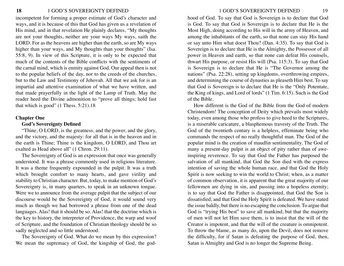<span id="page-9-0"></span>incompetent for forming a proper estimate of God's character and ways, and it is because of this that God has given us a revelation of His mind, and in that revelation He plainly declares, "My thoughts are not your thoughts, neither are your ways My ways, saith the LORD. For as the heavens are higher than the earth, so are My ways higher than your ways, and My thoughts than your thoughts" (Isa. 55:8, 9). In view of this Scripture, it is only to be expected that much of the contents of the Bible conflicts with the sentiments of the carnal mind, which is enmity against God. Our appeal then is not to the popular beliefs of the day, nor to the creeds of the churches, but to the Law and Testimony of Jehovah. All that we ask for is an impartial and attentive examination of what we have written, and that made prayerfully in the light of the Lamp of Truth. May the reader heed the Divine admonition to "prove all things; hold fast that which is good" (1 Thess. 5:21).18

### **Chapter One**

### **God's Sovereignty Defined**

"Thine, O LORD, is the greatness, and the power, and the glory, and the victory, and the majesty: for all that is in the heaven and in the earth is Thine; Thine is the kingdom, O LORD, and Thou art exalted as Head above all" (1 Chron. 29:11).

The Sovereignty of God is an expression that once was generally understood. It was a phrase commonly used in religious literature. It was a theme frequently expounded in the pulpit. It was a truth which brought comfort to many hearts, and gave virility and stability to Christian character. But, today, to make mention of God's Sovereignty is, in many quarters, to speak in an unknown tongue. Were we to announce from the average pulpit that the subject of our discourse would be the Sovereignty of God, it would sound very much as though we had borrowed a phrase from one of the dead languages. Alas! that it should be so. Alas! that the doctrine which is the key to history, the interpreter of Providence, the warp and woof of Scripture, and the foundation of Christian theology should be so sadly neglected and so little understood.

The Sovereignty of God. What do we mean by this expression? We mean the supremacy of God, the kingship of God, the god-

hood of God. To say that God is Sovereign is to declare that God is God. To say that God is Sovereign is to declare that He is the Most High, doing according to His will in the army of Heaven, and among the inhabitants of the earth, so that none can stay His hand or say unto Him what doest Thou? (Dan. 4:35). To say that God is Sovereign is to declare that He is the Almighty, the Possessor of all power in Heaven and earth, so that none can defeat His counsels, thwart His purpose, or resist His will (Psa. 115:3). To say that God is Sovereign is to declare that He is "The Governor among the nations" (Psa. 22:28), setting up kingdoms, overthrowing empires, and determining the course of dynasties as pleaseth Him best. To say that God is Sovereign is to declare that He is the "Only Potentate, the King of kings, and Lord of lords" (1 Tim. 6:15). Such is the God of the Bible.

How different is the God of the Bible from the God of modern Christendom! The conception of Deity which prevails most widely today, even among those who profess to give heed to the Scriptures, is a miserable caricature, a blasphemous travesty of the Truth. The God of the twentieth century is a helpless, effeminate being who commands the respect of no really thoughtful man. The God of the popular mind is the creation of maudlin sentimentality. The God of many a present-day pulpit is an object of pity rather than of aweinspiring reverence. To say that God the Father has purposed the salvation of all mankind, that God the Son died with the express intention of saving the whole human race, and that God the Holy Spirit is now seeking to win the world to Christ; when, as a matter of common observation, it is apparent that the great majority of our fellowmen are dying in sin, and passing into a hopeless eternity; is to say that God the Father is disappointed, that God the Son is dissatisfied, and that God the Holy Spirit is defeated. We have stated the issue baldly, but there is no escaping the conclusion. To argue that God is "trying His best" to save all mankind, but that the majority of men will not let Him save them, is to insist that the will of the Creator is impotent, and that the will of the creature is omnipotent. To throw the blame, as many do, upon the Devil, does not remove the difficulty, for if Satan is defeating the purpose of God, then, Satan is Almighty and God is no longer the Supreme Being.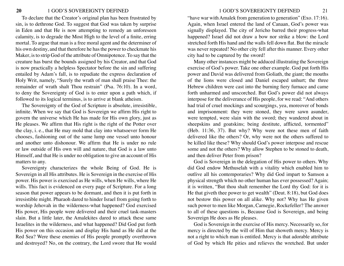To declare that the Creator's original plan has been frustrated by sin, is to dethrone God. To suggest that God was taken by surprise in Eden and that He is now attempting to remedy an unforeseen calamity, is to degrade the Most High to the level of a finite, erring mortal. To argue that man is a free moral agent and the determiner of his own destiny, and that therefore he has the power to checkmate his Maker, is to strip God of the attribute of Omnipotence. To say that the creature has burst the bounds assigned by his Creator, and that God is now practically a helpless Spectator before the sin and suffering entailed by Adam's fall, is to repudiate the express declaration of Holy Writ, namely, "Surely the wrath of man shall praise Thee: the remainder of wrath shalt Thou restrain" (Psa. 76:10). In a word, to deny the Sovereignty of God is to enter upon a path which, if followed to its logical terminus, is to arrive at blank atheism.

The Sovereignty of the God of Scripture is absolute, irresistible, infinite. When we say that God is Sovereign we affirm His right to govern the universe which He has made for His own glory, just as He pleases. We affirm that His right is the right of the Potter over the clay, i. e., that He may mold that clay into whatsoever form He chooses, fashioning out of the same lump one vessel unto honour and another unto dishonour. We affirm that He is under no rule or law outside of His own will and nature, that God is a law unto Himself, and that He is under no obligation to give an account of His matters to any.

Sovereignty characterizes the whole Being of God. He is Sovereign in all His attributes. He is Sovereign in the exercise of His power. His power is exercised as He wills, when He wills, where He wills. This fact is evidenced on every page of Scripture. For a long season that power appears to be dormant, and then it is put forth in irresistible might. Pharaoh dared to hinder Israel from going forth to worship Jehovah in the wilderness-what happened? God exercised His power, His people were delivered and their cruel task-masters slain. But a little later, the Amalekites dared to attack these same Israelites in the wilderness, and what happened? Did God put forth His power on this occasion and display His hand as He did at the Red Sea? Were these enemies of His people promptly overthrown and destroyed? No, on the contrary, the Lord swore that He would

"have war with Amalek from generation to generation" (Exo. 17:16). Again, when Israel entered the land of Canaan, God's power was signally displayed. The city of Jericho barred their progress-what happened? Israel did not draw a bow nor strike a blow: the Lord stretched forth His hand and the walls fell down flat. But the miracle was never repeated! No other city fell after this manner. Every other city had to be captured by the sword!

Many other instances might be adduced illustrating the Sovereign exercise of God's power. Take one other example. God put forth His power and David was delivered from Goliath, the giant; the mouths of the lions were closed and Daniel escaped unhurt; the three Hebrew children were cast into the burning fiery furnace and came forth unharmed and unscorched. But God's power did not always interpose for the deliverance of His people, for we read: "And others had trial of cruel mockings and scourgings, yea, moreover of bonds and imprisonment: they were stoned, they were sawn asunder, were tempted, were slain with the sword; they wandered about in sheepskins and goatskins; being destitute, afflicted, tormented" (Heb. 11:36, 37). But why? Why were not these men of faith delivered like the others? Or, why were not the others suffered to be killed like these? Why should God's power interpose and rescue some and not the others? Why allow Stephen to be stoned to death, and then deliver Peter from prison?

God is Sovereign in the delegation of His power to others. Why did God endow Methuselah with a vitality which enabled him to outlive all his contemporaries? Why did God impart to Samson a physical strength which no other human has ever possessed? Again; it is written, "But thou shalt remember the Lord thy God: for it is He that giveth thee power to get wealth" (Deut. 8:18), but God does not bestow this power on all alike. Why not? Why has He given such power to men like Morgan, Carnegie, Rockefeller? The answer to all of these questions is, Because God is Sovereign, and being Sovereign He does as He pleases.

God is Sovereign in the exercise of His mercy. Necessarily so, for mercy is directed by the will of Him that showeth mercy. Mercy is not a right to which man is entitled. Mercy is that adorable attribute of God by which He pities and relieves the wretched. But under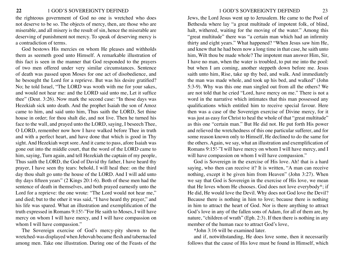the righteous government of God no one is wretched who does not deserve to be so. The objects of mercy, then, are those who are miserable, and all misery is the result of sin, hence the miserable are deserving of punishment not mercy. To speak of deserving mercy is a contradiction of terms.

God bestows His mercies on whom He pleases and withholds them as seemeth good unto Himself. A remarkable illustration of this fact is seen in the manner that God responded to the prayers of two men offered under very similar circumstances. Sentence of death was passed upon Moses for one act of disobedience, and he besought the Lord for a reprieve. But was his desire gratified? No; he told Israel, "The LORD was wroth with me for your sakes, and would not hear me: and the LORD said unto me, Let it suffice thee" (Deut. 3:26). Now mark the second case: "In those days was Hezekiah sick unto death. And the prophet Isaiah the son of Amoz came to him, and said unto him, Thus saith the LORD, Set thine house in order; for thou shalt die, and not live. Then he turned his face to the wall, and prayed unto the LORD, saying, I beseech Thee, O LORD, remember now how I have walked before Thee in truth and with a perfect heart, and have done that which is good in Thy sight. And Hezekiah wept sore. And it came to pass, afore Isaiah was gone out into the middle court, that the word of the LORD came to him, saying, Turn again, and tell Hezekiah the captain of my people, Thus saith the LORD, the God of David thy father, I have heard thy prayer, I have seen thy tears: behold, I will heal thee: on the third day thou shalt go unto the house of the LORD. And I will add unto thy days fifteen years" (2 Kings 20:1-6). Both of these men had the sentence of death in themselves, and both prayed earnestly unto the Lord for a reprieve: the one wrote: "The Lord would not hear me," and died; but to the other it was said, "I have heard thy prayer," and his life was spared. What an illustration and exemplification of the truth expressed in Romans 9:15!-"For He saith to Moses, I will have mercy on whom I will have mercy, and I will have compassion on whom I will have compassion."

The Sovereign exercise of God's mercy-pity shown to the wretched-was displayed when Jehovah became flesh and tabernacled among men. Take one illustration. During one of the Feasts of the

Jews, the Lord Jesus went up to Jerusalem. He came to the Pool of Bethesda where lay "a great multitude of impotent folk, of blind, halt, withered, waiting for the moving of the water." Among this "great multitude" there was "a certain man which had an infirmity thirty and eight years." What happened? "When Jesus saw him He, and knew that he had been now a long time in that case, he saith unto him, Wilt thou be made whole? The impotent man answer Him, Sir, I have no man, when the water is troubled, to put me into the pool: but when I am coming, another steppeth down before me. Jesus saith unto him, Rise, take up thy bed, and walk. And immediately the man was made whole, and took up his bed, and walked" (John 5:3-9). Why was this one man singled out from all the others? We are not told that he cried "Lord, have mercy on me." There is not a word in the narrative which intimates that this man possessed any qualifications which entitled him to receive special favour. Here then was a case of the Sovereign exercise of Divine mercy, for it was just as easy for Christ to heal the whole of that "great multitude" as this one "certain man." But He did not. He put forth His power and relieved the wretchedness of this one particular sufferer, and for some reason known only to Himself, He declined to do the same for the others. Again, we say, what an illustration and exemplification of Romans 9:15!-"I will have mercy on whom I will have mercy, and I will have compassion on whom I will have compassion."

God is Sovereign in the exercise of His love. Ah! that is a hard saying, who then can receive it? It is written, "A man can receive nothing, except it be given him from Heaven" (John 3:27). When we say that God is Sovereign in the exercise of His love, we mean that He loves whom He chooses. God does not love everybody\*; if He did, He would love the Devil. Why does not God love the Devil? Because there is nothing in him to love; because there is nothing in him to attract the heart of God. Nor is there anything to attract God's love in any of the fallen sons of Adam, for all of them are, by nature, "children of wrath" (Eph. 2:3). If then there is nothing in any member of the human race to attract God's love,

\*John 3:16 will be examined later.

and if, notwithstanding, He does love some, then it necessarily follows that the cause of His love must be found in Himself, which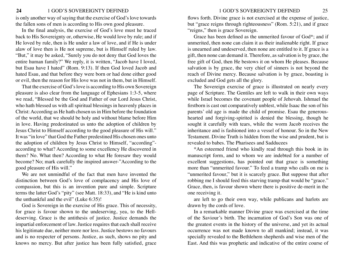### **24** 1 GOD'S SOVEREIGNTY DEFINED1 GOD'S SOVEREIGNTY DEFINED 25

is only another way of saying that the exercise of God's love towards the fallen sons of men is according to His own good pleasure.

In the final analysis, the exercise of God's love must he traced back to His Sovereignty or, otherwise, He would love by rule; and if He loved by rule, then is He under a law of love, and if He is under alaw of love then is He not supreme, but is Himself ruled by law. "But," it may be asked, "Surely you do not deny that God loves the entire human family?" We reply, it is written, "Jacob have I loved, but Esau have I hated" (Rom. 9:13). If then God loved Jacob and hated Esau, and that before they were born or had done either good or evil, then the reason for His love was not in them, but in Himself.

That the exercise of God's love is according to His own Sovereign pleasure is also clear from the language of Ephesians 1:3-5, where we read, "Blessed be the God and Father of our Lord Jesus Christ, who hath blessed us with all spiritual blessings in heavenly places in Christ: According as He hath chosen us in Him before the foundation of the world, that we should be holy and without blame before Him in love. Having predestinated us unto the adoption of children by Jesus Christ to Himself according to the good pleasure of His will." It was "in love" that God the Father predestined His chosen ones unto the adoption of children by Jesus Christ to Himself, "according" according to what? According to some excellency He discovered in them? No. What then? According to what He foresaw they would become? No; mark carefully the inspired answer-"According to the good pleasure of His will."

We are not unmindful of the fact that men have invented the distinction between God's love of complacency and His love of compassion, but this is an invention pure and simple. Scripture terms the latter God's "pity" (see Matt. 18:33), and "He is kind unto the unthankful and the evil" (Luke 6:35)!

God is Sovereign in the exercise of His grace. This of necessity, for grace is favour shown to the undeserving, yea, to the Helldeserving. Grace is the antithesis of justice. Justice demands the impartial enforcement of law. Justice requires that each shall receive his legitimate due, neither more nor less. Justice bestows no favours and is no respecter of persons. Justice, as such, shows no pity and knows no mercy. But after justice has been fully satisfied, grace

flows forth. Divine grace is not exercised at the expense of justice, but "grace reigns through righteousness" (Rom. 5:21), and if grace "reigns," then is grace Sovereign.

Grace has been defined as the unmerited favour of God\*; and if unmerited, then none can claim it as their inalienable right. If grace is unearned and undeserved, then none are entitled to it. If grace is a gift, then none can demand it. Therefore, as salvation is by grace, the free gift of God, then He bestows it on whom He pleases. Because salvation is by grace, the very chief of sinners is not beyond the reach of Divine mercy. Because salvation is by grace, boasting is excluded and God gets all the glory.

The Sovereign exercise of grace is illustrated on nearly every page of Scripture. The Gentiles are left to walk in their own ways while Israel becomes the covenant people of Jehovah. Ishmael the firstborn is cast out comparatively unblest, while Isaac the son of his parents' old age is made the child of promise. Esau the generoushearted and forgiving-spirited is denied the blessing, though he sought it carefully with tears, while the worm Jacob receives the inheritance and is fashioned into a vessel of honour. So in the New Testament. Divine Truth is hidden from the wise and prudent, but is revealed to babes. The Pharisees and Sadducees

\*An esteemed friend who kindly read through this book in its manuscript form, and to whom we are indebted for a number of excellent suggestions, has pointed out that grace is something more than "unmerited favour." To feed a tramp who calls on me is "unmerited favour," but it is scarcely grace. But suppose that after robbing me I should feed this starving tramp-that would be "grace." Grace, then, is favour shown where there is positive de-merit in the one receiving it.

are left to go their own way, while publicans and harlots are drawn by the cords of love.

In a remarkable manner Divine grace was exercised at the time of the Saviour's birth. The incarnation of God's Son was one of the greatest events in the history of the universe, and yet its actual occurrence was not made known to all mankind; instead, it was specially revealed to the Bethlehem shepherds and wise men of the East. And this was prophetic and indicative of the entire course of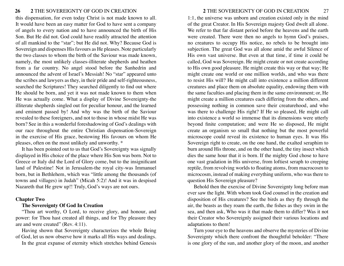### <span id="page-13-0"></span>**26 2** THE SOVEREIGNTY OF GOD IN CREATION **2** THE SOVEREIGNTY OF GOD IN CREATION 27

this dispensation, for even today Christ is not made known to all. It would have been an easy matter for God to have sent a company of angels to every nation and to have announced the birth of His Son. But He did not. God could have readily attracted the attention of all mankind to the "star"; but He did not. Why? Because God is Sovereign and dispenses His favours as He pleases. Note particularly the two classes to whom the birth of the Saviour was made known, namely, the most unlikely classes-illiterate shepherds and heathen from a far country. No angel stood before the Sanhedrin and announced the advent of Israel's Messiah! No "star" appeared unto the scribes and lawyers as they, in their pride and self-righteousness, searched the Scriptures! They searched diligently to find out where He should be born, and yet it was not made known to them when He was actually come. What a display of Divine Sovereignty-the illiterate shepherds singled out for peculiar honour, and the learned and eminent passed by! And why was the birth of the Saviour revealed to these foreigners, and not to those in whose midst He was born? See in this a wonderful foreshadowing of God's dealings with our race throughout the entire Christian dispensation-Sovereign in the exercise of His grace, bestowing His favours on whom He pleases, often on the most unlikely and unworthy. \*

It has been pointed out to us that God's Sovereignty was signally displayed in His choice of the place where His Son was born. Not to Greece or Italy did the Lord of Glory come, but to the insignificant land of Palestine! Not in Jerusalem-the royal city-was Immanuel born, but in Bethlehem, which was "little among the thousands (of towns and villages) in Judah" (Micah 5:2)! And it was in despised Nazareth that He grew up!! Truly, God's ways are not ours.

### **Chapter Two**

### **The Sovereignty Of God In Creation**

"Thou art worthy, O Lord, to receive glory, and honour, and power: for Thou hast created all things, and for Thy pleasure they are and were created" (Rev. 4:11).

Having shown that Sovereignty characterizes the whole Being of God, let us now observe how it marks all His ways and dealings.

In the great expanse of eternity which stretches behind Genesis

1:1, the universe was unborn and creation existed only in the mind of the great Creator. In His Sovereign majesty God dwelt all alone. We refer to that far distant period before the heavens and the earth were created. There were then no angels to hymn God's praises, no creatures to occupy His notice, no rebels to be brought into subjection. The great God was all alone amid the awful Silence of His own vast universe. But even at that time, if time it could be called, God was Sovereign. He might create or not create according to His own good pleasure. He might create this way or that way; He might create one world or one million worlds, and who was there to resist His will? He might call into existence a million different creatures and place them on absolute equality, endowing them with the same faculties and placing them in the same environment; or, He might create a million creatures each differing from the others, and possessing nothing in common save their creaturehood, and who was there to challenge His right? If He so pleased, He might call into existence a world so immense that its dimensions were utterly beyond finite computation; and were He so disposed, He might create an organism so small that nothing but the most powerful microscope could reveal its existence to human eyes. It was His Sovereign right to create, on the one hand, the exalted seraphim to burn around His throne, and on the other hand, the tiny insect which dies the same hour that it is born. If the mighty God chose to have one vast gradation in His universe, from loftiest seraph to creeping reptile, from revolving worlds to floating atoms, from macrocosm to microcosm, instead of making everything uniform, who was there to question His Sovereign pleasure?

Behold then the exercise of Divine Sovereignty long before man ever saw the light. With whom took God counsel in the creation and disposition of His creatures? See the birds as they fly through the air, the beasts as they roam the earth, the fishes as they swim in the sea, and then ask, Who was it that made them to differ? Was it not their Creator who Sovereignly assigned their various locations and adaptations to them!

Turn your eye to the heavens and observe the mysteries of Divine Sovereignty which there confront the thoughtful beholder: "There is one glory of the sun, and another glory of the moon, and another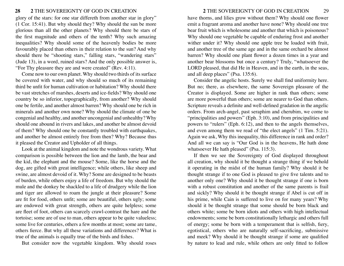glory of the stars: for one star differeth from another star in glory" (1 Cor. 15:41). But why should they? Why should the sun be more glorious than all the other planets? Why should there be stars of the first magnitude and others of the tenth? Why such amazing inequalities? Why should some of the heavenly bodies be more favourably placed than others in their relation to the sun? And why should there be "shooting stars," falling stars, "wandering stars" (Jude 13), in a word, ruined stars? And the only possible answer is, "For Thy pleasure they are and were created" (Rev. 4:11).

Come now to our own planet. Why should two thirds of its surface be covered with water, and why should so much of its remaining third be unfit for human cultivation or habitation? Why should there be vast stretches of marshes, deserts and ice-fields? Why should one country be so inferior, topographically, from another? Why should one be fertile, and another almost barren? Why should one be rich in minerals and another own none? Why should the climate of one be congenial and healthy, and another uncongenial and unhealthy? Why should one abound in rivers and lakes, and another be almost devoid of them? Why should one be constantly troubled with earthquakes, and another be almost entirely free from then? Why? Because thus it pleased the Creator and Upholder of all things.

Look at the animal kingdom and note the wondrous variety. What comparison is possible between the lion and the lamb, the bear and the kid, the elephant and the mouse? Some, like the horse and the dog, are gifted with great intelligence; while others, like sheep and swine, are almost devoid of it. Why? Some are designed to be beasts of burden, while others enjoy a life of freedom. But why should the mule and the donkey be shackled to a life of drudgery while the lion and tiger are allowed to roam the jungle at their pleasure? Some are fit for food, others unfit; some are beautiful, others ugly; some are endowed with great strength, others are quite helpless; some are fleet of foot, others can scarcely crawl-contrast the hare and the tortoise; some are of use to man, others appear to be quite valueless; some live for centuries, others a few months at most; some are tame, others fierce. But why all these variations and differences? What is true of the animals is equally true of the birds and fishes.

But consider now the vegetable kingdom. Why should roses

have thorns, and lilies grow without them? Why should one flower emit a fragrant aroma and another have none? Why should one tree bear fruit which is wholesome and another that which is poisonous? Why should one vegetable be capable of enduring frost and another wither under it? Why should one apple tree be loaded with fruit, and another tree of the same age and in the same orchard be almost barren? Why should one plant flower a dozen times in a year and another bear blossoms but once a century? Truly, "whatsoever the LORD pleased, that did He in Heaven, and in the earth, in the seas,

and all deep places" (Psa. 135:6).

Consider the angelic hosts. Surely we shall find uniformity here. But no; there, as elsewhere, the same Sovereign pleasure of the Creator is displayed. Some are higher in rank than others; some are more powerful than others; some are nearer to God than others. Scripture reveals a definite and well-defined gradation in the angelic orders. From arch-angel, past seraphim and cherubim, we come to "principalities and powers" (Eph. 3:10), and from principalities and powers to "rulers" (Eph. 6:12), and then to the angels themselves, and even among them we read of "the elect angels" (1 Tim. 5:21). Again we ask, Why this inequality, this difference in rank and order? And all we can say is "Our God is in the heavens, He hath done whatsoever He hath pleased" (Psa. 115:3).

If then we see the Sovereignty of God displayed throughout all creation, why should it be thought a strange thing if we behold it operating in the midst of the human family? Why should it be thought strange if to one God is pleased to give five talents and to another only one? Why should it be thought strange if one is born with a robust constitution and another of the same parents is frail and sickly? Why should it be thought strange if Abel is cut off in his prime, while Cain is suffered to live on for many years? Why should it be thought strange that some should be born black and others white; some be born idiots and others with high intellectual endowments; some be born constitutionally lethargic and others full of energy; some be born with a temperament that is selfish, fiery, egotistical, others who are naturally self-sacrificing, submissive and meek? Why should it be thought strange if some are qualified by nature to lead and rule, while others are only fitted to follow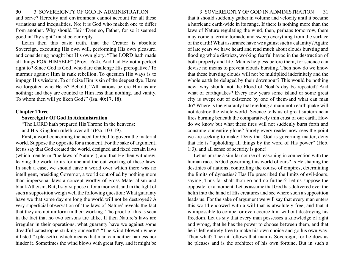<span id="page-15-0"></span>**30** 3 SOVEREIGNTY OF GOD IN ADMINISTRATION 3 SOVEREIGNTY OF GOD IN ADMINISTRATION 31 and serve? Heredity and environment cannot account for all these variations and inequalities. No; it is God who maketh one to differ from another. Why should He? "Even so, Father, for so it seemed good in Thy sight" must be our reply.

Learn then this basic truth, that the Creator is absolute Sovereign, executing His own will, performing His own pleasure, and considering nought but His own glory. "The LORD hath made all things FOR HIMSELF" (Prov. 16:4). And had He not a perfect right to? Since God is God, who dare challenge His prerogative? To murmur against Him is rank rebellion. To question His ways is to impugn His wisdom. To criticize Him is sin of the deepest dye. Have we forgotten who He is? Behold, "All nations before Him as are nothing; and they are counted to Him less than nothing, and vanity. To whom then will ye liken God?" (Isa. 40:17, 18).

### **Chapter Three**

### **Sovereignty Of God In Administration**

"The LORD hath prepared His Throne In the heavens; and His Kingdom ruleth over all" (Psa. 103:19).

First, a word concerning the need for God to govern the material world. Suppose the opposite for a moment. For the sake of argument, let us say that God created the world, designed and fixed certain laws (which men term "the laws of Nature"), and that He then withdrew, leaving the world to its fortune and the out-working of these laws. In such a case, we should have a world over which there was no intelligent, presiding Governor, a world controlled by nothing more than impersonal laws-a concept worthy of gross Materialism and blank Atheism. But, I say, suppose it for a moment; and in the light of such a supposition weigh well the following question: What guaranty have we that some day ere long the world will not be destroyed? A very superficial observation of 'the laws of Nature' reveals the fact that they are not uniform in their working. The proof of this is seen in the fact that no two seasons are alike. If then Nature's laws are irregular in their operations, what guaranty have we against some dreadful catastrophe striking our earth? "The wind bloweth where it listeth" (pleaseth), which means that man can neither harness nor hinder it. Sometimes the wind blows with great fury, and it might be

that it should suddenly gather in volume and velocity until it became a hurricane earth-wide in its range. If there is nothing more than the laws of Nature regulating the wind, then, perhaps tomorrow, there may come a terrific tornado and sweep everything from the surface of the earth! What assurance have we against such a calamity? Again; of late years we have heard and read much about clouds bursting and flooding whole districts, working fearful havoc in the destruction of both property and life. Man is helpless before them, for science can devise no means to prevent clouds bursting. Then how do we know that these bursting clouds will not be multiplied indefinitely and the whole earth be deluged by their downpour? This would be nothing new: why should not the Flood of Noah's day be repeated? And what of earthquakes? Every few years some island or some great city is swept out of existence by one of them-and what can man do? Where is the guaranty that ere long a mammoth earthquake will not destroy the whole world. Science tells us of great subterranean fires burning beneath the comparatively thin crust of our earth. How do we know but what these fires will not suddenly burst forth and consume our entire globe? Surely every reader now sees the point we are seeking to make: Deny that God is governing matter, deny that He is "upholding all things by the word of His power" (Heb. 1:3), and all sense of security is gone!

Let us pursue a similar course of reasoning in connection with the human race. Is God governing this world of ours? Is He shaping the destinies of nations, controlling the course of empires, determining the limits of dynasties? Has He prescribed the limits of evil-doers, saying, Thus far shalt thou go and no further? Let us suppose the opposite for a moment. Let us assume that God has delivered over the helm into the hand of His creatures and see where such a supposition leads us. For the sake of argument we will say that every man enters this world endowed with a will that is absolutely free, and that it is impossible to compel or even coerce him without destroying his freedom. Let us say that every man possesses a knowledge of right and wrong, that he has the power to choose between them, and that he is left entirely free to make his own choice and go his own way. Then what? Then it follows that man is Sovereign, for he does as he pleases and is the architect of his own fortune. But in such a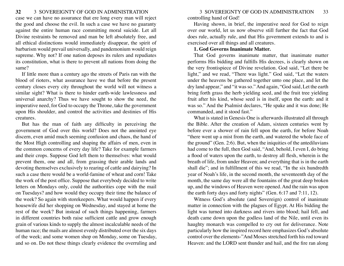case we can have no assurance that ere long every man will reject the good and choose the evil. In such a case we have no guaranty against the entire human race committing moral suicide. Let all Divine restraints be removed and man be left absolutely free, and all ethical distinctions would immediately disappear, the spirit of barbarism would prevail universally, and pandemonium would reign supreme. Why not? If one nation deposes its rulers and repudiates its constitution, what is there to prevent all nations from doing the same?

If little more than a century ago the streets of Paris ran with the blood of rioters, what assurance have we that before the present century closes every city throughout the world will not witness a similar sight? What is there to hinder earth-wide lawlessness and universal anarchy? Thus we have sought to show the need, the imperative need, for God to occupy the Throne, take the government upon His shoulder, and control the activities and destinies of His creatures.

But has the man of faith any difficulty in perceiving the government of God over this world? Does not the anointed eye discern, even amid much seeming confusion and chaos, the hand of the Most High controlling and shaping the affairs of men, even in the common concerns of every day life? Take for example farmers and their crops. Suppose God left them to themselves: what would prevent them, one and all, from grassing their arable lands and devoting themselves exclusively to rearing of cattle and dairying? In such a case there would be a world-famine of wheat and corn! Take the work of the post office. Suppose that everybody decided to write letters on Mondays only, could the authorities cope with the mail on Tuesdays? and how would they occupy their time the balance of the week? So again with storekeepers. What would happen if every housewife did her shopping on Wednesday, and stayed at home the rest of the week? But instead of such things happening, farmers in different countries both raise sufficient cattle and grow enough grain of various kinds to supply the almost incalculable needs of the human race; the mails are almost evenly distributed over the six days of the week; and some women shop on Monday, some on Tuesday, and so on. Do not these things clearly evidence the overruling and

<span id="page-16-0"></span>**32** 3 SOVEREIGNTY OF GOD IN ADMINISTRATION 3 SOVEREIGNTY OF GOD IN ADMINISTRATION 33 controlling hand of God!

Having shown, in brief, the imperative need for God to reign over our world, let us now observe still further the fact that God does rule, actually rule, and that His government extends to and is exercised over all things and all creatures.

### **1. God Governs Inanimate Matter.**

That God governs inanimate matter, that inanimate matter performs His bidding and fulfills His decrees, is clearly shown on the very frontispiece of Divine revelation. God said, "Let there be light," and we read, "There was light." God said, "Let the waters under the heavens be gathered together unto one place, and let the dry land appear," and "it was so." And again, "God said, Let the earth bring forth grass the herb yielding seed, and the fruit tree yielding fruit after his kind, whose seed is in itself, upon the earth: and it was so." And the Psalmist declares, "He spake and it was done; He commanded, and it stood fast."

What is stated in Genesis One is afterwards illustrated all through the Bible. After the creation of Adam, sixteen centuries went by before ever a shower of rain fell upon the earth, for before Noah "there went up a mist from the earth, and watered the whole face of the ground" (Gen. 2:6). But, when the iniquities of the antediluvians had come to the full, then God said, "And, behold, I even I, do bring a flood of waters upon the earth, to destroy all flesh, wherein is the breath of life, from under Heaven; and everything that is in the earth shall die"; and in fulfillment of this we read, "In the six hundredth year of Noah's life, in the second month, the seventeenth day of the month, the same day were all the fountains of the great deep broken up, and the windows of Heaven were opened. And the rain was upon the earth forty days and forty nights" (Gen. 6:17 and 7:11, 12).

Witness God's absolute (and Sovereign) control of inanimate matter in connection with the plagues of Egypt. At His bidding the light was turned into darkness and rivers into blood; hail fell, and death came down upon the godless land of the Nile, until even its haughty monarch was compelled to cry out for deliverance. Note particularly how the inspired record here emphasizes God's absolute control over the elements-"And Moses stretched forth his rod toward Heaven: and the LORD sent thunder and hail, and the fire ran along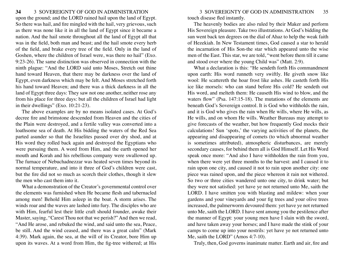upon the ground; and the LORD rained hail upon the land of Egypt. So there was hail, and fire mingled with the hail, very grievous, such as there was none like it in all the land of Egypt since it became a nation. And the hail smote throughout all the land of Egypt all that was in the field, both man and beast; and the hail smote every herb of the field, and brake every tree of the field. Only in the land of Goshen, where the children of Israel were, was there no hail" (Exo. 9:23-26). The same distinction was observed in connection with the ninth plague: "And the LORD said unto Moses, Stretch out thine hand toward Heaven, that there may be darkness over the land of Egypt, even darkness which may be felt. And Moses stretched forth his hand toward Heaven; and there was a thick darkness in all the land of Egypt three days: They saw not one another, neither rose any from his place for three days: but all the children of Israel had light in their dwellings" (Exo. 10:21-23).

The above examples are by no means isolated cases. At God's decree fire and brimstone descended from Heaven and the cities of the Plain were destroyed, and a fertile valley was converted into a loathsome sea of death. At His bidding the waters of the Red Sea parted asunder so that the Israelites passed over dry shod, and at His word they rolled back again and destroyed the Egyptians who were pursuing them. A word from Him, and the earth opened her mouth and Korah and his rebellious company were swallowed up. The furnace of Nebuchadnezzar was heated seven times beyond its normal temperature, and into it three of God's children were cast, but the fire did not so much as scorch their clothes, though it slew the men who cast them into it.

What a demonstration of the Creator's governmental control over the elements was furnished when He became flesh and tabernacled among men! Behold Him asleep in the boat. A storm arises. The winds roar and the waves are lashed into fury. The disciples who are with Him, fearful lest their little craft should founder, awake their Master, saying, "Carest Thou not that we perish?" And then we read, "And He arose, and rebuked the wind, and said unto the sea, Peace, be still. And the wind ceased, and there was a great calm" (Mark 4:39). Mark again, the sea, at the will of its Creator, bore Him up upon its waves. At a word from Him, the fig-tree withered; at His

**34** 3 SOVEREIGNTY OF GOD IN ADMINISTRATION 3 SOVEREIGNTY OF GOD IN ADMINISTRATION 35 touch disease fled instantly.

> The heavenly bodies are also ruled by their Maker and perform His Sovereign pleasure. Take two illustrations. At God's bidding the sun went back ten degrees on the dial of Ahaz to help the weak faith of Hezekiah. In New Testament times, God caused a star to herald the incarnation of His Son-the star which appeared unto the wise men of the East. This star, we are told, "went before them till it came and stood over where the young Child was" (Matt. 2:9).

> What a declaration is this: "He sendeth forth His commandment upon earth: His word runneth very swiftly. He giveth snow like wool: He scattereth the hoar frost like ashes. He casteth forth His ice like morsels: who can stand before His cold? He sendeth out His word, and melteth them: He causeth His wind to blow, and the waters flow" (Psa. 147:15-18). The mutations of the elements are beneath God's Sovereign control. It is God who withholds the rain, and it is God who gives the rain when He wills, where He wills, as He wills, and on whom He wills. Weather Bureaus may attempt to give forecasts of the weather, but how frequently God mocks their calculations! Sun 'spots,' the varying activities of the planets, the appearing and disappearing of comets (to which abnormal weather is sometimes attributed), atmospheric disturbances, are merely secondary causes, for behind them all is God Himself. Let His Word speak once more: "And also I have withholden the rain from you, when there were yet three months to the harvest: and I caused it to rain upon one city, and caused it not to rain upon another city: one piece was rained upon, and the piece whereon it rain not withered. So two or three cities wandered unto one city, to drink water; but they were not satisfied: yet have ye not returned unto Me, saith the LORD. I have smitten you with blasting and mildew: when your gardens and your vineyards and your fig trees and your olive trees increased, the palmerworm devoured them: yet have ye not returned unto Me, saith the LORD. I have sent among you the pestilence after the manner of Egypt: your young men have I slain with the sword, and have taken away your horses; and I have made the stink of your camps to come up into your nostrils: yet have ye not returned unto Me, saith the LORD" (Amos 4:7-10).

Truly, then, God governs inanimate matter. Earth and air, fire and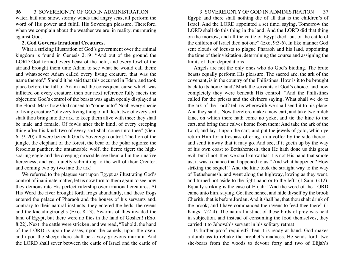### <span id="page-18-0"></span>**2. God Governs Irrational Creatures.**

What a striking illustration of God's government over the animal kingdom is found in Genesis 2:19! "And out of the ground the LORD God formed every beast of the field, and every fowl of the air:and brought them unto Adam to see what he would call them: and whatsoever Adam called every living creature, that was the name thereof." Should it be said that this occurred in Eden, and took place before the fall of Adam and the consequent curse which was inflicted on every creature, then our next reference fully meets the objection: God's control of the beasts was again openly displayed at the Flood. Mark how God caused to "come unto" Noah every specie of living creature "of every living thing of all flesh, two of every sort shalt thou bring into the ark, to keep them alive with thee; they shall be male and female. Of fowls after their kind, of every creeping thing after his kind: two of every sort shall come unto thee" (Gen. 6:19, 20)-all were beneath God's Sovereign control. The lion of the jungle, the elephant of the forest, the bear of the polar regions; the ferocious panther, the untameable wolf, the fierce tiger; the highsoaring eagle and the creeping crocodile-see them all in their native fierceness, and yet, quietly submitting to the will of their Creator, and coming two by two into the ark!

We referred to the plagues sent upon Egypt as illustrating God's control of inanimate matter, let us now turn to them again to see how they demonstrate His perfect rulership over irrational creatures. At His Word the river brought forth frogs abundantly, and these frogs entered the palace of Pharaoh and the houses of his servants and, contrary to their natural instincts, they entered the beds, the ovens and the kneadingtroughs (Exo. 8:13). Swarms of flies invaded the land of Egypt, but there were no flies in the land of Goshen! (Exo. 8:22). Next, the cattle were stricken, and we read, "Behold, the hand of the LORD is upon the asses, upon the camels, upon the oxen, and upon the sheep: there shall be a very grievous murrain. And the LORD shall sever between the cattle of Israel and the cattle of Egypt: and there shall nothing die of all that is the children's of Israel. And the LORD appointed a set time, saying, Tomorrow the LORD shall do this thing in the land. And the LORD did that thing on the morrow, and all the cattle of Egypt died: but of the cattle of the children of Israel died not one" (Exo. 9:3-6). In like manner God sent clouds of locusts to plague Pharaoh and his land, appointing the time of their visitation, determining the course and assigning the limits of their depredations.

Angels are not the only ones who do God's bidding. The brute beasts equally perform His pleasure. The sacred ark, the ark of the covenant, is in the country of the Philistines. How is it to be brought back to its home land? Mark the servants of God's choice, and how completely they were beneath His control: "And the Philistines called for the priests and the diviners saying, What shall we do to the ark of the Lord? tell us wherewith we shall send it to his place. And they said... Now therefore make a new cart, and take two mileb kine, on which there hath come no yoke, and tie the kine to the cart, and bring their calves home from them: And take the ark of the Lord, and lay it upon the cart; and put the jewels of gold, which ye return Him for a trespass offering, in a coffer by the side thereof, and send it away that it may go. And see, if it goeth up by the way of his own coast to Bethshemesh, then He hath done us this great evil: but if not, then we shall know that it is not His hand that smote us; it was a chance that happened to us." And what happened? How striking the sequel! "And the kine took the straight way to the way of Bethshemesh, and went along the highway, lowing as they went, and turned not aside to the right hand or to the left" (1 Sam. 6:12). Equally striking is the case of Elijah: "And the word of the LORD came unto him, saying, Get thee hence, and hide thyself by the brook Cherith, that is before Jordan. And it shall be, that thou shalt drink of the brook; and I have commanded the ravens to feed thee there" (1 Kings 17:2-4). The natural instinct of these birds of prey was held in subjection, and instead of consuming the food themselves, they carried it to Jehovah's servant in his solitary retreat.

Is further proof required? then it is ready at hand. God makes a dumb ass to rebuke the prophet's madness. He sends forth two she-bears from the woods to devour forty and two of Elijah's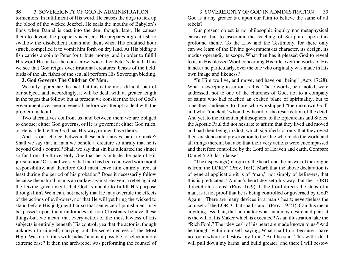### <span id="page-19-0"></span>**38** 3 SOVEREIGNTY OF GOD IN ADMINISTRATION 3 SOVEREIGNTY OF GOD IN ADMINISTRATION 39

tormentors. In fulfillment of His word, He causes the dogs to lick up the blood of the wicked Jezebel. He seals the mouths of Babylon's lions when Daniel is cast into the den, though, later, He causes them to devour the prophet's accusers. He prepares a great fish to swallow the disobedient Jonah and then, when His ordained hour struck, compelled it to vomit him forth on dry land. At His biding a fish carries a coin to Peter for tribute money, and in order to fulfill His word He makes the cock crow twice after Peter's denial. Thus we see that God reigns over irrational creatures: beasts of the field, birds of the air, fishes of the sea, all perform His Sovereign bidding.

### **3. God Governs The Children Of Men.**

We fully appreciate the fact that this is the most difficult part of our subject, and, accordingly, it will be dealt with at greater length in the pages that follow; but at present we consider the fact of God's government over men in general, before we attempt to deal with the problem in detail.

Two alternatives confront us, and between them we are obliged to choose: either God governs, or He is governed; either God rules, or He is ruled; either God has His way, or men have theirs.

And is our choice between these alternatives hard to make? Shall we say that in man we behold a creature so unruly that he is beyond God's control? Shall we say that sin has alienated the sinner so far from the thrice Holy One that he is outside the pale of His jurisdiction? Or, shall we say that man has been endowed with moral responsibility, and therefore God must leave him entirely free, at least during the period of his probation? Does it necessarily follow because the natural man is an outlaw against Heaven, a rebel against the Divine government, that God is unable to fulfill His purpose through him? We mean, not merely that He may overrule the effects of the actions of evil-doers, nor that He will yet bring the wicked to stand before His judgment-bar so that sentence of punishment may be passed upon them-multitudes of non-Christians believe these things-but, we mean, that every action of the most lawless of His subjects is entirely beneath His control, yea that the actor is, though unknown to himself, carrying out the secret decrees of the Most High. Was it not thus with Judas? and is it possible to select a more extreme case? If then the arch-rebel was performing the counsel of God is it any greater tax upon our faith to believe the same of all rebels?

Our present object is no philosophic inquiry nor metaphysical causistry, but to ascertain the teaching of Scripture upon this profound theme. To the Law and the Testimony, for there only can we learn of the Divine government-its character, its design, its modus operandi, its scope. What then has it pleased God to reveal to us in His blessed Word concerning His rule over the works of His hands, and particularly, over the one who originally was made in His own image and likeness?

"In Him we live, and move, and have our being" (Acts 17:28). What a sweeping assertion is this! These words, be it noted, were addressed, not to one of the churches of God, not to a company of saints who had reached an exalted plane of spirituality, but to a heathen audience, to those who worshipped "the unknown God" and who "mocked" when they heard of the resurrection of the dead. And yet, to the Athenian philosophers, to the Epicureans and Stoics, the Apostle Paul did not hesitate to affirm that they lived and moved and had their being in God, which signified not only that they owed their existence and preservation to the One who made the world and all things therein, but also that their very actions were encompassed and therefore controlled by the Lord of Heaven and earth. Compare Daniel 5:23, last clause!

"The disposings (margin) of the heart, and the answer of the tongue is from the LORD" (Prov. 16:1). Mark that the above declaration is of general application-it is of "man," not simply of believers, that this is predicated. "A man's heart deviseth his way: but the LORD directeth his steps" (Prov. 16:9). If the Lord directs the steps of a man, is it not proof that he is being controlled or governed by God? Again: "There are many devices in a man's heart; nevertheless the counsel of the LORD, that shall stand" (Prov. 19:21). Can this mean anything less than, that no matter what man may desire and plan, it is the will of his Maker which is executed? As an illustration take the "Rich Fool." The "devices" of his heart are made known to us-"And he thought within himself, saying, What shall I do, because I have no room where to bestow my fruits? And he said, This will I do: I will pull down my barns, and build greater; and there I will bestow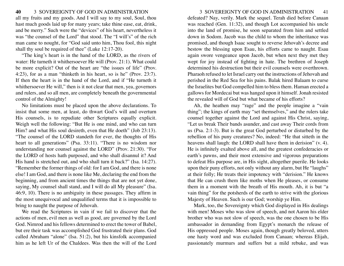all my fruits and my goods. And I will say to my soul, Soul, thou hast much goods laid up for many years; take thine ease, eat, drink, and be merry." Such were the "devices" of his heart, nevertheless it was "the counsel of the Lord" that stood. The "I will's" of the rich man came to nought, for "God said unto him, Thou fool, this night shall thy soul be required of thee" (Luke 12:17-20).

"The king's heart is in the hand of the LORD, as the rivers of water: He turneth it whithersoever He will (Prov. 21:1). What could be more explicit? Out of the heart are "the issues of life" (Prov. 4:23), for as a man "thinketh in his heart, so is he" (Prov. 23:7). If then the heart is in the hand of the Lord, and if "He turneth it whithersoever He will," then is it not clear that men, yea, governors and rulers, and so all men, are completely beneath the governmental control of the Almighty!

No limitations must be placed upon the above declarations. To insist that some men, at least, do thwart God's will and overturn His counsels, is to repudiate other Scriptures equally explicit. Weigh well the following: "But He is one mind, and who can turn Him? and what His soul desireth, even that He doeth" (Job 23:13). "The counsel of the LORD standeth for ever, the thoughts of His heart to all generations" (Psa. 33:11). "There is no wisdom nor understanding nor counsel against the LORD" (Prov. 21:30). "For the LORD of hosts hath purposed, and who shall disannul it? And His hand is stretched out, and who shall turn it back?" (Isa. 14:27). "Remember the former things of old: for I am God, and there is none else! I am God, and there is none like Me, declaring the end from the beginning, and from ancient times the things that are not yet done, saying, My counsel shall stand, and I will do all My pleasure" (Isa. 46:9, 10). There is no ambiguity in these passages. They affirm in the most unequivocal and unqualified terms that it is impossible to bring to naught the purpose of Jehovah.

We read the Scriptures in vain if we fail to discover that the actions of men, evil men as well as good, are governed by the Lord God. Nimrod and his fellows determined to erect the tower of Babel, but ere their task was accomplished God frustrated their plans. God called Abraham "alone" (Isa. 51:2), but his kinsfolk accompanied him as he left Ur of the Chaldees. Was then the will of the Lord

**40** 3 SOVEREIGNTY OF GOD IN ADMINISTRATION 3 SOVEREIGNTY OF GOD IN ADMINISTRATION 41 defeated? Nay, verily. Mark the sequel. Terah died before Canaan was reached (Gen. 11:32), and though Lot accompanied his uncle into the land of promise, he soon separated from him and settled down in Sodom. Jacob was the child to whom the inheritance was promised, and though Isaac sought to reverse Jehovah's decree and bestow the blessing upon Esau, his efforts came to naught. Esau again swore vengeance upon Jacob, but when next they met they wept for joy instead of fighting in hate. The brethren of Joseph determined his destruction but their evil counsels were overthrown. Pharaoh refused to let Israel carry out the instructions of Jehovah and perished in the Red Sea for his pains. Balak hired Balaam to curse the Israelites but God compelled him to bless them. Haman erected a gallows for Mordecai but was hanged upon it himself. Jonah resisted the revealed will of God but what became of his efforts?

> Ah, the heathen may "rage" and the people imagine a "vain thing"; the kings of earth may "set themselves," and the rulers take counsel together against the Lord and against His Christ, saying, "Let us break Their bands asunder, and cast away Their cords from us (Psa. 2:1-3). But is the great God perturbed or disturbed by the rebellion of his puny creatures? No, indeed: "He that sitteth in the heavens shall laugh: the LORD shall have them in derision" (v. 4). He is infinitely exalted above all, and the greatest confederacies or earth's pawns, and their most extensive and vigorous preparations to defeat His purpose are, in His sight, altogether puerile. He looks upon their puny efforts, not only without any alarm, but He "laughs" at their folly; He treats their impotency with "derision." He knows that He can crush them like moths when He pleases, or consume them in a moment with the breath of His mouth. Ah, it is but "a vain thing" for the potsherds of the earth to strive with the glorious Majesty of Heaven. Such is our God; worship ye Him.

> Mark, too, the Sovereignty which God displayed in His dealings with men! Moses who was slow of speech, and not Aaron his elder brother who was not slow of speech, was the one chosen to be His ambassador in demanding from Egypt's monarch the release of His oppressed people. Moses again, though greatly beloved, utters one hasty word and was excluded from Canaan; whereas Elijah, passionately murmurs and suffers but a mild rebuke, and was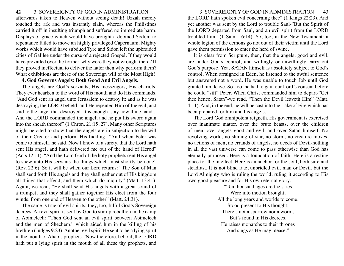afterwards taken to Heaven without seeing death! Uzzah merely touched the ark and was instantly slain, whereas the Philistines carried it off in insulting triumph and suffered no immediate harm. Displays of grace which would have brought a doomed Sodom to repentance failed to move an highly privileged Capernaum. Mighty works which would have subdued Tyre and Sidon left the upbraided cities of Galilee under the curse of a rejected Gospel. If they would have prevailed over the former, why were they not wrought there? If they proved ineffectual to deliver the latter then why perform them? What exhibitions are these of the Sovereign will of the Most High!

### **4. God Governs Angels: Both Good And Evil Angels.**

The angels are God's servants, His messengers, His chariots. They ever hearken to the word of His mouth and do His commands. "And God sent an angel unto Jerusalem to destroy it: and as he was destroying, the LORD beheld, and He repented Him of the evil, and said to the angel that destroyed. It is enough, stay now thine hand... And the LORD commanded the angel; and he put his sword again into the sheath thereof" (1 Chron. 21:15, 27). Many other Scriptures might be cited to show that the angels are in subjection to the will of their Creator and perform His bidding -"And when Peter was come to himself, he said, Now I know of a surety, that the Lord hath sent His angel, and hath delivered me out of the hand of Herod" (Acts 12:11). "And the Lord God of the holy prophets sent His angel to shew unto His servants the things which must shortly be done" (Rev. 22:6). So it will be when our Lord returns: "The Son of Man shall send forth His angels and they shall gather out of His kingdom all things that offend, and them which do iniquity" (Matt. 13:41). Again, we read, "He shall send His angels with a great sound of a trumpet, and they shall gather together His elect from the four winds, from one end of Heaven to the other" (Matt. 24:31).

The same is true of evil spirits: they, too, fulfill God's Sovereign decrees. An evil spirit is sent by God to stir up rebellion in the camp of Abimelech: "Then God sent an evil spirit between Abimelech and the men of Shechem," which aided him in the killing of his brethren (Judges 9:23). Another evil spirit He sent to be a lying spirit in the mouth of Ahab's prophets-"Now therefore, behold, the LORD hath put a lying spirit in the mouth of all these thy prophets, and

<span id="page-21-0"></span>**42** 3 SOVEREIGNTY OF GOD IN ADMINISTRATION 3 SOVEREIGNTY OF GOD IN ADMINISTRATION 43 the LORD hath spoken evil concerning thee" (1 Kings 22:23). And yet another was sent by the Lord to trouble Saul-"But the Spirit of the LORD departed from Saul, and an evil spirit from the LORD troubled him" (1 Sam. 16:14). So, too, in the New Testament: a whole legion of the demons go not out of their victim until the Lord gave them permission to enter the herd of swine.

> It is clear from Scripture, then, that the angels, good and evil, are under God's control, and willingly or unwillingly carry out God's purpose. Yea, SATAN himself is absolutely subject to God's control. When arraigned in Eden, he listened to the awful sentence but answered not a word. He was unable to touch Job until God granted him leave. So, too, he had to gain our Lord's consent before he could "sift" Peter. When Christ commanded him to depart-"Get thee hence, Satan"-we read, "Then the Devil leaveth Him" (Matt. 4:11). And, in the end, he will be cast into the Lake of Fire which has been prepared for him and his angels.

> The Lord God omnipotent reigneth. His government is exercised over inanimate matter, over the brute beasts, over the children of men, over angels good and evil, and over Satan himself. No revolving world, no shining of star, no storm, no creature moves, no actions of men, no errands of angels, no deeds of Devil-nothing in all the vast universe can come to pass otherwise than God has eternally purposed. Here is a foundation of faith. Here is a resting place for the intellect. Here is an anchor for the soul, both sure and steadfast. It is not blind fate, unbridled evil, man or Devil, but the Lord Almighty who is ruling the world, ruling it according to His own good pleasure and for His own eternal glory.

> > "Ten thousand ages ere the skies Were into motion brought; All the long years and worlds to come, Stood present to His thought: There's not a sparrow nor a worm, But's found in His decrees, He raises monarchs to their thrones And sings as He may please."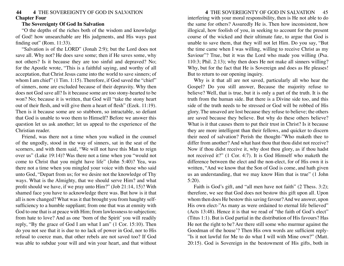## <span id="page-22-0"></span>**Chapter Four**

### **The Sovereignty Of God In Salvation**

"O the depths of the riches both of the wisdom and knowledge of God! how unsearchable are His judgments, and His ways past finding out" (Rom. 11:33).

"Salvation is of the LORD" (Jonah 2:9); but the Lord does not save all. Why not? He does save some; then if He saves some, why not others? Is it because they are too sinful and depraved? No; for the Apostle wrote, "This is a faithful saying, and worthy of all acceptation, that Christ Jesus came into the world to save sinners; of whom I am chief" (1 Tim. 1:15). Therefore, if God saved the "chief" of sinners, none are excluded because of their depravity. Why then does not God save all? Is it because some are too stony-hearted to be won? No; because it is written, that God will "take the stony heart out of their flesh, and will give them a heart of flesh" (Ezek. 11:19). Then is it because some are so stubborn, so intractable, so defiant that God is unable to woo them to Himself? Before we answer this question let us ask another; let us appeal to the experience of the Christian reader.

Friend, was there not a time when you walked in the counsel of the ungodly, stood in the way of sinners, sat in the seat of the scorners, and with them said, "We will not have this Man to reign over us" (Luke 19:14)? Was there not a time when you "would not come to Christ that you might have life" (John 5:40)? Yea, was there not a time when you mingled your voice with those who said unto God, "Depart from us; for we desire not the knowledge of Thy ways. What is the Almighty, that we should serve Him? and what profit should we have, if we pray unto Him?" (Job 21:14, 15)? With shamed face you have to acknowledge there was. But how is it that all is now changed? What was it that brought you from haughty selfsufficiency to a humble suppliant; from one that was at enmity with God to one that is at peace with Him; from lawlessness to subjection; from hate to love? And as one 'born of the Spirit' you will readily reply, "By the grace of God I am what I am" (1 Cor. 15:10). Then do you not see that it is due to no lack of power in God, nor to His refusal to coerce man, that other rebels are not saved too? If God was able to subdue your will and win your heart, and that without

**44 4** THE SOVEREIGNTY OF GOD IN SALVATION **4** THE SOVEREIGNTY OF GOD IN SALVATION 45 interfering with your moral responsibility, then is He not able to do the same for others? Assuredly He is. Then how inconsistent, how illogical, how foolish of you, in seeking to account for the present course of the wicked and their ultimate fate, to argue that God is unable to save them, that they will not let Him. Do you say, "But the time came when I was willing, willing to receive Christ as my Saviour"? True, but it was the Lord who made you willing (Psa. 110:3; Phil. 2:13); why then does He not make all sinners willing? Why, but for the fact that He is Sovereign and does as He pleases! But to return to our opening inquiry.

> Why is it that all are not saved, particularly all who hear the Gospel? Do you still answer, Because the majority refuse to believe? Well, that is true, but it is only a part of the truth. It is the truth from the human side. But there is a Divine side too, and this side of the truth needs to be stressed or God will be robbed of His glory. The unsaved are lost because they refuse to believe; the others are saved because they believe. But why do these others believe? What is it that causes them to put their trust in Christ? Is it because they are more intelligent than their fellows, and quicker to discern their need of salvation? Perish the thought-"Who maketh thee to differ from another? And what hast thou that thou didst not receive? Now if thou didst receive it, why dost thou glory, as if thou hadst not received it?" (1 Cor. 4:7). It is God Himself who maketh the difference between the elect and the non-elect, for of His own it is written, "And we know that the Son of God is come, and hath given us an understanding, that we may know Him that is true" (1 John 5:20).

> Faith is God's gift, and "all men have not faith" (2 Thess. 3:2); therefore, we see that God does not bestow this gift upon all. Upon whom then does He bestow this saving favour? And we answer, upon His own elect-"As many as were ordained to eternal life believed" (Acts 13:48). Hence it is that we read of "the faith of God's elect" (Titus 1:1). But is God partial in the distribution of His favours? Has He not the right to be? Are there still some who murmur against the Goodman of the house'? Then His own words are sufficient reply- "Is it not lawful for Me to do what I will with Mine own?" (Matt. 20:15). God is Sovereign in the bestowment of His gifts, both in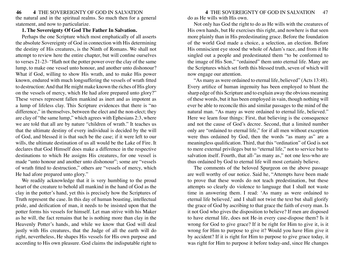the natural and in the spiritual realms. So much then for a general statement, and now to particularize.

### **1. The Sovereignty Of God The Father In Salvation.**

Perhaps the one Scripture which most emphatically of all asserts the absolute Sovereignty of God in connection with His determining the destiny of His creatures, is the Ninth of Romans. We shall not attempt to review here the entire chapter, but will confine ourselves to verses 21-23- "Hath not the potter power over the clay of the same lump, to make one vessel unto honour, and another unto dishonour? What if God, willing to show His wrath, and to make His power known, endured with much longsuffering the vessels of wrath fitted to destruction: And that He might make known the riches of His glory on the vessels of mercy, which He had afore prepared unto glory?" These verses represent fallen mankind as inert and as impotent as a lump of lifeless clay. This Scripture evidences that there is "no difference," in themselves, between the elect and the non-elect; they are clay of "the same lump," which agrees with Ephesians 2:3, where we are told that all are by nature "children of wrath." It teaches us that the ultimate destiny of every individual is decided by the will of God, and blessed it is that such be the case; if it were left to our wills, the ultimate destination of us all would be the Lake of Fire. It declares that God Himself does make a difference in the respective destinations to which He assigns His creatures, for one vessel is made "unto honour and another unto dishonour"; some are "vessels of wrath fitted to destruction," others are "vessels of mercy, which He had afore prepared unto glory."

We readily acknowledge that it is very humbling to the proud heart of the creature to behold all mankind in the hand of God as the clay in the potter's hand, yet this is precisely how the Scriptures of Truth represent the case. In this day of human boasting, intellectual pride, and deification of man, it needs to be insisted upon that the potter forms his vessels for himself. Let man strive with his Maker as he will, the fact remains that he is nothing more than clay in the Heavenly Potter's hands, and while we know that God will deal justly with His creatures, that the Judge of all the earth will do right, nevertheless, He shapes His vessels for His own purpose and according to His own pleasure. God claims the indisputable right to

<span id="page-23-0"></span>**46 4** THE SOVEREIGNTY OF GOD IN SALVATION **4** THE SOVEREIGNTY OF GOD IN SALVATION 47 do as He wills with His own.

> Not only has God the right to do as He wills with the creatures of His own hands, but He exercises this right, and nowhere is that seen more plainly than in His predestinating grace. Before the foundation of the world God made a choice, a selection, an election. Before His omniscient eye stood the whole of Adam's race, and from it He singled out a people and predestinated them "to be conformed to the image of His Son," "ordained" them unto eternal life. Many are the Scriptures which set forth this blessed truth, seven of which will now engage our attention.

> "As many as were ordained to eternal life, believed" (Acts 13:48). Every artifice of human ingenuity has been employed to blunt the sharp edge of this Scripture and to explain away the obvious meaning of these words, but it has been employed in vain, though nothing will ever be able to reconcile this and similar passages to the mind of the natural man. "As many as were ordained to eternal life, believed." Here we learn four things: First, that believing is the consequence and not the cause of God's decree. Second, that a limited number only are "ordained to eternal life," for if all men without exception were thus ordained by God, then the words "as many as" are a meaningless qualification. Third, that this "ordination" of God is not to mere external privileges but to "eternal life," not to service but to salvation itself. Fourth, that all-"as many as," not one less-who are thus ordained by God to eternal life will most certainly believe.

> The comments of the beloved Spurgeon on the above passage are well worthy of our notice. Said he, "Attempts have been made to prove that these words do not teach predestination, but these attempts so clearly do violence to language that I shall not waste time in answering them. I read: 'As many as were ordained to eternal life believed,' and I shall not twist the text but shall glorify the grace of God by ascribing to that grace the faith of every man. Is it not God who gives the disposition to believe? If men are disposed to have eternal life, does not He-in every case-dispose them? Is it wrong for God to give grace? If it be right for Him to give it, is it wrong for Him to purpose to give it? Would you have Him give it by accident? If it is right for Him to purpose to give grace today, it was right for Him to purpose it before today-and, since He changes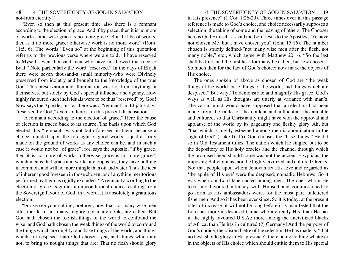## not-from eternity."

"Even so then at this present time also there is a remnant according to the election of grace. And if by grace, then it is no more of works: otherwise grace is no more grace. But if it be of works, then is it no more grace: otherwise work is no more work" (Rom. 11:5, 6). The words "Even so" at the beginning of this quotation refer us to the previous verse where we are told, "I have reserved to Myself seven thousand men who have not bowed the knee to Baal." Note particularly the word "reserved." In the days of Elijah there were seven thousand-a small minority-who were Divinely preserved from idolatry and brought to the knowledge of the true God. This preservation and illumination was not from anything in themselves, but solely by God's special influence and agency. How highly favoured such individuals were to be thus "reserved" by God! Now says the Apostle, Just as there was a "remnant" in Elijah's days "reserved by God," even so there is in this present dispensation.

"A remnant according to the election of grace." Here the cause of election is traced back to its source. The basis upon which God elected this "remnant" was not faith foreseen in them, because a choice founded upon the foresight of good works is just as truly made on the ground of works as any choice can be, and in such a case it would not be "of grace"; for, says the Apostle, "if by grace, then it is no more of works: otherwise grace is no more grace"; which means that grace and works are opposites, they have nothing in common, and will no more mingle than oil and water. Thus the idea of inherent good foreseen in those chosen, or of anything meritorious performed by them, is rigidly excluded. "A remnant according to the election of grace" signifies an unconditional choice resulting from the Sovereign favour of God; in a word, it is absolutely a gratuitous election.

"For ye see your calling, brethren, how that not many wise men after the flesh, not many mighty, not many noble, are called: But God hath chosen the foolish things of the world to confound the wise; and God hath chosen the weak things of the world to confound the things which are mighty: and base things of the world, and things which are despised, hath God chosen, yea, and things which are not, to bring to nought things that are: That no flesh should glory

**48 4** THE SOVEREIGNTY OF GOD IN SALVATION **4** THE SOVEREIGNTY OF GOD IN SALVATION 49 in His presence" (1 Cor. 1:26-29). Three times over in this passage reference is made to God's choice, and choice necessarily supposes a selection, the taking of some and the leaving of others. The Chooser here is God Himself, as said the Lord Jesus to the Apostles, "Ye have not chosen Me, but I have chosen you" (John 15:16). The number chosen is strictly defined-"not many wise men after the flesh, not many noble," etc., which agree with Matthew 20:16, "So the last shall be first, and the first last; for many be called, but few chosen." So much then for the fact of God's choice; now mark the objects of His choice.

> The ones spoken of above as chosen of God are "the weak things of the world, base things of the world, and things which are despised." But why? To demonstrate and magnify His grace. God's ways as well as His thoughts are utterly at variance with man's. The carnal mind would have supposed that a selection had been made from the ranks of the opulent and influential, the amiable and cultured, so that Christianity might have won the approval and applause of the world by its pageantry and fleshly glory. Ah, but "that which is highly esteemed among men is abomination in the sight of God" (Luke 16:15). God chooses the "base things." He did so in Old Testament times. The nation which He singled out to be the depository of His holy oracles and the channel through which the promised Seed should come was not the ancient Egyptians, the imposing Babylonians, nor the highly civilized and cultured Greeks. No; that people upon whom Jehovah set His love and regarded as 'the apple of His eye' were the despised, nomadic Hebrews. So it was when our Lord tabernacled among men. The ones whom He took into favoured intimacy with Himself and commissioned to go forth as His ambassadors were, for the most part, unlettered fishermen. And so it has been ever since. So it is today: at the present rates of increase, it will not be long before it is manifested that the Lord has more in despised China who are really His, than He has in the highly favoured U.S.A.; more among the uncivilized blacks of Africa, than He has in cultured (?) Germany! And the purpose of God's choice, the raison d' etre of the selection He has made is, "that no flesh should glory in His presence"-there being nothing whatever in the objects of His choice which should entitle them to His special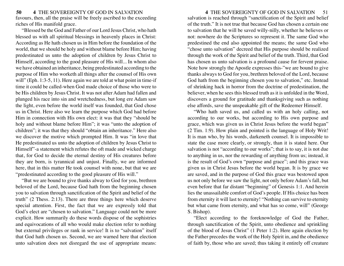favours, then, all the praise will be freely ascribed to the exceeding riches of His manifold grace.

"Blessed be the God and Father of our Lord Jesus Christ, who hath blessed us with all spiritual blessings in heavenly places in Christ: According as He hath chosen us in Him before the foundation of the world, that we should be holy and without blame before Him; having predestinated us unto the adoption of children by Jesus Christ to Himself, according to the good pleasure of His will... In whom also we have obtained an inheritance, being predestinated according to the purpose of Him who worketh all things after the counsel of His own will" (Eph. 1:3-5, 11). Here again we are told at what point in time-if time it could be called-when God made choice of those who were to be His children by Jesus Christ. It was not after Adam had fallen and plunged his race into sin and wretchedness, but long ere Adam saw the light, even before the world itself was founded, that God chose us in Christ. Here also we learn the purpose which God had before Him in connection with His own elect: it was that they "should be holy and without blame before Him"; it was "unto the adoption of children"; it was that they should "obtain an inheritance." Here also we discover the motive which prompted Him. It was "in love that He predestinated us unto the adoption of children by Jesus Christ to Himself"-a statement which refutes the oft made and wicked charge that, for God to decide the eternal destiny of His creatures before they are born, is tyrannical and unjust. Finally, we are informed here, that in this matter He took counsel with none, but that we are "predestinated according to the good pleasure of His will."

"But we are bound to give thanks alway to God for you, brethren beloved of the Lord, because God hath from the beginning chosen you to salvation through sanctification of the Spirit and belief of the truth" (2 Thess. 2:13). There are three things here which deserve special attention. First, the fact that we are expressly told that God's elect are "chosen to salvation." Language could not be more explicit. How summarily do these words dispose of the sophistries and equivocations of all who would make election refer to nothing but external privileges or rank in service! It is to "salvation" itself that God hath chosen us. Second, we are warned here that election unto salvation does not disregard the use of appropriate means:

**50 4** THE SOVEREIGNTY OF GOD IN SALVATION **4** THE SOVEREIGNTY OF GOD IN SALVATION 51 salvation is reached through "sanctification of the Spirit and belief of the truth." It is not true that because God has chosen a certain one to salvation that he will be saved willy-nilly, whether he believes or not: nowhere do the Scriptures so represent it. The same God who predestined the end also appointed the means; the same God who "chose unto salvation" decreed that His purpose should be realized through the work of the Spirit and belief of the truth. Third, that God has chosen us unto salvation is a profound cause for fervent praise. Note how strongly the Apostle expresses this-"we are bound to give thanks always to God for you, brethren beloved of the Lord, because God hath from the beginning chosen you to salvation," etc. Instead of shrinking hack in horror from the doctrine of predestination, the believer, when he sees this blessed truth as it is unfolded in the Word, discovers a ground for gratitude and thanksgiving such as nothing else affords, save the unspeakable gift of the Redeemer Himself.

> "Who hath saved us, and called us with an holy calling, not according to our works, but according to His own purpose and grace, which was given us in Christ Jesus before the world began" (2 Tim. 1:9). How plain and pointed is the language of Holy Writ! It is man who, by his words, darkeneth counsel. It is impossible to state the case more clearly, or strongly, than it is stated here. Our salvation is not "according to our works"; that is to say, it is not due to anything in us, nor the rewarding of anything from us; instead, it is the result of God's own "purpose and grace"; and this grace was given us in Christ Jesus before the world began. It is by grace we are saved, and in the purpose of God this grace was bestowed upon us not only before we saw the light, not only before Adam's fall, but even before that far distant "beginning" of Genesis 1:1. And herein lies the unassailable comfort of God's people. If His choice has been from eternity it will last to eternity! "Nothing can survive to eternity but what came from eternity, and what has so come, will" (George S. Bishop).

> "Elect according to the foreknowledge of God the Father, through sanctification of the Spirit, unto obedience and sprinkling of the blood of Jesus Christ" (1 Peter 1:2). Here again election by the Father precedes the work of the Holy Spirit in, and the obedience of faith by, those who are saved; thus taking it entirely off creature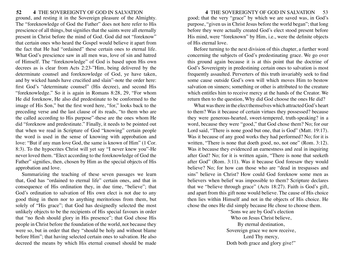ground, and resting it in the Sovereign pleasure of the Almighty. The "foreknowledge of God the Father" does not here refer to His prescience of all things, but signifies that the saints were all eternally present in Christ before the mind of God. God did not "foreknow" that certain ones who heard the Gospel would believe it apart from the fact that He had "ordained" these certain ones to eternal life. What God's prescience saw in all men was, love of sin and hatred of Himself. The "foreknowledge" of God is based upon His own decrees as is clear from Acts 2:23-"Him, being delivered by the determinate counsel and foreknowledge of God, ye have taken, and by wicked hands have crucified and slain"-note the order here: first God's "determinate counsel" (His decree), and second His "foreknowledge." So it is again in Romans 8:28, 29, "For whom He did foreknow, He also did predestinate to be conformed to the image of His Son," but the first word here, "for," looks back to the preceding verse and the last clause of its reads, "to them who are the called according to His purpose"-these are the ones whom He did "foreknow and predestinate." Finally, it needs to be pointed out that when we read in Scripture of God "knowing" certain people the word is used in the sense of knowing with approbation and love: "But if any man love God, the same is known of Him" (1 Cor. 8:3). To the hypocrites Christ will yet say "I never knew you"-He never loved them. "Elect according to the foreknowledge of God the Father" signifies, then, chosen by Him as the special objects of His approbation and love.

Summarizing the teaching of these seven passages we learn that, God has "ordained to eternal life" certain ones, and that in consequence of His ordination they, in due time, "believe"; that God's ordination to salvation of His own elect is not due to any good thing in them nor to anything meritorious from them, but solely of "His grace"; that God has designedly selected the most unlikely objects to be the recipients of His special favours in order that "no flesh should glory in His presence"; that God chose His people in Christ before the foundation of the world, not because they were so, but in order that they "should be holy and without blame before Him"; that having selected certain ones to salvation. He also decreed the means by which His eternal counsel should be made

**52 4** THE SOVEREIGNTY OF GOD IN SALVATION **4** THE SOVEREIGNTY OF GOD IN SALVATION 53 good; that the very "grace" by which we are saved was, in God's purpose, "given us in Christ Jesus before the world began"; that long before they were actually created God's elect stood present before His mind, were "foreknown" by Him, i.e., were the definite objects of His eternal love.

> Before turning to the next division of this chapter, a further word concerning the subjects of God's predestinating grace. We go over this ground again because it is at this point that the doctrine of God's Sovereignty in predestining certain ones to salvation is most frequently assaulted. Perverters of this truth invariably seek to find some cause outside God's own will which moves Him to bestow salvation on sinners; something or other is attributed to the creature which entitles him to receive mercy at the hands of the Creator. We return then to the question, Why did God choose the ones He did?

> What was there in the elect themselves which attracted God's heart to them? Was it because of certain virtues they possessed? because they were generous-hearted, sweet-tempered, truth-speaking? in a word, because they were "good," that God chose them? No; for our Lord said, "There is none good but one, that is God" (Matt. 19:17). Was it because of any good works they had performed? No; for it is written, "There is none that doeth good, no, not one" (Rom. 3:12). Was it because they evidenced an earnestness and zeal in inquiring after God? No; for it is written again, "There is none that seeketh after God" (Rom. 3:11). Was it because God foresaw they would believe? No; for how can those who are "dead in trespasses and sins" believe in Christ? How could God foreknow some men as believers when belief was impossible to them? Scripture declares that we "believe through grace" (Acts 18:27). Faith is God's gift, and apart from this gift none would believe. The cause of His choice then lies within Himself and not in the objects of His choice. He chose the ones He did simply because He chose to choose them.

> > "Sons we are by God's election Who on Jesus Christ believe, By eternal destination, Sovereign grace we now receive, Lord Thy mercy, Doth both grace and glory give!"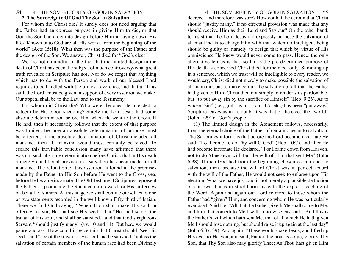## **2. The Sovereignty Of God The Son In Salvation.**

For whom did Christ die? It surely does not need arguing that the Father had an express purpose in giving Him to die, or that God the Son had a definite design before Him in laying down His life-"Known unto God are all His works from the beginning of the world" (Acts 15:18). What then was the purpose of the Father and the design of the Son. We answer, Christ died for "God's elect."

We are not unmindful of the fact that the limited design in the death of Christ has been the subject of much controversy-what great truth revealed in Scripture has not? Nor do we forget that anything which has to do with the Person and work of our blessed Lord requires to be handled with the utmost reverence, and that a "Thus saith the Lord" must be given in support of every assertion we make. Our appeal shall be to the Law and to the Testimony.

For whom did Christ die? Who were the ones He intended to redeem by His blood-shedding? Surely the Lord Jesus had some absolute determination before Him when He went to the Cross. If He had, then it necessarily follows that the extent of that purpose was limited, because an absolute determination of purpose must be effected. If the absolute determination of Christ included all mankind, then all mankind would most certainly be saved. To escape this inevitable conclusion many have affirmed that there was not such absolute determination before Christ, that in His death a merely conditional provision of salvation has been made for all mankind. The refutation of this assertion is found in the promises made by the Father to His Son before He went to the Cross, yea, before He became incarnate. The Old Testament Scriptures represent the Father as promising the Son a certain reward for His sufferings on behalf of sinners. At this stage we shall confine ourselves to one or two statements recorded in the well known Fifty-third of Isaiah. There we find God saying, "When Thou shalt make His soul an offering for sin, He shall see His seed," that "He shall see of the travail of His soul, and shall be satisfied," and that God's righteous Servant "should justify many" (vv. 10 and 11). But here we would pause and ask, How could it be certain that Christ should "see His seed," and "see of the travail of His soul and be satisfied," unless the salvation of certain members of the human race had been Divinely

<span id="page-27-0"></span>**54 4** THE SOVEREIGNTY OF GOD IN SALVATION **4** THE SOVEREIGNTY OF GOD IN SALVATION 55 decreed, and therefore was sure? How could it be certain that Christ should "justify many," if no effectual provision was made that any should receive Him as their Lord and Saviour? On the other hand, to insist that the Lord Jesus did expressly purpose the salvation of all mankind is to charge Him with that which no intelligent being should be guilty of, namely, to design that which by virtue of His omniscience He knew would never come to pass. Hence, the only alternative left us is that, so far as the pre-determined purpose of His death is concerned Christ died for the elect only. Summing up in a sentence, which we trust will be intelligible to every reader, we would say, Christ died not merely to make possible the salvation of all mankind, but to make certain the salvation of all that the Father had given to Him. Christ died not simply to render sins pardonable, but "to put away sin by the sacrifice of Himself" (Heb. 9:26). As to whose "sin" (i.e., guilt, as in 1 John 1:7, etc.) has been "put away," Scripture leaves us in no doubt-it was that of the elect, the "world" (John 1:29) of God's people!

> (1) The limited design in the Atonement follows, necessarily, from the eternal choice of the Father of certain ones unto salvation. The Scriptures inform us that before the Lord became incarnate He said, "Lo, I come, to do Thy will O God" (Heb. 10:7), and after He had become incarnate He declared, "For I came down from Heaven, not to do Mine own will, but the will of Him that sent Me" (John 6:38). If then God had from the beginning chosen certain ones to salvation, then, because the will of Christ was in perfect accord with the will of the Father, He would not seek to enlarge upon His election. What we have just said is not merely a plausible deduction of our own, but is in strict harmony with the express teaching of the Word. Again and again our Lord referred to those whom the Father had "given" Him, and concerning whom He was particularly exercised. Said He, "All that the Father giveth Me shall come to Me; and him that cometh to Me I will in no wise cast out... And this is the Father's will which hath sent Me, that of all which He hath given Me I should lose nothing, but should raise it up again at the last day" (John 6:37, 39). And again, "These words spake Jesus, and lifted up His eyes to Heaven, and said, Father, the hour is come; glorify Thy Son, that Thy Son also may glorify Thee; As Thou hast given Him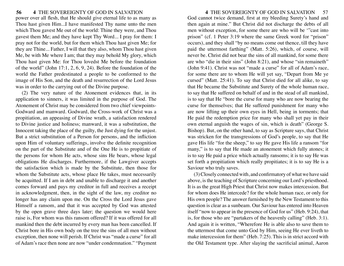### **56 4** THE SOVEREIGNTY OF GOD IN SALVATION **4** THE SOVEREIGNTY OF GOD IN SALVATION 57

power over all flesh, that He should give eternal life to as many as Thou hast given Him...I have manifested Thy name unto the men which Thou gavest Me out of the world: Thine they were, and Thou gavest them Me; and they have kept Thy Word... I pray for them: I pray not for the world, but for them which Thou hast given Me; for they are Thine... Father, I will that they also, whom Thou hast given Me, be with Me where I am; that they may behold My glory, which Thou hast given Me: for Thou lovedst Me before the foundation of the world" (John 17:1, 2, 6, 9, 24). Before the foundation of the world the Father predestinated a people to be conformed to the image of His Son, and the death and resurrection of the Lord Jesus was in order to the carrying out of the Divine purpose.

(2) The very nature of the Atonement evidences that, in its application to sinners, it was limited in the purpose of God. The Atonement of Christ may be considered from two chief viewpoints-Godward and manward. Godward, the Cross-work of Christ was a propitiation, an appeasing of Divine wrath, a satisfaction rendered to Divine justice and holiness; manward, it was a substitution, the Innocent taking the place of the guilty, the Just dying for the unjust. But a strict substitution of a Person for persons, and the infliction upon Him of voluntary sufferings, involve the definite recognition on the part of the Substitute and of the One He is to propitiate of the persons for whom He acts, whose sins He bears, whose legal obligations He discharges. Furthermore, if the Lawgiver accepts the satisfaction which is made by the Substitute, then those for whom the Substitute acts, whose place He takes, must necessarily be acquitted. If I am in debt and unable to discharge it and another comes forward and pays my creditor in full and receives a receipt in acknowledgment, then, in the sight of the law, my creditor no longer has any claim upon me. On the Cross the Lord Jesus gave Himself a ransom, and that it was accepted by God was attested by the open grave three days later; the question we would here raise is, For whom was this ransom offered? If it was offered for all mankind then the debt incurred by every man has been cancelled. If Christ bore in His own body on the tree the sins of all men without exception, then none will perish. If Christ was "made a curse" for all of Adam's race then none are now "under condemnation." "Payment

God cannot twice demand, first at my bleeding Surety's hand and then again at mine." But Christ did not discharge the debts of all men without exception, for some there are who will be '"cast into prison" (cf. 1 Peter 3:19 where the same Greek word for "prison" occurs), and they shall "by no means come out thence, till they have paid the uttermost farthing" (Matt. 5:26), which, of course, will never be. Christ did not bear the sins of all mankind, for some there are who "die in their sins" (John 8:21), and whose "sin remaineth" (John 9:41). Christ was not "made a curse" for all of Adam's race, for some there are to whom He will yet say, "Depart from Me ye cursed" (Matt. 25:41). To say that Christ died for all alike, to say that He became the Substitute and Surety of the whole human race, to say that He suffered on behalf of and in the stead of all mankind, is to say that He "bore the curse for many who are now bearing the curse for themselves; that He suffered punishment for many who are now lifting up their own eyes in Hell, being in torments; that He paid the redemption price for many who shall yet pay in their own eternal anguish the wages of sin, which is death" (George S. Bishop). But, on the other hand, to say as Scripture says, that Christ was stricken for the transgressions of God's people, to say that He gave His life "for the sheep," to say He gave His life a ransom "for many," is to say that He made an atonement which fully atones; it is to say He paid a price which actually ransoms; it is to say He was set forth a propitiation which really propitiates; it is to say He is a Saviour who truly saves.

(3) Closely connected with, and confirmatory of what we have said above, is the teaching of Scripture concerning our Lord's priesthood. It is as the great High Priest that Christ now makes intercession. But for whom does He intercede? for the whole human race, or only for His own people? The answer furnished by the New Testament to this question is clear as a sunbeam. Our Saviour has entered into Heaven itself "now to appear in the presence of God for us" (Heb. 9:24), that is, for those who are "partakers of the heavenly calling" (Heb. 3:1). And again it is written, "Wherefore He is able also to save them to the uttermost that come unto God by Him, seeing He ever liveth to make intercession for them" (Heb. 7:25). This is in strict accord with the Old Testament type. After slaying the sacrificial animal, Aaron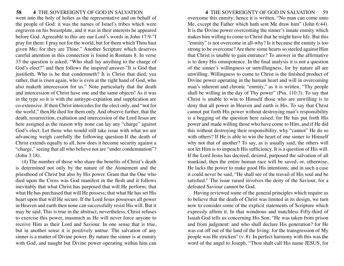went into the holy of holies as the representative and on behalf of the people of God: it was the names of Israel's tribes which were engraven on his breastplate, and it was in their interests he appeared before God. Agreeable to this are our Lord's words in John 17:9-"I pray for them: I pray not for the world, but for them which Thou hast given Me; for they are Thine." Another Scripture which deserves careful attention in this connection is found in Romans 8. In verse 33 the question is asked, "Who shall lay anything to the charge of God's elect?" and then follows the inspired answer-"It is God that justifieth. Who is he that condemneth? It is Christ that died, yea rather, that is risen again, who is even at the right hand of God, who also maketh intercession for us." Note particularly that the death and intercession of Christ have one and the same objects! As it was in the type so it is with the antitype-expiation and supplication are co-extensive. If then Christ intercedes for the elect only, and "not for the world," then He died for them only. And observe further, that the death, resurrection, exaltation and intercession of the Lord Jesus are here assigned as the reason why none can lay any "charge" against God's elect. Let those who would still take issue with what we are advancing weigh carefully the following question-If the death of Christ extends equally to all, how does it become security against a "charge," seeing that all who believe not are "under condemnation"? (John 3:18).

(4) The number of those who share the benefits of Christ's death is determined not only by the nature of the Atonement and the priesthood of Christ but also by His power. Grant that the One who died upon the Cross was God manifest in the flesh and it follows inevitably that what Christ has purposed that will He perform; that what He has purchased that will He possess; that what He has set His heart upon that will He secure. If the Lord Jesus possesses all power in Heaven and earth then none can successfully resist His will. But it may be said, This is true in the abstract, nevertheless, Christ refuses to exercise this power, inasmuch as He will never force anyone to receive Him as their Lord and Saviour. In one sense that is true, but in another sense it is positively untrue. The salvation of any sinner is a matter of Divine power. By nature the sinner is at enmity with God, and naught but Divine power operating within him can

**58 4** THE SOVEREIGNTY OF GOD IN SALVATION **4** THE SOVEREIGNTY OF GOD IN SALVATION 59 overcome this enmity; hence it is written, "No man can come unto Me, except the Father which hath sent Me draw him" (John 6:44). It is the Divine power overcoming the sinner's innate enmity which makes him willing to come to Christ that he might have life. But this "enmity" is not overcome in all-why? Is it because the enmity is too strong to be overcome? Are there some hearts so steeled against Him that Christ is unable to gain entrance? To answer in the affirmative is to deny His omnipotence. In the final analysis it is not a question of the sinner's willingness or unwillingness, for by nature all are unwilling. Willingness to come to Christ is the finished product of Divine power operating in the human heart and will in overcoming man's inherent and chronic "enmity," as it is written, "Thy people shall be willing in the day of Thy power" (Psa. 110:3). To say that Christ is unable to win to Himself those who are unwilling is to deny that all power in Heaven and earth is His. To say that Christ cannot put forth His power without destroying man's responsibility is a begging of the question here raised, for He has put forth His power and made willing those who have come to Him, and if He did this without destroying their responsibility, why "cannot" He do so with others? If He is able to win the heart of one sinner to Himself why not that of another? To say, as is usually said, the others will not let Him is to impeach His sufficiency. It is a question of His will. If the Lord Jesus has decreed, desired, purposed the salvation of all mankind, then the entire human race will be saved, or, otherwise, He lacks the power to make good His intentions; and in such a case it could never be said, "He shall see of the travail of His soul and be satisfied." The issue raised involves the deity of the Saviour, for a defeated Saviour cannot be God.

> Having reviewed some of the general principles which require us to believe that the death of Christ was limited in its design, we turn now to consider some of the explicit statements of Scripture which expressly affirm it. In that wondrous and matchless Fifty-third of Isaiah God tells us concerning His Son, "He was taken from prison and from judgment: and who shall declare His generation? for He was cut off out of the land of the living: for the transgression of My people was He stricken" (v. 8). In perfect harmony with this was the word of the angel to Joseph, "Thou shalt call His name JESUS, for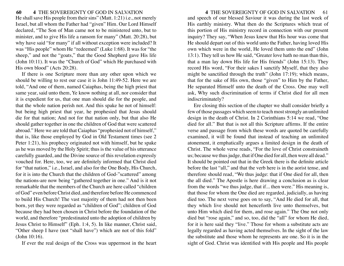He shall save His people from their sins" (Matt. 1:21) i.e., not merely Israel, but all whom the Father had "given" Him. Our Lord Himself declared, "The Son of Man came not to be ministered unto, but to minister, and to give His life a ransom for many" (Matt. 20:28), but why have said "for many" if all without exception were included? It was "His people" whom He "redeemed" (Luke 1:68). It was for "the sheep," and not the "goats," that the Good Shepherd gave His life (John 10:11). It was the "Church of God" which He purchased with His own blood" (Acts 20:28).

If there is one Scripture more than any other upon which we should be willing to rest our case it is John 11:49-52. Here we are told, "And one of them, named Caiaphas, being the high priest that same year, said unto them, Ye know nothing at all, nor consider that it is expedient for us, that one man should die for the people, and that the whole nation perish not. And this spake he not of himself: but being high priest that year, he prophesied that Jesus should die for that nation; And not for that nation only, but that also He should gather together in one the children of God that were scattered abroad." Here we are told that Caiaphas "prophesied not of himself," that is, like those employed by God in Old Testament times (see 2 Peter 1:21), his prophecy originated not with himself, but he spake as he was moved by the Holy Spirit; thus is the value of his utterance carefully guarded, and the Divine source of this revelation expressly vouched for. Here, too, we are definitely informed that Christ died for "that nation," i.e., Israel, and also for the One Body, His Church, for it is into the Church that the children of God-"scattered" among the nations-are now being "gathered together in one." And is it not remarkable that the members of the Church are here called "children of God" even before Christ died, and therefore before He commenced to build His Church! The vast majority of them had not then been born, yet they were regarded as "children of God"; children of God because they had been chosen in Christ before the foundation of the world, and therefore "predestinated unto the adoption of children by Jesus Christ to Himself" (Eph. 1:4, 5). In like manner, Christ said, "Other sheep I have (not "shall have") which are not of this fold" (John 10:16).

If ever the real design of the Cross was uppermost in the heart

**60 4** THE SOVEREIGNTY OF GOD IN SALVATION **4** THE SOVEREIGNTY OF GOD IN SALVATION 61 and speech of our blessed Saviour it was during the last week of His earthly ministry. What then do the Scriptures which treat of this portion of His ministry record in connection with our present inquiry? They say, "When Jesus knew that His hour was come that He should depart out of this world unto the Father, having loved His own which were in the world, He loved them unto the end" (John 13:1). They tell us how He said, "Greater love hath no man than this, that a man lay down His life for His friends" (John 15:13). They record His word, "For their sakes I sanctify Myself, that they also might be sanctified through the truth" (John 17:19); which means, that for the sake of His own, those "given" to Him by the Father, He separated Himself unto the death of the Cross. One may well ask, Why such discrimination of terms if Christ died for all men indiscriminately?

> Ere closing this section of the chapter we shall consider briefly a few of those passages which seem to teach most strongly an unlimited design in the death of Christ. In 2 Corinthians 5:14 we read, "One died for all." But that is not all this Scripture affirms. If the entire verse and passage from which these words are quoted be carefully examined, it will be found that instead of teaching an unlimited atonement, it emphatically argues a limited design in the death of Christ. The whole verse reads, "For the love of Christ constraineth us; because we thus judge, that if One died for all, then were all dead." It should be pointed out that in the Greek there is the definite article before the last "all," and that the verb here is in the aorist tense, and therefore should read, "We thus judge: that if One died for all, then the all died." The Apostle is here drawing a conclusion as is clear from the words "we thus judge, that if... then were." His meaning is, that those for whom the One died are regarded, judicially, as having died too. The next verse goes on to say, "And He died for all, that they which live should not henceforth live unto themselves, but unto Him which died for them, and rose again." The One not only died but "rose again," and so, too, did the "all" for whom He died, for it is here said they "live." Those for whom a substitute acts are legally regarded as having acted themselves. In the sight of the law the substitute and those whom he represents are one. So it is in the sight of God. Christ was identified with His people and His people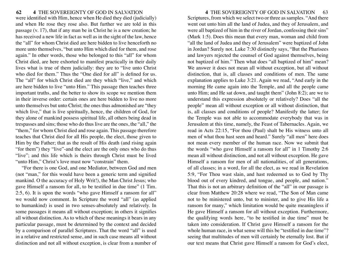were identified with Him, hence when He died they died (judicially) and when He rose they rose also. But further we are told in this passage (v. 17), that if any man be in Christ he is a new creation; he has received a new life in fact as well as in the sight of the law, hence the "all" for whom Christ died are here bidden to live henceforth no more unto themselves, "but unto Him which died for them, and rose again." In other words, those who belonged to this "all" for whom Christ died, are here exhorted to manifest practically in their daily lives what is true of them judicially: they are to "live unto Christ who died for them." Thus the "One died for all" is defined for us. The "all" for which Christ died are they which "live," and which are here bidden to live "unto Him." This passage then teaches three important truths, and the better to show its scope we mention them in their inverse order: certain ones are here bidden to live no more unto themselves but unto Christ; the ones thus admonished are "they which live," that is live spiritually, hence, the children of God, for they alone of mankind possess spiritual life, all others being dead in trespasses and sins; those who do thus live are the ones, the "all," the "them," for whom Christ died and rose again. This passage therefore teaches that Christ died for all His people, the elect, those given to Him by the Father; that as the result of His death (and rising again "for them") they "live"-and the elect are the only ones who do thus "live"; and this life which is theirs through Christ must be lived "unto Him," Christ's love must now "constrain" them.

"For there is one God, and one Mediator, between God and men (not "man," for this would have been a generic term and signified mankind. O the accuracy of Holy Writ!), the Man Christ Jesus; who gave Himself a ransom for all, to be testified in due time" (1 Tim. 2:5, 6). It is upon the words "who gave Himself a ransom for all" we would now comment. In Scripture the word "all" (as applied to humankind) is used in two senses-absolutely and relatively. In some passages it means all without exception; in others it signifies all without distinction. As to which of these meanings it bears in any particular passage, must be determined by the context and decided by a comparison of parallel Scriptures. That the word "all" is used in a relative and restricted sense, and in such case means all without distinction and not all without exception, is clear from a number of

**62 4** THE SOVEREIGNTY OF GOD IN SALVATION **4** THE SOVEREIGNTY OF GOD IN SALVATION 63 Scriptures, from which we select two or three as samples. "And there went out unto him all the land of Judea, and they of Jerusalem, and were all baptized of him in the river of Jordan, confessing their sins" (Mark 1:5). Does this mean that every man, woman and child from "all the land of Judea and they of Jerusalem" were baptized of John in Jordan? Surely not. Luke 7:30 distinctly says, "But the Pharisees and lawyers rejected the counsel of God against themselves, being not baptized of him." Then what does "all baptized of him" mean? We answer it does not mean all without exception, but all without distinction, that is, all classes and conditions of men. The same explanation applies to Luke 3:21. Again we read, "And early in the morning He came again into the Temple, and all the people came unto Him; and He sat down, and taught them" (John 8:2); are we to understand this expression absolutely or relatively? Does "all the people" mean all without exception or all without distinction, that is, all classes and conditions of people? Manifestly the latter; for the Temple was not able to accommodate everybody that was in Jerusalem at this time, namely, the Feast of Tabernacles. Again, we read in Acts 22:15, "For thou (Paul) shalt be His witness unto all men of what thou hast seen and heard." Surely "all men" here does not mean every member of the human race. Now we submit that the words "who gave Himself a ransom for all" in 1 Timothy 2:6 mean all without distinction, and not all without exception. He gave Himself a ransom for men of all nationalities, of all generations, of all classes; in a word, for all the elect, as we read in Revelation 5:9, "For Thou wast slain, and hast redeemed us to God by Thy blood out of every kindred, and tongue, and people, and nation." That this is not an arbitrary definition of the "all" in our passage is clear from Matthew 20:28 where we read, "The Son of Man came not to be ministered unto, but to minister, and to give His life a ransom for many," which limitation would be quite meaningless if He gave Himself a ransom for all without exception. Furthermore, the qualifying words here, "to be testified in due time" must be taken into consideration. If Christ gave Himself a ransom for the whole human race, in what sense will this be "testified in due time"? seeing that multitudes of men will certainly be eternally lost. But if our text means that Christ gave Himself a ransom for God's elect,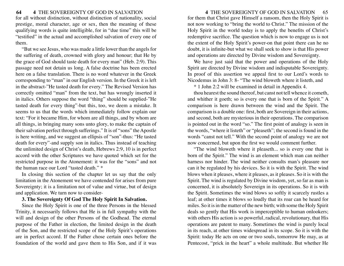for all without distinction, without distinction of nationality, social prestige, moral character, age or sex, then the meaning of these qualifying words is quite intelligible, for in "due time" this will be "testified" in the actual and accomplished salvation of every one of them.

"But we see Jesus, who was made a little lower than the angels for the suffering of death, crowned with glory and honour; that He by the grace of God should taste death for every man" (Heb. 2:9). This passage need not detain us long. A false doctrine has been erected here on a false translation. There is no word whatever in the Greek corresponding to "man" in our English version. In the Greek it is left in the abstract-"He tasted death for every." The Revised Version has correctly omitted "man" from the text, but has wrongly inserted it in italics. Others suppose the word "thing" should be supplied-"He tasted death for every thing"-but this, too, we deem a mistake. It seems to us that the words which immediately follow explain our text: "For it became Him, for whom are all things, and by whom are all things, in bringing many sons unto glory, to make the captain of their salvation perfect through sufferings." It is of "sons" the Apostle is here writing, and we suggest an ellipsis of "son"-thus: "He tasted death for every"-and supply son in italics. Thus instead of teaching the unlimited design of Christ's death, Hebrews 2:9, 10 is in perfect accord with the other Scriptures we have quoted which set for the restricted purpose in the Atonement: it was for the "sons" and not the human race our Lord "tasted death." \*

In closing this section of the chapter let us say that the only limitation in the Atonement we have contended for arises from pure Sovereignty; it is a limitation not of value and virtue, but of design and application. We turn now to consider-

### **3. The Sovereignty Of God The Holy Spirit In Salvation.**

Since the Holy Spirit is one of the three Persons in the blessed Trinity, it necessarily follows that He is in full sympathy with the will and design of the other Persons of the Godhead. The eternal purpose of the Father in election, the limited design in the death of the Son, and the restricted scope of the Holy Spirit's operations are in perfect accord. If the Father chose certain ones before the foundation of the world and gave them to His Son, and if it was

<span id="page-32-0"></span>**64 4** THE SOVEREIGNTY OF GOD IN SALVATION **4** THE SOVEREIGNTY OF GOD IN SALVATION 65 for them that Christ gave Himself a ransom, then the Holy Spirit is not now working to "bring the world to Christ." The mission of the Holy Spirit in the world today is to apply the benefits of Christ's redemptive sacrifice. The question which is now to engage us is not the extent of the Holy Spirit's power-on that point there can he no doubt, it is infinite-but what we shall seek to show is that His power and operations are directed by Divine wisdom and Sovereignty.

> We have just said that the power and operations of the Holy Spirit are directed by Divine wisdom and indisputable Sovereignty. In proof of this assertion we appeal first to our Lord's words to Nicodemus in John 3: 8- "The wind bloweth where it listeth, and

\* 1 John 2:2 will be examined in detail in Appendix 4.

thou hearest the sound thereof, but canst not tell whence it cometh, and whither it goeth; so is every one that is born of the Spirit." A comparison is here drawn between the wind and the Spirit. The comparison is a double one: first, both are Sovereign in their actions, and second, both are mysterious in their operations. The comparison is pointed out in the word "so." The first point of analogy is seen in the words, "where it listeth" or "pleaseth"; the second is found in the words "canst not tell." With the second point of analogy we are not now concerned, but upon the first we would comment further.

"The wind bloweth where it pleaseth... so is every one that is born of the Spirit." The wind is an element which man can neither harness nor hinder. The wind neither consults man's pleasure nor can it be regulated by his devices. So it is with the Spirit. The wind blows when it pleases, where it pleases, as it pleases. So it is with the Spirit. The wind is regulated by Divine wisdom, yet, so far as man is concerned, it is absolutely Sovereign in its operations. So it is with the Spirit. Sometimes the wind blows so softly it scarcely rustles a leaf; at other times it blows so loudly that its roar can be heard for miles. So it is in the matter of the new birth; with some the Holy Spirit deals so gently that His work is imperceptible to human onlookers; with others His action is so powerful, radical, revolutionary, that His operations are patent to many. Sometimes the wind is purely local in its reach, at other times widespread in its scope. So it is with the Spirit: today He acts on one or two souls, tomorrow He may, as at Pentecost, "prick in the heart" a whole multitude. But whether He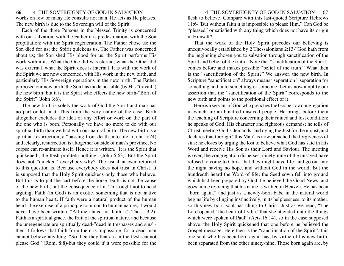**66 4** THE SOVEREIGNTY OF GOD IN SALVATION **4** THE SOVEREIGNTY OF GOD IN SALVATION 67 works on few or many He consults not man. He acts as He pleases. The new birth is due to the Sovereign will of the Spirit

Each of the three Persons in the blessed Trinity is concerned with our salvation: with the Father it is predestination; with the Son propitiation; with the Spirit regeneration. The Father chose us; the Son died for us; the Spirit quickens us. The Father was concerned about us; the Son shed His blood for us, the Spirit performs His work within us. What the One did was eternal, what the Other did was external, what the Spirit does is internal. It is with the work of the Spirit we are now concerned, with His work in the new birth, and particularly His Sovereign operations in the new birth. The Father purposed our new birth; the Son has made possible (by His "travail") the new birth; but it is the Spirit who effects the new birth-"Born of the Spirit" (John 3:6).

The new birth is solely the work of God the Spirit and man has no part or lot in it. This from the very nature of the case. Birth altogether excludes the idea of any effort or work on the part of the one who is born. Personally we have no more to do with our spiritual birth than we had with our natural birth. The new birth is a spiritual resurrection, a "passing from death unto life" (John 5:24) and, clearly, resurrection is altogether outside of man's province. No corpse can re-animate itself. Hence it is written, "It is the Spirit that quickeneth; the flesh profiteth nothing" (John 6:63). But the Spirit does not "quicken" everybody-why? The usual answer returned to this question is, Because everybody does not trust in Christ. It is supposed that the Holy Spirit quickens only those who believe. But this is to put the cart before the horse. Faith is not the cause of the new birth, but the consequence of it. This ought not to need arguing. Faith (in God) is an exotic, something that is not native to the human heart. If faith were a natural product of the human heart, the exercise of a principle common to human nature, it would never have been written, "All men have not faith" (2 Thess. 3:2). Faith is a spiritual grace, the fruit of the spiritual nature, and because the unregenerate are spiritually dead-"dead in trespasses and sins" then it follows that faith from them is impossible, for a dead man cannot believe anything. "So then they that are in the flesh cannot please God" (Rom. 8:8)-but they could if it were possible for the

flesh to believe. Compare with this last-quoted Scripture Hebrews 11:6-"But without faith it is impossible to please Him." Can God be "pleased" or satisfied with any thing which does not have its origin in Himself?

That the work of the Holy Spirit precedes our believing is unequivocally established by 2 Thessalonians 2:13-"God hath from the beginning chosen you to salvation through sanctification of the Spirit and belief of the truth." Note that "sanctification of the Spirit" comes before and makes possible "belief of the truth." What then is the "sanctification of the Spirit?" We answer, the new birth. In Scripture "sanctification" always means "separation," separation for something and unto something or someone. Let us now amplify our assertion that the "sanctification of the Spirit" corresponds to the new birth and points to the positional effect of it.

Here is a servant of God who preaches the Gospel to a congregation in which are an hundred unsaved people. He brings before them the teaching of Scripture concerning their ruined and lost condition: he speaks of God, His character and righteous demands; he tells of Christ meeting God's demands, and dying the Just for the unjust, and declares that through "this Man" is now preached the forgiveness of sins; he closes by urging the lost to believe what God has said in His Word and receive His Son as their Lord and Saviour. The meeting is over; the congregation disperses; ninety-nine of the unsaved have refused to come to Christ that they might have life, and go out into the night having no hope, and without God in the world. But the hundredth heard the Word of life; the Seed sown fell into ground which had been prepared by God; he believed the Good News, and goes home rejoicing that his name is written in Heaven. He has been "born again," and just as a newly-born babe in the natural world begins life by clinging instinctively, in its helplessness, to its mother, so this new-born soul has clung to Christ. Just as we read, "The Lord opened" the heart of Lydia "that she attended unto the things which were spoken of Paul" (Acts 16:14), so in the case supposed above, the Holy Spirit quickened that one before he believed the Gospel message. Here then is the "sanctification of the Spirit": this one soul who has been born again has, by virtue of his new birth, been separated from the other ninety-nine. Those born again are, by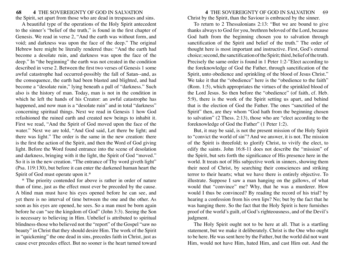the Spirit, set apart from those who are dead in trespasses and sins.

A beautiful type of the operations of the Holy Spirit antecedent to the sinner's "belief of the truth," is found in the first chapter of Genesis. We read in verse 2, "And the earth was without form, and void; and darkness was upon the face of the deep." The original Hebrew here might be literally rendered thus: "And the earth had become a desolate ruin, and darkness was upon the face of the deep." In "the beginning" the earth was not created in the condition described in verse 2. Between the first two verses of Genesis 1 some awful catastrophe had occurred-possibly the fall of Satan--and, as the consequence, the earth had been blasted and blighted, and had become a "desolate ruin," lying beneath a pall of "darkness." Such also is the history of man. Today, man is not in the condition in which he left the hands of his Creator: an awful catastrophe has happened, and now man is a "desolate ruin" and in total "darkness" concerning spiritual things. Next we read in Genesis 1 how God refashioned the ruined earth and created new beings to inhabit it. First we read, "And the Spirit of God moved upon the face of the water." Next we are told, "And God said, Let there be light; and there was light." The order is the same in the new creation: there is the first the action of the Spirit, and then the Word of God giving light. Before the Word found entrance into the scene of desolation and darkness, bringing with it the light, the Spirit of God "moved." So it is in the new creation. "The entrance of Thy word giveth light" (Psa. 119:130), but before it can enter the darkened human heart the Spirit of God must operate upon it.\*

\* The priority contended for above is rather in order of nature than of time, just as the effect must ever be preceded by the cause. A blind man must have his eyes opened before he can see, and yet there is no interval of time between the one and the other. As soon as his eyes are opened, he sees. So a man must be born again before he can "see the kingdom of God" (John 3:3). Seeing the Son is necessary to believing in Him. Unbelief is attributed to spiritual blindness-those who believed not the "report" of the Gospel "saw no beauty" in Christ that they should desire Him. The work of the Spirit in "quickening" the one dead in sins, precedes faith in Christ, just as cause ever precedes effect. But no sooner is the heart turned toward

**68 4** THE SOVEREIGNTY OF GOD IN SALVATION **4** THE SOVEREIGNTY OF GOD IN SALVATION 69 Christ by the Spirit, than the Saviour is embraced by the sinner.

> To return to 2 Thessalonians 2:13: "But we are bound to give thanks always to God for you, brethren beloved of the Lord, because God hath from the beginning chosen you to salvation through sanctification of the Spirit and belief of the truth." The order of thought here is most important and instructive. First, God's eternal choice; second, the sanctification of the Spirit; third, belief of the truth. Precisely the same order is found in 1 Peter 1:2-"Elect according to the foreknowledge of God the Father, through sanctification of the Spirit, unto obedience and sprinkling of the blood of Jesus Christ." We take it that the "obedience" here is the "obedience to the faith" (Rom. 1:5), which appropriates the virtues of the sprinkled blood of the Lord Jesus. So then before the "obedience" (of faith, cf. Heb. 5:9), there is the work of the Spirit setting us apart, and behind that is the election of God the Father. The ones "sanctified of the Spirit" then, are they whom "God hath from the beginning chosen to salvation" (2 Thess. 2:13), those who are "elect according to the foreknowledge of God the Father" (1 Peter 1:2).

> But, it may be said, is not the present mission of the Holy Spirit to "convict the world of sin"? And we answer, it is not. The mission of the Spirit is threefold; to glorify Christ, to vivify the elect, to edify the saints. John 16:8-11 does not describe the "mission" of the Spirit, but sets forth the significance of His presence here in the world. It treats not of His subjective work in sinners, showing them their need of Christ, by searching their consciences and striking terror to their hearts; what we have there is entirely objective. To illustrate. Suppose I saw a man hanging on the gallows, of what would that "convince" me? Why, that he was a murderer. How would I thus be convinced? By reading the record of his trial? by hearing a confession from his own lips? No; but by the fact that he was hanging there. So the fact that the Holy Spirit is here furnishes proof of the world's guilt, of God's righteousness, and of the Devil's judgment.

> The Holy Spirit ought not to be here at all. That is a startling statement, but we make it deliberately. Christ is the One who ought to be here. He was sent here by the Father, but the world did not want Him, would not have Him, hated Him, and cast Him out. And the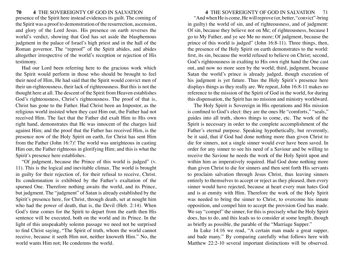presence of the Spirit here instead evidences its guilt. The coming of the Spirit was a proof to demonstration of the resurrection, ascension, and glory of the Lord Jesus. His presence on earth reverses the world's verdict, showing that God has set aside the blasphemous judgment in the palace of Israel's high priest and in the hall of the Roman governor. The "reproof" of the Spirit abides, and abides altogether irrespective of the world's reception or rejection of His testimony.

Had our Lord been referring here to the gracious work which the Spirit would perform in those who should be brought to feel their need of Him, He had said that the Spirit would convict men of their un-righteousness, their lack of righteousness. But this is not the thought here at all. The descent of the Spirit from Heaven establishes God's righteousness, Christ's righteousness. The proof of that is, Christ has gone to the Father. Had Christ been an Impostor, as the religious world insisted when they cast Him out, the Father had not received Him. The fact that the Father did exalt Him to His own right hand, demonstrates that He was innocent of the charges laid against Him; and the proof that the Father has received Him, is the presence now of the Holy Spirit on earth, for Christ has sent Him from the Father (John 16:7)! The world was unrighteous in casting Him out, the Father righteous in glorifying Him; and this is what the Spirit's presence here establishes.

"Of judgment, because the Prince of this world is judged" (v. 11). This is the logical and inevitable climax. The world is brought in guilty for their rejection of, for their refusal to receive, Christ. Its condemnation is exhibited by the Father's exaltation of the spurned One. Therefore nothing awaits the world, and its Prince, but judgment. The "judgment" of Satan is already established by the Spirit's presence here, for Christ, through death, set at nought him who had the power of death, that is, the Devil (Heb. 2:14). When God's time comes for the Spirit to depart from the earth then His sentence will be executed, both on the world and its Prince. In the light of this unspeakably solemn passage we need not be surprised to find Christ saying, "The Spirit of truth, whom the world cannot receive, because it seeth Him not, neither knoweth Him." No, the world wants Him not; He condemns the world.

### **70 4** THE SOVEREIGNTY OF GOD IN SALVATION **4** THE SOVEREIGNTY OF GOD IN SALVATION 71

"And when He is come, He will reprove (or, better, "convict"-bring in guilty) the world of sin, and of righteousness, and of judgment: Of sin, because they believe not on Me; of righteousness, because I go to My Father, and ye see Me no more; Of judgment, because the prince of this world is judged" (John 16:8-11). Three things, then, the presence of the Holy Spirit on earth demonstrates to the world: first, its sin, because the world refused to believe on Christ; second, God's righteousness in exalting to His own right hand the One cast out, and now no more seen by the world; third, judgment, because Satan the world's prince is already judged, though execution of his judgment is yet future. Thus the Holy Spirit's presence here displays things as they really are. We repeat, John 16:8-11 makes no reference to the mission of the Spirit of God in the world, for during this dispensation, the Spirit has no mission and ministry worldward.

The Holy Spirit is Sovereign in His operations and His mission is confined to God's elect: they are the ones He "comforts," "seals," guides into all truth, shows things to come, etc. The work of the Spirit is necessary in order to the complete accomplishment of the Father's eternal purpose. Speaking hypothetically, but reverently, be it said, that if God had done nothing more than given Christ to die for sinners, not a single sinner would ever have been saved. In order for any sinner to see his need of a Saviour and be willing to receive the Saviour he needs the work of the Holy Spirit upon and within him as imperatively required. Had God done nothing more than given Christ to die for sinners and then sent forth His servants to proclaim salvation through Jesus Christ, thus leaving sinners entirely to themselves to accept or reject as they pleased, then every sinner would have rejected, because at heart every man hates God and is at enmity with Him. Therefore the work of the Holy Spirit was needed to bring the sinner to Christ, to overcome his innate opposition, and compel him to accept the provision God has made. We say "compel" the sinner, for this is precisely what the Holy Spirit does, has to do, and this leads us to consider at some length, though as briefly as possible, the parable of the "Marriage Supper."

In Luke 14:16 we read, "A certain man made a great supper, and bade many." By comparing carefully what follows here with Matthew 22:2-10 several important distinctions will be observed.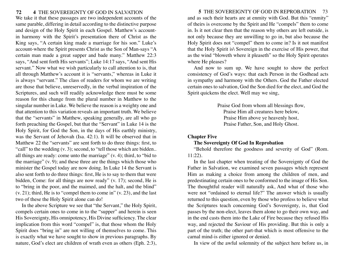We take it that these passages are two independent accounts of the same parable, differing in detail according to the distinctive purpose and design of the Holy Spirit in each Gospel. Matthew's accountin harmony with the Spirit's presentation there of Christ as the King says, "A certain king made a marriage for his son." Luke's account-where the Spirit presents Christ as the Son of Man-says "A certain man made a great supper and bade many." Matthew 22:3 says, "And sent forth His servants"; Luke 14:17 says, "And sent His servant." Now what we wish particularly to call attention to is, that all through Matthew's account it is "servants," whereas in Luke it is always "servant." The class of readers for whom we are writing are those that believe, unreservedly, in the verbal inspiration of the Scriptures, and such will readily acknowledge there must be some reason for this change from the plural number in Matthew to the singular number in Luke. We believe the reason is a weighty one and that attention to this variation reveals an important truth. We believe that the "servants" in Matthew, speaking generally, are all who go forth preaching the Gospel, but that the "Servant" in Luke 14 is the Holy Spirit, for God the Son, in the days of His earthly ministry, was the Servant of Jehovah (Isa. 42:1). It will be observed that in Matthew 22 the "servants" are sent forth to do three things: first, to "call" to the wedding (v. 3); second, to "tell those which are bidden.. all things are ready: come unto the marriage" (v. 4); third, to "bid to the marriage"  $(v, 9)$ ; and these three are the things which those who minister the Gospel today are now doing. In Luke 14 the Servant is also sent forth to do three things: first, He is to say to them that were bidden, Come: for all things are now ready" (v. 17); second, He is to "bring in the poor, and the maimed, and the halt, and the blind"  $(v. 21)$ ; third, He is to "compel them to come in"  $(v. 23)$ , and the last two of these the Holy Spirit alone can do!

In the above Scripture we see that "the Servant," the Holy Spirit, compels certain ones to come in to the "supper" and herein is seen His Sovereignty, His omnipotency, His Divine sufficiency. The clear implication from this word "compel" is, that those whom the Holy Spirit does "bring in" are not willing of themselves to come. This is exactly what we have sought to show in previous paragraphs. By nature, God's elect are children of wrath even as others (Eph. 2:3),

**72 4** THE SOVEREIGNTY OF GOD IN SALVATION **5** THE SOVEREIGNTY OF GOD IN REPROBATION 73 and as such their hearts are at enmity with God. But this "enmity" of theirs is overcome by the Spirit and He "compels" them to come in. Is it not clear then that the reason why others are left outside, is not only because they are unwilling to go in, but also because the Holy Spirit does not "compel" them to come in? Is it not manifest that the Holy Spirit is\ Sovereign in the exercise of His power, that as the wind "bloweth where it pleaseth" so the Holy Spirit operates where He pleases?

> And now to sum up. We have sought to show the perfect consistency of God's ways: that each Person in the Godhead acts in sympathy and harmony with the Others. God the Father elected certain ones to salvation, God the Son died for the elect, and God the Spirit quickens the elect. Well may we sing,

> > Praise God from whom all blessings flow, Praise Him all creatures here below, Praise Him above ye heavenly host, Praise Father, Son, and Holy Ghost.

## **Chapter Five**

# **The Sovereignty Of God In Reprobation**

"Behold therefore the goodness and severity of God" (Rom. 11:22).

In the last chapter when treating of the Sovereignty of God the Father in Salvation, we examined seven passages which represent Him as making a choice from among the children of men, and predestinating certain ones to be conformed to the image of His Son. The thoughtful reader will naturally ask, And what of those who were not "ordained to eternal life?" The answer which is usually returned to this question, even by those who profess to believe what the Scriptures teach concerning God's Sovereignty, is, that God passes by the non-elect, leaves them alone to go their own way, and in the end casts them into the Lake of Fire because they refused His way, and rejected the Saviour of His providing. But this is only a part of the truth; the other part-that which is most offensive to the carnal mind-is either ignored or denied.

In view of the awful solemnity of the subject here before us, in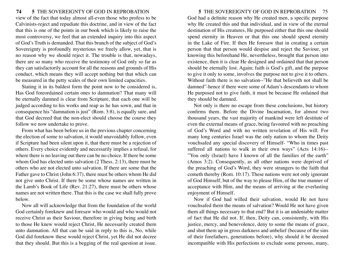# **74 5** THE SOVEREIGNTY OF GOD IN REPROBATION **5** THE SOVEREIGNTY OF GOD IN REPROBATION 75

view of the fact that today almost all-even those who profess to be Calvinists-reject and repudiate this doctrine, and in view of the fact that this is one of the points in our book which is likely to raise the most controversy, we feel that an extended inquiry into this aspect of God's Truth is demanded. That this branch of the subject of God's Sovereignty is profoundly mysterious we freely allow, yet, that is no reason why we should reject it. The trouble is that, nowadays, there are so many who receive the testimony of God only so far as they can satisfactorily account for all the reasons and grounds of His conduct, which means they will accept nothing but that which can be measured in the petty scales of their own limited capacities.

Stating it in its baldest form the point now to be considered is, Has God foreordained certain ones to damnation? That many will be eternally damned is clear from Scripture, that each one will be judged according to his works and reap as he has sown, and that in consequence his "damnation is just" (Rom. 3:8), is equally sure, and that God decreed that the non-elect should choose the course they follow we now undertake to prove.

From what has been before us in the previous chapter concerning the election of some to salvation, it would unavoidably follow, even if Scripture had been silent upon it, that there must be a rejection of others. Every choice evidently and necessarily implies a refusal, for where there is no leaving out there can be no choice. If there be some whom God has elected unto salvation (2 Thess. 2:13), there must be others who are not elected unto salvation. If there are some that the Father gave to Christ (John 6:37), there must be others whom He did not give unto Christ. If there be some whose names are written in the Lamb's Book of Life (Rev. 21:27), there must be others whose names are not written there. That this is the case we shall fully prove below.

Now all will acknowledge that from the foundation of the world God certainly foreknew and foresaw who would and who would not receive Christ as their Saviour, therefore in giving being and birth to those He knew would reject Christ, He necessarily created them unto damnation. All that can be said in reply to this is, No, while God did foreknow these would reject Christ, yet He did not decree that they should. But this is a begging of the real question at issue. God had a definite reason why He created men, a specific purpose why He created this and that individual, and in view of the eternal destination of His creatures, He purposed either that this one should spend eternity in Heaven or that this one should spend eternity in the Lake of Fire. If then He foresaw that in creating a certain person that that person would despise and reject the Saviour, yet knowing this beforehand He, nevertheless, brought that person into existence, then it is clear He designed and ordained that that person should be eternally lost. Again; faith is God's gift, and the purpose to give it only to some, involves the purpose not to give it to others. Without faith there is no salvation--"He that believeth not shall be damned"-hence if there were some of Adam's descendants to whom He purposed not to give faith, it must be because He ordained that they should be damned.

Not only is there no escape from these conclusions, but history confirms them. Before the Divine Incarnation, for almost two thousand years, the vast majority of mankind were left destitute of even the external means of grace, being favoured with no preaching of God's Word and with no written revelation of His will. For many long centuries Israel was the only nation to whom the Deity vouchsafed any special discovery of Himself- "Who in times past suffered all nations to walk in their own ways" (Acts 14:16)-- "You only (Israel) have I known of all the families of the earth" (Amos 3:2). Consequently, as all other nations were deprived of the preaching of God's Word, they were strangers to the faith that cometh thereby (Rom. 10:17). These nations were not only ignorant of God Himself, but of the way to please Him, of the true manner of acceptance with Him, and the means of arriving at the everlasting enjoyment of Himself.

Now if God had willed their salvation, would He not have vouchsafed them the means of salvation? Would He not have given them all things necessary to that end? But it is an undeniable matter of fact that He did not. If, then, Deity can, consistently, with His justice, mercy, and benevolence, deny to some the means of grace, and shut them up in gross darkness and unbelief (because of the sins of their forefathers, generations before), why should it be deemed incompatible with His perfections to exclude some persons, many,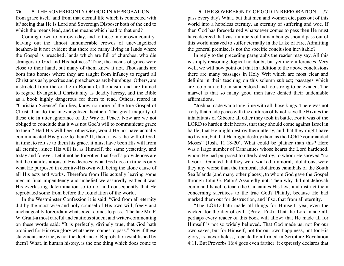from grace itself, and from that eternal life which is connected with it? seeing that He is Lord and Sovereign Disposer both of the end to which the means lead, and the means which lead to that end?

Coming down to our own day, and to those in our own countryleaving out the almost unnumerable crowds of unevangelized heathen-is it not evident that there are many living in lands where the Gospel is preached, lands which are full of churches, who die strangers to God and His holiness? True, the means of grace were close to their hand, but many of them knew it not. Thousands are born into homes where they are taught from infancy to regard all Christians as hypocrites and preachers as arch-humbugs. Others, are instructed from the cradle in Roman Catholicism, and are trained to regard Evangelical Christianity as deadly heresy, and the Bible as a book highly dangerous for them to read. Others, reared in "Christian Science" families, know no more of the true Gospel of Christ than do the unevangelized heathen. The great majority of these die in utter ignorance of the Way of Peace. Now are we not obliged to conclude that it was not God's will to communicate grace to them? Had His will been otherwise, would He not have actually communicated His grace to them? If, then, it was the will of God, in time, to refuse to them his grace, it must have been His will from all eternity, since His will is, as Himself, the same yesterday, and today and forever. Let it not be forgotten that God's providences are but the manifestations of His decrees: what God does in time is only what He purposed in eternity-His own will being the alone cause of all His acts and works. Therefore from His actually leaving some men in final impenitency and unbelief we assuredly gather it was His everlasting determination so to do; and consequently that He reprobated some from before the foundation of the world.

In the Westminster Confession it is said, "God from all eternity did by the most wise and holy counsel of His own will, freely and unchangeably foreordain whatsoever comes to pass." The late Mr. F. W. Grant-a most careful and cautious student and writer-commenting on these words said: "It is perfectly, divinely true, that God hath ordained for His own glory whatsoever comes to pass." Now if these statements are true, is not the doctrine of Reprobation established by them? What, in human history, is the one thing which does come to

**76 5** THE SOVEREIGNTY OF GOD IN REPROBATION **5** THE SOVEREIGNTY OF GOD IN REPROBATION 77 pass every day? What, but that men and women die, pass out of this world into a hopeless eternity, an eternity of suffering and woe. If then God has foreordained whatsoever comes to pass then He must have decreed that vast numbers of human beings should pass out of this world unsaved to suffer eternally in the Lake of Fire. Admitting the general premise, is not the specific conclusion inevitable?

> In reply to the preceding paragraphs the reader may say, All this is simply reasoning, logical no doubt, but yet mere inferences. Very well, we will now point out that in addition to the above conclusions there are many passages in Holy Writ which are most clear and definite in their teaching on this solemn subject; passages which are too plain to be misunderstood and too strong to be evaded. The marvel is that so many good men have denied their undeniable affirmations.

> "Joshua made war a long time with all those kings. There was not a city that made peace with the children of Israel, save the Hivites the inhabitants of Gibeon: all other they took in battle. For it was of the LORD to harden their hearts, that they should come against Israel in battle, that He might destroy them utterly, and that they might have no favour, but that He might destroy them as the LORD commanded Moses" (Josh. 11:18-20). What could be plainer than this? Here was a large number of Canaanites whose hearts the Lord hardened, whom He had purposed to utterly destroy, to whom He showed "no favour." Granted that they were wicked, immoral, idolatrous; were they any worse than the immoral, idolatrous cannibals of the South Sea Islands (and many other places), to whom God gave the Gospel through John G. Paton! Assuredly not. Then why did not Jehovah command Israel to teach the Canaanites His laws and instruct them concerning sacrifices to the true God? Plainly, because He had marked them out for destruction, and if so, that from all eternity.

> "The LORD hath made all things for Himself: yea, even the wicked for the day of evil" (Prov. 16:4). That the Lord made all, perhaps every reader of this book will allow: that He made all for Himself is not so widely believed. That God made us, not for our own sakes, but for Himself; not for our own happiness, but for His glory, is, nevertheless, repeatedly affirmed in Scripture-Revelation 4:11. But Proverbs 16:4 goes even farther: it expressly declares that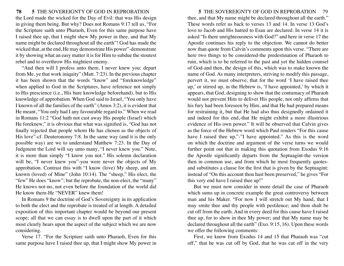the Lord made the wicked for the Day of Evil: that was His design in giving them being. But why? Does not Romans 9:17 tell us, "For the Scripture saith unto Pharaoh, Even for this same purpose have I raised thee up, that I might shew My power in thee, and that My name might be declared throughout all the earth"! God has made the wicked that, at the end, He may demonstrate His power"-demonstrate it by showing what an easy matter it is for Him to subdue the stoutest rebel and to overthrow His mightiest enemy.

"And then will I profess unto them, I never knew you: depart from Me, ye that work iniquity" (Matt. 7:23). In the previous chapter it has been shown that the words "know" and "foreknowledge" when applied to God in the Scriptures, have reference not simply to His prescience (i.e., His bare knowledge beforehand), but to His knowledge of approbation. When God said to Israel, "You only have I known of all the families of the earth" (Amos 3:2), it is evident that He meant, "You only had I any favourable regard to." When we read in Romans 11:2 "God hath not cast away His people (Israel) which He foreknew," it is obvious that what was signified is, "God has not finally rejected that people whom He has chosen as the objects of His love"-cf. Deuteronomy 7:8. In the same way (and it is the only possible way) are we to understand Matthew 7:23. In the Day of Judgment the Lord will say unto many, "I never knew you." Note, it is more than simply "I know you not." His solemn declaration will be, "I never knew you"-you were never the objects of My approbation. Contrast this with "I know (love) My sheep, and am known (loved) of Mine" (John 10:14). The "sheep," His elect, the "few" He does "know"; but the reprobate, the non-elect, the "many" He knows not-no, not even before the foundation of the world did He know them-He "NEVER" knew them!

In Romans 9 the doctrine of God's Sovereignty in its application to both the elect and the reprobate is treated of at length. A detailed exposition of this important chapter would be beyond our present scope; all that we can essay is to dwell upon the part of it which most clearly bears upon the aspect of the subject which we are now considering.

Verse 17. "For the Scripture saith unto Pharaoh, Even for this same purpose have I raised thee up, that I might show My power in

**78 5** THE SOVEREIGNTY OF GOD IN REPROBATION **5** THE SOVEREIGNTY OF GOD IN REPROBATION 79 thee, and that My name might be declared throughout all the earth." These words refer us back to verses 13 and 14. In verse 13 God's love to Jacob and His hatred to Esau are declared. In verse 14 it is asked "Is there unrighteousness with God?" and here in verse 17 the Apostle continues his reply to the objection. We cannot do better now than quote from Calvin's comments upon this verse. "There are here two things to be considered-the predestination of Pharaoh to ruin, which is to be referred to the past and yet the hidden counsel of God-and then, the design of this, which was to make known the name of God. As many interpreters, striving to modify this passage, pervert it, we must observe, that for the word 'I have raised thee up,' or stirred up, in the Hebrew is, 'I have appointed,' by which it appears, that God, designing to show that the contumacy of Pharaoh would not prevent Him to deliver His people, not only affirms that his fury had been foreseen by Him, and that He had prepared means for restraining it, but that He had also thus designedly ordained it and indeed for this end,-that He might exhibit a more illustrious evidence of His own power." It will be observed that Calvin gives as the force of the Hebrew word which Paul renders "For this cause have I raised thee up,"-"I have appointed." As this is the word on which the doctrine and argument of the verse turns we would further point out that in making this quotation from Exodus 9:16 the Apostle significantly departs from the Septuagint-the version then in common use, and from which he most frequently quotesand substitutes a clause for the first that is given by the Septuagint: instead of "On this account thou hast been preserved," he gives "For this very end have I raised thee up!"

> But we must now consider in more detail the case of Pharaoh which sums up in concrete example the great controversy between man and his Maker. "For now I will stretch out My hand, that I may smite thee and thy people with pestilence; and thou shalt be cut off from the earth. And in every deed for this cause have I raised thee up, for to show in thee My power; and that My name may be declared throughout all the earth" (Exo. 9:15, 16). Upon these words we offer the following comments:

> First, we know from Exodus 14 and 15 that Pharaoh was "cut off," that he was cut off by God, that he was cut off in the very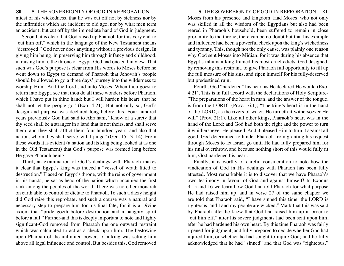midst of his wickedness, that he was cut off not by sickness nor by the infirmities which are incident to old age, nor by what men term an accident, but cut off by the immediate hand of God in judgment.

Second, it is clear that God raised up Pharaoh for this very end-to "cut him off," which in the language of the New Testament means "destroyed." God never does anything without a previous design. In giving him being, in preserving him through infancy and childhood, in raising him to the throne of Egypt, God had one end in view. That such was God's purpose is clear from His words to Moses before he went down to Egypt to demand of Pharaoh that Jehovah's people should be allowed to go a three days' journey into the wilderness to worship Him-"And the Lord said unto Moses, When thou goest to return into Egypt, see that thou do all these wonders before Pharaoh, which I have put in thine hand: but I will harden his heart, that he shall not let the people go" (Exo. 4:21). But not only so, God's design and purpose was declared long before this. Four hundred years previously God had said to Abraham, "Know of a surety that thy seed shall be a stranger in a land that is not theirs, and shall serve them: and they shall afflict them four hundred years; and also that nation, whom they shall serve, will I judge" (Gen. 15:13, 14). From these words it is evident (a nation and its king being looked at as one in the Old Testament) that God's purpose was formed long before He gave Pharaoh being.

Third, an examination of God's dealings with Pharaoh makes it clear that Egypt's king was indeed a "vessel of wrath fitted to destruction." Placed on Egypt's throne, with the reins of government in his hands, he sat as head of the nation which occupied the first rank among the peoples of the world. There was no other monarch on earth able to control or dictate to Pharaoh. To such a dizzy height did God raise this reprobate, and such a course was a natural and necessary step to prepare him for his final fate, for it is a Divine axiom that "pride goeth before destruction and a haughty spirit before a fall." Further-and this is deeply important to note and highly significant-God removed from Pharaoh the one outward restraint which was calculated to act as a check upon him. The bestowing upon Pharoah of the unlimited powers of a king was setting him above all legal influence and control. But besides this, God removed

**80 5** THE SOVEREIGNTY OF GOD IN REPROBATION **5** THE SOVEREIGNTY OF GOD IN REPROBATION 81 Moses from his presence and kingdom. Had Moses, who not only was skilled in all the wisdom of the Egyptians but also had been reared in Pharaoh's household, been suffered to remain in close proximity to the throne, there can be no doubt but that his example and influence had been a powerful check upon the king's wickedness and tyranny. This, though not the only cause, was plainly one reason why God sent Moses into Midian, for it was during his absence that Egypt's inhuman king framed his most cruel edicts. God designed, by removing this restraint, to give Pharaoh full opportunity to fill up the full measure of his sins, and ripen himself for his fully-deserved but predestined ruin.

> Fourth, God "hardened" his heart as He declared He would (Exo. 4:21). This is in full accord with the declarations of Holy Scripture- "The preparations of the heart in man, and the answer of the tongue, is from the LORD" (Prov. 16:1); "The king's heart is in the hand of the LORD, as the rivers of water, He turneth it withersoever He will" (Prov. 21:1). Like all other kings, Pharaoh's heart was in the hand of the Lord; and God had both the right and the power to turn it whithersoever He pleased. And it pleased Him to turn it against all good. God determined to hinder Pharaoh from granting his request through Moses to let Israel go until He had fully prepared him for his final overthrow, and because nothing short of this would fully fit him, God hardened his heart.

> Finally, it is worthy of careful consideration to note how the vindication of God in His dealings with Pharaoh has been fully attested. Most remarkable it is to discover that we have Pharaoh's own testimony in favour of God and against himself! In Exodus 9:15 and 16 we learn how God had told Pharaoh for what purpose He had raised him up, and in verse 27 of the same chapter we are told that Pharaoh said, "I have sinned this time: the LORD is righteous, and I and my people are wicked." Mark that this was said by Pharaoh after he knew that God had raised him up in order to "cut him off," after his severe judgments had been sent upon him, after he had hardened his own heart. By this time Pharaoh was fairly ripened for judgment, and fully prepared to decide whether God had injured him, or whether he had sought to injure God; and he fully acknowledged that he had "sinned" and that God was "righteous."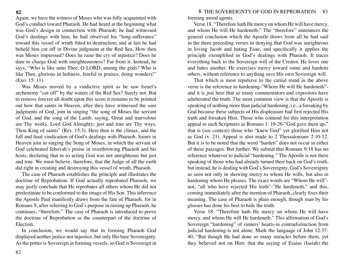### **82**

Again; we have the witness of Moses who was fully acquainted with God's conduct toward Pharaoh. He had heard at the beginning what was God's design in connection with Pharaoh; he had witnessed God's dealings with him; he had observed his "long-sufferance" toward this vessel of wrath fitted to destruction; and at last he had beheld him cut off in Divine judgment at the Red Sea. How then was Moses impressed? Does he raise the cry of injustice? Does he dare to charge God with unrighteousness? Far from it. Instead, he says, "Who is like unto Thee, O LORD, among the gods? Who is like Thee, glorious in holiness, fearful in praises, doing wonders!" (Exo. 15: 11).

Was Moses moved by a vindictive spirit as he saw Israel's archenemy "cut off" by the waters of the Red Sea? Surely not. But to remove forever all doubt upon this score it remains to be pointed out how that saints in Heaven, after they have witnessed the sore judgments of God, join in singing "the song of Moses the servant of God, and the song of the Lamb, saying, Great and marvelous are Thy works, Lord God Almighty; just and true are Thy ways, Thou King of saints" (Rev. 15:3). Here then is the climax, and the full and final vindication of God's dealings with Pharaoh. Saints in Heaven join in singing the Song of Moses, in which the servant of God celebrated Jehovah's praise in overthrowing Pharaoh and his hosts, declaring that in so acting God was not unrighteous but just and true. We must believe, therefore, that the Judge of all the earth did right in creating and destroying this vessel of wrath, Pharaoh.

The case of Pharaoh establishes the principle and illustrates the doctrine of Reprobation. If God actually reprobated Pharaoh, we may justly conclude that He reprobates all others whom He did not predestinate to be conformed to the image of His Son. This inference the Apostle Paul manifestly draws from the fate of Pharaoh, for in Romans 9, after referring to God's purpose in raising up Pharaoh, he continues, "therefore." The case of Pharaoh is introduced to prove the doctrine of Reprobation as the counterpart of the doctrine of Election.

In conclusion, we would say that in forming Pharaoh God displayed neither justice nor injustice, but only His bare Sovereignty. As the potter is Sovereign in forming vessels, so God is Sovereign in

 **5** THE SOVEREIGNTY OF GOD IN REPROBATION 83 forming moral agents.

Verse 18. "Therefore hath He mercy on whom He will have mercy, and whom He will He hardeneth." The "therefore" announces the general conclusion which the Apostle draws from all he had said in the three preceding verses in denying that God was unrighteous in loving Jacob and hating Esau, and specifically it applies the principle exemplified in God's dealings with Pharaoh. It traces everything back to the Sovereign will of the Creator. He loves one and hates another. He exercises mercy toward some and hardens others, without reference to anything save His own Sovereign will.

That which is most repulsive to the carnal mind in the above verse is the reference to hardening-"Whom He will He hardeneth" and it is just here that so many commentators and expositors have adulterated the truth. The most common view is that the Apostle is speaking of nothing more than judicial hardening, i.e., a forsaking by God because these subjects of His displeasure had first rejected His truth and forsaken Him. Those who contend for this interpretation appeal to such Scriptures as Romans 1: 19-26-"God gave them up," that is (see context) those who "knew God" yet glorified Him not as God (v. 21). Appeal is also made to 2 Thessalonians 2:10-12. But it is to be noted that the word "harden" does not occur in either of these passages. But further. We submit that Romans 9:18 has no reference whatever to judicial "hardening." The Apostle is not there speaking of those who had already turned their back on God's truth, but instead, he is dealing with God's Sovereignty, God's Sovereignty as seen not only in showing mercy to whom He wills, but also in hardening whom He pleases. The exact words are "Whom He will" not, "all who have rejected His truth"-"He hardeneth," and this, coming immediately after the mention of Pharaoh, clearly fixes their meaning. The case of Pharaoh is plain enough, though man by his glosses has done his best to hide the truth.

Verse 18. "Therefore hath He mercy on whom He will have mercy, and whom He will He hardeneth." This affirmation of God's Sovereign "hardening" of sinners' hearts-in contradistinction from judicial hardening-is not alone. Mark the language of John 12:37- 40, "But though He had done so many miracles before them, yet they believed not on Him: that the saying of Esaias (Isaiah) the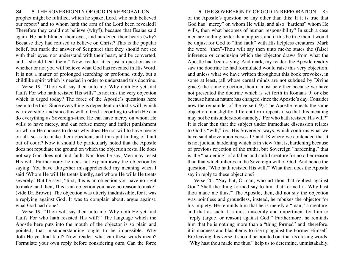# 84 5 THE SOVEREIGNTY OF GOD IN REPROBATION 5 THE SOVEREIGNTY OF GOD IN REPROBATION 85

prophet might be fulfilled, which he spake, Lord, who hath believed our report? and to whom hath the arm of the Lord been revealed? Therefore they could not believe (why?), because that Esaias said again, He hath blinded their eyes, and hardened their hearts (why? Because they had refused to believe on Christ? This is the popular belief, but mark the answer of Scripture) that they should not see with their eyes, nor understand with their heart, and be converted, and I should heal them." Now, reader, it is just a question as to whether or not you will believe what God has revealed in His Word. It is not a matter of prolonged searching or profound study, but a childlike spirit which is needed in order to understand this doctrine.

Verse 19. "Thou wilt say then unto me, Why doth He yet find fault? For who hath resisted His will?" Is not this the very objection which is urged today? The force of the Apostle's questions here seem to be this: Since everything is dependent on God's will, which is irreversible, and since this will of God, according to which He can do everything as Sovereign-since He can have mercy on whom He wills to have mercy, and can refuse mercy and inflict punishment on whom He chooses to do so-why does He not will to have mercy on all, so as to make them obedient, and thus put finding of fault out of court? Now it should be particularly noted that the Apostle does not repudiate the ground on which the objection rests. He does not say God does not find fault. Nor does he say, Men may resist His will. Furthermore; he does not explain away the objection by saying: You have altogether misapprehended my meaning when I said 'Whom He will He treats kindly, and whom He wills He treats severely.' But he says, "first, this is an objection you have no right to make; and then, This is an objection you have no reason to make" (vide Dr. Brown). The objection was utterly inadmissible, for it was a replying against God. It was to complain about, argue against, what God had done!

Verse 19. "Thou wilt say then unto me, Why doth He yet find fault? For who hath resisted His will?" The language which the Apostle here puts into the mouth of the objector is so plain and pointed, that misunderstanding ought to be impossible. Why doth He yet find fault? Now, reader, what can these words mean? Formulate your own reply before considering ours. Can the force of the Apostle's question be any other than this: If it is true that God has "mercy" on whom He wills, and also "hardens" whom He wills, then what becomes of human responsibility? In such a case men are nothing better than puppets, and if this be true then it would be unjust for God to "find fault" with His helpless creatures. Mark the word "then"-Thou wilt say then unto me-he states the (false) inference or conclusion which the objector draws from what the Apostle had been saying. And mark, my reader, the Apostle readily saw the doctrine he had formulated would raise this very objection, and unless what we have written throughout this book provokes, in some at least, (all whose carnal minds are not subdued by Divine grace) the same objection, then it must be either because we have not presented the doctrine which is set forth in Romans 9, or else because human nature has changed since the Apostle's day. Consider now the remainder of the verse (19). The Apostle repeats the same objection in a slightly different form-repeats it so that this meaning may not be misunderstood-namely, "For who hath resisted His will?" It is clear then that the subject under immediate discussion relates to God's "will," i.e., His Sovereign ways, which confirms what we have said above upon verses 17 and 18 where we contended that it is not judicial hardening which is in view (that is, hardening because of previous rejection of the truth), but Sovereign "hardening," that is, the "hardening" of a fallen and sinful creature for no other reason than that which inheres in the Sovereign will of God. And hence the question, "Who hath resisted His will?" What then does the Apostle say in reply to these objections?

Verse 20. "Nay but, O man, who art thou that repliest against God? Shall the thing formed say to him that formed it, Why hast thou made me thus?" The Apostle, then, did not say the objection was pointless and groundless, instead, he rebukes the objector for his impiety. He reminds him that he is merely a "man," a creature, and that as such it is most unseemly and impertinent for him to "reply (argue, or reason) against God." Furthermore, he reminds him that he is nothing more than a "thing formed" and, therefore, it is madness and blasphemy to rise up against the Former Himself. Ere leaving this verse it should be pointed out that its closing words, "Why hast thou made me thus," help us to determine, unmistakably,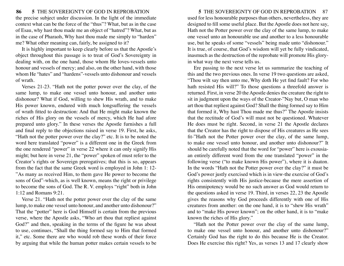the precise subject under discussion. In the light of the immediate context what can be the force of the "thus"? What, but as in the case of Esau, why hast thou made me an object of "hatred"? What, but as in the case of Pharaoh, Why hast thou made me simply to "harden" me? What other meaning can, fairly, be assigned to it?

It is highly important to keep clearly before us that the Apostle's object throughout this passage is to treat of God's Sovereignty in dealing with, on the one hand, those whom He loves-vessels unto honour and vessels of mercy; and also, on the other hand, with those whom He "hates" and "hardens"-vessels unto dishonour and vessels of wrath.

Verses 21-23. "Hath not the potter power over the clay, of the same lump, to make one vessel unto honour, and another unto dishonour? What if God, willing to shew His wrath, and to make His power known, endured with much longsuffering the vessels of wrath fitted to destruction: And that He might make known the riches of His glory on the vessels of mercy, which He had afore prepared unto glory." In these verses the Apostle furnishes a full and final reply to the objections raised in verse 19. First, he asks, "Hath not the potter power over the clay?" etc. It is to be noted the word here translated "power" is a different one in the Greek from the one rendered "power" in verse 22 where it can only signify His might; but here in verse 21, the "power" spoken of must refer to the Creator's rights or Sovereign prerogatives; that this is so, appears from the fact that the same Greek word is employed in John 1: 12- "As many as received Him, to them gave He power to become the sons of God"-which, as is well known, means the right or privilege to become the sons of God. The R. V. employs "right" both in John 1:12 and Romans 9:21.

Verse 21. "Hath not the potter power over the clay of the same lump, to make one vessel unto honour, and another unto dishonour?" That the "potter" here is God Himself is certain from the previous verse, where the Apostle asks, "Who art thou that repliest against God?" and then, speaking in the terms of the figure he was about to use, continues, "Shall the thing formed say to Him that formed it," etc. Some there are who would rob these words of their force by arguing that while the human potter makes certain vessels to be

**86 5** THE SOVEREIGNTY OF GOD IN REPROBATION **5** THE SOVEREIGNTY OF GOD IN REPROBATION 87 used for less honourable purposes than others, nevertheless, they are designed to fill some useful place. But the Apostle does not here say, Hath not the Potter power over the clay of the same lump, to make one vessel unto an honourable use and another to a less honourable use, but he speaks of some "vessels" being made unto "dishonour." It is true, of course, that God's wisdom will yet be fully vindicated, inasmuch as the destruction of the reprobate will promote His gloryin what way the next verse tells us.

> Ere passing to the next verse let us summarize the teaching of this and the two previous ones. In verse 19 two questions are asked, "Thou wilt say then unto me, Why doth He yet find fault? For who hath resisted His will?" To those questions a threefold answer is returned. First, in verse 20 the Apostle denies the creature the right to sit in judgment upon the ways of the Creator-"Nay but, O man who art thou that repliest against God? Shall the thing formed say to Him that formed it, Why hast Thou made me thus?" The Apostle insists that the rectitude of God's will must not be questioned. Whatever He does must be right. Second, in verse 21 the Apostle declares that the Creator has the right to dispose of His creatures as He sees fit-"Hath not the Potter power over the clay, of the same lump, to make one vessel unto honour, and another unto dishonour?" It should be carefully noted that the word for "power" here is exousiaan entirely different word from the one translated "power" in the following verse ("to make known His power"), where it is duaton. In the words "Hath not the Potter power over the clay?" it must be God's power justly exercised which is in view-the exercise of God's rights consistently with His justice-because the mere assertion of His omnipotency would be no such answer as God would return to the questions asked in verse 19. Third, in verses 22, 23 the Apostle gives the reasons why God proceeds differently with one of His creatures from another: on the one hand, it is to "shew His wrath" and to "make His power known"; on the other hand, it is to "make known the riches of His glory."

> "Hath not the Potter power over the clay of the same lump, to make one vessel unto honour, and another unto dishonour?" Certainly God has the right to do this because He is the Creator. Does He exercise this right? Yes, as verses 13 and 17 clearly show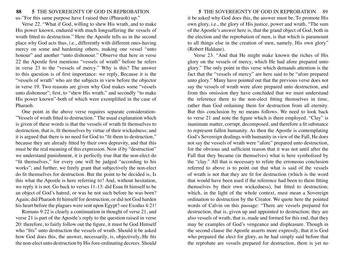us-"For this same purpose have I raised thee (Pharaoh) up."

Verse 22. "What if God, willing to shew His wrath, and to make His power known, endured with much longsuffering the vessels of wrath fitted to destruction." Here the Apostle tells us in the second place why God acts thus, i.e., differently with different ones-having mercy on some and hardening others, making one vessel "unto honour" and another "unto dishonour." Observe that here in verse 22 the Apostle first mentions "vessels of wrath" before he refers in verse 23 to the "vessels of mercy." Why is this? The answer to this question is of first importance: we reply, Because it is the "vessels of wrath" who are the subjects in view before the objector in verse 19. Two reasons are given why God makes some "vessels unto dishonour"; first, to "shew His wrath," and secondly "to make His power known"-both of which were exemplified in the case of Pharaoh.

One point in the above verse requires separate consideration- "Vessels of wrath fitted to destruction." The usual explanation which is given of these words is that the vessels of wrath fit themselves to destruction, that is, fit themselves by virtue of their wickedness; and it is argued that there is no need for God to "fit them to destruction," because they are already fitted by their own depravity, and that this must be the real meaning of this expression. Now if by "destruction" we understand punishment, it is perfectly true that the non-elect do "fit themselves," for every one will be judged "according to his works"; and further, we freely grant that subjectively the non-elect do fit themselves for destruction. But the point to be decided is, Is this what the Apostle is here referring to? And, without hesitation, we reply it is not. Go back to verses 11-13: did Esau fit himself to be an object of God's hatred, or was he not such before he was born? Again; did Pharaoh fit himself for destruction, or did not God harden his heart before the plagues were sent upon Egypt?-see Exodus 4:21!

Romans 9:22 is clearly a continuation in thought of verse 21, and verse 21 is part of the Apostle's reply to the question raised in verse 20: therefore, to fairly follow out the figure, it must be God Himself who "fits" unto destruction the vessels of wrath. Should it be asked how God does this, the answer, necessarily, is, objectively,-He fits the non-elect unto destruction by His fore-ordinating decrees. Should

**88 5** THE SOVEREIGNTY OF GOD IN REPROBATION **5** THE SOVEREIGNTY OF GOD IN REPROBATION 89 it be asked why God does this, the answer must be, To promote His own glory, i.e., the glory of His justice, power and wrath. "The sum of the Apostle's answer here is, that the grand object of God, both in the election and the reprobation of men, is that which is paramount to all things else in the creation of men, namely, His own glory" (Robert Haldane).

> Verse 23. "And that He might make known the riches of His glory on the vessels of mercy, which He had afore prepared unto glory." The only point in this verse which demands attention is the fact that the "vessels of mercy" are here said to be "afore prepared unto glory." Many have pointed out that the previous verse does not say the vessels of wrath were afore prepared unto destruction, and from this omission they have concluded that we must understand the reference there to the non-elect fitting themselves in time, rather than God ordaining them for destruction from all eternity. But this conclusion by no means follows. We need to look back to verse 21 and note the figure which is there employed. "Clay" is inanimate matter, corrupt, decomposed, and therefore a fit substance to represent fallen humanity. As then the Apostle is contemplating God's Sovereign dealings with humanity in view of the Fall, He does not say the vessels of wrath were "afore" prepared unto destruction, for the obvious and sufficient reason that it was not until after the Fall that they became (in themselves) what is here symbolized by the "clay." All that is necessary to refute the erroneous conclusion referred to above is to point out that what is said of the vessels of wrath is not that they are fit for destruction (which is the word that would have been used if the reference had been to them fitting themselves by their own wickedness), but fitted to destruction; which, in the light of the whole context, must mean a Sovereign ordination to destruction by the Creator. We quote here the pointed words of Calvin on this passage: "There are vessels prepared for destruction, that is, given up and appointed to destruction; they are also vessels of wrath, that is, made and formed for this end, that they may be examples of God's vengeance and displeasure. Though in the second clause the Apostle asserts more expressly, that it is God who prepared the elect for glory, as he had simply said before that the reprobate are vessels prepared for destruction, there is yet no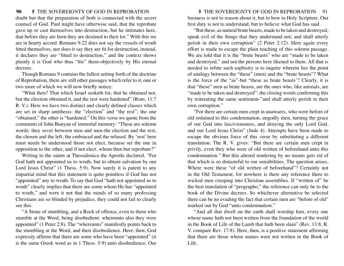## **90 5** THE SOVEREIGNTY OF GOD IN REPROBATION **5** THE SOVEREIGNTY OF GOD IN REPROBATION 91

doubt but that the preparation of both is connected with the secret counsel of God. Paul might have otherwise said, that the reprobate gave up or cast themselves into destruction, but he intimates here, that before they are born they are destined to their lot." With this we are in hearty accord. Romans 9:22 does not say the vessels of wrath fitted themselves, nor does it say they are fit for destruction, instead, it declares they are "fitted to destruction," and the context shows plainly it is God who thus "fits" them-objectively by His eternal decrees.

Though Romans 9 contains the fullest setting forth of the doctrine of Reprobation, there are still other passages which refer to it, one or two more of which we will now briefly notice:

"What then? That which Israel seeketh for, that he obtained not, but the election obtained it, and the rest were hardened" (Rom. 11:7 R. V.). Here we have two distinct and clearly defined classes which are set in sharp antithesis: the "election" and "the rest"; the one "obtained," the other is "hardened." On this verse we quote from the comments of John Bunyan of immortal memory: "These are solemn words: they sever between men and men-the election and the rest, the chosen and the left, the embraced and the refused. By 'rest' here must needs be understood those not elect, because set the one in opposition to the other, and if not elect, whom then but reprobate?"

Writing to the saints at Thessalonica the Apostle declared, "For God hath not appointed us to wrath, but to obtain salvation by our Lord Jesus Christ" (1 Thess. 5:9). Now surely it is patent to any impartial mind that this statement is quite pointless if God has not "appointed" any to wrath. To say that God "hath not appointed us to wrath" clearly implies that there are some whom He has "appointed to wrath," and were it not that the minds of so many professing Christians are so blinded by prejudice, they could not fail to clearly see this.

"A Stone of stumbling, and a Rock of offence, even to them who stumble at the Word, being disobedient: whereunto also they were appointed" (1 Peter 2:8). The "whereunto" manifestly points back to the stumbling at the Word, and their disobedience. Here, then, God expressly affirms that there are some who have been "appointed" (it is the same Greek word as in 1 Thess. 5:9) unto disobedience. Our

business is not to reason about it, but to bow to Holy Scripture. Our first duty is not to understand, but to believe what God has said.

"But these, as natural brute beasts, made to be taken and destroyed, speak evil of the things that they understand not; and shall utterly perish in their own corruption" (2 Peter 2:12). Here again every effort is made to escape the plain teaching of this solemn passage. We are told that it is the "brute beasts" who are "made to be taken and destroyed," and not the persons here likened to them. All that is needed to refute such sophistry is to inquire wherein lies the point of analogy between the "these" (men) and the "brute beasts"? What is the force of the "as"-but "these as brute beasts'? Clearly, it is that "these" men as brute beasts, are the ones who, like animals, are "made to be taken and destroyed": the closing words confirming this by reiterating the same sentiment-"and shall utterly perish in their own corruption."

"For there are certain men crept in unawares, who were before of old ordained to this condemnation, ungodly men, turning the grace of our God into lasciviousness, and denying the only Lord God, and our Lord Jesus Christ" (Jude 4). Attempts have been made to escape the obvious force of this verse by substituting a different translation. The R. V. gives: "But there are certain men crept in privily, even they who were of old written of beforehand unto this condemnation." But this altered rendering by no means gets rid of that which is so distasteful to our sensibilities. The question arises, Where were these "of old written of beforehand"? Certainly not in the Old Testament, for nowhere is there any reference there to wicked men creeping into Christian assemblies. If "written of" be the best translation of "prographo," the reference can only be to the book of the Divine decrees. So whichever alternative be selected there can be no evading the fact that certain men are "before of old" marked out by God "unto condemnation."

"And all that dwell on the earth shall worship him, every one whose name hath not been written from the foundation of the world in the Book of Life of the Lamb that hath been slain" (Rev. 13:8, R. V. compare Rev. 17:8). Here, then, is a positive statement affirming that there are those whose names were not written in the Book of Life.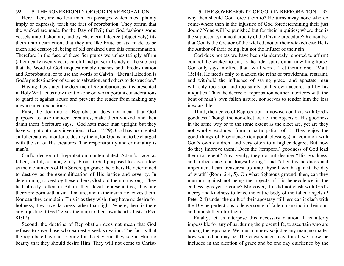Here, then, are no less than ten passages which most plainly imply or expressly teach the fact of reprobation. They affirm that the wicked are made for the Day of Evil; that God fashions some vessels unto dishonour; and by His eternal decree (objectively) fits them unto destruction; that they are like brute beasts, made to be taken and destroyed, being of old ordained unto this condemnation. Therefore in the face of these Scriptures we unhesitatingly affirm (after nearly twenty years careful and prayerful study of the subject) that the Word of God unquestionably teaches both Predestination and Reprobation, or to use the words of Calvin, "Eternal Election is God's predestination of some to salvation, and others to destruction."

Having thus stated the doctrine of Reprobation, as it is presented in Holy Writ, let us now mention one or two important considerations to guard it against abuse and prevent the reader from making any unwarranted deductions:

First, the doctrine of Reprobation does not mean that God purposed to take innocent creatures, make them wicked, and then damn them. Scripture says, "God hath made man upright: but they have sought out many inventions" (Eccl. 7:29). God has not created sinful creatures in order to destroy them, for God is not to be charged with the sin of His creatures. The responsibility and criminality is man's.

God's decree of Reprobation contemplated Adam's race as fallen, sinful, corrupt, guilty. From it God purposed to save a few as the monuments of His Sovereign grace; the others He determined to destroy as the exemplification of His justice and severity. In determining to destroy these others, God did them no wrong. They had already fallen in Adam, their legal representative; they are therefore born with a sinful nature, and in their sins He leaves them. Nor can they complain. This is as they wish; they have no desire for holiness; they love darkness rather than light. Where, then, is there any injustice if God "gives them up to their own heart's lusts" (Psa. 81:12).

Second, the doctrine of Reprobation does not mean that God refuses to save those who earnestly seek salvation. The fact is that the reprobate have no longing for the Saviour: they see in Him no beauty that they should desire Him. They will not come to Christ-

**92 5** THE SOVEREIGNTY OF GOD IN REPROBATION **5** THE SOVEREIGNTY OF GOD IN REPROBATION 93 why then should God force them to? He turns away none who do come-where then is the injustice of God foredetermining their just doom? None will be punished but for their iniquities; where then is the supposed tyrannical cruelty of the Divine procedure? Remember that God is the Creator of the wicked, not of their wickedness; He is the Author of their being, but not the Infuser of their sin.

> God does not (as we have been slanderously reported to affirm) compel the wicked to sin, as the rider spurs on an unwilling horse. God only says in effect that awful word, "Let them alone" (Matt. 15:14). He needs only to slacken the reins of providential restraint, and withhold the influence of saving grace, and apostate man will only too soon and too surely, of his own accord, fall by his iniquities. Thus the decree of reprobation neither interferes with the bent of man's own fallen nature, nor serves to render him the less inexcusable.

> Third, the decree of Reprobation in nowise conflicts with God's goodness. Though the non-elect are not the objects of His goodness in the same way or to the same extent as the elect are, yet are they not wholly excluded from a participation of it. They enjoy the good things of Providence (temporal blessings) in common with God's own children, and very often to a higher degree. But how do they improve them? Does the (temporal) goodness of God lead them to repent? Nay, verily, they do but despise "His goodness, and forbearance, and longsuffering," and "after thy hardness and impenitent heart treasurest up unto thyself wrath against the day of wrath" (Rom. 2:4, 5). On what righteous ground, then, can they murmur against not being the objects of His benevolence in the endless ages yet to come? Moreover, if it did not clash with God's mercy and kindness to leave the entire body of the fallen angels (2 Peter 2:4) under the guilt of their apostasy still less can it clash with the Divine perfections to leave some of fallen mankind in their sins and punish them for them.

> Finally, let us interpose this necessary caution: It is utterly impossible for any of us, during the present life, to ascertain who are among the reprobate. We must not now so judge any man, no matter how wicked he may be. The vilest sinner, may, for all we know, be included in the election of grace and be one day quickened by the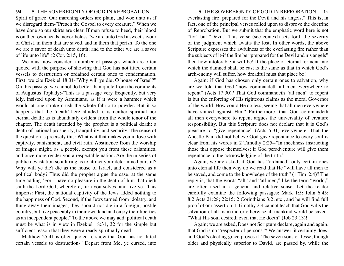Spirit of grace. Our marching orders are plain, and woe unto us if we disregard them-"Preach the Gospel to every creature." When we have done so our skirts are clear. If men refuse to heed, their blood is on their own heads; nevertheless "we are unto God a sweet savour of Christ, in them that are saved, and in them that perish. To the one we are a savor of death unto death; and to the other we are a savor of life unto life" (2 Cor. 2:15, 16).

We must now consider a number of passages which are often quoted with the purpose of showing that God has not fitted certain vessels to destruction or ordained certain ones to condemnation. First, we cite Ezekiel 18:31-"Why will ye die, O house of Israel?" On this passage we cannot do better than quote from the comments of Augustus Toplady:-"This is a passage very frequently, but very idly, insisted upon by Arminians, as if it were a hammer which would at one stroke crush the whole fabric to powder. But it so happens that the 'death' here alluded to is neither spiritual nor eternal death: as is abundantly evident from the whole tenor of the chapter. The death intended by the prophet is a political death; a death of national prosperity, tranquillity, and security. The sense of the question is precisely this: What is it that makes you in love with captivity, banishment, and civil ruin. Abstinence from the worship of images might, as a people, exempt you from these calamities, and once more render you a respectable nation. Are the miseries of public devastation so alluring as to attract your determined pursuit? Why will ye die? die as the house of Israel, and considered as a political body? Thus did the prophet argue the case, at the same time adding-'For I have no pleasure in the death of him that dieth saith the Lord God, wherefore, turn yourselves, and live ye.' This imports: First, the national captivity of the Jews added nothing to the happiness of God. Second, if the Jews turned from idolatry, and flung away their images, they should not die in a foreign, hostile country, but live peaceably in their own land and enjoy their liberties as an independent people." To the above we may add: political death must be what is in view in Ezekiel 18:31, 32 for the simple but sufficient reason that they were already spiritually dead!

Matthew 25:41 is often quoted to show that God has not fitted certain vessels to destruction- "Depart from Me, ye cursed, into

**94 5** THE SOVEREIGNTY OF GOD IN REPROBATION **5** THE SOVEREIGNTY OF GOD IN REPROBATION 95 everlasting fire, prepared for the Devil and his angels." This is, in fact, one of the principal verses relied upon to disprove the doctrine of Reprobation. But we submit that the emphatic word here is not "for" but "Devil." This verse (see context) sets forth the severity of the judgment which awaits the lost. In other words, the above Scripture expresses the awfulness of the everlasting fire rather than the subjects of it-if the fire be "prepared for the Devil and his angels" then how intolerable it will be! If the place of eternal torment into which the damned shall be cast is the same as that in which God's arch-enemy will suffer, how dreadful must that place be!

> Again: if God has chosen only certain ones to salvation, why are we told that God "now commandeth all men everywhere to repent" (Acts 17:30)? That God commandeth "all men" to repent is but the enforcing of His righteous claims as the moral Governor of the world. How could He do less, seeing that all men everywhere have sinned against Him? Furthermore, that God commandeth all men everywhere to repent argues the universality of creature responsibility. But this Scripture does not declare that it is God's pleasure to "give repentance" (Acts 5:31) everywhere. That the Apostle Paul did not believe God gave repentance to every soul is clear from his words in 2 Timothy 2:25--"In meekness instructing those that oppose themselves; if God peradventure will give them repentance to the acknowledging of the truth."

> Again, we are asked, if God has "ordained" only certain ones unto eternal life then why do we read that He "will have all men to be saved, and come to the knowledge of the truth" (1 Tim. 2:4)? The reply is, that the words "all" and "all men," like the term "world," are often used in a general and relative sense. Let the reader carefully examine the following passages: Mark 1:5; John 6:45; 8:2;Acts 21:28; 22:15; 2 Corinthians 3:2, etc., and he will find full proof of our assertion. 1 Timothy 2:4 cannot teach that God wills the salvation of all mankind or otherwise all mankind would be saved- "What His soul desireth even that He doeth" (Job 23:13)!

> Again; we are asked, Does not Scripture declare, again and again, that God is no "respecter of persons"? We answer, it certainly does, and God's electing grace proves it. The seven sons of Jesse, though older and physically superior to David, are passed by, while the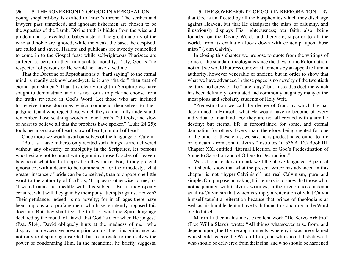young shepherd-boy is exalted to Israel's throne. The scribes and lawyers pass unnoticed, and ignorant fishermen are chosen to be the Apostles of the Lamb. Divine truth is hidden from the wise and prudent and is revealed to babes instead. The great majority of the wise and noble are ignored, while the weak, the base, the despised, are called and saved. Harlots and publicans are sweetly compelled to come in to the Gospel feast while self-righteous Pharisees are suffered to perish in their immaculate morality. Truly, God is "no respecter" of persons or He would not have saved me.

That the Doctrine of Reprobation is a "hard saying" to the carnal mind is readily acknowledged-yet, is it any "harder" than that of eternal punishment? That it is clearly taught in Scripture we have sought to demonstrate, and it is not for us to pick and choose from the truths revealed in God's Word. Let those who are inclined to receive those doctrines which commend themselves to their judgment, and who reject those which they cannot fully understand, remember those scathing words of our Lord's, "O fools, and slow of heart to believe all that the prophets have spoken" (Luke 24:25): fools because slow of heart; slow of heart, not dull of head!

Once more we would avail ourselves of the language of Calvin:

"But, as I have hitherto only recited such things as are delivered without any obscurity or ambiguity in the Scriptures, let persons who hesitate not to brand with ignominy those Oracles of Heaven, beware of what kind of opposition they make. For, if they pretend ignorance, with a desire to be commended for their modesty, what greater instance of pride can be conceived, than to oppose one little word to the authority of God! as, 'It appears otherwise to me,' or 'I would rather not meddle with this subject.' But if they openly censure, what will they gain by their puny attempts against Heaven? Their petulance, indeed, is no novelty; for in all ages there have been impious and profane men, who have virulently opposed this doctrine. But they shall feel the truth of what the Spirit long ago declared by the mouth of David, that God 'is clear when He judgest' (Psa. 51:4). David obliquely hints at the madness of men who display such excessive presumption amidst their insignificance, as not only to dispute against God, but to arrogate to themselves the power of condemning Him. In the meantime, he briefly suggests,

**96 5** THE SOVEREIGNTY OF GOD IN REPROBATION **5** THE SOVEREIGNTY OF GOD IN REPROBATION 97 that God is unaffected by all the blasphemies which they discharge against Heaven, but that He dissipates the mists of calumny, and illustriously displays His righteousness; our faith, also, being founded on the Divine Word, and therefore, superior to all the world, from its exaltation looks down with contempt upon those mists" (John Calvin).

> In closing this chapter we propose to quote from the writings of some of the standard theologians since the days of the Reformation, not that we would buttress our own statements by an appeal to human authority, however venerable or ancient, but in order to show that what we have advanced in these pages is no novelty of the twentieth century, no heresy of the "latter days" but, instead, a doctrine which has been definitely formulated and commonly taught by many of the most pious and scholarly students of Holy Writ.

> "Predestination we call the decree of God, by which He has determined in Himself, what He would have to become of every individual of mankind. For they are not all created with a similar destiny: but eternal life is foreordained for some, and eternal damnation for others. Every man, therefore, being created for one or the other of these ends, we say, he is predestinated either to life or to death"-from John Calvin's "Institutes" (1536 A. D.) Book III, Chapter XXI entitled "Eternal Election, or God's Predestination of Some to Salvation and of Others to Destruction."

> We ask our readers to mark well the above language. A perusal of it should show that what the present writer has advanced in this chapter is not "hyper-Calvinism" but real Calvinism, pure and simple. Our purpose in making this remark is to show that those who, not acquainted with Calvin's writings, in their ignorance condemn as ultra-Calvinism that which is simply a reiteration of what Calvin himself taught-a reiteration because that prince of theologians as well as his humble debtor have both found this doctrine in the Word of God itself.

> Martin Luther in his most excellent work "De Servo Arbitrio" (Free Will a Slave), wrote: "All things whatsoever arise from, and depend upon, the Divine appointments, whereby it was preordained who should receive the Word of Life, and who should disbelieve it, who should be delivered from their sins, and who should be hardened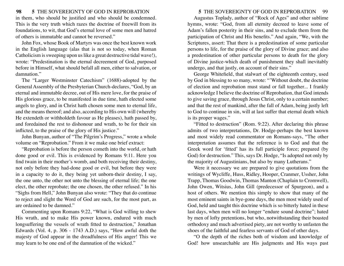# **98 5** THE SOVEREIGNTY OF GOD IN REPROBATION **5** THE SOVEREIGNTY OF GOD IN REPROBATION 99

in them, who should be justified and who should be condemned. This is the very truth which razes the doctrine of freewill from its foundations, to wit, that God's eternal love of some men and hatred of others is immutable and cannot be reversed."

John Fox, whose Book of Martyrs was once the best known work in the English language (alas that is not so today, when Roman Catholicism is sweeping upon us like a great destructive tidal wave!), wrote: "Predestination is the eternal decreement of God, purposed before in Himself, what should befall all men, either to salvation, or damnation."

The "Larger Westminster Catechism" (1688)-adopted by the General Assembly of the Presbyterian Church-declares, "God, by an eternal and immutable decree, out of His mere love, for the praise of His glorious grace, to be manifested in due time, hath elected some angels to glory, and in Christ hath chosen some men to eternal life, and the means thereof; and also, according to His own will (whereby He extendeth or withholdeth favour as He pleases), hath passed by, and foredained the rest to dishonour and wrath, to be for their sin inflicted, to the praise of the glory of His justice."

John Bunyan, author of "The Pilgrim's Progress," wrote a whole volume on "Reprobation." From it we make one brief extract:

"Reprobation is before the person cometh into the world, or hath done good or evil. This is evidenced by Romans 9:11. Here you find twain in their mother's womb, and both receiving their destiny, not only before they had-done good or evil, but before they were in a capacity to do it, they being yet unborn-their destiny, I say, the one unto, the other not unto the blessing of eternal life; the one elect, the other reprobate; the one chosen, the other refused." In his "Sighs from Hell," John Bunyan also wrote: "They that do continue to reject and slight the Word of God are such, for the most part, as are ordained to be damned."

Commenting upon Romans 9:22, "What is God willing to shew His wrath, and to make His power known, endured with much longsuffering the vessels of wrath fitted to destruction," Jonathan Edwards (Vol. 4, p. 306 - 1743 A.D.) says, "How awful doth the majesty of God appear in the dreadfulness of His anger! This we may learn to be one end of the damnation of the wicked."

Augustus Toplady, author of "Rock of Ages" and other sublime hymns, wrote: "God, from all eternity decreed to leave some of Adam's fallen posterity in their sins, and to exclude them from the participation of Christ and His benefits." And again, "We, with the Scriptures, assert: That there is a predestination of some particular persons to life, for the praise of the glory of Divine grace; and also a predestination of other particular persons to death for the glory of Divine justice-which death of punishment they shall inevitably undergo, and that justly, on account of their sins."

George Whitefield, that stalwart of the eighteenth century, used by God in blessing to so many, wrote: "'Without doubt, the doctrine of election and reprobation must stand or fall together... I frankly acknowledge I believe the doctrine of Reprobation, that God intends to give saving grace, through Jesus Christ, only to a certain number; and that the rest of mankind, after the fall of Adam, being justly left to God to continue in sin, will at last suffer that eternal death which is its proper wages."

"Fitted to destruction" (Rom. 9:22). After declaring this phrase admits of two interpretations, Dr. Hodge-perhaps the best known and most widely read commentator on Romans-says, "The other interpretation assumes that the reference is to God and that the Greek word for 'fitted' has its full participle force; prepared (by God) for destruction." This, says Dr. Hodge, "Is adopted not only by the majority of Augustinians, but also by many Lutherans."

Were it necessary we are prepared to give quotations from the writings of Wycliffe, Huss, Ridley, Hooper, Cranmer, Ussher, John Trapp, Thomas Goodwin, Thomas Manton (Chaplain to Cromwell), John Owen, Witsius, John Gill (predecessor of Spurgeon), and a host of others. We mention this simply to show that many of the most eminent saints in bye-gone days, the men most widely used of God, held and taught this doctrine which is so bitterly hated in these last days, when men will no longer "endure sound doctrine"; hated by men of lofty pretentions, but who, notwithstanding their boasted orthodoxy and much advertised piety, are not worthy to unfasten the shoes of the faithful and fearless servants of God of other days.

"O the depth of the riches both of wisdom and knowledge of God! how unsearchable are His judgments and His ways past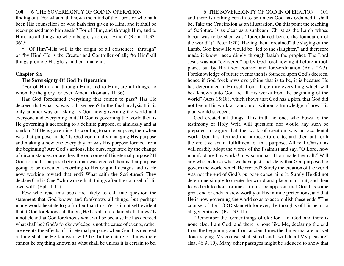# 100 6 THE SOVEREIGNTY OF GOD IN OPERATION 6 THE SOVEREIGNTY OF GOD IN OPERATION 101

finding out! For what hath known the mind of the Lord? or who hath been His counsellor? or who hath first given to Him, and it shall be recompensed unto him again? For of Him, and through Him, and to Him, are all things: to whom be glory forever, Amen" (Rom. 11:33- 36).\*

\* "Of Him"-His will is the origin of all existence; "through" or "by Him"-He is the Creator and Controller of all; "to Him"-all things promote His glory in their final end.

### **Chapter Six**

### **The Sovereignty Of God In Operation**

"For of Him, and through Him, and to Him, are all things: to whom be the glory for ever. Amen" (Romans 11:36).

Has God foredained everything that comes to pass? Has He decreed that what is, was to have been? In the final analysis this is only another way of asking, Is God now governing the world and everyone and everything in it? If God is governing the world then is He governing it according to a definite purpose, or aimlessly and at random? If He is governing it according to some purpose, then when was that purpose made? Is God continually changing His purpose and making a new one every day, or was His purpose formed from the beginning? Are God's actions, like ours, regulated by the change of circumstances, or are they the outcome of His eternal purpose? If God formed a purpose before man was created then is that purpose going to be executed according to His original designs and is He now working toward that end? What saith the Scriptures? They declare God is One "who worketh all things after the counsel of His own will" (Eph. 1:11).

Few who read this book are likely to call into question the statement that God knows and foreknows all things, but perhaps many would hesitate to go further than this. Yet is it not self-evident that if God foreknows all things, He has also foredained all things? Is it not clear that God foreknows what will be because He has decreed what shall be? God's foreknowledge is not the cause of events, rather are events the effects of His eternal purpose. when God has decreed a thing shall be He knows it will! be. In the nature of things there cannot be anything known as what shall be unless it is certain to be,

and there is nothing certain to be unless God has ordained it shall be. Take the Crucifixion as an illustration. On this point the teaching of Scripture is as clear as a sunbeam. Christ as the Lamb whose blood was to be shed was "foreordained before the foundation of the world" (1 Peter 1:20). Having then "ordained" the slaying of the Lamb, God knew He would be "led to the slaughter," and therefore made it known accordingly through Isaiah the prophet. The Lord Jesus was not "delivered" up by God foreknowing it before it took place, but by His fixed counsel and fore-ordination (Acts 2:23). Foreknowledge of future events then is founded upon God's decrees, hence if God foreknows everything that is to be, it is because He has determined in Himself from all eternity everything which will be-"Known unto God are all His works from the beginning of the world" (Acts 15:18), which shows that God has a plan, that God did not begin His work at random or without a knowledge of how His plan would succeed.

God created all things. This truth no one, who bows to the testimony of Holy Writ, will question; nor would any such be prepared to argue that the work of creation was an accidental work. God first formed the purpose to create, and then put forth the creative act in fulfillment of that purpose. All real Christians will readily adopt the words of the Psalmist and say, "O Lord, how manifold are Thy works! in wisdom hast Thou made them all." Will any who endorse what we have just said, deny that God purposed to govern the world which He created? Surely the creation of the world was not the end of God's purpose concerning it. Surely He did not determine simply to create the world and place man in it, and then leave both to their fortunes. It must be apparent that God has some great end or ends in view worthy of His infinite perfections, and that He is now governing the world so as to accomplish these ends-"The counsel of the LORD standeth for ever, the thoughts of His heart to all generations" (Psa. 33:11).

"Remember the former things of old: for I am God, and there is none else; I am God, and there is none like Me, declaring the end from the beginning, and from ancient times the things that are not yet done, saying, My counsel shall stand, and I will do all My pleasure" (Isa. 46:9, 10). Many other passages might be adduced to show that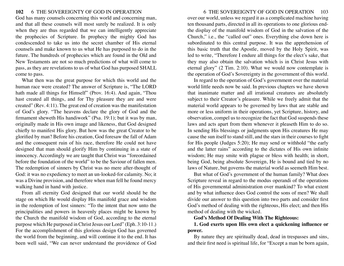God has many counsels concerning this world and concerning man, and that all these counsels will most surely be realized. It is only when they are thus regarded that we can intelligently appreciate the prophecies of Scripture. In prophecy the mighty God has condescended to take us into the secret chamber of His eternal counsels and make known to us what He has purposed to do in the future. The hundreds of prophecies which are found in the Old and New Testaments are not so much predictions of what will come to pass, as they are revelations to us of what God has purposed SHALL come to pass.

What then was the great purpose for which this world and the human race were created? The answer of Scripture is, "The LORD hath made all things for Himself" (Prov. 16:4). And again, "Thou hast created all things, and for Thy pleasure they are and were created" (Rev. 4:11). The great end of creation was the manifestation of God's glory. "The heavens declare the glory of God and the firmament sheweth His handiwork" (Psa. 19:1); but it was by man, originally made in His own image and likeness, that God designed chiefly to manifest His glory. But how was the great Creator to be glorified by man? Before his creation, God foresaw the fall of Adam and the consequent ruin of his race, therefore He could not have designed that man should glorify Him by continuing in a state of innocency. Accordingly we are taught that Christ was "foreordained before the foundation of the world" to be the Saviour of fallen men. The redemption of sinners by Christ was no mere after-thought of God: it was no expediency to meet an un-looked-for calamity. No; it was a Divine provision, and therefore when man fell he found mercy walking hand in hand with justice.

From all eternity God designed that our world should be the stage on which He would display His manifold grace and wisdom in the redemption of lost sinners: "To the intent that now unto the principalities and powers in heavenly places might be known by the Church the manifold wisdom of God, according to the eternal purpose which He purposed in Christ Jesus our Lord" (Eph. 3:10-11.) For the accomplishment of this glorious design God has governed the world from the beginning, and will continue it to the end. It has been well said, "We can never understand the providence of God

102 6 THE SOVEREIGNTY OF GOD IN OPERATION 6 THE SOVEREIGNTY OF GOD IN OPERATION 103 over our world, unless we regard it as a complicated machine having ten thousand parts, directed in all its operations to one glorious endthe display of the manifold wisdom of God in the salvation of the Church," i.e., the "called out" ones. Everything else down here is subordinated to this central purpose. It was the apprehension of this basic truth that the Apostle, moved by the Holy Spirit, was led to write, "Therefore I endure all things for the elect's sake, that they may also obtain the salvation which is in Christ Jesus with eternal glory" (2 Tim. 2:10). What we would now contemplate is the operation of God's Sovereignty in the government of this world.

> In regard to the operation of God's government over the material world little needs now be said. In previous chapters we have shown that inanimate matter and all irrational creatures are absolutely subject to their Creator's pleasure. While we freely admit that the material world appears to be governed by laws that are stable and more or less uniform in their operations, yet Scripture, history, and observation, compel us to recognize the fact that God suspends these laws and acts apart from them whenever it pleaseth Him to do so. In sending His blessings or judgments upon His creatures He may cause the sun itself to stand still, and the stars in their courses to fight for His people (Judges 5:20); He may send or withhold "the early and the latter rains" according to the dictates of His own infinite wisdom; He may smite with plague or bless with health; in short, being God, being absolute Sovereign, He is bound and tied by no laws of Nature, but governs the material world as seemeth Him best.

> But what of God's government of the human family? What does Scripture reveal in regard to the modus operandi of the operations of His governmental administration over mankind? To what extent and by what influence does God control the sons of men? We shall divide our answer to this question into two parts and consider first God's method of dealing with the righteous, His elect; and then His method of dealing with the wicked.

### **God's Method Of Dealing With The Righteous:**

**1. God exerts upon His own elect a quickening influence or power.**

By nature they are spiritually dead, dead in trespasses and sins, and their first need is spiritual life, for "Except a man be born again,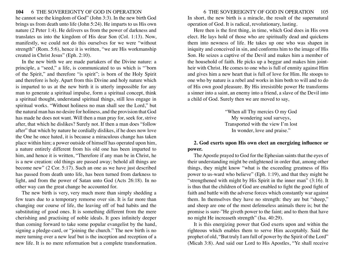he cannot see the kingdom of God" (John 3:3). In the new birth God brings us from death unto life (John 5:24). He imparts to us His own nature (2 Peter 1:4). He delivers us from the power of darkness and translates us into the kingdom of His dear Son (Col. 1:13). Now, manifestly, we could not do this ourselves for we were "without strength" (Rom. 5:6), hence it is written, "we are His workmanship created in Christ Jesus" (Eph. 2:10).

In the new birth we are made partakers of the Divine nature: a principle, a "seed," a life, is communicated to us which is "'born of the Spirit," and therefore "is spirit"; is born of the Holy Spirit and therefore is holy. Apart from this Divine and holy nature which is imparted to us at the new birth it is utterly impossible for any man to generate a spiritual impulse, form a spiritual concept, think a spiritual thought, understand spiritual things, still less engage in spiritual works. "Without holiness no man shall see the Lord," but the natural man has no desire for holiness, and the provision that God has made he does not want. Will then a man pray for, seek for, strive after, that which he dislikes? Surely not. If then a man does "follow after" that which by nature he cordially dislikes, if he does now love the One he once hated, it is because a miraculous change has taken place within him; a power outside of himself has operated upon him, a nature entirely different from his old one has been imparted to him, and hence it is written, "Therefore if any man be in Christ, he is a new creation: old things are passed away; behold all things are become new" (2 Cor. 5:17). Such an one as we have just described has passed from death unto life, has been turned from darkness to light, and from the power of Satan unto God (Acts 26:18). In no other way can the great change be accounted for.

The new birth is very, very much more than simply shedding a few tears due to a temporary remorse over sin. It is far more than changing our course of life, the leaving off of bad habits and the substituting of good ones. It is something different from the mere cherishing and practising of noble ideals. It goes infinitely deeper than coming forward to take some popular evangelist by the hand, signing a pledge-card, or "joining the church." The new birth is no mere turning over a new leaf but is the inception and reception of a new life. It is no mere reformation but a complete transformation.

104 6 THE SOVEREIGNTY OF GOD IN OPERATION 6 THE SOVEREIGNTY OF GOD IN OPERATION 105 In short, the new birth is a miracle, the result of the supernatural operation of God. It is radical, revolutionary, lasting.

> Here then is the first thing, in time, which God does in His own elect. He lays hold of those who are spiritually dead and quickens them into newness of life. He takes up one who was shapen in iniquity and conceived in sin, and conforms him to the image of His Son. He seizes a captive of the Devil and makes him a member of the household of faith. He picks up a beggar and makes him jointheir with Christ. He comes to one who is full of enmity against Him and gives him a new heart that is full of love for Him. He stoops to one who by nature is a rebel and works in him both to will and to do of His own good pleasure. By His irresistible power He transforms a sinner into a saint, an enemy into a friend, a slave of the Devil into a child of God. Surely then we are moved to say,

> > "When all Thy mercies O my God My wondering soul surveys, Transported with the view I'm lost In wonder, love and praise."

# **2. God exerts upon His own elect an energizing influence or power.**

The Apostle prayed to God for the Ephesian saints that the eyes of their understanding might be enlightened in order that, among other things, they might know "what is the exceeding greatness of His power to us-ward who believe" (Eph. 1:19), and that they might be "strengthened with might by His Spirit in the inner man" (3:16). It is thus that the children of God are enabled to fight the good fight of faith and battle with the adverse forces which constantly war against them. In themselves they have no strength: they are but "sheep," and sheep are one of the most defenseless animals there is; but the promise is sure-"He giveth power to the faint; and to them that have no might He increaseth strength" (Isa. 40:29).

It is this energizing power that God exerts upon and within the righteous which enables them to serve Him acceptably. Said the prophet of old, "But truly I am full of power by the Spirit of the Lord" (Micah 3:8). And said our Lord to His Apostles, "Ye shall receive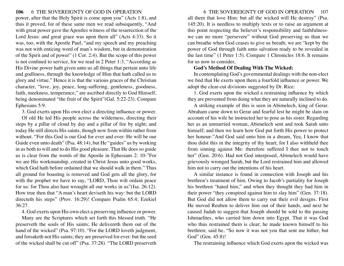power, after that the Holy Spirit is come upon you" (Acts 1:8), and thus it proved, for of these same men we read subsequently, "And with great power gave the Apostles witness of the resurrection of the Lord Jesus: and great grace was upon them all" (Acts 4:33). So it was, too, with the Apostle Paul, "and my speech and my preaching was not with enticing word of man's wisdom, but in demonstration of the Spirit and of power" (1 Cor. 2:4). But the scope of this power is not confined to service, for we read in 2 Peter 1:3, "According as His Divine power hath given unto us all things that pertain unto life and godliness, through the knowledge of Him that hath called us to glory and virtue." Hence it is that the various graces of the Christian character, "love, joy, peace, long-suffering, gentleness, goodness, faith, meekness, temperance," are ascribed directly to God Himself, being denominated "the fruit of the Spirit"(Gal. 5:22-23). Compare Ephesians 5:9.

3. God exerts upon His own elect a directing influence or power.

Of old He led His people across the wilderness, directing their steps by a pillar of cloud by day and a pillar of fire by night; and today He still directs His saints, though now from within rather from without. "For this God is our God for ever and ever: He will be our Guide even unto death" (Psa. 48:14), but He "guides" us by working in us both to will and to do His good pleasure. That He does so guide us is clear from the words of the Apostle in Ephesians 2: 10-"For we are His workmanship, created in Christ Jesus unto good works, which God hath before ordained that we should walk in them." Thus all ground for boasting is removed and God gets all the glory, for with the prophet we have to say, "LORD, Thou wilt ordain peace for us: for Thou also hast wrought all our works in us"(Isa. 26:12). How true then that "A man's heart deviseth his way: but the LORD directeth his steps" (Prov. 16:29)! Compare Psalm 65:4; Ezekiel 36:27.

4. God exerts upon His own elect a preserving influence or power.

Many are the Scriptures which set forth this blessed truth. "He preserveth the souls of His saints; He delivereth them out of the hand of the wicked" (Psa. 97:10). "For the LORD loveth judgment, and forsaketh not His saints; they are preserved for ever: but the seed of the wicked shall be cut off" (Psa. 37:28). "The LORD preserveth

**106** 6 THE SOVEREIGNTY OF GOD IN OPERATION 6 THE SOVEREIGNTY OF GOD IN OPERATION 107 all them that love Him: but all the wicked will He destroy" (Psa. 145:20). It is needless to multiply texts or to raise an argument at this point respecting the believer's responsibility and faithfulnesswe can no more "persevere" without God preserving us than we can breathe when God ceases to give us breath; we are "kept by the power of God through faith unto salvation ready to be revealed in the last time" (1 Peter 1:5). Compare 1 Chronicles 18:6. It remains for us now to consider,

# **God's Method Of Dealing With The Wicked:**

In contemplating God's governmental dealings with the non-elect we find that He exerts upon them a fourfold influence or power. We adopt the clear-cut divisions suggested by Dr. Rice:

1. God exerts upon the wicked a restraining influence by which they are prevented from doing what they are naturally inclined to do.

A striking example of this is seen in Abimelech, king of Gerar. Abraham came down to Gerar and fearful lest he might be slain on account of his wife he instructed her to pose as his sister. Regarding her as an unmarried woman, Abimelech sent and took Sarah unto himself; and then we learn how God put forth His power to protect her honour-"And God said unto him in a dream, Yea, I know that thou didst this in the integrity of thy heart; for I also withheld thee from sinning against Me: therefore suffered I thee not to touch her" (Gen. 20:6). Had not God interposed, Abimelech would have grievously wronged Sarah, but the Lord restrained him and allowed him not to carry out the intentions of his heart.

A similar instance is found in connection with Joseph and his brethren's treatment of him. Owing to Jacob's partiality for Joseph his brethren "hated him," and when they thought they had him in their power "they conspired against him to slay him" (Gen. 37:18). But God did not allow them to carry out their evil designs. First He moved Reuben to deliver him out of their hands, and next he caused Judah to suggest that Joseph should be sold to the passing Ishmaelites, who carried him down into Egypt. That it was God who thus restrained them is clear; he made known himself to his brethren; said he, "So now it was not you that sent me hither, but God" (Gen. 45:8)!

The restraining influence which God exerts upon the wicked was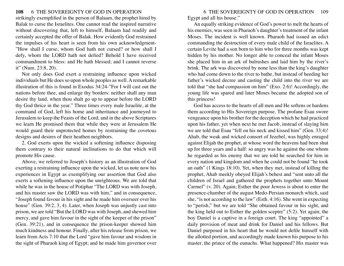strikingly exemplified in the person of Balaam, the prophet hired by Balak to curse the Israelites. One cannot read the inspired narrative without discovering that, left to himself, Balaam had readily and certainly accepted the offer of Balak. How evidently God restrained the impulses of his heart is seen from his own acknowledgment- "How shall I curse, whom God hath not cursed? or how shall I defy, whom the LORD hath not defied? Behold I have received commandment to bless: and He hath blessed; and I cannot reverse it" (Num. 23:8, 20).

Not only does God exert a restraining influence upon wicked individuals but He does so upon whole peoples as well. A remarkable illustration of this is found in Exodus 34:24-"For I will cast out the nations before thee, and enlarge thy borders: neither shall any man desire thy land, when thou shalt go up to appear before the LORD thy God thrice in the year." Three times every male Israelite, at the command of God, left his home and inheritance and journeyed to Jerusalem to keep the Feasts of the Lord; and in the above Scriptures we learn He promised them that while they were at Jerusalem He would guard their unprotected homes by restraining the covetous designs and desires of their heathen neighbors.

2. God exerts upon the wicked a softening influence disposing them contrary to their natural inclinations to do that which will promote His cause.

Above, we referred to Joseph's history as an illustration of God exerting a restraining influence upon the wicked, let us note now his experiences in Egypt as exemplifying our assertion that God also exerts a softening influence upon the unrighteous. We are told that while he was in the house of Potiphar "The LORD was with Joseph, and his master saw the LORD was with him," and in consequence, "Joseph found favour in his sight and he made him overseer over his house" (Gen. 39:2, 3, 4). Later, when Joseph was unjustly cast into prison, we are told "But the LORD was with Joseph, and shewed him mercy, and gave him favour in the sight of the keeper of the prison" (Gen. 39:21), and in consequence the prison-keeper showed him much kindness and honour. Finally, after his release from prison, we learn from Acts 7:10 that the Lord "gave him favour and wisdom in the sight of Pharaoh king of Egypt; and he made him governor over

108 6 THE SOVEREIGNTY OF GOD IN OPERATION 6 THE SOVEREIGNTY OF GOD IN OPERATION 109 Egypt and all his house."

> An equally striking evidence of God's power to melt the hearts of his enemies, was seen in Pharaoh's daughter's treatment of the infant Moses. The incident is well known. Pharaoh had issued an edict commanding the destruction of every male child of the Israelites. A certain Levite had a son born to him who for three months was kept hidden by his mother. No longer able to conceal the infant Moses she placed him in an ark of bulrushes and laid him by the river's brink. The ark was discovered by none less than the king's daughter who had come down to the river to bathe, but instead of heeding her father's wicked decree and casting the child into the river we are told that "she had compassion on him" (Exo. 2:6)! Accordingly, the young life was spared and later Moses became the adopted son of this princess!

> God has access to the hearts of all men and He softens or hardens them according to His Sovereign purpose. The profane Esau swore vengeance upon his brother for the deception which he had practiced upon his father, yet when next he met Jacob, instead of slaying him we are told that Esau "fell on his neck and kissed him" (Gen. 33:4)! Ahab, the weak and wicked consort of Jezebel, was highly enraged against Elijah the prophet, at whose word the heavens had been shut up for three years and a half: so angry was he against the one whom he regarded as his enemy that we are told he searched for him in every nation and kingdom and when he could not be found "he took an oath" (1 Kings 18:10). Yet, when they met, instead of killing the prophet, Ahab meekly obeyed Elijah's behest and "sent unto all the children of Israel and gathered the prophets together unto Mount Carmel" (v. 20). Again; Esther the poor Jewess is about to enter the presence-chamber of the august Medo-Persian monarch which, said she, "is not according to the law" (Esth. 4:16). She went in expecting to "perish," but we are told "She obtained favour in his sight, and the king held out to Esther the golden sceptre" (5:2). Yet again; the boy Daniel is a captive in a foreign court. The king "appointed" a daily provision of meat and drink for Daniel and his fellows. But Daniel purposed in his heart that he would not defile himself with the allotted portion, and accordingly made known his purpose to his master, the prince of the eunuchs. What happened? His master was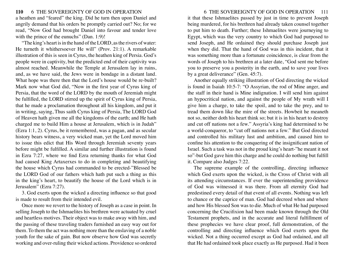# 110 6 THE SOVEREIGNTY OF GOD IN OPERATION 6 THE SOVEREIGNTY OF GOD IN OPERATION 111

a heathen and "feared" the king. Did he turn then upon Daniel and angrily demand that his orders be promptly carried out? No; for we read, "Now God had brought Daniel into favour and tender love with the prince of the eunuchs" (Dan. 1:9)!

"The king's heart is in the hand of the LORD, as the rivers of water: He turneth it whithersoever He will" (Prov. 21:1). A remarkable illustration of this is seen in Cyrus, the heathen king of Persia. God's people were in captivity, but the predicted end of their captivity was almost reached. Meanwhile the Temple at Jerusalem lay in ruins, and, as we have said, the Jews were in bondage in a distant land. What hope was there then that the Lord's house would be re-built? Mark now what God did, "Now in the first year of Cyrus king of Persia, that the word of the LORD by the mouth of Jeremiah might be fulfilled, the LORD stirred up the spirit of Cyrus king of Persia, that he made a proclamation throughout all his kingdom, and put it in writing, saying, Thus saith Cyrus king of Persia, The LORD God of Heaven hath given me all the kingdoms of the earth; and He hath charged me to build Him a house at Jerusalem, which is in Judah" (Ezra 1:1, 2). Cyrus, be it remembered, was a pagan, and as secular history bears witness, a very wicked man, yet the Lord moved him to issue this edict that His Word through Jeremiah seventy years before might be fulfilled. A similar and further illustration is found in Ezra 7:27, where we find Ezra returning thanks for what God had caused King Artaxerxes to do in completing and beautifying the house which Cyrus had commanded to be erected-"Blessed be the LORD God of our fathers which hath put such a thing as this in the king's heart, to beautify the house of the Lord which is in Jerusalem" (Ezra 7:27).

3. God exerts upon the wicked a directing influence so that good is made to result from their intended evil.

Once more we revert to the history of Joseph as a case in point. In selling Joseph to the Ishmaelites his brethren were actuated by cruel and heartless motives. Their object was to make away with him, and the passing of these traveling traders furnished an easy way out for them. To them the act was nothing more than the enslaving of a noble youth for the sake of gain. But now observe how God was secretly working and over-ruling their wicked actions. Providence so ordered

it that these Ishmaelites passed by just in time to prevent Joseph being murdered, for his brethren had already taken counsel together to put him to death. Further; these Ishmaelites were journeying to Egypt, which was the very country to which God had purposed to send Joseph, and He ordained they should purchase Joseph just when they did. That the hand of God was in this incident, that it was something more than a fortunate coincidence, is clear from the words of Joseph to his brethren at a later date, "God sent me before you to preserve you a posterity in the earth, and to save your lives by a great deliverance" (Gen. 45:7).

Another equally striking illustration of God directing the wicked is found in Isaiah 10:5-7: "O Assyrian, the rod of Mine anger, and the staff in their hand is Mine indignation. I will send him against an hypocritical nation, and against the people of My wrath will I give him a charge, to take the spoil, and to take the prey, and to tread them down like the mire of the streets. Howbeit he meaneth not so, neither doth his heart think so; but it is in his heart to destroy and cut off nations not a few." Assyria's king had determined to be a world-conqueror, to "cut off nations not a few." But God directed and controlled his military lust and ambition, and caused him to confine his attention to the conquering of the insignificant nation of Israel. Such a task was not in the proud king's heart-"he meant it not so"-but God gave him this charge and he could do nothing but fulfill it. Compare also Judges 7:22.

The supreme example of the controlling, directing influence which God exerts upon the wicked, is the Cross of Christ with all its attending circumstances. If ever the superintending providence of God was witnessed it was there. From all eternity God had predestined every detail of that event of all events. Nothing was left to chance or the caprice of man. God had decreed when and where and how His blessed Son was to die. Much of what He had purposed concerning the Crucifixion had been made known through the Old Testament prophets, and in the accurate and literal fulfillment of these prophecies we have clear proof, full demonstration, of the controlling and directing influence which God exerts upon the wicked. Not a thing occurred except as God had ordained, and all that He had ordained took place exactly as He purposed. Had it been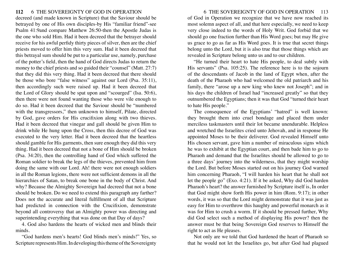decreed (and made known in Scripture) that the Saviour should be betrayed by one of His own disciples-by His "familiar friend"-see Psalm 41:9and compare Matthew 26:50-then the Apostle Judas is the one who sold Him. Had it been decreed that the betrayer should receive for his awful perfidy thirty pieces of silver, then are the chief priests moved to offer him this very sum. Had it been decreed that this betrayal sum should be put to a particular use, namely, purchase of the potter's field, then the hand of God directs Judas to return the money to the chief priests and so guided their "counsel" (Matt. 27:7) that they did this very thing. Had it been decreed that there should be those who bore "false witness" against our Lord (Psa. 35:11), then accordingly such were raised up. Had it been decreed that the Lord of Glory should be spat upon and "scourged" (Isa. 50:6), then there were not found wanting those who were vile enough to do so. Had it been decreed that the Saviour should be "numbered with the transgressors," then unknown to himself, Pilate, directed by God, gave orders for His crucifixion along with two thieves. Had it been decreed that vinegar and gall should be given Him to drink while He hung upon the Cross, then this decree of God was executed to the very letter. Had it been decreed that the heartless should gamble for His garments, then sure enough they did this very thing. Had it been decreed that not a bone of Him should be broken (Psa. 34:20), then the controlling hand of God which suffered the Roman soldier to break the legs of the thieves, prevented him from doing the same with our Lord. Ah! there were not enough soldiers in all the Roman legions, there were not sufficient demons in all the hierarchies of Satan, to break one bone in the body of Christ. And why? Because the Almighty Sovereign had decreed that not a bone should be broken. Do we need to extend this paragraph any farther? Does not the accurate and literal fulfillment of all that Scripture had predicted in connection with the Crucifixion, demonstrate beyond all controversy that an Almighty power was directing and superintending everything that was done on that Day of days?

4. God also hardens the hearts of wicked men and blinds their minds.

"God hardens men's hearts! God blinds men's minds!" Yes, so Scripture represents Him. In developing this theme of the Sovereignty

112 6 THE SOVEREIGNTY OF GOD IN OPERATION 6 THE SOVEREIGNTY OF GOD IN OPERATION 113 of God in Operation we recognize that we have now reached its most solemn aspect of all, and that here especially, we need to keep very close indeed to the words of Holy Writ. God forbid that we should go one fraction further than His Word goes; but may He give us grace to go as far as His Word goes. It is true that secret things belong unto the Lord, but it is also true that those things which are revealed in Scripture belong unto us and to our children.

> "He turned their heart to hate His people, to deal subtly with His servants" (Psa. 105:25). The reference here is to the sojourn of the descendants of Jacob in the land of Egypt when, after the death of the Pharaoh who had welcomed the old patriarch and his family, there "arose up a new king who knew not Joseph"; and in his days the children of Israel had "increased greatly" so that they outnumbered the Egyptians; then it was that God "turned their heart to hate His people."

> The consequence of the Egyptians' "hatred" is well known: they brought them into cruel bondage and placed them under merciless taskmasters until their lot became unendurable. Helpless and wretched the Israelites cried unto Jehovah, and in response He appointed Moses to be their deliverer. God revealed Himself unto His chosen servant, gave him a number of miraculous signs which he was to exhibit at the Egyptian court, and then bade him to go to Pharaoh and demand that the Israelites should be allowed to go to a three days' journey into the wilderness, that they might worship the Lord. But before Moses started out on his journey God warned him concerning Pharaoh, "I will harden his heart that he shall not let the people go" (Exo. 4:21). If it be asked, Why did God harden Pharaoh's heart? the answer furnished by Scripture itself is, In order that God might show forth His power in him (Rom. 9:17); in other words, it was so that the Lord might demonstrate that it was just as easy for Him to overthrow this haughty and powerful monarch as it was for Him to crush a worm. If it should be pressed further, Why did God select such a method of displaying His power? then the answer must be that being Sovereign God reserves to Himself the right to act as He pleases.

> Not only are we told that God hardened the heart of Pharaoh so that he would not let the Israelites go, but after God had plagued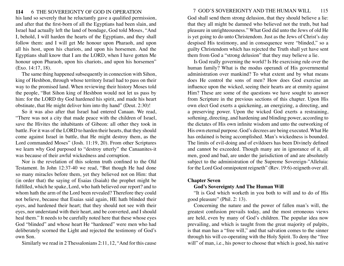his land so severely that he reluctantly gave a qualified permission, and after that the first-born of all the Egyptians had been slain, and Israel had actually left the land of bondage, God told Moses, "And I, behold, I will harden the hearts of the Egyptians, and they shall follow them: and I will get Me honour upon Pharaoh, and upon all his host, upon his chariots, and upon his horsemen. And the Egyptians shall know that I am the LORD, when I have gotten Me honour upon Pharaoh, upon his chariots, and upon his horsemen" (Exo. 14:17, 18).

The same thing happened subsequently in connection with Sihon, king of Heshbon, through whose territory Israel had to pass on their way to the promised land. When reviewing their history Moses told the people, "But Sihon king of Heshbon would not let us pass by him: for the LORD thy God hardened his spirit, and made his heart obstinate, that He might deliver him into thy hand" (Deut. 2:30)!

So it was also after that Israel had entered Canaan. We read, "There was not a city that made peace with the children of Israel, save the Hivites the inhabitants of Gibeon: all other they took in battle. For it was of the LORD to harden their hearts, that they should come against Israel in battle, that He might destroy them, as the Lord commanded Moses" (Josh. 11:19, 20). From other Scriptures we learn why God purposed to "destroy utterly" the Canaanites-it was because of their awful wickedness and corruption.

Nor is the revelation of this solemn truth confined to the Old Testament. In John 12:37-40 we read, "But though He had done so many miracles before them, yet they believed not on Him: that (in order that) the saying of Esaias (Isaiah) the prophet might be fulfilled, which he spake, Lord, who hath believed our report? and to whom hath the arm of the Lord been revealed? Therefore they could not believe, because that Esaias said again, HE hath blinded their eyes, and hardened their heart; that they should not see with their eyes, nor understand with their heart, and be converted, and I should heal them." It needs to be carefully noted here that these whose eyes God "blinded" and whose heart He "hardened" were men who had deliberately scorned the Light and rejected the testimony of God's own Son.

Similarly we read in 2 Thessalonians 2:11, 12, "And for this cause

# 114 **6 THE SOVEREIGNTY OF GOD IN OPERATION** 7 GOD'S SOVEREIGNTY AND THE HUMAN WILL 115 God shall send them strong delusion, that they should believe a lie: that they all might be damned who believed not the truth, but had pleasure in unrighteousness." What God did unto the Jews of old He

is yet going to do unto Christendom. Just as the Jews of Christ's day despised His testimony, and in consequence were "blinded," so a guilty Christendom which has rejected the Truth shall yet have sent them from God a "strong delusion" that they may believe a lie.

Is God really governing the world? Is He exercising rule over the human family? What is the modus operandi of His governmental administration over mankind? To what extent and by what means does He control the sons of men? How does God exercise an influence upon the wicked, seeing their hearts are at enmity against Him? These are some of the questions we have sought to answer from Scripture in the previous sections of this chapter. Upon His own elect God exerts a quickening, an energizing, a directing, and a preserving power. Upon the wicked God exerts a restraining, softening, directing, and hardening and blinding power, according to the dictates of His own infinite wisdom and unto the outworking of His own eternal purpose. God's decrees are being executed. What He has ordained is being accomplished. Man's wickedness is bounded. The limits of evil-doing and of evildoers has been Divinely defined and cannot be exceeded. Though many are in ignorance of it, all men, good and bad, are under the jurisdiction of and are absolutely subject to the administration of the Supreme Sovereign-"Alleluia: for the Lord God omnipotent reigneth" (Rev. 19:6)-reigneth over all.

### **Chapter Seven**

## **God's Sovereignty And The Human Will**

"It is God which worketh in you both to will and to do of His good pleasure" (Phil. 2: 13).

Concerning the nature and the power of fallen man's will, the greatest confusion prevails today, and the most erroneous views are held, even by many of God's children. The popular idea now prevailing, and which is taught from the great majority of pulpits, is that man has a "free will," and that salvation comes to the sinner through his will co-operating with the Holy Spirit. To deny the "free will" of man, i.e., his power to choose that which is good, his native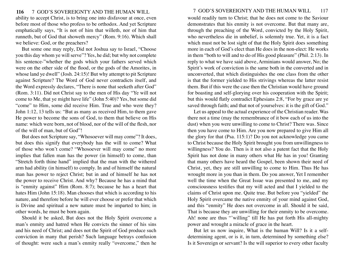### 116 7 GOD'S SOVEREIGNTY AND THE HUMAN WILL <sup>7</sup> GOD'S SOVEREIGNTY AND THE HUMAN WILL 117

ability to accept Christ, is to bring one into disfavour at once, even before most of those who profess to be orthodox. And yet Scripture emphatically says, "It is not of him that willeth, nor of him that runneth, but of God that showeth mercy" (Rom. 9:16). Which shall we believe: God, or the preachers?

But some one may reply, Did not Joshua say to Israel, "Choose you this day whom ye will serve"? Yes, he did; but why not complete his sentence-"whether the gods which your fathers served which were on the other side of the flood, or the gods of the Amorites, in whose land ye dwell" (Josh. 24:15)! But why attempt to pit Scripture against Scripture? The Word of God never contradicts itself, and the Word expressly declares, "There is none that seeketh after God" (Rom. 3:11). Did not Christ say to the men of His day "Ye will not come to Me, that ye might have life" (John 5:40)? Yes, but some did "come" to Him, some did receive Him. True and who were they? John 1:12, 13 tells us: "But as many as received Him, to them gave He power to become the sons of God, to them that believe on His name: which were born, not of blood, nor of the will of the flesh, nor of the will of man, but of God"!

But does not Scripture say, "Whosoever will may come"? It does, but does this signify that everybody has the will to come? What of those who won't come? "Whosoever will may come" no more implies that fallen man has the power (in himself) to come, than "Stretch forth thine hand" implied that the man with the withered arm had ability (in himself) to comply. In and of himself the natural man has power to reject Christ; but in and of himself he has not the power to receive Christ. And why? Because he has a mind that is "enmity against" Him (Rom. 8:7); because he has a heart that hates Him (John 15:18). Man chooses that which is according to his nature, and therefore before he will ever choose or prefer that which is Divine and spiritual a new nature must be imparted to him; in other words, he must be born again.

Should it be asked, But does not the Holy Spirit overcome a man's enmity and hatred when He convicts the sinner of his sins and his need of Christ; and does not the Spirit of God produce such conviction in many that perish? Such language betrays confusion of thought: were such a man's enmity really "overcome," then he

would readily turn to Christ; that he does not come to the Saviour demonstrates that his enmity is not overcome. But that many are, through the preaching of the Word, convicted by the Holy Spirit, who nevertheless die in unbelief, is solemnly true. Yet, it is a fact which must not be lost sight of that the Holy Spirit does something more in each of God's elect than He does in the non-elect: He works in them "both to will and to do of His good pleasure" (Phil. 2:13). In reply to what we have said above, Arminians would answer, No; the Spirit's work of conviction is the same both in the converted and in unconverted, that which distinguishes the one class from the other is that the former yielded to His strivings whereas the latter resist them. But if this were the case then the Christian would have ground for boasting and self-glorying over his cooperation with the Spirit; but this would flatly contradict Ephesians 2:8, "For by grace are ye saved through faith; and that not of yourselves: it is the gift of God."

Let us appeal to the actual experience of the Christian reader. Was there not a time (may the remembrance of it bow each of us into the dust) when you were unwilling to come to Christ? There was. Since then you have come to Him. Are you now prepared to give Him all the glory for that (Psa. 115:1)? Do you not acknowledge you came to Christ because the Holy Spirit brought you from unwillingness to willingness? You do. Then is it not also a patent fact that the Holy Spirit has not done in many others what He has in you! Granting that many others have heard the Gospel, been shown their need of Christ, yet, they are still unwilling to come to Him. Thus He has wrought more in you than in them. Do you answer, Yet I remember well the time when the Great Issue was presented to me, and my consciousness testifies that my will acted and that I yielded to the claims of Christ upon me. Quite true. But before you "yielded" the Holy Spirit overcame the native enmity of your mind against God, and this "enmity" He does not overcome in all. Should it be said, That is because they are unwilling for their enmity to be overcome. Ah! none are thus "'willing" till He has put forth His all-mighty power and wrought a miracle of grace in the heart.

But let us now inquire, What is the human Will? Is it a selfdetermining agent, or is it, in turn, determined by something else? Is it Sovereign or servant? Is the will superior to every other faculty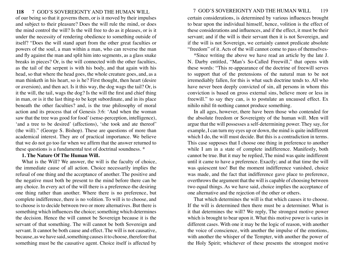of our being so that it governs them, or is it moved by their impulses and subject to their pleasure? Does the will rule the mind, or does the mind control the will? Is the will free to do as it pleases, or is it under the necessity of rendering obedience to something outside of itself? "Does the will stand apart from the other great faculties or powers of the soul, a man within a man, who can reverse the man and fly against the man and split him into segments, as a glass snake breaks in pieces? Or, is the will connected with the other faculties, as the tail of the serpent is with his body, and that again with his head, so that where the head goes, the whole creature goes, and, as a man thinketh in his heart, so is he? First thought, then heart (desire or aversion), and then act. Is it this way, the dog wags the tail? Or, is it the will, the tail, wags the dog? Is the will the first and chief thing in man, or is it the last thing-to be kept subordinate, and in its place beneath the other faculties? and, is the true philosophy of moral action and its process that of Genesis 3:6: 'And when the woman saw that the tree was good for food' (sense-perception, intelligence), 'and a tree to be desired' (affections), 'she took and ate thereof' (the will)." (George S. Bishop). These are questions of more than academical interest. They are of practical importance. We believe that we do not go too far when we affirm that the answer returned to these questions is a fundamental test of doctrinal soundness. \*

### **1. The Nature Of The Human Will.**

What is the Will? We answer, the will is the faculty of choice, the immediate cause of all action. Choice necessarily implies the refusal of one thing and the acceptance of another. The positive and the negative must both be present to the mind before there can be any choice. In every act of the will there is a preference-the desiring one thing rather than another. Where there is no preference, but complete indifference, there is no volition. To will is to choose, and to choose is to decide between two or more alternatives. But there is something which influences the choice; something which determines the decision. Hence the will cannot be Sovereign because it is the servant of that something. The will cannot be both Sovereign and servant. It cannot be both cause and effect. The will is not causative, because, as we have said, something causes it to choose, therefore that something must be the causative agent. Choice itself is affected by

# 118 7 GOD'S SOVEREIGNTY AND THE HUMAN WILL 7 GOD'S SOVEREIGNTY AND THE HUMAN WILL 119 certain considerations, is determined by various influences brought to bear upon the individual himself, hence, volition is the effect of these considerations and influences, and if the effect, it must be their servant; and if the will is their servant then it is not Sovereign, and if the will is not Sovereign, we certainly cannot predicate absolute "freedom" of it. Acts of the will cannot come to pass of themselves-

\*Since writing the above we have read an article by the late J. N. Darby entitled, "Man's So-Called Freewill," that opens with these words: "This re-appearance of the doctrine of freewill serves to support that of the pretensions of the natural man to be not irremediably fallen, for this is what such doctrine tends to. All who have never been deeply convicted of sin, all persons in whom this conviction is based on gross external sins, believe more or less in freewill." to say they can, is to postulate an uncaused effect. Ex nihilo nihil fit-nothing cannot produce something.

In all ages, however, there have been those who contended for the absolute freedom or Sovereignty of the human will. Men will argue that the will possesses a self-determining power. They say, for example, I can turn my eyes up or down, the mind is quite indifferent which I do, the will must decide. But this is a contradiction in terms. This case supposes that I choose one thing in preference to another while I am in a state of complete indifference. Manifestly, both cannot be true. But it may be replied, The mind was quite indifferent until it came to have a preference. Exactly; and at that time the will was quiescent too! But the moment indifference vanished, choice was made, and the fact that indifference gave place to preference, overthrows the argument that the will is capable of choosing between two equal things. As we have said, choice implies the acceptance of one alternative and the rejection of the other or others.

That which determines the will is that which causes it to choose. If the will is determined then there must be a determiner. What is it that determines the will? We reply, The strongest motive power which is brought to bear upon it. What this motive power is varies in different cases. With one it may be the logic of reason, with another the voice of conscience, with another the impulse of the emotions, with another the whisper of the Tempter, with another the power of the Holy Spirit; whichever of these presents the strongest motive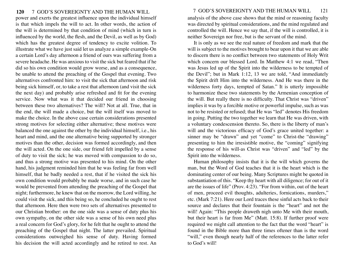# power and exerts the greatest influence upon the individual himself is that which impels the will to act. In other words, the action of the will is determined by that condition of mind (which in turn is influenced by the world, the flesh, and the Devil, as well as by God) which has the greatest degree of tendency to excite volition. To illustrate what we have just said let us analyze a simple example-On a certain Lord's day afternoon a friend of ours was suffering from a severe headache. He was anxious to visit the sick but feared that if he did so his own condition would grow worse, and as a consequence, be unable to attend the preaching of the Gospel that evening. Two alternatives confronted him: to visit the sick that afternoon and risk being sick himself, or, to take a rest that afternoon (and visit the sick the next day) and probably arise refreshed and fit for the evening service. Now what was it that decided our friend in choosing between these two alternatives? The will? Not at all. True, that in the end, the will made a choice, but the will itself was moved to make the choice. In the above case certain considerations presented strong motives for selecting either alternative; these motives were balanced the one against the other by the individual himself, i.e., his heart and mind, and the one alternative being supported by stronger motives than the other, decision was formed accordingly, and then the will acted. On the one side, our friend felt impelled by a sense of duty to visit the sick; he was moved with compassion to do so, and thus a strong motive was presented to his mind. On the other hand, his judgment reminded him that he was feeling far from well himself, that he badly needed a rest, that if he visited the sick his own condition would probably be made worse, and in such case he would be prevented from attending the preaching of the Gospel that night; furthermore, he knew that on the morrow, the Lord willing, he could visit the sick, and this being so, he concluded he ought to rest that afternoon. Here then were two sets of alternatives presented to our Christian brother: on the one side was a sense of duty plus his own sympathy, on the other side was a sense of his own need plus a real concern for God's glory, for he felt that he ought to attend the preaching of the Gospel that night. The latter prevailed. Spiritual considerations outweighed his sense of duty. Having formed his decision the will acted accordingly and he retired to rest. An

120 7 GOD'S SOVEREIGNTY AND THE HUMAN WILL 7 GOD'S SOVEREIGNTY AND THE HUMAN WILL 121 analysis of the above case shows that the mind or reasoning faculty was directed by spiritual considerations, and the mind regulated and controlled the will. Hence we say that, if the will is controlled, it is neither Sovereign nor free, but is the servant of the mind.

> It is only as we see the real nature of freedom and mark that the will is subject to the motives brought to bear upon it that we are able to discern there is no conflict between two statements of Holy Writ which concern our blessed Lord. In Matthew 4:1 we read, "Then was Jesus led up of the Spirit into the wilderness to be tempted of the Devil"; but in Mark 1:12, 13 we are told, "And immediately the Spirit drift Him into the wilderness. And He was there in the wilderness forty days, tempted of Satan." It is utterly impossible to harmonize these two statements by the Armenian conception of the will. But really there is no difficulty. That Christ was "driven" implies it was by a forcible motive or powerful impulse, such as was not to be resisted or refused; that He was "led" denotes His freedom in going. Putting the two together we learn that He was driven, with a voluntary condescension thereto. So, there is the liberty of man's will and the victorious efficacy of God's grace united together: a sinner may be "drawn" and yet "come" to Christ-the "drawing" presenting to him the irresistible motive, the "coming" signifying the response of his will-as Christ was "driven" and "led" by the Spirit into the wilderness.

> Human philosophy insists that it is the will which governs the man, but the Word of God teaches that it is the heart which is the dominating center of our being. Many Scriptures might be quoted in substantiation of this. "Keep thy heart with all diligence; for out of it are the issues of life" (Prov. 4:23). "For from within, out of the heart of men, proceed evil thoughts, adulteries, fornications, murders," etc. (Mark 7:21). Here our Lord traces these sinful acts back to their source and declares that their fountain is the "heart" and not the will! Again: "This people draweth nigh unto Me with their mouth, but their heart is far from Me" (Matt. 15:8). If further proof were required we might call attention to the fact that the word "heart" is found in the Bible more than three times oftener than is the word "will," even though nearly half of the references to the latter refer to God's will!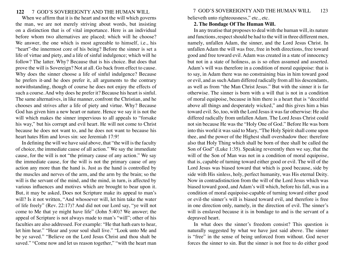When we affirm that it is the heart and not the will which governs the man, we are not merely striving about words, but insisting on a distinction that is of vital importance. Here is an individual before whom two alternatives are placed; which will he choose? We answer, the one which is most agreeable to himself, i.e., his "heart"-the innermost core of his being? Before the sinner is set a life of virtue and piety, and a life of sinful indulgence; which will he follow? The latter. Why? Because that is his choice. But does that prove the will is Sovereign? Not at all. Go back from effect to cause. Why does the sinner choose a life of sinful indulgence? Because he prefers it-and he does prefer it, all arguments to the contrary notwithstanding, though of course he does not enjoy the effects of such a course. And why does he prefer it? Because his heart is sinful. The same alternatives, in like manner, confront the Christian, and he chooses and strives after a life of piety and virtue. Why? Because God has given him a new heart or nature. Hence we say it is not the will which makes the sinner impervious to all appeals to "forsake his way," but his corrupt and evil heart. He will not come to Christ because he does not want to, and he does not want to because his heart hates Him and loves sin: see Jeremiah 17:9!

In defining the will we have said above, that "the will is the faculty of choice, the immediate cause of all action." We say the immediate cause, for the will is not "the primary cause of any action." We say the immediate cause, for the will is not the primary cause of any action any more than the hand is. Just as the hand is controlled by the muscles and nerves of the arm, and the arm by the brain; so the will is the servant of the mind, and the mind, in turn, is affected by various influences and motives which are brought to bear upon it. But, it may be asked, Does not Scripture make its appeal to man's will? Is it not written, "And whosoever will, let him take the water of life freely" (Rev. 22:17)? And did not our Lord say, "ye will not come to Me that ye might have life" (John 5:40)? We answer; the appeal of Scripture is not always made to man's "will"; other of his faculties are also addressed. For example: "He that hath ears to hear, let him hear." "Hear and your soul shall live." "Look unto Me and be ye saved." "Believe on the Lord Jesus Christ and thou shalt be saved." "Come now and let us reason together," "with the heart man

122 7 GOD'S SOVEREIGNTY AND THE HUMAN WILL 7 GOD'S SOVEREIGNTY AND THE HUMAN WILL 123 believeth unto righteousness," etc., etc.

### **2. The Bondage Of The Human Will.**

In any treatise that proposes to deal with the human will, its nature and functions, respect should be had to the will in three different men, namely, unfallen Adam, the sinner, and the Lord Jesus Christ. In unfallen Adam the will was free, free in both directions, free toward good and free toward evil. Adam was created in a state of innocency but not in a state of holiness, as is so often assumed and asserted. Adam's will was therefore in a condition of moral equipoise: that is to say, in Adam there was no constraining bias in him toward good or evil, and as such Adam differed radically from all his descendants, as well as from "the Man Christ Jesus." But with the sinner it is far otherwise. The sinner is born with a will that is not in a condition of moral equipoise, because in him there is a heart that is "deceitful above all things and desperately wicked," and this gives him a bias toward evil. So, too, with the Lord Jesus it was far otherwise: He also differed radically from unfallen Adam. The Lord Jesus Christ could not sin because He was the "Holy One of God." Before He was born into this world it was said to Mary, "The Holy Spirit shall come upon thee, and the power of the Highest shall overshadow thee: therefore also that Holy Thing which shall be born of thee shall be called the Son of God" (Luke 1:35). Speaking reverently then we say, that the will of the Son of Man was not in a condition of moral equipoise, that is, capable of turning toward either good or evil. The will of the Lord Jesus was biased toward that which is good because, side by side with His sinless, holy, perfect humanity, was His eternal Deity. Now in contradistinction from the will of the Lord Jesus which was biased toward good, and Adam's will which, before his fall, was in a condition of moral equipoise-capable of turning toward either good or evil-the sinner's will is biased toward evil, and therefore is free in one direction only, namely, in the direction of evil. The sinner's will is enslaved because it is in bondage to and is the servant of a depraved heart.

In what does the sinner's freedom consist? This question is naturally suggested by what we have just said above. The sinner is "free" in the sense of being unforced from without. God never forces the sinner to sin. But the sinner is not free to do either good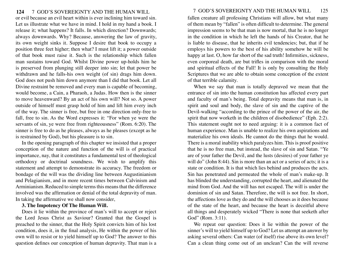or evil because an evil heart within is ever inclining him toward sin. Let us illustrate what we have in mind. I hold in my hand a book. I release it; what happens? It falls. In which direction? Downwards; always downwards. Why? Because, answering the law of gravity, its own weight sinks it. Suppose I desire that book to occupy a position three feet higher; then what? I must lift it; a power outside of that book must raise it. Such is the relationship which fallen man sustains toward God. Whilst Divine power up-holds him he is preserved from plunging still deeper into sin; let that power be withdrawn and he falls-his own weight (of sin) drags him down. God does not push him down anymore than I did that book. Let all Divine restraint be removed and every man is capable of becoming, would become, a Cain, a Pharaoh, a Judas. How then is the sinner to move heavenward? By an act of his own will? Not so. A power outside of himself must grasp hold of him and lift him every inch of the way. The sinner is free, but free in one direction only-free to fall, free to sin. As the Word expresses it: "For when ye were the servants of sin, ye were free from righteousness" (Rom. 6:20). The sinner is free to do as he pleases, always as he pleases (except as he is restrained by God), but his pleasure is to sin.

In the opening paragraph of this chapter we insisted that a proper conception of the nature and function of the will is of practical importance, nay, that it constitutes a fundamental test of theological orthodoxy or doctrinal soundness. We wish to amplify this statement and attempt to demonstrate its accuracy. The freedom or bondage of the will was the dividing line between Augustinianism and Pelagianism, and in more recent times between Calvinism and Arminianism. Reduced to simple terms this means that the difference involved was the affirmation or denial of the total depravity of man. In taking the affirmative we shall now consider,

### **3. The Impotency Of The Human Will.**

Does it lie within the province of man's will to accept or reject the Lord Jesus Christ as Saviour? Granted that the Gospel is preached to the sinner, that the Holy Spirit convicts him of his lost condition, does it, in the final analysis, He within the power of his own will to resist or to yield himself up to God? The answer to this question defines our conception of human depravity. That man is a

### 124 7 GOD'S SOVEREIGNTY AND THE HUMAN WILL 7 GOD'S SOVEREIGNTY AND THE HUMAN WILL 125

fallen creature all professing Christians will allow, but what many of them mean by "fallen" is often difficult to determine. The general impression seems to be that man is now mortal, that he is no longer in the condition in which he left the hands of his Creator, that he is liable to disease, that he inherits evil tendencies; but, that if he employs his powers to the best of his ability somehow he will be happy at last. O, how far short of the sad truth! Infirmities, sickness, even corporeal death, are but trifles in comparison with the moral and spiritual effects of the Fall! It is only by consulting the Holy Scriptures that we are able to obtain some conception of the extent of that terrible calamity.

When we say that man is totally depraved we mean that the entrance of sin into the human constitution has affected every part and faculty of man's being. Total depravity means that man is, in spirit and soul and body, the slave of sin and the captive of the Devil-walking "according to the prince of the power of the air, the spirit that now worketh in the children of disobedience" (Eph. 2:2). This statement ought not to need arguing: it is a common fact of human experience. Man is unable to realize his own aspirations and materialize his own ideals. He cannot do the things that he would. There is a moral inability which paralyzes him. This is proof positive that he is no free man, but instead, the slave of sin and Satan. "Ye are of your father the Devil, and the lusts (desires) of your father ye will do" (John 8:44). Sin is more than an act or a series of acts; it is a state or condition. It is that which lies behind and produces the acts. Sin has penetrated and permeated the whole of man's make-up. It has blinded the understanding, corrupted the heart, and alienated the mind from God. And the will has not escaped. The will is under the dominion of sin and Satan. Therefore, the will is not free. In short, the affections love as they do and the will chooses as it does because of the state of the heart, and because the heart is deceitful above all things and desperately wicked "There is none that seeketh after God" (Rom. 3:11).

We repeat our question: Does it lie within the power of the sinner's will to yield himself up to God? Let us attempt an answer by asking several others: Can water (of itself) rise above its own level? Can a clean thing come out of an unclean? Can the will reverse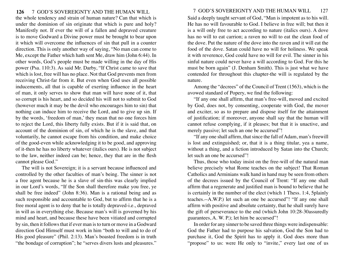the whole tendency and strain of human nature? Can that which is under the dominion of sin originate that which is pure and holy? Manifestly not. If ever the will of a fallen and depraved creature is to move Godward a Divine power must be brought to bear upon it which will overcome the influences of sin that pull in a counter direction. This is only another way of saying, "No man can come to Me, except the Father which hath sent Me, draw him (John 6:44). In other words, God's people must be made willing in the day of His power (Psa. 110:3). As said Mr. Darby, "If Christ came to save that which is lost, free will has no place. Not that God prevents men from receiving Christ-far from it. But even when God uses all possible inducements, all that is capable of exerting influence in the heart of man, it only serves to show that man will have none of it, that so corrupt is his heart, and so decided his will not to submit to God (however much it may be the devil who encourages him to sin) that nothing can induce him to receive the Lord, and to give up sin. If by the words, 'freedom of man,' they mean that no one forces him to reject the Lord, this liberty fully exists. But if it is said that, on account of the dominion of sin, of which he is the slave, and that voluntarily, he cannot escape from his condition, and make choice of the good-even while acknowledging it to be good, and approving of it-then he has no liberty whatever (italics ours). He is not subject to the law, neither indeed can be; hence, they that are in the flesh cannot please God."

The will is not Sovereign; it is a servant because influenced and controlled by the other faculties of man's being. The sinner is not a free agent because he is a slave of sin-this was clearly implied in our Lord's words, "If the Son shall therefore make you free, ye shall be free indeed" (John 8:36). Man is a rational being and as such responsible and accountable to God, but to affirm that he is a free moral agent is to deny that he is totally depraved-i.e., depraved in will as in everything else. Because man's will is governed by his mind and heart, and because these have been vitiated and corrupted by sin, then it follows that if ever man is to turn or move in a Godward direction God Himself must work in him "both to will and to do of His good pleasure" (Phil. 2:13). Man's boasted freedom is in truth "the bondage of corruption"; he "serves divers lusts and pleasures."

### 126 7 GOD'S SOVEREIGNTY AND THE HUMAN WILL 7 GOD'S SOVEREIGNTY AND THE HUMAN WILL 127

Said a deeply taught servant of God, "Man is impotent as to his will. He has no will favourable to God. I believe in free will; but then it is a will only free to act according to nature (italics ours). A dove has no will to eat carrion; a raven no will to eat the clean food of the dove. Put the nature of the dove into the raven and it will eat the food of the dove. Satan could have no will for holiness. We speak it with reverence, God could have no will for evil. The sinner in his sinful nature could never have a will according to God. For this he must be born again" (J. Denham Smith). This is just what we have contended for throughout this chapter-the will is regulated by the nature.

Among the "decrees" of the Council of Trent (1563), which is the avowed standard of Popery, we find the following:

"If any one shall affirm, that man's free-will, moved and excited by God, does not, by consenting, cooperate with God, the mover and exciter, so as to prepare and dispose itself for the attainment of justification; if moreover, anyone shall say that the human will cannot refuse complying, if it pleases; but that it is unactive, and merely passive; let such an one be accursed"!

"If any one shall affirm, that since the fall of Adam, man's freewill is lost and extinguished; or, that it is a thing titular, yea a name, without a thing, and a fiction introduced by Satan into the Church; let such an one be accursed"!

Thus, those who today insist on the free-will of the natural man believe precisely what Rome teaches on the subject! That Roman Catholics and Arminians walk hand in hand may be seen from others of the decrees issued by the Council of Trent: "If any one shall affirm that a regenerate and justified man is bound to believe that he is certainly in the number of the elect (which 1 Thess. 1:4, 5plainly teaches.--A.W.P.) let such an one be accursed"! "If any one shall affirm with positive and absolute certainty, that he shall surely have the gift of perseverance to the end (which John 10:28-30assuredly guarantees, A. W. P.); let him be accursed"!

In order for any sinner to be saved three things were indispensable: God the Father had to purpose his salvation, God the Son had to purchase it, God the Spirit has to apply it. God does more than "propose" to us: were He only to "invite," every last one of us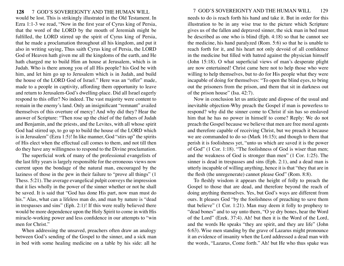# would be lost. This is strikingly illustrated in the Old Testament. In Ezra 1:1-3 we read, "Now in the first year of Cyrus king of Persia, that the word of the LORD by the mouth of Jeremiah might be fulfilled, the LORD stirred up the spirit of Cyrus king of Persia, that he made a proclamation throughout all his kingdom, and put it also in writing saying, Thus saith Cyrus king of Persia, the LORD God of Heaven hath given me all the kingdoms of the earth, and He hath charged me to build Him an house at Jerusalem, which is in Judah. Who is there among you of all His people? his God be with him, and let him go up to Jerusalem which is in Judah, and build the house of the LORD God of Israel." Here was an "offer" made, made to a people in captivity, affording them opportunity to leave and return to Jerusalem-God's dwelling-place. Did all Israel eagerly respond to this offer? No indeed. The vast majority were content to remain in the enemy's land. Only an insignificant "remnant" availed themselves of this overture of mercy! And why did they? Hear the answer of Scripture: "Then rose up the chief of the fathers of Judah and Benjamin, and the priests, and the Levites, with all whose spirit God had stirred up, to go up to build the house of the LORD which is in Jerusalem" (Ezra 1:5)! In like manner, God "stirs up" the spirits of His elect when the effectual call comes to them, and not till then do they have any willingness to respond to the Divine proclamation.

The superficial work of many of the professional evangelists of the last fifty years is largely responsible for the erroneous views now current upon the bondage of the natural man, encouraged by the laziness of those in the pew in their failure to "prove all things" (1 Thess. 5:21). The average evangelical pulpit conveys the impression that it lies wholly in the power of the sinner whether or not he shall be saved. It is said that "God has done His part, now man must do his." Alas, what can a lifeless man do, and man by nature is "dead" in trespasses and sins" (Eph. 2:1)! If this were really believed there would be more dependence upon the Holy Spirit to come in with His miracle-working power and less confidence in our attempts to "win men for Christ."

When addressing the unsaved, preachers often draw an analogy between God's sending of the Gospel to the sinner, and a sick man in bed with some healing medicine on a table by his side: all he

# 128 7 GOD'S SOVEREIGNTY AND THE HUMAN WILL 7 GOD'S SOVEREIGNTY AND THE HUMAN WILL 129

needs to do is reach forth his hand and take it. But in order for this illustration to be in any wise true to the picture which Scripture gives us of the fallen and depraved sinner, the sick man in bed must be described as one who is blind (Eph. 4:18) so that he cannot see the medicine, his hand paralyzed (Rom. 5:6) so that he is unable to reach forth for it, and his heart not only devoid of all confidence in the medicine but filled with hatred against the physician himself (John 15:18). O what superficial views of man's desperate plight are now entertained! Christ came here not to help those who were willing to help themselves, but to do for His people what they were incapable of doing for themselves: "To open the blind eyes, to bring out the prisoners from the prison, and them that sit in darkness out of the prison house" (Isa. 42:7).

Now in conclusion let us anticipate and dispose of the usual and inevitable objection-Why preach the Gospel if man is powerless to respond? why did the sinner come to Christ if sin has so enslaved him that he has no power in himself to come? Reply: We do not preach the Gospel because we believe that men are free moral agents and therefore capable of receiving Christ, but we preach it because we are commanded to do so (Mark 16:15); and though to them that perish it is foolishness yet, "unto us which are saved it is the power of God" (1 Cor. 1:18). "The foolishness of God is wiser than men; and the weakness of God is stronger than men" (1 Cor. 1:25). The sinner is dead in trespasses and sins (Eph. 2:1), and a dead man is utterly incapable of willing anything, hence it is that "they that are in the flesh (the unregenerate) cannot please God" (Rom. 8:8).

To fleshly wisdom it appears the height of folly to preach the Gospel to those that are dead, and therefore beyond the reach of doing anything themselves. Yes, but God's ways are different from ours. It pleases God "by the foolishness of preaching to save them that believe" (1 Cor. 1:21). Man may deem it folly to prophesy to "dead bones" and to say unto them, "O ye dry bones, hear the Word of the Lord" (Ezek. 37:4). Ah! but then it is the Word of the Lord, and the words He speaks "they are spirit, and they are life" (John 6:63). Wise men standing by the grave of Lazarus might pronounce it an evidence of insanity when the Lord addressed a dead man with the words, "Lazarus, Come forth." Ah! but He who thus spake was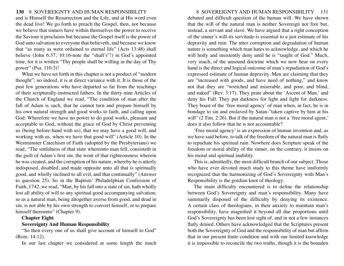**130** 8 SOVEREIGNTY AND HUMAN RESPONSIBILITY 8 SOVEREIGNTY AND HUMAN RESPONSIBILITY 131 and is Himself the Resurrection and the Life, and at His word even the dead live! We go forth to preach the Gospel, then, not because we believe that sinners have within themselves the power to receive the Saviour it proclaims but because the Gospel itself is the power of God unto salvation to everyone that believeth, and because we know that "as many as were ordained to eternal life" (Acts 13:48) shall believe (John 6:37; 10:16-note the "shall's"!) in God's appointed time, for it is written "Thy people shall be willing in the day of Thy power" (Psa. 110:3)!

What we have set forth in this chapter is not a product of "modern thought"; no indeed, it is at direct variance with it. It is those of the past few generations who have departed so far from the teachings of their scripturally-instructed fathers. In the thirty-nine Articles of the Church of England we read, "The condition of man after the fall of Adam is such, that he cannot turn and prepare himself by his own natural strength and good works to faith, and calling upon God: Wherefore we have no power to do good works, pleasant and acceptable to God, without the grace of God by Christ preventing us (being before-hand with us), that we may have a good will, and working with us, when we have that good will" (Article 10). In the Westminster Catechism of Faith (adopted by the Presbyterians) we read, "The sinfulness of that state whereinto man fell, consisteth in the guilt of Adam's first sin, the wont of that righteousness wherein he was created, and the corruption of his nature, whereby he is utterly indisposed, disabled, and made opposite unto all that is spiritually good, and wholly inclined to all evil, and that continually" (Answer to question 25). So in the Baptists' Philadelphian Confession of Faith, 1742, we read, "Man, by his fall into a state of sin, hath wholly lost all ability of will to any spiritual good accompanying salvation; so as a natural man, being altogether averse from good, and dead in sin, is not able by his own strength to convert himself, or to prepare himself thereunto" (Chapter 9).

### **Chapter Eight**

### **Sovereignty And Human Responsibility**

"So then every one of us shall give account of himself to God" (Rom. 14:12).

In our last chapter we considered at some length the much

debated and difficult question of the human will. We have shown that the will of the natural man is neither Sovereign nor free but, instead, a servant and slave. We have argued that a right conception of the sinner's will-its servitude-is essential to a just estimate of his depravity and ruin. The utter corruption and degradation of human nature is something which man hates to acknowledge, and which he will hotly and insistently deny until he is "taught of God." Much, very much, of the unsound doctrine which we now hear on every hand is the direct and logical outcome of man's repudiation of God's expressed estimate of human depravity. Men are claiming that they are "increased with goods, and have need of nothing," and know not that they are "wretched and miserable, and poor, and blind, and naked" (Rev. 3:17). They prate about the 'Ascent of Man,' and deny his Fall. They put darkness for light and light for darkness. They boast of the 'free moral agency' of man when, in fact, he is in bondage to sin and enslaved by Satan-"taken captive by him at his will" (2 Tim. 2:26). But if the natural man is not a 'free moral agent,' does it also follow that he is not accountable?

'Free moral agency' is an expression of human invention and, as we have said before, to talk of the freedom of the natural man is flatly to repudiate his spiritual ruin. Nowhere does Scripture speak of the freedom or moral ability of the sinner, on the contrary, it insists on his moral and spiritual inability.

This is, admittedly, the most difficult branch of our subject. Those who have ever devoted much study to this theme have uniformly recognized that the harmonizing of God's Sovereignty with Man's Responsibility is the gordian knot of theology.

The main difficulty encountered is to define the relationship between God's Sovereignty and man's responsibility. Many have summarily disposed of the difficulty by denying its existence. A certain class of theologians, in their anxiety to maintain man's responsibility, have magnified it beyond all due proportions until God's Sovereignty has been lost sight of, and in not a few instances flatly denied. Others have acknowledged that the Scriptures present both the Sovereignty of God and the responsibility of man but affirm that in our present finite condition and with our limited knowledge it is impossible to reconcile the two truths, though it is the bounden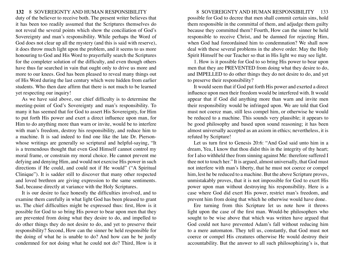duty of the believer to receive both. The present writer believes that it has been too readily assumed that the Scriptures themselves do not reveal the several points which show the conciliation of God's Sovereignty and man's responsibility. While perhaps the Word of God does not clear up all the mystery (and this is said with reserve), it does throw much light upon the problem, and it seems to us more honouring to God and His Word to prayerfully search the Scriptures for the completer solution of the difficulty, and even though others have thus far searched in vain that ought only to drive us more and more to our knees. God has been pleased to reveal many things out of His Word during the last century which were hidden from earlier students. Who then dare affirm that there is not much to be learned yet respecting our inquiry!

As we have said above, our chief difficulty is to determine the meeting-point of God's Sovereignty and man's responsibility. To many it has seemed that for God to assert His Sovereignty, for Him to put forth His power and exert a direct influence upon man, for Him to do anything more than warn or invite, would be to interfere with man's freedom, destroy his responsibility, and reduce him to a machine. It is sad indeed to find one like the late Dr. Piersonwhose writings are generally so scriptural and helpful-saying, "It is a tremendous thought that even God Himself cannot control my moral frame, or constrain my moral choice. He cannot prevent me defying and denying Him, and would not exercise His power in such directions if He could, and could not if He would" ("A Spiritual Clinique"). It is sadder still to discover that many other respected and loved brethren are giving expression to the same sentiments. Sad, because directly at variance with the Holy Scriptures.

It is our desire to face honestly the difficulties involved, and to examine them carefully in what light God has been pleased to grant us. The chief difficulties might be expressed thus: first, How is it possible for God to so bring His power to bear upon men that they are prevented from doing what they desire to do, and impelled to do other things they do not desire to do, and yet to preserve their responsibility? Second, How can the sinner be held responsible for the doing of what he is unable to do? And how can he be justly condemned for not doing what he could not do? Third, How is it

**132** 8 SOVEREIGNTY AND HUMAN RESPONSIBILITY 8 SOVEREIGNTY AND HUMAN RESPONSIBILITY 133 possible for God to decree that men shall commit certain sins, hold them responsible in the committal of them, and adjudge them guilty because they committed them? Fourth, How can the sinner be held responsible to receive Christ, and be damned for rejecting Him, when God had foreordained him to condemnation? We shall now deal with these several problems in the above order. May the Holy Spirit Himself be our Teacher so that in His light we may see light.

> 1. How is it possible for God to so bring His power to bear upon men that they are PREVENTED from doing what they desire to do, and IMPELLED to do other things they do not desire to do, and yet to preserve their responsibility?

> It would seem that if God put forth His power and exerted a direct influence upon men their freedom would be interfered with. It would appear that if God did anything more than warn and invite men their responsibility would be infringed upon. We are told that God must not coerce man, still less compel him, or otherwise he would be reduced to a machine. This sounds very plausible; it appears to be good philosophy and based upon sound reasoning; it has been almost universally accepted as an axiom in ethics; nevertheless, it is refuted by Scripture!

> Let us turn first to Genesis 20:6: "And God said unto him in a dream, Yea, I know that thou didst this in the integrity of thy heart; for I also withheld thee from sinning against Me: therefore suffered I thee not to touch her." It is argued, almost universally, that God must not interfere with man's liberty, that he must not coerce or compel him, lest he be reduced to a machine. But the above Scripture proves, unmistakably proves, that it is not impossible for God to exert His power upon man without destroying his responsibility. Here is a case where God did exert His power, restrict man's freedom, and prevent him from doing that which he otherwise would have done.

> Ere turning from this Scripture let us note how it throws light upon the case of the first man. Would-be philosophers who sought to be wise above that which was written have argued that God could not have prevented Adam's fall without reducing him to a mere automaton. They tell us, constantly, that God must not coerce or compel His creatures otherwise He would destroy their accountability. But the answer to all such philosophizing's is, that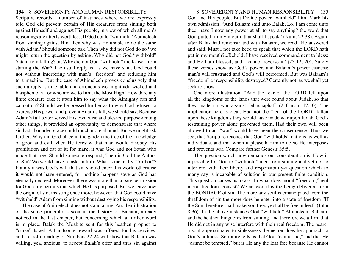# **134** 8 SOVEREIGNTY AND HUMAN RESPONSIBILITY 8 SOVEREIGNTY AND HUMAN RESPONSIBILITY 135

Scripture records a number of instances where we are expressly told God did prevent certain of His creatures from sinning both against Himself and against His people, in view of which all men's reasonings are utterly worthless. If God could "withhold" Abimelech from sinning against Him then why was He unable to do the same with Adam? Should someone ask, Then why did not God do so? we might return the question by asking, Why did not God "withhold" Satan from falling? or, Why did not God "withhold" the Kaiser from starting the War? The usual reply is, as we have said, God could not without interfering with man's "freedom" and reducing him to a machine. But the case of Abimelech proves conclusively that such a reply is untenable and erroneous-we might add wicked and blasphemous, for who are we to limit the Most High! How dare any finite creature take it upon him to say what the Almighty can and cannot do? Should we be pressed further as to why God refused to exercise His power and prevent Adam's fall, we should say, Because Adam's fall better served His own wise and blessed purpose-among other things, it provided an opportunity to demonstrate that where sin had abounded grace could much more abound. But we might ask further: Why did God place in the garden the tree of the knowledge of good and evil when He foresaw that man would disobey His prohibition and eat of it; for mark, it was God and not Satan who made that tree. Should someone respond, Then is God the Author of Sin? We would have to ask, in turn, What is meant by "Author"? Plainly it was God's will that sin should enter this world otherwise it would not have entered, for nothing happens save as God has eternally decreed. Moreover, there was more than a bare permission for God only permits that which He has purposed. But we leave now the origin of sin, insisting once more, however, that God could have "withheld" Adam from sinning without destroying his responsibility.

The case of Abimelech does not stand alone. Another illustration of the same principle is seen in the history of Balaam, already noticed in the last chapter, but concerning which a further word is in place. Balak the Moabite sent for this heathen prophet to "curse" Israel. A handsome reward was offered for his services, and a careful reading of Numbers 22-24 will show that Balaam was willing, yea, anxious, to accept Balak's offer and thus sin against

God and His people. But Divine power "withheld" him. Mark his own admission, "And Balaam said unto Balak, Lo, I am come unto thee: have I now any power at all to say anything? the word that God putteth in my mouth, that shall I speak" (Num. 22:38). Again, after Balak had remonstrated with Balaam, we read "He answered and said, Must I not take heed to speak that which the LORD hath put in my mouth?...Behold, I have received commandment to bless: and He hath blessed; and I cannot reverse it" (23:12, 20). Surely these verses show us God's power, and Balaam's powerlessness: man's will frustrated and God's will performed. But was Balaam's "freedom" or responsibility destroyed? Certainly not, as we shall yet seek to show.

One more illustration: "And the fear of the LORD fell upon all the kingdoms of the lands that were round about Judah, so that they made no war against Jehoshaphat" (2 Chron. 17:10). The implication here is clear. Had not the "fear of the LORD" fallen upon these kingdoms they would have made war upon Judah. God's restraining power alone prevented them. Had their own will been allowed to act "war" would have been the consequence. Thus we see, that Scripture teaches that God "withholds" nations as well as individuals, and that when it pleaseth Him to do so He interposes and prevents war. Compare further Genesis 35:5.

The question which now demands our consideration is, How is it possible for God to "withhold" men from sinning and yet not to interfere with their liberty and responsibility-a question which so many say is incapable of solution in our present finite condition. This question causes us to ask, In what does moral "freedom," real moral freedom, consist? We answer, it is the being delivered from the BONDAGE of sin. The more any soul is emancipated from the thralldom of sin the more does he enter into a state of freedom-"If the Son therefore shall make you free, ye shall be free indeed" (John 8:36). In the above instances God "withheld" Abimelech, Balaam, and the heathen kingdoms from sinning, and therefore we affirm that He did not in any wise interfere with their real freedom. The nearer a soul approximates to sinlessness the nearer does he approach to God's holiness. Scripture tells us that God "cannot lie," and that He "cannot be tempted," but is He any the less free because He cannot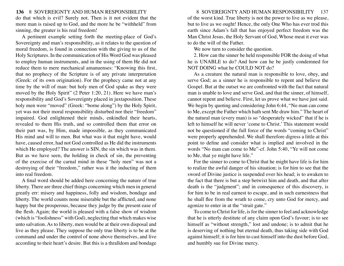**136** 8 SOVEREIGNTY AND HUMAN RESPONSIBILITY 8 SOVEREIGNTY AND HUMAN RESPONSIBILITY 137 do that which is evil? Surely not. Then is it not evident that the more man is raised up to God, and the more he be "withheld" from sinning, the greater is his real freedom!

A pertinent example setting forth the meeting-place of God's Sovereignty and man's responsibility, as it relates to the question of moral freedom, is found in connection with the giving to us of the Holy Scriptures. In the communication of His Word God was pleased to employ human instruments, and in the using of them He did not reduce them to mere mechanical amanuenses: "Knowing this first, that no prophecy of the Scripture is of any private interpretation (Greek: of its own origination). For the prophecy came not at any time by the will of man: but holy men of God spake as they were moved by the Holy Spirit" (2 Peter 1:20, 21). Here we have man's responsibility and God's Sovereignty placed in juxtaposition. These holy men were "moved" (Greek: "borne along") by the Holy Spirit, yet was not their moral responsibility disturbed nor their "freedom" impaired. God enlightened their minds, enkindled their hearts, revealed to them His truth, and so controlled them that error on their part was, by Him, made impossible, as they communicated His mind and will to men. But what was it that might have, would have, caused error, had not God controlled as He did the instruments which He employed? The answer is SIN, the sin which was in them. But as we have seen, the holding in check of sin, the preventing of the exercise of the carnal mind in these "holy men" was not a destroying of their "freedom," rather was it the inducting of them into real freedom.

A final word should be added here concerning the nature of true liberty. There are three chief things concerning which men in general greatly err: misery and happiness, folly and wisdom, bondage and liberty. The world counts none miserable but the afflicted, and none happy but the prosperous, because they judge by the present ease of the flesh. Again; the world is pleased with a false show of wisdom (which is "foolishness" with God), neglecting that which makes wise unto salvation. As to liberty, men would be at their own disposal and live as they please. They suppose the only true liberty is to be at the command and under the control of none above themselves, and live according to their heart's desire. But this is a thralldom and bondage of the worst kind. True liberty is not the power to live as we please, but to live as we ought! Hence, the only One Who has ever trod this earth since Adam's fall that has enjoyed perfect freedom was the Man Christ Jesus, the Holy Servant of God, Whose meat it ever was to do the will of the Father.

We now turn to consider the question.

2. How can the sinner be held responsible FOR the doing of what he is UNABLE to do? And how can he be justly condemned for NOT DOING what he COULD NOT do?

As a creature the natural man is responsible to love, obey, and serve God; as a sinner he is responsible to repent and believe the Gospel. But at the outset we are confronted with the fact that natural man is unable to love and serve God, and that the sinner, of himself, cannot repent and believe. First, let us prove what we have just said. We begin by quoting and considering John 6:44, "No man can come to Me, except the Father which hath sent Me draw him." The heart of the natural man (every man) is so "desperately wicked" that if he is left to himself he will never 'come to Christ.' This statement would not be questioned if the full force of the words "coming to Christ" were properly apprehended. We shall therefore digress a little at this point to define and consider what is implied and involved in the words "No man can come to Me"-cf. John 5:40, "Ye will not come to Me, that ye might have life."

For the sinner to come to Christ that he might have life is for him to realize the awful danger of his situation; is for him to see that the sword of Divine justice is suspended over his head; is to awaken to the fact that there is but a step betwixt him and death, and that after death is the "judgment"; and in consequence of this discovery, is for him to be in real earnest to escape, and in such earnestness that he shall flee from the wrath to come, cry unto God for mercy, and agonize to enter in at the "strait gate."

To come to Christ for life, is for the sinner to feel and acknowledge that he is utterly destitute of any claim upon God's favour; is to see himself as "without strength," lost and undone; is to admit that he is deserving of nothing but eternal death, thus taking side with God against himself; it is for him to cast himself into the dust before God, and humbly sue for Divine mercy.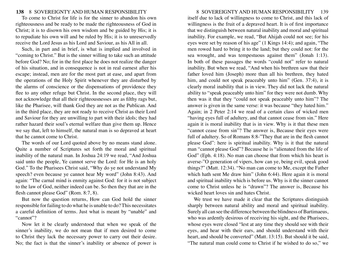### **138** 8 SOVEREIGNTY AND HUMAN RESPONSIBILITY 8 SOVEREIGNTY AND HUMAN RESPONSIBILITY 139

To come to Christ for life is for the sinner to abandon his own righteousness and be ready to be made the righteousness of God in Christ; it is to disown his own wisdom and be guided by His; it is to repudiate his own will and be ruled by His; it is to unreservedly receive the Lord Jesus as his Lord and Saviour, as his All in all.

Such, in part and in brief, is what is implied and involved in "coming to Christ." But is the sinner willing to take such an attitude before God? No; for in the first place he does not realize the danger of his situation, and in consequence is not in real earnest after his escape; instead, men are for the most part at ease, and apart from the operations of the Holy Spirit whenever they are disturbed by the alarms of conscience or the dispensations of providence they flee to any other refuge but Christ. In the second place, they will not acknowledge that all their righteousnesses are as filthy rags but, like the Pharisee, will thank God they are not as the Publican. And in the third place, they are not ready to receive Christ as their Lord and Saviour for they are unwilling to part with their idols; they had rather hazard their soul's eternal welfare than give them up. Hence we say that, left to himself, the natural man is so depraved at heart that he cannot come to Christ.

The words of our Lord quoted above by no means stand alone. Quite a number of Scriptures set forth the moral and spiritual inability of the natural man. In Joshua 24:19 we read, "And Joshua said unto the people, Ye cannot serve the Lord: for He is an holy God." To the Pharisees Christ said, "Why do ye not understand My speech? even because ye cannot hear My word" (John 8:43). And again: "The carnal mind is enmity against God: for it is not subject to the law of God, neither indeed can be. So then they that are in the flesh cannot please God" (Rom. 8:7, 8).

But now the question returns, How can God hold the sinner responsible for failing to do what he is unable to do? This necessitates a careful definition of terms. Just what is meant by "unable" and "cannot"?

Now let it be clearly understood that when we speak of the sinner's inability, we do not mean that if men desired to come to Christ they lack the necessary power to carry out their desire. No; the fact is that the sinner's inability or absence of power is itself due to lack of willingness to come to Christ, and this lack of willingness is the fruit of a depraved heart. It is of first importance that we distinguish between natural inability and moral and spiritual inability. For example, we read, "But Ahijah could not see; for his eyes were set by reason of his age" (1 Kings 14:4); and again, "The men rowed hard to bring it to the land; but they could not: for the sea wrought, and was tempestuous against them" (Jonah 1:13). In both of these passages the words "could not" refer to natural inability. But when we read, "And when his brethren saw that their father loved him (Joseph) more than all his brethren, they hated him, and could not speak peaceably unto him" (Gen. 37:4), it is clearly moral inability that is in view. They did not lack the natural ability to "speak peaceably unto him" for they were not dumb. Why then was it that they "could not speak peaceably unto him"? The answer is given in the same verse: it was because "they hated him." Again; in 2 Peter 2:14 we read of a certain class of wicked men "having eyes full of adultery, and that cannot cease from sin." Here again it is moral inability that is in view. Why is it that these men "cannot cease from sin"? The answer is, Because their eyes were full of adultery. So of Romans 8:8-"They that are in the flesh cannot please God": here is spiritual inability. Why is it that the natural man "cannot please God"? Because he is "alienated from the life of God" (Eph. 4:18). No man can choose that from which his heart is averse-"O generation of vipers, how can ye, being evil, speak good things?" (Matt. 12:34). "No man can come to Me, except the Father which hath sent Me draw him" (John 6:44). Here again it is moral and spiritual inability which is before us. Why is it the sinner cannot come to Christ unless he is "drawn"? The answer is, Because his wicked heart loves sin and hates Christ.

We trust we have made it clear that the Scriptures distinguish sharply between natural ability and moral and spiritual inability. Surely all can see the difference between the blindness of Bartimaeus, who was ardently desirous of receiving his sight, and the Pharisees, whose eyes were closed "lest at any time they should see with their eyes, and hear with their ears, and should understand with their heart, and should be converted" (Matt. 13:15). But should it be said, "The natural man could come to Christ if he wished to do so," we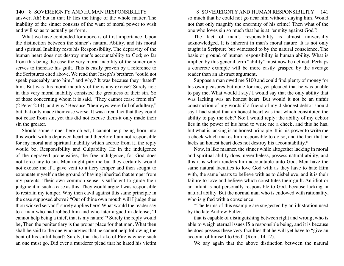**140** 8 SOVEREIGNTY AND HUMAN RESPONSIBILITY 8 SOVEREIGNTY AND HUMAN RESPONSIBILITY 141 answer, Ah! but in that IF lies the hinge of the whole matter. The inability of the sinner consists of the want of moral power to wish and will so as to actually perform.

What we have contended for above is of first importance. Upon the distinction between the sinner's natural Ability, and his moral and spiritual Inability rests his Responsibility. The depravity of the human heart does not destroy man's accountability to God; so far from this being the case the very moral inability of the sinner only serves to increase his guilt. This is easily proven by a reference to the Scriptures cited above. We read that Joseph's brethren "could not speak peaceably unto him," and why? It was because they "hated" him. But was this moral inability of theirs any excuse? Surely not: in this very moral inability consisted the greatness of their sin. So of those concerning whom it is said, "They cannot cease from sin" (2 Peter 2:14), and why? Because "their eyes were full of adultery," but that only made their case worse. It was a real fact that they could not cease from sin, yet this did not excuse them-it only made their sin the greater.

Should some sinner here object, I cannot help being born into this world with a depraved heart and therefore I am not responsible for my moral and spiritual inability which accrue from it, the reply would be, Responsibility and Culpability He in the indulgence of the depraved propensities, the free indulgence, for God does not force any to sin. Men might pity me but they certainly would not excuse me if I gave vent to a fiery temper and then sought to extenuate myself on the ground of having inherited that temper from my parents. Their own common sense is sufficient to guide their judgment in such a case as this. They would argue I was responsible to restrain my temper. Why then cavil against this same principle in the case supposed above? "Out of thine own mouth will I judge thee thou wicked servant" surely applies here! What would the reader say to a man who had robbed him and who later argued in defense, "I cannot help being a thief, that is my nature"? Surely the reply would be, Then the penitentiary is the proper place for that man. What then shall be said to the one who argues that he cannot help following the bent of his sinful heart? Surely, that the Lake of Fire is where such an one must go. Did ever a murderer plead that he hated his victim so much that he could not go near him without slaying him. Would not that only magnify the enormity of his crime! Then what of the one who loves sin so much that he is at "enmity against God"!

The fact of man's responsibility is almost universally acknowledged. It is inherent in man's moral nature. It is not only taught in Scripture but witnessed to by the natural conscience. The basis or ground of human responsibility is human ability. What is implied by this general term "ability" must now be defined. Perhaps a concrete example will be more easily grasped by the average reader than an abstract argument.

Suppose a man owed me \$100 and could find plenty of money for his own pleasures but none for me, yet pleaded that he was unable to pay me. What would I say? I would say that the only ability that was lacking was an honest heart. But would it not be an unfair construction of my words if a friend of my dishonest debtor should say I had stated that an honest heart was that which constituted the ability to pay the debt? No; I would reply: the ability of my debtor lies in the power of his hand to write me a check, and this he has, but what is lacking is an honest principle. It is his power to write me a check which makes him responsible to do so, and the fact that he lacks an honest heart does not destroy his accountability.\*

Now, in like manner, the sinner while altogether lacking in moral and spiritual ability does, nevertheless, possess natural ability, and this it is which renders him accountable unto God. Men have the same natural faculties to love God with as they have to hate Him with, the same hearts to believe with as to disbelieve, and it is their failure to love and believe which constitutes their guilt. An idiot or an infant is not personally responsible to God, because lacking in natural ability. But the normal man who is endowed with rationality, who is gifted with a conscience

\*The terms of this example are suggested by an illustration used by the late Andrew Fuller.

that is capable of distinguishing between right and wrong, who is able to weigh eternal issues IS a responsible being, and it is because he does possess these very faculties that he will yet have to "give an account of himself to God" (Rom. 14:12).

We say again that the above distinction between the natural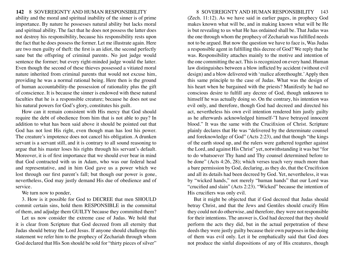# **142** 8 SOVEREIGNTY AND HUMAN RESPONSIBILITY 8 SOVEREIGNTY AND HUMAN RESPONSIBILITY 143

ability and the moral and spiritual inability of the sinner is of prime importance. By nature he possesses natural ability but lacks moral and spiritual ability. The fact that he does not possess the latter does not destroy his responsibility, because his responsibility rests upon the fact that he does possess the former. Let me illustrate again. Here are two men guilty of theft: the first is an idiot, the second perfectly sane but the offspring of criminal parents. No just judge would sentence the former; but every right-minded judge would the latter. Even though the second of these thieves possessed a vitiated moral nature inherited from criminal parents that would not excuse him, providing he was a normal rational being. Here then is the ground of human accountability-the possession of rationality plus the gift of conscience. It is because the sinner is endowed with these natural faculties that he is a responsible creature; because he does not use his natural powers for God's glory, constitutes his guilt.

How can it remain consistent with His mercy that God should require the debt of obedience from him that is not able to pay? In addition to what has been said above it should be pointed out that God has not lost His right, even though man has lost his power. The creature's impotence does not cancel his obligation. A drunken servant is a servant still, and it is contrary to all sound reasoning to argue that his master loses his rights through his servant's default. Moreover, it is of first importance that we should ever bear in mind that God contracted with us in Adam, who was our federal head and representative, and in him God gave us a power which we lost through our first parent's fall; but though our power is gone, nevertheless, God may justly demand His due of obedience and of service.

We turn now to ponder,

3. How is it possible for God to DECREE that men SHOULD commit certain sins, hold them RESPONSIBLE in the committal of them, and adjudge them GUILTY because they committed them?

Let us now consider the extreme case of Judas. We hold that it is clear from Scripture that God decreed from all eternity that Judas should betray the Lord Jesus. If anyone should challenge this statement we refer him to the prophecy of Zechariah through whom God declared that His Son should be sold for "thirty pieces of silver"

(Zech. 11:12). As we have said in earlier pages, in prophecy God makes known what will be, and in making known what will be He is but revealing to us what He has ordained shall be. That Judas was the one through whom the prophecy of Zechariah was fulfilled needs not to be argued. But now the question we have to face is, Was Judas a responsible agent in fulfilling this decree of God? We reply that he was. Responsibility attaches mainly to the motive and intention of the one committing the act. This is recognized on every hand. Human law distinguishes between a blow inflicted by accident (without evil design) and a blow delivered with 'malice aforethought.' Apply then this same principle to the case of Judas. What was the design of his heart when he bargained with the priests? Manifestly he had no conscious desire to fulfill any decree of God, though unknown to himself he was actually doing so. On the contrary, his intention was evil only, and therefore, though God had decreed and directed his act, nevertheless his own evil intention rendered him justly guilty as he afterwards acknowledged himself-"I have betrayed innocent blood." It was the same with the Crucifixion of Christ. Scripture plainly declares that He was "delivered by the determinate counsel and foreknowledge of God" (Acts 2:23), and that though "the kings of the earth stood up, and the rulers were gathered together against the Lord, and against His Christ" yet, notwithstanding it was but "for to do whatsoever Thy hand and Thy counsel determined before to be done" (Acts 4:26, 28); which verses teach very much more than a bare permission by God, declaring, as they do, that the Crucifixion and all its details had been decreed by God. Yet, nevertheless, it was by "wicked hands," not merely "human hands" that our Lord was "crucified and slain" (Acts 2:23). "Wicked" because the intention of His crucifiers was only evil.

But it might be objected that if God decreed that Judas should betray Christ, and that the Jews and Gentiles should crucify Him they could not do otherwise, and therefore, they were not responsible for their intentions. The answer is, God had decreed that they should perform the acts they did, but in the actual perpetration of these deeds they were justly guilty because their own purposes in the doing of them was evil only. Let it be emphatically said that God does not produce the sinful dispositions of any of His creatures, though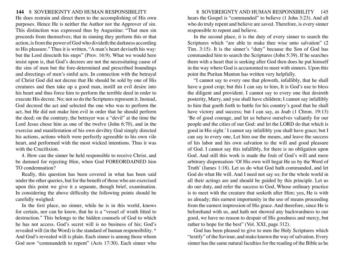He does restrain and direct them to the accomplishing of His own purposes. Hence He is neither the Author nor the Approver of sin. This distinction was expressed thus by Augustine: "That men sin proceeds from themselves; that in sinning they perform this or that action, is from the power of God who divideth the darkness according to His pleasure." Thus it is written, "A man's heart deviseth his way: but the Lord directeth his steps" (Prov. 16:9). What we would here insist upon is, that God's decrees are not the necessitating cause of the sins of men but the fore-determined and prescribed boundings and directings of men's sinful acts. In connection with the betrayal of Christ God did not decree that He should be sold by one of His creatures and then take up a good man, instill an evil desire into his heart and thus force him to perform the terrible deed in order to execute His decree. No; not so do the Scriptures represent it. Instead, God decreed the act and selected the one who was to perform the act, but He did not make him evil in order that he should perform the deed; on the contrary, the betrayer was a "devil" at the time the Lord Jesus chose him as one of the twelve (John 6:70), and in the exercise and manifestation of his own deviltry God simply directed his actions, actions which were perfectly agreeable to his own vile heart, and performed with the most wicked intentions. Thus it was with the Crucifixion.

4. How can the sinner be held responsible to receive Christ, and be damned for rejecting Him, when God FOREORDAINED him TO condemnation?

Really, this question has been covered in what has been said under the other queries, but for the benefit of those who are exercised upon this point we give it a separate, though brief, examination. In considering the above difficulty the following points should be carefully weighed:

In the first place, no sinner, while he is in this world, knows for certain, nor can he know, that he is a "vessel of wrath fitted to destruction." This belongs to the hidden counsels of God to which he has not access. God's secret will is no business of his; God's revealed will (in the Word) is the standard of human responsibility. \* And God's revealed will is plain. Each sinner is among those whom God now "commandeth to repent" (Acts 17:30). Each sinner who

**144** 8 SOVEREIGNTY AND HUMAN RESPONSIBILITY 8 SOVEREIGNTY AND HUMAN RESPONSIBILITY 145 hears the Gospel is "commanded" to believe (1 John 3:23). And all who do truly repent and believe are saved. Therefore, is every sinner responsible to repent and believe.

> In the second place, it is the duty of every sinner to search the Scriptures which "are able to make thee wise unto salvation" (2 Tim. 3:15). It is the sinner's "duty" because the Son of God has commanded him to search the Scriptures (John 5:39). If he searches them with a heart that is seeking after God then does he put himself in the way where God is accustomed to meet with sinners. Upon this point the Puritan Manton has written very helpfully.

> "I cannot say to every one that ploweth, infallibly, that he shall have a good crop; but this I can say to him, It is God's use to bless the diligent and provident. I cannot say to every one that desireth posterity, Marry, and you shall have children; I cannot say infallibly to him that goeth forth to battle for his country's good that he shall have victory and success; but I can say, as Joab (1 Chron. 19:13) 'Be of good courage, and let us behave ourselves valiantly for our people and the cities of our God: and let the LORD do that which is good in His sight.' I cannot say infallibly you shall have grace; but I can say to every one, Let him use the means, and leave the success of his labor and his own salvation to the will and good pleasure of God. I cannot say this infallibly, for there is no obligation upon God. And still this work is made the fruit of God's will and mere arbitrary dispensation-'Of His own will begat He us by the Word of Truth' (James 1:18). Let us do what God hath commanded, and let God do what He will. And I need not say so; for the whole world in all their actings are and should be guided by this principle. Let us do our duty, and refer the success to God, Whose ordinary practice is to meet with the creature that seeketh after Him; yea, He is with us already; this earnest importunity in the use of means proceeding from the earnest impression of His grace. And therefore, since He is beforehand with us, and hath not showed any backwardness to our good, we have no reason to despair of His goodness and mercy, but rather to hope for the best" (Vol. XXI, page 312).

> God has been pleased to give to men the Holy Scriptures which "testify" of the Saviour, and make known the way of salvation. Every sinner has the same natural faculties for the reading of the Bible as he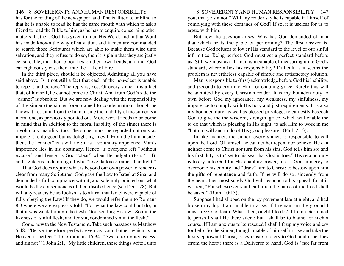has for the reading of the newspaper; and if he is illiterate or blind so that he is unable to read he has the same mouth with which to ask a friend to read the Bible to him, as he has to enquire concerning other matters. If, then, God has given to men His Word, and in that Word has made known the way of salvation, and if men are commanded to search those Scriptures which are able to make them wise unto salvation, and they refuse to do so, then it is plain that they are justly censureable, that their blood lies on their own heads, and that God can righteously cast them into the Lake of Fire.

In the third place, should it be objected, Admitting all you have said above, Is it not still a fact that each of the non-elect is unable to repent and believe? The reply is, Yes. Of every sinner it is a fact that, of himself, he cannot come to Christ. And from God's side the "cannot" is absolute. But we are now dealing with the responsibility of the sinner (the sinner foreordained to condemnation, though he knows it not), and from the human side the inability of the sinner is a moral one, as previously pointed out. Moreover, it needs to be borne in mind that in addition to the moral inability of the sinner there is a voluntary inability, too. The sinner must be regarded not only as impotent to do good but as delighting in evil. From the human side, then, the "cannot" is a will not; it is a voluntary impotence. Man's impotence lies in his obstinacy. Hence, is everyone left "without excuse," and hence, is God "clear" when He judgeth (Psa. 51:4), and righteous in damning all who "love darkness rather than light."

That God does require what is beyond our own power to render is clear from many Scriptures. God gave the Law to Israel at Sinai and demanded a full compliance with it, and solemnly pointed out what would be the consequences of their disobedience (see Deut. 28). But will any readers be so foolish as to affirm that Israel were capable of fully obeying the Law! If they do, we would refer them to Romans 8:3 where we are expressly told, "For what the law could not do, in that it was weak through the flesh, God sending His own Son in the likeness of sinful flesh, and for sin, condemned sin in the flesh."

Come now to the New Testament. Take such passages as Matthew 5:48, "Be ye therefore perfect, even as your Father which is in Heaven is perfect." 1 Corinthians 15:34. "Awake to righteousness, and sin not." 1 John 2:1, "My little children, these things write I unto

**146** 8 SOVEREIGNTY AND HUMAN RESPONSIBILITY 8 SOVEREIGNTY AND HUMAN RESPONSIBILITY 147 you, that ye sin not." Will any reader say he is capable in himself of complying with these demands of God? If so, it is useless for us to argue with him.

> But now the question arises, Why has God demanded of man that which he is incapable of performing? The first answer is, Because God refuses to lower His standard to the level of our sinful infirmities. Being perfect, God must set a perfect standard before us. Still we must ask, If man is incapable of measuring up to God's standard, wherein lies his responsibility? Difficult as it seems the problem is nevertheless capable of simple and satisfactory solution.

> Man is responsible to (first) acknowledge before God his inability, and (second) to cry unto Him for enabling grace. Surely this will be admitted by every Christian reader. It is my bounden duty to own before God my ignorance, my weakness, my sinfulness, my impotence to comply with His holy and just requirements. It is also my bounden duty, as well as blessed privilege, to earnestly beseech God to give me the wisdom, strength, grace, which will enable me to do that which is pleasing in His sight; to ask Him to work in me "both to will and to do of His good pleasure" (Phil. 2:13).

> In like manner, the sinner, every sinner, is responsible to call upon the Lord. Of himself he can neither repent nor believe. He can neither come to Christ nor turn from his sins. God tells him so; and his first duty is to "set to his seal that God is true." His second duty is to cry unto God for His enabling power; to ask God in mercy to overcome his enmity and "draw" him to Christ; to bestow upon him the gifts of repentance and faith. If he will do so, sincerely from the heart, then most surely God will respond to his appeal, for it is written, "For whosoever shall call upon the name of the Lord shall be saved" (Rom. 10:13).

> Suppose I had slipped on the icy pavement late at night, and had broken my hip. I am unable to arise; if I remain on the ground I must freeze to death. What, then, ought I to do? If I am determined to perish I shall He there silent; but I shall be to blame for such a course. If I am anxious to be rescued I shall lift up my voice and cry for help. So the sinner, though unable of himself to rise and take the first step toward Christ, is responsible to cry to God, and if he does (from the heart) there is a Deliverer to hand. God is "not far from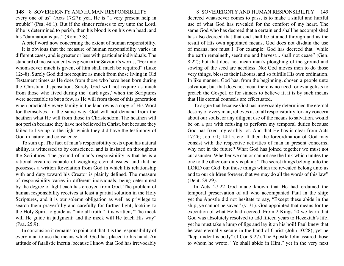**148** 8 SOVEREIGNTY AND HUMAN RESPONSIBILITY 8 SOVEREIGNTY AND HUMAN RESPONSIBILITY 149 every one of us" (Acts 17:27); yea, He is "a very present help in trouble" (Psa. 46:1). But if the sinner refuses to cry unto the Lord, if he is determined to perish, then his blood is on his own head, and his "damnation is just" (Rom. 3:8).

A brief word now concerning the extent of human responsibility.

It is obvious that the measure of human responsibility varies in different cases, and is greater or less with particular individuals. The standard of measurement was given in the Saviour's words, "For unto whomsoever much is given, of him shall much be required" (Luke 12:48). Surely God did not require as much from those living in Old Testament times as He does from those who have been born during the Christian dispensation. Surely God will not require as much from those who lived during the 'dark ages,' when the Scriptures were accessible to but a few, as He will from those of this generation when practically every family in the land owns a copy of His Word for themselves. In the same way, God will not demand from the heathen what He will from those in Christendom. The heathen will not perish because they have not believed in Christ, but because they failed to live up to the light which they did have-the testimony of God in nature and conscience.

To sum up. The fact of man's responsibility rests upon his natural ability, is witnessed to by conscience, and is insisted on throughout the Scriptures. The ground of man's responsibility is that he is a rational creature capable of weighing eternal issues, and that he possesses a written Revelation from God in which his relationship with and duty toward his Creator is plainly defined. The measure of responsibility varies in different individuals, being determined by the degree of light each has enjoyed from God. The problem of human responsibility receives at least a partial solution in the Holy Scriptures, and it is our solemn obligation as well as privilege to search them prayerfully and carefully for further light, looking to the Holy Spirit to guide us "into all truth." It is written, "The meek will He guide in judgment: and the meek will He teach His way" (Psa. 25:9).

In conclusion it remains to point out that it is the responsibility of every man to use the means which God has placed to his hand. An attitude of fatalistic inertia, because I know that God has irrevocably

decreed whatsoever comes to pass, is to make a sinful and hurtful use of what God has revealed for the comfort of my heart. The same God who has decreed that a certain end shall be accomplished has also decreed that that end shall be attained through and as the result of His own appointed means. God does not disdain the use of means, nor must I. For example: God has decreed that "while the earth remaineth, seedtime and harvest... shall not cease" (Gen. 8:22); but that does not mean man's ploughing of the ground and sowing of the seed are needless. No; God moves men to do those very things, blesses their labours, and so fulfills His own ordination. In like manner, God has, from the beginning, chosen a people unto salvation; but that does not mean there is no need for evangelists to preach the Gospel, or for sinners to believe it; it is by such means that His eternal counsels are effectuated.

To argue that because God has irrevocably determined the eternal destiny of every man, relieves us of all responsibility for any concern about our souls, or any diligent use of the means to salvation, would be on a par with refusing to perform my temporal duties because God has fixed my earthly lot. And that He has is clear from Acts 17:26; Job 7:1; 14:15, etc. If then the foreordination of God may consist with the respective activities of man in present concerns, why not in the future? What God has joined together we must not cut asunder. Whether we can or cannot see the link which unites the one to the other our duty is plain: "The secret things belong unto the LORD our God: but those things which are revealed belong unto us and to our children forever, that we may do all the words of this law" (Deut. 29:29).

In Acts 27:22 God made known that He had ordained the temporal preservation of all who accompanied Paul in the ship; yet the Apostle did not hesitate to say, "Except these abide in the ship, ye cannot be saved" (v. 31). God appointed that means for the execution of what He had decreed. From 2 Kings 20 we learn that God was absolutely resolved to add fifteen years to Hezekiah's life, yet he must take a lump of figs and lay it on his boil! Paul knew that he was eternally secure in the hand of Christ (John 10:28), yet he "kept under his body" (1 Cor. 9:27). The Apostle John assured those to whom he wrote, "Ye shall abide in Him," yet in the very next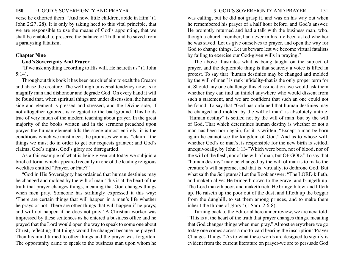verse he exhorted them, "And now, little children, abide in Him" (1 John 2:27, 28). It is only by taking heed to this vital principle, that we are responsible to use the means of God's appointing, that we shall be enabled to preserve the balance of Truth and be saved from a paralyzing fatalism.

#### **Chapter Nine**

## **God's Sovereignty And Prayer**

"If we ask anything according to His will, He heareth us" (1 John 5:14).

Throughout this book it has been our chief aim to exalt the Creator and abase the creature. The well-nigh universal tendency now, is to magnify man and dishonour and degrade God. On every hand it will be found that, when spiritual things are under discussion, the human side and element is pressed and stressed, and the Divine side, if not altogether ignored, is relegated to the background. This holds true of very much of the modern teaching about prayer. In the great majority of the books written and in the sermons preached upon prayer the human element fills the scene almost entirely: it is the conditions which we must meet, the promises we must "claim," the things we must do in order to get our requests granted; and God's claims, God's rights, God's glory are disregarded.

As a fair example of what is being given out today we subjoin a brief editorial which appeared recently in one of the leading religious weeklies entitled "Prayer, or Fate?"

"God in His Sovereignty has ordained that human destinies may be changed and molded by the will of man. This is at the heart of the truth that prayer changes things, meaning that God changes things when men pray. Someone has strikingly expressed it this way: 'There are certain things that will happen in a man's life whether he prays or not. There are other things that will happen if he prays; and will not happen if he does not pray.' A Christian worker was impressed by these sentences as he entered a business office and he prayed that the Lord would open the way to speak to some one about Christ, reflecting that things would be changed because he prayed. Then his mind turned to other things and the prayer was forgotten. The opportunity came to speak to the business man upon whom he

was calling, but he did not grasp it, and was on his way out when he remembered his prayer of a half hour before, and God's answer. He promptly returned and had a talk with the business man, who, though a church-member, had never in his life been asked whether he was saved. Let us give ourselves to prayer, and open the way for God to change things. Let us beware lest we become virtual fatalists by failing to exercise our God-given wills in praying."

The above illustrates what is being taught on the subject of prayer, and the deplorable thing is that scarcely a voice is lifted in protest. To say that "human destinies may be changed and molded by the will of man" is rank infidelity-that is the only proper term for it. Should any one challenge this classification, we would ask them whether they can find an infidel anywhere who would dissent from such a statement, and we are confident that such an one could not be found. To say that "God has ordained that human destinies may be changed and molded by the will of man" is absolutely untrue. "Human destiny" is settled not by the will of man, but by the will of God. That which determines human destiny is whether or not a man has been born again, for it is written, "Except a man be born again he cannot see the kingdom of God." And as to whose will, whether God's or man's, is responsible for the new birth is settled, unequivocally, by John 1:13-"Which were born, not of blood, nor of the will of the flesh, nor of the will of man, but OF GOD." To say that "human destiny" may be changed by the will of man is to make the creature's will supreme, and that is, virtually, to dethrone God. But what saith the Scriptures? Let the Book answer: "The LORD killeth, and maketh alive: He bringeth down to the grave, and bringeth up. The Lord maketh poor, and maketh rich: He bringeth low, and lifteth up. He raiseth up the poor out of the dust, and lifteth up the beggar from the dunghill, to set them among princes, and to make them inherit the throne of glory" (1 Sam. 2:6-8).

Turning back to the Editorial here under review, we are next told, "This is at the heart of the truth that prayer changes things, meaning that God changes things when men pray." Almost everywhere we go today one comes across a motto-card bearing the inscription "Prayer Changes Things." As to what these words are designed to signify is evident from the current literature on prayer-we are to persuade God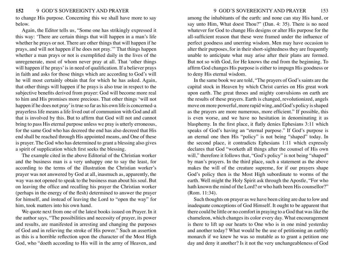to change His purpose. Concerning this we shall have more to say below.

Again, the Editor tells us, "Some one has strikingly expressed it this way: 'There are certain things that will happen in a man's life whether he prays or not. There are other things that will happen if he prays, and will not happen if he does not pray.'" That things happen whether a man prays or not is exemplified daily in the lives of the unregenerate, most of whom never pray at all. That 'other things will happen if he prays' is in need of qualification. If a believer prays in faith and asks for those things which are according to God's will he will most certainly obtain that for which he has asked. Again, that other things will happen if he prays is also true in respect to the subjective benefits derived from prayer: God will become more real to him and His promises more precious. That other things 'will not happen if he does not pray' is true so far as his own life is concerned-a prayerless life means a life lived out of communion with God and all that is involved by this. But to affirm that God will not and cannot bring to pass His eternal purpose unless we pray is utterly erroneous, for the same God who has decreed the end has also decreed that His end shall be reached through His appointed means, and One of these is prayer. The God who has determined to grant a blessing also gives a spirit of supplication which first seeks the blessing.

The example cited in the above Editorial of the Christian worker and the business man is a very unhappy one to say the least, for according to the terms of the illustration the Christian worker's prayer was not answered by God at all, inasmuch as, apparently, the way was not opened to speak to the business man about his soul. But on leaving the office and recalling his prayer the Christian worker (perhaps in the energy of the flesh) determined to answer the prayer for himself, and instead of leaving the Lord to "open the way" for him, took matters into his own hand.

We quote next from one of the latest books issued on Prayer. In it the author says, "The possibilities and necessity of prayer, its power and results, are manifested in arresting and changing the purposes of God and in relieving the stroke of His power." Such an assertion as this is a horrible reflection upon the character of the Most High God, who "doeth according to His will in the army of Heaven, and

among the inhabitants of the earth: and none can stay His hand, or say unto Him, What doest Thou?" (Dan. 4: 35). There is no need whatever for God to change His designs or alter His purpose for the all-sufficient reason that these were framed under the influence of perfect goodness and unerring wisdom. Men may have occasion to alter their purposes, for in their short-sightedness they are frequently unable to anticipate what may arise after their plans are formed. But not so with God, for He knows the end from the beginning. To affirm God changes His purpose is either to impugn His goodness or to deny His eternal wisdom.

In the same book we are told, "The prayers of God's saints are the capital stock in Heaven by which Christ carries on His great work upon earth. The great throes and mighty convulsions on earth are the results of these prayers. Earth is changed, revolutionized, angels move on more powerful, more rapid wing, and God's policy is shaped as the prayers are more numerous, more efficient." If possible, this is even worse, and we have no hesitation in denominating it as blasphemy. In the first place, it flatly denies Ephesians 3:11 which speaks of God's having an "eternal purpose." If God's purpose is an eternal one then His "policy" is not being "shaped" today. In the second place, it contradicts Ephesians 1:11 which expressly declares that God "worketh all things after the counsel of His own will," therefore it follows that, "God's policy" is not being "shaped" by man's prayers. In the third place, such a statement as the above makes the will of the creature supreme, for if our prayers shape God's policy then is the Most High subordinate to worms of the earth. Well might the Holy Spirit ask through the Apostle, "For who hath known the mind of the Lord? or who hath been His counsellor?" (Rom. 11:34).

Such thoughts on prayer as we have been citing are due to low and inadequate conceptions of God Himself. It ought to be apparent that there could be little or no comfort in praying to a God that was like the chameleon, which changes its color every day. What encouragement is there to lift up our hearts to One who is in one mind yesterday and another today? What would be the use of petitioning an earthly monarch if we knew he was so mutable as to grant a petition one day and deny it another? Is it not the very unchangeableness of God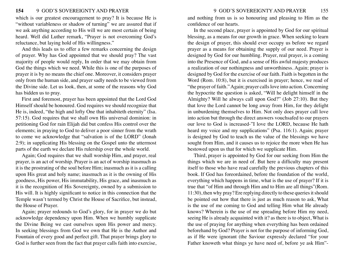### 154 9 GOD'S SOVEREIGNTY AND PRAYER 9 GOD'S SOVEREIGNTY AND PRAYER 155

which is our greatest encouragement to pray? It is because He is "without variableness or shadow of turning" we are assured that if we ask anything according to His will we are most certain of being heard. Well did Luther remark, "Prayer is not overcoming God's reluctance, but laying hold of His willingness."

And this leads us to offer a few remarks concerning the design of prayer. Why has God appointed that we should pray? The vast majority of people would reply, In order that we may obtain from God the things which we need. While this is one of the purposes of prayer it is by no means the chief one. Moreover, it considers prayer only from the human side, and prayer sadly needs to be viewed from the Divine side. Let us look, then, at some of the reasons why God has bidden us to pray.

First and foremost, prayer has been appointed that the Lord God Himself should be honoured. God requires we should recognize that He is, indeed, "the high and lofty One that inhabiteth eternity" (Isa. 57:15). God requires that we shall own His universal dominion: in petitioning God for rain Elijah did but confess His control over the elements; in praying to God to deliver a poor sinner from the wrath to come we acknowledge that "salvation is of the LORD" (Jonah 2:9); in supplicating His blessing on the Gospel unto the uttermost parts of the earth we declare His rulership over the whole world.

Again; God requires that we shall worship Him, and prayer, real prayer, is an act of worship. Prayer is an act of worship inasmuch as it is the prostrating of the soul before Him; inasmuch as it is a calling upon His great and holy name; inasmuch as it is the owning of His goodness, His power, His immutability, His grace, and inasmuch as it is the recognition of His Sovereignty, owned by a submission to His will. It is highly significant to notice in this connection that the Temple wasn't termed by Christ the House of Sacrifice, but instead, the House of Prayer.

Again; prayer redounds to God's glory, for in prayer we do but acknowledge dependency upon Him. When we humbly supplicate the Divine Being we cast ourselves upon His power and mercy. In seeking blessings from God we own that He is the Author and Fountain of every good and perfect gift. That prayer brings glory to God is further seen from the fact that prayer calls faith into exercise,

and nothing from us is so honouring and pleasing to Him as the confidence of our hearts.

In the second place, prayer is appointed by God for our spiritual blessing, as a means for our growth in grace. When seeking to learn the design of prayer, this should ever occupy us before we regard prayer as a means for obtaining the supply of our need. Prayer is designed by God for our humbling. Prayer, real prayer, is a coming into the Presence of God, and a sense of His awful majesty produces a realization of our nothingness and unworthiness. Again; prayer is designed by God for the exercise of our faith. Faith is begotten in the Word (Rom. 10:8), but it is exercised in prayer; hence, we read of "the prayer of faith." Again; prayer calls love into action. Concerning the hypocrite the question is asked, "Will he delight himself in the Almighty? Will he always call upon God?" (Job 27:10). But they that love the Lord cannot be long away from Him, for they delight in unburdening themselves to Him. Not only does prayer call love into action but through the direct answers vouchsafed to our prayers our love to God is increased-"I love the LORD, because He hath heard my voice and my supplications" (Psa. 116:1). Again; prayer is designed by God to teach us the value of the blessings we have sought from Him, and it causes us to rejoice the more when He has bestowed upon us that for which we supplicate Him.

Third, prayer is appointed by God for our seeking from Him the things which we are in need of. But here a difficulty may present itself to those who have read carefully the previous chapters of this book. If God has foreordained, before the foundation of the world, everything which happens in time, what is the use of prayer? If it is true that "of Him and through Him and to Him are all things"(Rom. 11:30), then why pray? Ere replying directly to these queries it should be pointed out how that there is just as much reason to ask, What is the use of me coming to God and telling Him what He already knows? Wherein is the use of me spreading before Him my need, seeing He is already acquainted with it? as there is to object, What is the use of praying for anything when everything has been ordained beforehand by God? Prayer is not for the purpose of informing God, as if He were ignorant (the Saviour expressly declared "for your Father knoweth what things ye have need of, before ye ask Him"-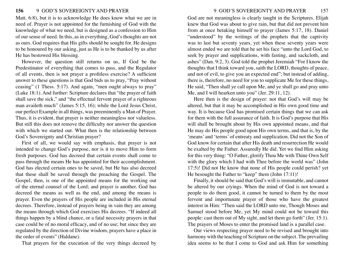Matt. 6:8), but it is to acknowledge He does know what we are in need of. Prayer is not appointed for the furnishing of God with the knowledge of what we need, but is designed as a confession to Him of our sense of need. In this, as in everything, God's thoughts are not as ours. God requires that His gifts should be sought for. He designs to be honoured by our asking, just as He is to be thanked by us after He has bestowed His blessing.

However, the question still returns on us, If God be the Predestinator of everything that comes to pass, and the Regulator of all events, then is not prayer a profitless exercise? A sufficient answer to these questions is that God bids us to pray, "Pray without ceasing" (1 Thess. 5:17). And again, "men ought always to pray" (Luke 18:1). And further: Scripture declares that "the prayer of faith shall save the sick," and "the effectual fervent prayer of a righteous man availeth much" (James 5:15, 16); while the Lord Jesus Christ, our perfect Example in all things, was preeminently a Man of Prayer. Thus, it is evident, that prayer is neither meaningless nor valueless. But still this does not remove the difficulty nor answer the question with which we started out. What then is the relationship between God's Sovereignty and Christian prayer?

First of all, we would say with emphasis, that prayer is not intended to change God's purpose, nor is it to move Him to form fresh purposes. God has decreed that certain events shall come to pass through the means He has appointed for their accomplishment. God has elected certain ones to be saved, but He has also decreed that these shall be saved through the preaching the Gospel. The Gospel, then, is one of the appointed means for the working out of the eternal counsel of the Lord; and prayer is another. God has decreed the means as well as the end, and among the means is prayer. Even the prayers of His people are included in His eternal decrees. Therefore, instead of prayers being in vain they are among the means through which God exercises His decrees. "If indeed all things happen by a blind chance, or a fatal necessity prayers in that case could be of no moral efficacy, and of no use; but since they are regulated by the direction of Divine wisdom, prayers have a place in the order of events" (Haldane).

That prayers for the execution of the very things decreed by

God are not meaningless is clearly taught in the Scriptures. Elijah knew that God was about to give rain, but that did not prevent him from at once betaking himself to prayer (James 5:17, 18). Daniel "understood" by the writings of the prophets that the captivity was to last but seventy years, yet when these seventy years were almost ended we are told that he set his face "unto the Lord God, to seek by prayer and supplications, with fasting, and sackcloth, and ashes" (Dan. 9:2, 3). God told the prophet Jeremiah "For I know the thoughts that I think toward you, saith the LORD, thoughts of peace, and not of evil, to give you an expected end"; but instead of adding, there is, therefore, no need for you to supplicate Me for these things, He said, "Then shall ye call upon Me, and ye shall go and pray unto Me, and I will hearken unto you" (Jer. 29:11, 12).

Here then is the design of prayer: not that God's will may be altered, but that it may be accomplished in His own good time and way. It is because God has promised certain things that we can ask for them with the full assurance of faith. It is God's purpose that His will shall be brought about by His own appointed means, and that He may do His people good upon His own terms, and that is, by the 'means' and 'terms' of entreaty and supplication. Did not the Son of God know for certain that after His death and resurrection He would be exalted by the Father. Assuredly He did. Yet we find Him asking for this very thing: "O Father, glorify Thou Me with Thine Own Self with the glory which I had with Thee before the world was" (John 17:5)! Did not He know that none of His people could perish? yet He besought the Father to "keep" them (John 17:11)!

Finally, it should be said that God's will is immutable, and cannot be altered by our cryings. When the mind of God is not toward a people to do them good, it cannot be turned to them by the most fervent and importunate prayer of those who have the greatest interest in Him: "Then said the LORD unto me, Though Moses and Samuel stood before Me, yet My mind could not be toward this people: cast them out of My sight, and let them go forth" (Jer. 15:1). The prayers of Moses to enter the promised land is a parallel case.

Our views respecting prayer need to be revised and brought into harmony with the teaching of Scripture on the subject. The prevailing idea seems to be that I come to God and ask Him for something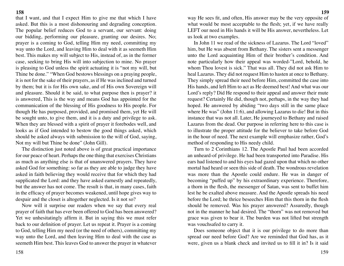that I want, and that I expect Him to give me that which I have asked. But this is a most dishonouring and degrading conception. The popular belief reduces God to a servant, our servant: doing our bidding, performing our pleasure, granting our desires. No; prayer is a coming to God, telling Him my need, committing my way unto the Lord, and leaving Him to deal with it as seemeth Him best. This makes my will subject to His, instead of, as in the former case, seeking to bring His will into subjection to mine. No prayer is pleasing to God unless the spirit actuating it is "not my will, but Thine be done." "When God bestows blessings on a praying people, it is not for the sake of their prayers, as if He was inclined and turned by them; but it is for His own sake, and of His own Sovereign will and pleasure. Should it be said, to what purpose then is prayer? it is answered, This is the way and means God has appointed for the communication of the blessing of His goodness to His people. For though He has purposed, provided, and promised them, yet He will be sought unto, to give them, and it is a duty and privilege to ask. When they are blessed with a spirit of prayer it forebodes well, and looks as if God intended to bestow the good things asked, which should be asked always with submission to the will of God, saying, Not my will but Thine be done" (John Gill).

The distinction just noted above is of great practical importance for our peace of heart. Perhaps the one thing that exercises Christians as much as anything else is that of unanswered prayers. They have asked God for something: so far as they are able to judge they have asked in faith believing they would receive that for which they had supplicated the Lord: and they have asked earnestly and repeatedly, but the answer has not come. The result is that, in many cases, faith in the efficacy of prayer becomes weakened, until hope gives way to despair and the closet is altogether neglected. Is it not so?

Now will it surprise our readers when we say that every real prayer of faith that has ever been offered to God has been answered? Yet we unhesitatingly affirm it. But in saying this we must refer back to our definition of prayer. Let us repeat it. Prayer is a coming to God, telling Him my need (or the need of others), committing my way unto the Lord, and then leaving Him to deal with the case as seemeth Him best. This leaves God to answer the prayer in whatever

**158 159** way He sees fit, and often, His answer may be the very opposite of what would be most acceptable to the flesh; yet, if we have really LEFT our need in His hands it will be His answer, nevertheless. Let us look at two examples.

> In John 11 we read of the sickness of Lazarus. The Lord "loved" him, but He was absent from Bethany. The sisters sent a messenger unto the Lord acquainting Him of their brother's condition. And note particularly how their appeal was worded-"Lord, behold, he whom Thou lovest is sick." That was all. They did not ask Him to heal Lazarus. They did not request Him to hasten at once to Bethany. They simply spread their need before Him, committed the case into His hands, and left Him to act as He deemed best! And what was our Lord's reply? Did He respond to their appeal and answer their mute request? Certainly He did, though not, perhaps, in the way they had hoped. He answered by abiding "two days still in the same place where He was" (John 11:6), and allowing Lazarus to die! But in this instance that was not all. Later, He journeyed to Bethany and raised Lazarus from the dead. Our purpose in referring here to this case is to illustrate the proper attitude for the believer to take before God in the hour of need. The next example will emphasize rather, God's method of responding to His needy child.

> Turn to 2 Corinthians 12. The Apostle Paul had been accorded an unheard-of privilege. He had been transported into Paradise. His ears had listened to and his eyes had gazed upon that which no other mortal had heard or seen this side of death. The wondrous revelation was more than the Apostle could endure. He was in danger of becoming "puffed up" by his extraordinary experience. Therefore, a thorn in the flesh, the messenger of Satan, was sent to buffet him lest he be exalted above measure. And the Apostle spreads his need before the Lord; he thrice beseeches Him that this thorn in the flesh should be removed. Was his prayer answered? Assuredly, though not in the manner he had desired. The "thorn" was not removed but grace was given to bear it. The burden was not lifted but strength was vouchsafed to carry it.

> Does someone object that it is our privilege to do more than spread our need before God? Are we reminded that God has, as it were, given us a blank check and invited us to fill it in? Is it said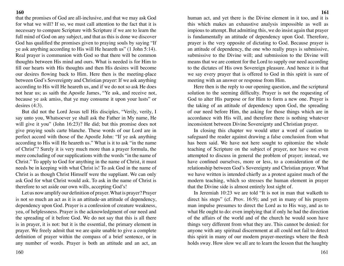that the promises of God are all-inclusive, and that we may ask God for what we will? If so, we must call attention to the fact that it is necessary to compare Scripture with Scripture if we are to learn the full mind of God on any subject, and that as this is done we discover God has qualified the promises given to praying souls by saying "If" ye ask anything according to His will He heareth us" (1 John 5:14). Real prayer is communion with God so that there will be common thoughts between His mind and ours. What is needed is for Him to fill our hearts with His thoughts and then His desires will become our desires flowing back to Him. Here then is the meeting-place between God's Sovereignty and Christian prayer: If we ask anything according to His will He heareth us, and if we do not so ask He does not hear us; as saith the Apostle James, "Ye ask, and receive not, because ye ask amiss, that ye may consume it upon your lusts" or desires  $(4:3)$ .

But did not the Lord Jesus tell His disciples, "Verily, verily, I say unto you, Whatsoever ye shall ask the Father in My name, He will give it you" (John 16:23)? He did; but this promise does not give praying souls carte blanche. These words of our Lord are in perfect accord with those of the Apostle John: "If ye ask anything according to His will He heareth us." What is it to ask "in the name of Christ"? Surely it is very much more than a prayer formula, the mere concluding of our supplications with the words "in the name of Christ." To apply to God for anything in the name of Christ, it must needs be in keeping with what Christ is! To ask God in the name of Christ is as though Christ Himself were the suppliant. We can only ask God for what Christ would ask. To ask in the name of Christ is therefore to set aside our own wills, accepting God's!

Let us now amplify our definition of prayer. What is prayer? Prayer is not so much an act as it is an attitude-an attitude of dependency, dependency upon God. Prayer is a confession of creature weakness, yea, of helplessness. Prayer is the acknowledgment of our need and the spreading of it before God. We do not say that this is all there is in prayer, it is not: but it is the essential, the primary element in prayer. We freely admit that we are quite unable to give a complete definition of prayer within the compass of a brief sentence, or in any number of words. Prayer is both an attitude and an act, an

**160 161** human act, and yet there is the Divine element in it too, and it is this which makes an exhaustive analysis impossible as well as impious to attempt. But admitting this, we do insist again that prayer is fundamentally an attitude of dependency upon God. Therefore, prayer is the very opposite of dictating to God. Because prayer is an attitude of dependency, the one who really prays is submissive, submissive to the Divine will; and submission to the Divine will means that we are content for the Lord to supply our need according to the dictates of His own Sovereign pleasure. And hence it is that we say every prayer that is offered to God in this spirit is sure of meeting with an answer or response from Him.

> Here then is the reply to our opening question, and the scriptural solution to the seeming difficulty. Prayer is not the requesting of God to alter His purpose or for Him to form a new one. Prayer is the taking of an attitude of dependency upon God, the spreading of our need before Him, the asking for those things which are in accordance with His will, and therefore there is nothing whatever inconsistent between Divine Sovereignty and Christian prayer.

> In closing this chapter we would utter a word of caution to safeguard the reader against drawing a false conclusion from what has been said. We have not here sought to epitomize the whole teaching of Scripture on the subject of prayer, nor have we even attempted to discuss in general the problem of prayer; instead, we have confined ourselves, more or less, to a consideration of the relationship between God's Sovereignty and Christian prayer. What we have written is intended chiefly as a protest against much of the modern teaching, which so stresses the human element in prayer that the Divine side is almost entirely lost sight of.

> In Jeremiah 10:23 we are told "It is not in man that walketh to direct his steps" (cf. Prov. 16:9); and yet in many of his prayers man impulse presumes to direct the Lord as to His way, and as to what He ought to do: even implying that if only he had the direction of the affairs of the world and of the church he would soon have things very different from what they are. This cannot be denied: for anyone with any spiritual discernment at all could not fail to detect this spirit in many of our modern prayer-meetings where the flesh holds sway. How slow we all are to learn the lesson that the haughty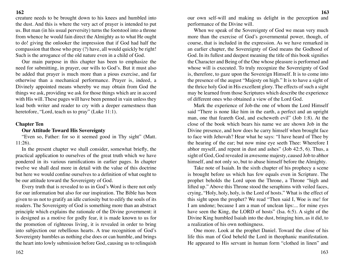creature needs to be brought down to his knees and humbled into the dust. And this is where the very act of prayer is intended to put us. But man (in his usual perversity) turns the footstool into a throne from whence he would fain direct the Almighty as to what He ought to do! giving the onlooker the impression that if God had half the compassion that those who pray (?) have, all would quickly be right! Such is the arrogance of the old nature even in a child of God.

Our main purpose in this chapter has been to emphasize the need for submitting, in prayer, our wills to God's. But it must also be added that prayer is much more than a pious exercise, and far otherwise than a mechanical performance. Prayer is, indeed, a Divinely appointed means whereby we may obtain from God the things we ask, providing we ask for those things which are in accord with His will. These pages will have been penned in vain unless they lead both writer and reader to cry with a deeper earnestness than heretofore, "Lord, teach us to pray" (Luke 11:1).

# **Chapter Ten**

### **Our Attitude Toward His Sovereignty**

"Even so, Father: for so it seemed good in Thy sight" (Matt. 11:26).

In the present chapter we shall consider, somewhat briefly, the practical application to ourselves of the great truth which we have pondered in its various ramifications in earlier pages. In chapter twelve we shall deal more in detail with the value of this doctrine but here we would confine ourselves to a definition of what ought to be our attitude toward the Sovereignty of God.

Every truth that is revealed to us in God's Word is there not only for our information but also for our inspiration. The Bible has been given to us not to gratify an idle curiosity but to edify the souls of its readers. The Sovereignty of God is something more than an abstract principle which explains the rationale of the Divine government: it is designed as a motive for godly fear, it is made known to us for the promotion of righteous living, it is revealed in order to bring into subjection our rebellious hearts. A true recognition of God's Sovereignty humbles as nothing else does or can humble, and brings the heart into lowly submission before God, causing us to relinquish our own self-will and making us delight in the perception and performance of the Divine will.

When we speak of the Sovereignty of God we mean very much more than the exercise of God's governmental power, though, of course, that is included in the expression. As we have remarked in an earlier chapter, the Sovereignty of God means the Godhood of God. In its fullest and deepest meaning the title of this book signifies the Character and Being of the One whose pleasure is performed and whose will is executed. To truly recognize the Sovereignty of God is, therefore, to gaze upon the Sovereign Himself. It is to come into the presence of the august "Majesty on high." It is to have a sight of the thrice holy God in His excellent glory. The effects of such a sight may be learned from those Scriptures which describe the experience of different ones who obtained a view of the Lord God.

Mark the experience of Job-the one of whom the Lord Himself said "There is none like him in the earth, a perfect and an upright man, one that feareth God, and escheweth evil" (Job 1:8). At the close of the book which bears his name we are shown Job in the Divine presence, and how does he carry himself when brought face to face with Jehovah? Hear what he says: "I have heard of Thee by the hearing of the ear; but now mine eye seeth Thee: Wherefore I abhor myself, and repent in dust and ashes" (Job 42:5, 6). Thus, a sight of God, God revealed in awesome majesty, caused Job to abhor himself, and not only so, but to abase himself before the Almighty.

Take note of Isaiah. In the sixth chapter of his prophecy a scene is brought before us which has few equals even in Scripture. The prophet beholds the Lord upon the Throne, a Throne "high and lifted up." Above this Throne stood the seraphims with veiled faces, crying, "Holy, holy, holy, is the Lord of hosts." What is the effect of this sight upon the prophet? We read "Then said I, Woe is me! for I am undone; because I am a man of unclean lips:... for mine eyes have seen the King, the LORD of hosts" (Isa. 6:5). A sight of the Divine King humbled Isaiah into the dust, bringing him, as it did, to a realization of his own nothingness.

One more. Look at the prophet Daniel. Toward the close of his life this man of God beheld the Lord in theophanic manifestation. He appeared to His servant in human form "clothed in linen" and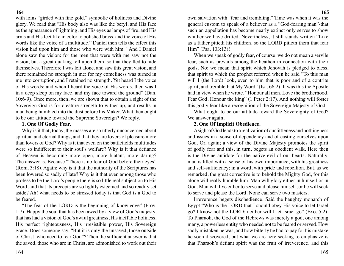with loins "girded with fine gold," symbolic of holiness and Divine glory. We read that "His body also was like the beryl, and His face as the appearance of lightning, and His eyes as lamps of fire, and His arms and His feet like in color to polished brass, and the voice of His words like the voice of a multitude." Daniel then tells the effect this vision had upon him and those who were with him: "And I Daniel alone saw the vision: for the men that were with me saw not the vision; but a great quaking fell upon them, so that they fled to hide themselves. Therefore I was left alone, and saw this great vision, and there remained no strength in me: for my comeliness was turned in me into corruption, and I retained no strength. Yet heard I the voice of His words: and when I heard the voice of His words, then was I in a deep sleep on my face, and my face toward the ground" (Dan. 10:6-9). Once more, then, we are shown that to obtain a sight of the Sovereign God is for creature strength to wither up, and results in man being humbled into the dust before his Maker. What then ought to be our attitude toward the Supreme Sovereign? We reply,

# **1. One Of Godly Fear.**

Why is it that, today, the masses are so utterly unconcerned about spiritual and eternal things, and that they are lovers of pleasure more than lovers of God? Why is it that even on the battlefields multitudes were so indifferent to their soul's welfare? Why is it that defiance of Heaven is becoming more open, more blatant, more daring? The answer is, Because "There is no fear of God before their eyes" (Rom. 3:18). Again; why is it that the authority of the Scriptures has been lowered so sadly of late? Why is it that even among those who profess to be the Lord's people there is so little real subjection to His Word, and that its precepts are so lightly esteemed and so readily set aside? Ah! what needs to be stressed today is that God is a God to be feared.

"The fear of the LORD is the beginning of knowledge" (Prov. 1:7). Happy the soul that has been awed by a view of God's majesty, that has had a vision of God's awful greatness, His ineffable holiness, His perfect righteousness, His irresistible power, His Sovereign grace. Does someone say, "But it is only the unsaved, those outside of Christ, who need to fear God"? Then the sufficient answer is that the saved, those who are in Christ, are admonished to work out their

**164 165** own salvation with "fear and trembling." Time was when it was the general custom to speak of a believer as a "God-fearing man"-that such an appellation has become nearly extinct only serves to show whither we have drifted. Nevertheless, it still stands written "Like as a father pitieth his children, so the LORD pitieth them that fear Him" (Psa. 103:13)!

> When we speak of godly fear, of course, we do not mean a servile fear, such as prevails among the heathen in connection with their gods. No; we mean that spirit which Jehovah is pledged to bless, that spirit to which the prophet referred when he said "To this man will I (the Lord) look, even to him that is poor and of a contrite spirit, and trembleth at My Word" (Isa. 66:2). It was this the Apostle had in view when he wrote, "Honour all men. Love the brotherhood. Fear God. Honour the king" (1 Peter 2:17). And nothing will foster this godly fear like a recognition of the Sovereign Majesty of God.

> What ought to be our attitude toward the Sovereignty of God? We answer again,

### **2. One Of Implicit Obedience.**

A sight of God leads to a realization of our littleness and nothingness and issues in a sense of dependency and of casting ourselves upon God. Or, again; a view of the Divine Majesty promotes the spirit of godly fear and this, in turn, begets an obedient walk. Here then is the Divine antidote for the native evil of our hearts. Naturally, man is filled with a sense of his own importance, with his greatness and self-sufficiency; in a word, with pride and rebellion. But, as we remarked, the great corrective is to behold the Mighty God, for this alone will really humble him. Man will glory either in himself or in God. Man will live either to serve and please himself, or he will seek to serve and please the Lord. None can serve two masters.

Irreverence begets disobedience. Said the haughty monarch of Egypt "Who is the LORD that I should obey His voice to let Israel go? I know not the LORD; neither will I let Israel go" (Exo. 5:2). To Pharaoh, the God of the Hebrews was merely a god, one among many, a powerless entity who needed not to be feared or served. How sadly mistaken he was, and how bitterly he had to pay for his mistake he soon discovered; but what we are here seeking to emphasize is that Pharaoh's defiant spirit was the fruit of irreverence, and this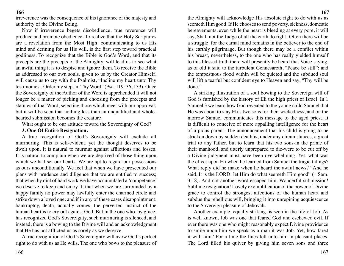irreverence was the consequence of his ignorance of the majesty and authority of the Divine Being.

Now if irreverence begets disobedience, true reverence will produce and promote obedience. To realize that the Holy Scriptures are a revelation from the Most High, communicating to us His mind and defining for us His will, is the first step toward practical godliness. To recognize that the Bible is God's Word, and that its precepts are the precepts of the Almighty, will lead us to see what an awful thing it is to despise and ignore them. To receive the Bible as addressed to our own souls, given to us by the Creator Himself, will cause us to cry with the Psalmist, "Incline my heart unto Thy testimonies...Order my steps in Thy Word" (Psa. 119: 36, 133). Once the Sovereignty of the Author of the Word is apprehended it will not longer be a matter of picking and choosing from the precepts and statutes of that Word, selecting those which meet with our approval; but it will be seen that nothing less than an unqualified and wholehearted submission becomes the creature.

What ought to be our attitude toward the Sovereignty of God?

# **3. One Of Entire Resignation.**

A true recognition of God's Sovereignty will exclude all murmuring. This is self-evident, yet the thought deserves to be dwelt upon. It is natural to murmur against afflictions and losses. It is natural to complain when we are deprived of those thing upon which we had set our hearts. We are apt to regard our possessions as ours unconditionally. We feel that when we have prosecuted our plans with prudence and diligence that we are entitled to success; that when by dint of hard work we have accumulated a 'competence' we deserve to keep and enjoy it; that when we are surrounded by a happy family no power may lawfully enter the charmed circle and strike down a loved one; and if in any of these cases disappointment, bankruptcy, death, actually comes, the perverted instinct of the human heart is to cry out against God. But in the one who, by grace, has recognized God's Sovereignty, such murmuring is silenced, and instead, there is a bowing to the Divine will and an acknowledgment that He has not afflicted us as sorely as we deserve.

A true recognition of God's Sovereignty will avow God's perfect right to do with us as He wills. The one who bows to the pleasure of

**166 167** the Almighty will acknowledge His absolute right to do with us as seemeth Him good. If He chooses to send poverty, sickness, domestic bereavements, even while the heart is bleeding at every pore, it will say, Shall not the Judge of all the earth do right! Often there will be a struggle, for the carnal mind remains in the believer to the end of his earthly pilgrimage. But though there may be a conflict within his breast, nevertheless, to the one who has really yielded himself to this blessed truth there will presently be heard that Voice saying, as of old it said to the turbulent Gennesareth, "Peace be still"; and the tempestuous flood within will be quieted and the subdued soul will lift a tearful but confident eye to Heaven and say, "Thy will be done."

> A striking illustration of a soul bowing to the Sovereign will of God is furnished by the history of Eli the high priest of Israel. In 1 Samuel 3 we learn how God revealed to the young child Samuel that He was about to slay Eli's two sons for their wickedness, and on the morrow Samuel communicates this message to the aged priest. It is difficult to conceive of more appalling intelligence for the heart of a pious parent. The announcement that his child is going to be stricken down by sudden death is, under any circumstances, a great trial to any father, but to learn that his two sons-in the prime of their manhood, and utterly unprepared to die-were to be cut off by a Divine judgment must have been overwhelming. Yet, what was the effect upon Eli when he learned from Samuel the tragic tidings? What reply did he make when he heard the awful news? "And he said, It is the LORD: let Him do what seemeth Him good" (1 Sam. 3:18). And not another word escaped him. Wonderful submission! Sublime resignation! Lovely exemplification of the power of Divine grace to control the strongest affections of the human heart and subdue the rebellious will, bringing it into unrepining acquiescence to the Sovereign pleasure of Jehovah.

> Another example, equally striking, is seen in the life of Job. As is well known, Job was one that feared God and eschewed evil. If ever there was one who might reasonably expect Divine providence to smile upon him-we speak as a man-it was Job. Yet, how fared it with him? For a time the lines fell unto him in pleasant places. The Lord filled his quiver by giving him seven sons and three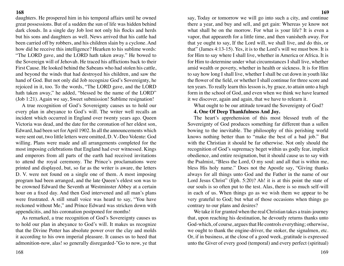daughters. He prospered him in his temporal affairs until he owned great possessions. But of a sudden the sun of life was hidden behind dark clouds. In a single day Job lost not only his flocks and herds but his sons and daughters as well. News arrived that his cattle had been carried off by robbers, and his children slain by a cyclone. And how did he receive this intelligence? Hearken to his sublime words: "The LORD gave, and the LORD hath taken away." He bowed to the Sovereign will of Jehovah. He traced his afflictions back to their First Cause. He looked behind the Sabeans who had stolen his cattle, and beyond the winds that had destroyed his children, and saw the hand of God. But not only did Job recognize God's Sovereignty, he rejoiced in it, too. To the words, "The LORD gave, and the LORD hath taken away," he added, "blessed be the name of the LORD" (Job 1:21). Again we say, Sweet submission! Sublime resignation!

A true recognition of God's Sovereignty causes us to hold our every plan in abeyance to God's will. The writer well recalls an incident which occurred in England over twenty years ago. Queen Victoria was dead, and the date for the coronation of her eldest son, Edward, had been set for April 1902. In all the announcements which were sent out, two little letters were omitted, D. V.-Deo Volente: God willing. Plans were made and all arrangements completed for the most imposing celebrations that England had ever witnessed. Kings and emperors from all parts of the earth had received invitations to attend the royal ceremony. The Prince's proclamations were printed and displayed, but, so far as the writer is aware, the letters D. V. were not found on a single one of them. A most imposing program had been arranged, and the late Queen's eldest son was to be crowned Edward the Seventh at Westminster Abbey at a certain hour on a fixed day. And then God intervened and all man's plans were frustrated. A still small voice was heard to say, "You have reckoned without Me," and Prince Edward was stricken down with appendicitis, and his coronation postponed for months!

As remarked, a true recognition of God's Sovereignty causes us to hold our plan in abeyance to God's will. It makes us recognize that the Divine Potter has absolute power over the clay and molds it according to his own imperial pleasure. It causes us to heed that admonition-now, alas! so generally disregarded-"Go to now, ye that

**168 169** say, Today or tomorrow we will go into such a city, and continue there a year, and buy and sell, and get gain: Whereas ye know not what shall be on the morrow. For what is your life? It is even a vapor, that appeareth for a little time, and then vanisheth away. For that ye ought to say, If the Lord will, we shall live, and do this, or that" (James 4:13-15). Yes, it is to the Lord's will we must bow. It is for Him to say where I shall live, whether in America or Africa. It is for Him to determine under what circumstances I shall live, whether amid wealth or poverty, whether in health or sickness. It is for Him to say how long I shall live, whether I shall be cut down in youth like the flower of the field, or whether I shall continue for three score and ten years. To really learn this lesson is, by grace, to attain unto a high form in the school of God, and even when we think we have learned it we discover, again and again, that we have to relearn it.

What ought to be our attitude toward the Sovereignty of God?

### **4. One Of Deep Thankfulness And Joy.**

The heart's apprehension of this most blessed truth of the Sovereignty of God produces something far different than a sullen bowing to the inevitable. The philosophy of this perishing world knows nothing better than to "make the best of a bad job." But with the Christian it should be far otherwise. Not only should the recognition of God's supremacy beget within us godly fear, implicit obedience, and entire resignation, but it should cause us to say with the Psalmist, "Bless the Lord, O my soul: and all that is within me, bless His holy name." Does not the Apostle say, "Giving thanks always for all things unto God and the Father in the name of our Lord Jesus Christ" (Eph. 5:20)? Ah! it is at this point the state of our souls is so often put to the test. Alas, there is so much self-will in each of us. When things go as we wish them we appear to be very grateful to God; but what of those occasions when things go contrary to our plans and desires?

We take it for granted when the real Christian takes a train-journey that, upon reaching his destination, he devoutly returns thanks unto God-which, of course, argues that He controls everything; otherwise, we ought to thank the engine-driver, the stoker, the signalmen, etc. Or, if in business, at the close of a good week, gratitude is expressed unto the Giver of every good (temporal) and every perfect (spiritual)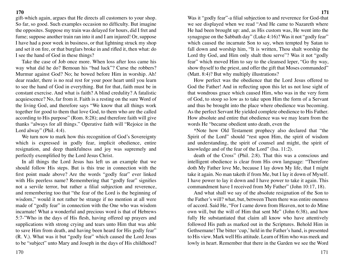gift-which again, argues that He directs all customers to your shop. So far, so good. Such examples occasion no difficulty. But imagine the opposites. Suppose my train was delayed for hours, did I fret and fume; suppose another train ran into it and I am injured! Or, suppose I have had a poor week in business, or that lightning struck my shop and set it on fire, or that burglars broke in and rifled it, then what: do I see the hand of God in these things?

Take the case of Job once more. When loss after loss came his way what did he do? Bemoan his "bad luck"? Curse the robbers? Murmur against God? No; he bowed before Him in worship. Ah! dear reader, there is no real rest for your poor heart until you learn to see the hand of God in everything. But for that, faith must be in constant exercise. And what is faith? A blind credulity? A fatalistic acquiescence? No, far from it. Faith is a resting on the sure Word of the living God, and therefore says "We know that all things work together for good to them that love God, to them who are the called according to His purpose" (Rom. 8:28); and therefore faith will give thanks "always for all things." Operative faith will "Rejoice in the Lord alway" (Phil. 4:4).

We turn now to mark how this recognition of God's Sovereignty which is expressed in godly fear, implicit obedience, entire resignation, and deep thankfulness and joy was supremely and perfectly exemplified by the Lord Jesus Christ.

In all things the Lord Jesus has left us an example that we should follow His steps. But is this true in connection with the first point made above? Are the words "godly fear" ever linked with His peerless name? Remembering that "godly fear" signifies not a servile terror, but rather a filial subjection and reverence, and remembering too that "the fear of the Lord is the beginning of wisdom," would it not rather be strange if no mention at all were made of "godly fear" in connection with the One who was wisdom incarnate! What a wonderful and precious word is that of Hebrews 5:7-"Who in the days of His flesh, having offered up prayers and supplications with strong crying and tears unto Him that was able to save Him from death, and having been heard for His godly fear" (R. V.). What was it but "godly fear" which caused the Lord Jesus to be "subject" unto Mary and Joseph in the days of His childhood?

**170 171** Was it "godly fear"-a filial subjection to and reverence for God-that we see displayed when we read "And He came to Nazareth where He had been brought up: and, as His custom was, He went into the synagogue on the Sabbath day" (Luke 4:16)? Was it not "godly fear" which caused the incarnate Son to say, when tempted by Satan to fall down and worship him, "It is written, Thou shalt worship the Lord thy God, and Him only shalt thou serve"? Was it not "godly fear" which moved Him to say to the cleansed leper, "Go thy way, show thyself to the priest, and offer the gift that Moses commanded" (Matt. 8:4)? But why multiply illustrations?

> How perfect was the obedience that the Lord Jesus offered to God the Father! And in reflecting upon this let us not lose sight of that wondrous grace which caused Him, who was in the very form of God, to stoop so low as to take upon Him the form of a Servant and thus be brought into the place where obedience was becoming. As the perfect Servant He yielded complete obedience to His Father. How absolute and entire that obedience was we may learn from the words He "became obedient unto death, even the

> \*Note how Old Testament prophecy also declared that "the Spirit of the Lord" should "rest upon Him, the spirit of wisdom and understanding, the spirit of counsel and might, the spirit of knowledge and of the fear of the Lord" (Isa. 11:2).

> death of the Cross" (Phil. 2:8). That this was a conscious and intelligent obedience is clear from His own language: "Therefore doth My Father love Me, because I lay down My life, that I might take it again. No man taketh if from Me, but I lay it down of Myself. I have power to lay it down and I have power to take it again. This commandment have I received from My Father" (John 10:17, 18).

> And what shall we say of the absolute resignation of the Son to the Father's will? what, but, between Them there was entire oneness of accord. Said He, "For I came down from Heaven, not to do Mine own will, but the will of Him that sent Me" (John 6:38), and how fully He substantiated that claim all know who have attentively followed His path as marked out in the Scriptures. Behold Him in Gethsemane! The bitter 'cup,' held in the Father's hand, is presented to His view. Mark well His attitude. Learn of Him who was meek and lowly in heart. Remember that there in the Garden we see the Word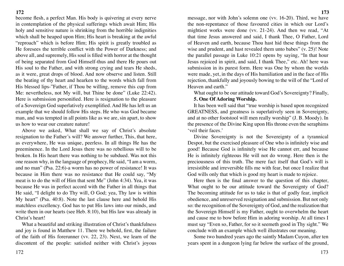# **172 173**

become flesh, a perfect Man. His body is quivering at every nerve in contemplation of the physical sufferings which await Him; His holy and sensitive nature is shrinking from the horrible indignities which shall be heaped upon Him; His heart is breaking at the awful "reproach" which is before Him; His spirit is greatly troubled as He foresees the terrible conflict with the Power of Darkness; and above all, and supremely, His soul is filled with horror at the thought of being separated from God Himself-thus and there He pours out His soul to the Father, and with strong crying and tears He sheds, as it were, great drops of blood. And now observe and listen. Still the beating of thy heart and hearken to the words which fall from His blessed lips-"Father, if Thou be willing, remove this cup from Me: nevertheless, not My will, but Thine be done" (Luke 22:42). Here is submission personified. Here is resignation to the pleasure of a Sovereign God superlatively exemplified. And He has left us an example that we should follow His steps. He who was God became man, and was tempted in all points like as we are, sin apart, to show us how to wear our creature nature!

Above we asked, What shall we say of Christ's absolute resignation to the Father's will? We answer further, This, that here, as everywhere, He was unique, peerless. In all things He has the preeminence. In the Lord Jesus there was no rebellious will to be broken. In His heart there was nothing to be subdued. Was not this one reason why, in the language of prophecy, He said, "I am a worm, and no man" (Psa. 22:6)-a worm has no power of resistance! It was because in Him there was no resistance that He could say, "My meat is to do the will of Him that sent Me" (John 4:34). Yea, it was because He was in perfect accord with the Father in all things that He said, "I delight to do Thy will, O God; yea, Thy law is within My heart" (Psa. 40:8). Note the last clause here and behold His matchless excellency. God has to put His laws into our minds, and write them in our hearts (see Heb. 8:10), but His law was already in Christ's heart!

What a beautiful and striking illustration of Christ's thankfulness and joy is found in Matthew 11. There we behold, first, the failure of the faith of His forerunner (vv. 22, 23). Next, we learn of the discontent of the people: satisfied neither with Christ's joyous

message, nor with John's solemn one (vv. 16-20). Third, we have the non-repentance of those favoured cities in which our Lord's mightiest works were done (vv. 21-24). And then we read, "At that time Jesus answered and said, I thank Thee, O Father, Lord of Heaven and earth, because Thou hast hid these things from the wise and prudent, and hast revealed them unto babes" (v. 25)! Note the parallel passage in Luke 10:21 opens by saying, "In that hour Jesus rejoiced in spirit, and said, I thank Thee," etc. Ah! here was submission in its purest form. Here was One by whom the worlds were made, yet, in the days of His humiliation and in the face of His rejection, thankfully and joyously bowing to the will of the "Lord of Heaven and earth."

What ought to be our attitude toward God's Sovereignty? Finally,

# **5. One Of Adoring Worship.**

It has been well said that "true worship is based upon recognized GREATNESS, and greatness is superlatively seen in Sovereignty, and at no other footstool will men really worship" (J. B. Moody). In the presence of the Divine King upon His throne even the seraphims 'veil their faces.'

Divine Sovereignty is not the Sovereignty of a tyrannical Despot, but the exercised pleasure of One who is infinitely wise and good! Because God is infinitely wise He cannot err, and because He is infinitely righteous He will not do wrong. Here then is the preciousness of this truth. The mere fact itself that God's will is irresistible and irreversible fills me with fear, but once I realize that God wills only that which is good my heart is made to rejoice.

Here then is the final answer to the question of this chapter, What ought to be our attitude toward the Sovereignty of God? The becoming attitude for us to take is that of godly fear, implicit obedience, and unreserved resignation and submission. But not only so: the recognition of the Sovereignty of God, and the realization that the Sovereign Himself is my Father, ought to overwhelm the heart and cause me to bow before Him in adoring worship. At all times I must say "Even so, Father, for so it seemeth good in Thy sight." We conclude with an example which well illustrates our meaning.

Some two hundred years ago the saintly Madam Cuyon, after ten years spent in a dungeon lying far below the surface of the ground,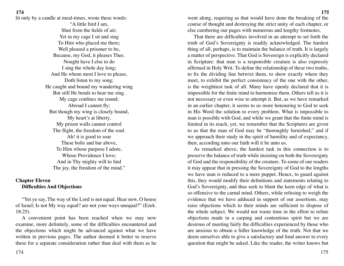lit only by a candle at meal-times, wrote these words: "A little bird I am, Shut from the fields of air; Yet in my cage I sit and sing To Him who placed me there; Well pleased a prisoner to be, Because, my God, it pleases Thee. Nought have I else to do I sing the whole day long; And He whom most I love to please, Doth listen to my song; He caught and bound my wandering wing But still He bends to hear me sing. My cage confines me round; Abroad I cannot fly; But though my wing is closely bound, My heart's at liberty, My prison walls cannot control The flight, the freedom of the soul. Ah! it is good to soar These bolts and bar above, To Him whose purpose I adore, Whose Providence I love; And in Thy mighty will to find The joy, the freedom of the mind."

# **Chapter Eleven Difficulties And Objections**

"Yet ye say, The way of the Lord is not equal. Hear now, O house of Israel; Is not My way equal? are not your ways unequal?" (Ezek. 18:25).

A convenient point has been reached when we may now examine, more definitely, some of the difficulties encountered and the objections which might be advanced against what we have written in previous pages. The author deemed it better to reserve these for a separate consideration rather than deal with them as he

**174 175** went along, requiring as that would have done the breaking of the course of thought and destroying the strict unity of each chapter, or else cumbering our pages with numerous and lengthy footnotes.

That there are difficulties involved in an attempt to set forth the truth of God's Sovereignty is readily acknowledged. The hardest thing of all, perhaps, is to maintain the balance of truth. It is largely a matter of perspective. That God is Sovereign is explicitly declared in Scripture: that man is a responsible creature is also expressly affirmed in Holy Writ. To define the relationship of these two truths, to fix the dividing line betwixt them, to show exactly where they meet, to exhibit the perfect consistency of the one with the other, is the weightiest task of all. Many have openly declared that it is impossible for the finite mind to harmonize them. Others tell us it is not necessary or even wise to attempt it. But, as we have remarked in an earlier chapter, it seems to us more honouring to God to seek in His Word the solution to every problem. What is impossible to man is possible with God, and while we grant that the finite mind is limited in its reach, yet, we remember that the Scriptures are given to us that the man of God may be "thoroughly furnished," and if we approach their study in the spirit of humility and of expectancy, then, according unto our faith will it be unto us.

As remarked above, the hardest task in this connection is to preserve the balance of truth while insisting on both the Sovereignty of God and the responsibility of the creature. To some of our readers it may appear that in pressing the Sovereignty of God to the lengths we have man is reduced to a mere puppet. Hence, to guard against this, they would modify their definitions and statements relating to God's Sovereignty, and thus seek to blunt the keen edge of what is so offensive to the carnal mind. Others, while refusing to weigh the evidence that we have adduced in support of our assertions, may raise objections which to their minds are sufficient to dispose of the whole subject. We would not waste time in the effort to refute objections made in a carping and contentious spirit but we are desirous of meeting fairly the difficulties experienced by those who are anxious to obtain a fuller knowledge of the truth. Not that we deem ourselves able to give a satisfactory and final answer to every question that might be asked. Like the reader, the writer knows but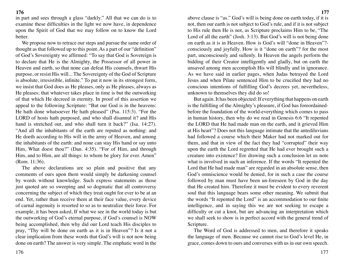in part and sees through a glass "darkly." All that we can do is to examine these difficulties in the light we now have, in dependence upon the Spirit of God that we may follow on to know the Lord better.

We propose now to retrace our steps and pursue the same order of thought as that followed up to this point. As a part of our "definition" of God's Sovereignty we affirmed: "To say that God is Sovereign is to declare that He is the Almighty, the Possessor of all power in Heaven and earth, so that none can defeat His counsels, thwart His purpose, or resist His will... The Sovereignty of the God of Scripture is absolute, irresistible, infinite." To put it now in its strongest form, we insist that God does as He pleases, only as He pleases, always as He pleases; that whatever takes place in time is but the outworking of that which He decreed in eternity. In proof of this assertion we appeal to the following Scripture: "But our God is in the heavens: He hath done whatsoever He hath pleased" (Psa. 115:3). "For the LORD of hosts hath purposed, and who shall disannul it? and His hand is stretched out, and who shall turn it back?" (Isa. 14:27). "And all the inhabitants of the earth are reputed as nothing: and He doeth according to His will in the army of Heaven, and among the inhabitants of the earth: and none can stay His hand or say unto Him, What doest thou?" (Dan. 4:35). "For of Him, and through Him, and to Him, are all things: to whom be glory for ever. Amen" (Rom. 11:36).

The above declarations are so plain and positive that any comments of ours upon them would simply be darkening counsel by words without knowledge. Such express statements as those just quoted are so sweeping and so dogmatic that all controversy concerning the subject of which they treat ought for ever to be at an end. Yet, rather than receive them at their face value, every device of carnal ingenuity is resorted to so as to neutralize their force. For example, it has been asked, If what we see in the world today is but the outworking of God's eternal purpose, if God's counsel is NOW being accomplished, then why did our Lord teach His disciples to pray, "Thy will be done on earth as it is in Heaven"? Is it not a clear implication from these words that God's will is not now being done on earth? The answer is very simple. The emphatic word in the

**176 177** above clause is "as." God's will is being done on earth today, if it is not, then our earth is not subject to God's rule, and if it is not subject to His rule then He is not, as Scripture proclaims Him to be, "The Lord of all the earth" (Josh. 3:13). But God's will is not being done on earth as it is in Heaven. How is God's will "done in Heaven"? consciously and joyfully. How is it "done on earth"? for the most part, unconsciously and sullenly. In Heaven the angels perform the bidding of their Creator intelligently and gladly, but on earth the

unsaved among men accomplish His will blindly and in ignorance. As we have said in earlier pages, when Judas betrayed the Lord Jesus and when Pilate sentenced Him to be crucified they had no conscious intentions of fulfilling God's decrees yet, nevertheless, unknown to themselves they did do so!

But again. It has been objected: If everything that happens on earth is the fulfilling of the Almighty's pleasure, if God has foreordainedbefore the foundation of the world-everything which comes to pass in human history, then why do we read in Genesis 6:6 "It repented the LORD that He had made man on the earth, and it grieved Him at His heart"? Does not this language intimate that the antediluvians had followed a course which their Maker had not marked out for them, and that in view of the fact they had "corrupted" their way upon the earth the Lord regretted that He had ever brought such a creature into existence? Ere drawing such a conclusion let us note what is involved in such an inference. If the words "It repented the Lord that He had made man" are regarded in an absolute sense, then God's omniscience would be denied, for in such a case the course followed by man must have been un-foreseen by God in the day that He created him. Therefore it must be evident to every reverent soul that this language bears some other meaning. We submit that the words "It repented the Lord" is an accommodation to our finite intelligence, and in saying this we are not seeking to escape a difficulty or cut a knot, but are advancing an interpretation which we shall seek to show is in perfect accord with the general trend of Scripture.

The Word of God is addressed to men, and therefore it speaks the language of men. Because we cannot rise to God's level He, in grace, comes down to ours and converses with us in our own speech.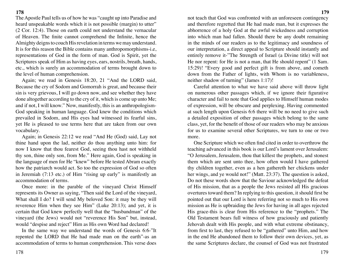## **178 179**

The Apostle Paul tells us of how he was "caught up into Paradise and heard unspeakable words which it is not possible (margin) to utter" (2 Cor. 12:4). Those on earth could not understand the vernacular of Heaven. The finite cannot comprehend the Infinite, hence the Almighty deigns to couch His revelation in terms we may understand. It is for this reason the Bible contains many anthropomorphisms-i.e, representations of God in the form of man. God is Spirit, yet the Scriptures speak of Him as having eyes, ears, nostrils, breath, hands, etc., which is surely an accommodation of terms brought down to the level of human comprehension.

Again; we read in Genesis 18:20, 21 "And the LORD said, Because the cry of Sodom and Gomorrah is great, and because their sin is very grievous, I will go down now, and see whether they have done altogether according to the cry of it, which is come up unto Me; and if not, I will know." Now, manifestly, this is an anthropologism-God speaking in human language. God knew the conditions which prevailed in Sodom, and His eyes had witnessed its fearful sins, yet He is pleased to use terms here that are taken from our own vocabulary.

Again; in Genesis 22:12 we read "And He (God) said, Lay not thine hand upon the lad, neither do thou anything unto him: for now I know that thou fearest God, seeing thou hast not withheld thy son, thine only son, from Me." Here again, God is speaking in the language of men for He "knew" before He tested Abram exactly how the patriarch would act. So too the expression of God so often in Jeremiah (7:13 etc.) of Him "rising up early" is manifestly an accommodation of terms.

Once more: in the parable of the vineyard Christ Himself represents its Owner as saying, "Then said the Lord of the vineyard, What shall I do? I will send My beloved Son: it may be they will reverence Him when they see Him" (Luke 20:13); and yet, it is certain that God knew perfectly well that the "husbandman" of the vineyard (the Jews) would not "reverence His Son" but, instead, would "despise and reject" Him as His own Word had declared!

In the same way we understand the words of Genesis 6:6-"It repented the LORD that He had made man on the earth"-as an accommodation of terms to human comprehension. This verse does not teach that God was confronted with an unforeseen contingency and therefore regretted that He had made man, but it expresses the abhorrence of a holy God at the awful wickedness and corruption into which man had fallen. Should there be any doubt remaining in the minds of our readers as to the legitimacy and soundness of our interpretation, a direct appeal to Scripture should instantly and entirely remove it-"The Strength of Israel (a Divine title) will not He nor repent: for He is not a man, that He should repent" (1 Sam. 15:29)! "Every good and perfect gift is from above, and cometh down from the Father of lights, with Whom is no variableness, neither shadow of turning" (James 1:17)!

Careful attention to what we have said above will throw light on numerous other passages which, if we ignore their figurative character and fail to note that God applies to Himself human modes of expression, will be obscure and perplexing. Having commented at such length upon Genesis 6:6 there will be no need to give such a detailed exposition of other passages which belong to the same class, yet, for the benefit of those of our readers who may be anxious for us to examine several other Scriptures, we turn to one or two more.

One Scripture which we often find cited in order to overthrow the teaching advanced in this book is our Lord's lament over Jerusalem: "O Jerusalem, Jerusalem, thou that killest the prophets, and stonest them which are sent unto thee, how often would I have gathered thy children together, even as a hen gathereth her chickens under her wings, and ye would not!" (Matt. 23:37). The question is asked, Do not these words show that the Saviour acknowledged the defeat of His mission, that as a people the Jews resisted all His gracious overtures toward them? In replying to this question, it should first be pointed out that our Lord is here referring not so much to His own mission as He is upbraiding the Jews for having in all ages rejected His grace-this is clear from His reference to the "prophets." The Old Testament bears full witness of how graciously and patiently Jehovah dealt with His people, and with what extreme obstinancy, from first to last, they refused to be "gathered" unto Him, and how in the end He abandoned them to follow their own devices, yet, as the same Scriptures declare, the counsel of God was not frustrated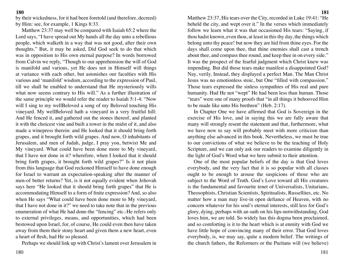by their wickedness, for it had been foretold (and therefore, decreed) by Him: see, for example, 1 Kings 8:33.

Matthew 23:37 may well be compared with Isaiah 65:2 where the Lord says, "I have spread out My hands all the day unto a rebellious people, which walketh in a way that was not good, after their own thoughts." But, it may be asked, Did God seek to do that which was in opposition to His own eternal purpose? In words borrowed from Calvin we reply, "Though to our apprehension the will of God is manifold and various, yet He does not in Himself will things at variance with each other, but astonishes our faculties with His various and 'manifold' wisdom, according to the expression of Paul, till we shall be enabled to understand that He mysteriously wills what now seems contrary to His will." As a further illustration of the same principle we would refer the reader to Isaiah 5:1-4: "Now will I sing to my wellBeloved a song of my Beloved touching His vineyard. My wellBeloved hath a vineyard in a very fruitful hill: And He fenced it, and gathered out the stones thereof, and planted it with the choicest vine and built a tower in the midst of it, and also made a winepress therein: and He looked that it should bring forth grapes, and it brought forth wild grapes. And now, O inhabitants of Jerusalem, and men of Judah, judge, I pray you, betwixt Me and My vineyard. What could have been done more to My vineyard, that I have not done in it? wherefore, when I looked that it should bring forth grapes, it brought forth wild grapes?" Is it not plain from this language that God reckoned Himself to have done enough for Israel to warrant an expectation-speaking after the manner of men-of better returns? Yet, is it not equally evident when Jehovah says here "He looked that it should bring forth grapes" that He is accommodating Himself to a form of finite expression? And, so also when He says "What could have been done more to My vineyard, that I have not done in it?" we need to take note that in the previous enumeration of what He had done-the "fencing" etc.-He refers only to external privileges, means, and opportunities, which had been bestowed upon Israel, for, of course, He could even then have taken away from them their stony heart and given them a new heart, even a heart of flesh, had He so pleased.

Perhaps we should link up with Christ's lament over Jerusalem in

**180 181** Matthew 23:37, His tears over the City, recorded in Luke 19:41: "He beheld the city, and wept over it." In the verses which immediately follow we learn what it was that occasioned His tears: "Saying, if thou hadst known, even thou, at least in this thy day, the things which belong unto thy peace! but now they are hid from thine eyes. For the days shall come upon thee, that thine enemies shall cast a trench about thee, and compass thee round, and keep thee in on every side." It was the prospect of the fearful judgment which Christ knew was impending. But did those tears make manifest a disappointed God? Nay, verily. Instead, they displayed a perfect Man. The Man Christ Jesus was no emotionless stoic, but One "filled with compassion." Those tears expressed the sinless sympathies of His real and pure humanity. Had He not "wept" He had been less than human. Those "tears" were one of many proofs that "in all things it behooved Him to be made like unto His brethren" (Heb. 2:17).

> In Chapter One we have affirmed that God is Sovereign in the exercise of His love, and in saying this we are fully aware that many will strongly resent the statement and that, furthermore, what we have now to say will probably meet with more criticism than anything else advanced in this book. Nevertheless, we must be true to our convictions of what we believe to be the teaching of Holy Scripture, and we can only ask our readers to examine diligently in the light of God's Word what we here submit to their attention.

> One of the most popular beliefs of the day is that God loves everybody, and the very fact that it is so popular with all classes ought to be enough to arouse the suspicions of those who are subject to the Word of Truth. God's Love toward all His creatures is the fundamental and favourite tenet of Universalists, Unitarians, Theosophists, Christian Scientists, Spiritualists, Russellites, etc. No matter how a man may live-in open defiance of Heaven, with no concern whatever for his soul's eternal interests, still less for God's glory, dying, perhaps with an oath on his lips-notwithstanding, God loves him, we are told. So widely has this dogma been proclaimed, and so comforting is it to the heart which is at enmity with God we have little hope of convincing many of their error. That God loves everybody, is, we may say, quite a modern belief. The writings of the church fathers, the Reformers or the Puritans will (we believe)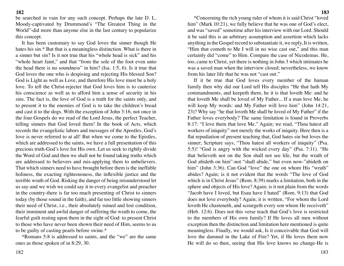be searched in vain for any such concept. Perhaps the late D. L. Moody-captivated by Drummond's "The Greatest Thing in the World"-did more than anyone else in the last century to popularize this concept.

It has been customary to say God loves the sinner though He hates his sin.\* But that is a meaningless distinction. What is there in a sinner but sin? Is it not true that his "whole head is sick" and his "whole heart faint," and that "from the sole of the foot even unto the head there is no soundness" in him? (Isa. 1:5, 6). Is it true that God loves the one who is despising and rejecting His blessed Son? God is Light as well as Love, and therefore His love must be a holy love. To tell the Christ-rejecter that God loves him is to cauterize his conscience as well as to afford him a sense of security in his sins. The fact is, the love of God is a truth for the saints only, and to present it to the enemies of God is to take the children's bread and cast it to the dogs. With the exception of John 3:16, not once in the four Gospels do we read of the Lord Jesus, the perfect Teacher, telling sinners that God loved them! In the book of Acts, which records the evangelistic labors and messages of the Apostles, God's love is never referred to at all! But when we come to the Epistles, which are addressed to the saints, we have a full presentation of this precious truth-God's love for His own. Let us seek to rightly divide the Word of God and then we shall not be found taking truths which are addressed to believers and mis-applying them to unbelievers. That which sinners need to have brought before them is the ineffable holiness, the exacting righteousness, the inflexible justice and the terrible wrath of God. Risking the danger of being misunderstood let us say-and we wish we could say it to every evangelist and preacher in the country-there is far too much presenting of Christ to sinners today (by those sound in the faith), and far too little showing sinners their need of Christ, i.e., their absolutely ruined and lost condition, their imminent and awful danger of suffering the wrath to come, the fearful guilt resting upon them in the sight of God: to present Christ to those who have never been shown their need of Him, seems to us to be guilty of casting pearls before swine.\*

\*Romans 5:8 is addressed to saints, and the "we" are the same ones as those spoken of in 8:29, 30.

\*Concerning the rich young ruler of whom it is said Christ "loved him" (Mark 10:21), we fully believe that he was one of God's elect, and was "saved" sometime after his interview with our Lord. Should it be said this is an arbitrary assumption and assertion which lacks anything in the Gospel record to substantiate it, we reply, It is written, "Him that cometh to Me I will in no wise cast out," and this man certainly did "come" to Him. Compare the case of Nicodemus. He, too, came to Christ, yet there is nothing in John 3 which intimates he was a saved man when the interview closed; nevertheless, we know from his later life that he was not "cast out."

If it be true that God loves every member of the human family then why did our Lord tell His disciples "He that hath My commandments, and keepeth them, he it is that loveth Me: and he that loveth Me shall be loved of My Father... If a man love Me, he will keep My words: and My Father will love him" (John 14:21, 23)? Why say "he that loveth Me shall be loved of My Father" if the Father loves everybody? The same limitation is found in Proverbs 8:17: "I love them that love Me." Again; we read, "Thou hatest all workers of iniquity"-not merely the works of iniquity. Here then is a flat repudiation of present teaching that, God hates sin but loves the sinner; Scripture says, "Thou hatest all workers of iniquity" (Psa. 5:5)! "God is angry with the wicked every day" (Psa. 7:11). "He that believeth not on the Son shall not see life, but the wrath of God abideth on him"-not "shall abide," but even now-"abideth on him" (John 3:36). Can God "love" the one on whom His "wrath" abides? Again; is it not evident that the words "The love of God which is in Christ Jesus" (Rom. 8:39) marks a limitation, both in the sphere and objects of His love? Again; is it not plain from the words "Jacob have I loved, but Esau have I hated" (Rom. 9:13) that God does not love everybody? Again; it is written, "For whom the Lord loveth He chasteneth, and scourgeth every son whom He receiveth" (Heb. 12:6). Does not this verse teach that God's love is restricted to the members of His own family? If He loves all men without exception then the distinction and limitation here mentioned is quite meaningless. Finally, we would ask, Is it conceivable that God will love the damned in the Lake of Fire? Yet, if He loves them now He will do so then, seeing that His love knows no change-He is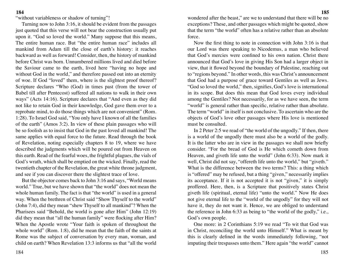"without variableness or shadow of turning"!

Turning now to John 3:16, it should be evident from the passages just quoted that this verse will not bear the construction usually put upon it. "God so loved the world." Many suppose that this means, The entire human race. But "the entire human race" includes all mankind from Adam till the close of earth's history: it reaches backward as well as forward! Consider, then, the history of mankind before Christ was born. Unnumbered millions lived and died before the Saviour came to the earth, lived here "having no hope and without God in the world," and therefore passed out into an eternity of woe. If God "loved" them, where is the slightest proof thereof? Scripture declares "Who (God) in times past (from the tower of Babel till after Pentecost) suffered all nations to walk in their own ways" (Acts 14:16). Scripture declares that "And even as they did not like to retain God in their knowledge, God gave them over to a reprobate mind, to do those things which are not convenient" (Rom. 1:28). To Israel God said, "You only have I known of all the families of the earth" (Amos 3:2). In view of these plain passages who will be so foolish as to insist that God in the past loved all mankind! The same applies with equal force to the future. Read through the book of Revelation, noting especially chapters 8 to 19, where we have described the judgments which will be poured out from Heaven on this earth. Read of the fearful woes, the frightful plagues, the vials of God's wrath, which shall be emptied on the wicked. Finally, read the twentieth chapter of the Revelation, the great white throne judgment, and see if you can discover there the slightest trace of love.

But the objector comes back to John 3:16 and says, "World means world." True, but we have shown that "the world" does not mean the whole human family. The fact is that "the world" is used in a general way. When the brethren of Christ said "Show Thyself to the world" (John 7:4), did they mean "shew Thyself to all mankind"? When the Pharisees said "Behold, the world is gone after Him" (John 12:19) did they mean that "all the human family" were flocking after Him? When the Apostle wrote "Your faith is spoken of throughout the whole world" (Rom. 1:8), did he mean that the faith of the saints at Rome was the subject of conversation by every man, woman, and child on earth? When Revelation 13:3 informs us that "all the world

**184 185** wondered after the beast," are we to understand that there will be no exceptions? These, and other passages which might be quoted, show that the term "the world" often has a relative rather than an absolute force.

> Now the first thing to note in connection with John 3:16 is that our Lord was there speaking to Nicodemus, a man who believed that God's mercies were confined to his own nation. Christ there announced that God's love in giving His Son had a larger object in view, that it flowed beyond the boundary of Palestine, reaching out to "regions beyond." In other words, this was Christ's announcement that God had a purpose of grace toward Gentiles as well as Jews. "God so loved the world," then, signifies, God's love is international in its scope. But does this mean that God loves every individual among the Gentiles? Not necessarily, for as we have seen, the term "world" is general rather than specific, relative rather than absolute. The term "world" in itself is not conclusive. To ascertain who are the objects of God's love other passages where His love is mentioned must be consulted.

> In 2 Peter 2:5 we read of "the world of the ungodly." If then, there is a world of the ungodly there must also be a world of the godly. It is the latter who are in view in the passages we shall now briefly consider. "For the bread of God is He which cometh down from Heaven, and giveth life unto the world" (John 6:33). Now mark it well, Christ did not say, "offereth life unto the world," but "giveth." What is the difference between the two terms? This: a thing which is "offered" may be refused, but a thing "given," necessarily implies its acceptance. If it is not accepted it is not "given," it is simply proffered. Here, then, is a Scripture that positively states Christ giveth life (spiritual, eternal life) "unto the world." Now He does not give eternal life to the "world of the ungodly" for they will not have it, they do not want it. Hence, we are obliged to understand the reference in John 6:33 as being to "the world of the godly," i.e., God's own people.

> One more: in 2 Corinthians 5:19 we read "To wit that God was in Christ, reconciling the world unto Himself." What is meant by this is clearly defined in the words immediately following, "not imputing their trespasses unto them." Here again "the world" cannot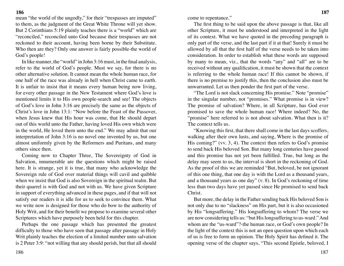mean "the world of the ungodly," for their "trespasses are imputed" to them, as the judgment of the Great White Throne will yet show. But 2 Corinthians 5:19 plainly teaches there is a "world" which are "reconciled," reconciled unto God because their trespasses are not reckoned to their account, having been borne by their Substitute. Who then are they? Only one answer is fairly possible-the world of God's people!

In like manner, the "world" in John 3:16 must, in the final analysis, refer to the world of God's people. Must we say, for there is no other alternative solution. It cannot mean the whole human race, for one half of the race was already in hell when Christ came to earth. It is unfair to insist that it means every human being now living, for every other passage in the New Testament where God's love is mentioned limits it to His own people-search and see! The objects of God's love in John 3:16 are precisely the same as the objects of Christ's love in John 13:1: "Now before the Feast of the Passover, when Jesus knew that His hour was come, that He should depart out of this world unto the Father, having loved His own which were in the world, He loved them unto the end." We may admit that our interpretation of John 3:16 is no novel one invented by us, but one almost uniformly given by the Reformers and Puritans, and many others since then.

Coming now to Chapter Three, The Sovereignty of God in Salvation, innumerable are the questions which might be raised here. It is strange, yet it is true, that many who acknowledge the Sovereign rule of God over material things will cavil and quibble when we insist that God is also Sovereign in the spiritual realm. But their quarrel is with God and not with us. We have given Scripture in support of everything advanced in these pages, and if that will not satisfy our readers it is idle for us to seek to convince them. What we write now is designed for those who do bow to the authority of Holy Writ, and for their benefit we propose to examine several other Scriptures which have purposely been held for this chapter.

Perhaps the one passage which has presented the greatest difficulty to those who have seen that passage after passage in Holy Writ plainly teaches the election of a limited number unto salvation is 2 Peter 3:9: "not willing that any should perish, but that all should

come to repentance."

The first thing to be said upon the above passage is that, like all other Scripture, it must be understood and interpreted in the light of its context. What we have quoted in the preceding paragraph is only part of the verse, and the last part if it at that! Surely it must be allowed by all that the first half of the verse needs to be taken into consideration. In order to establish what these words are supposed by many to mean, viz., that the words "any" and "all" are to be received without any qualification, it must be shown that the context is referring to the whole human race! If this cannot be shown, if there is no premise to justify this, then the conclusion also must be unwarranted. Let us then ponder the first part of the verse.

"The Lord is not slack concerning His promise." Note "promise" in the singular number, not "promises." What promise is in view? The promise of salvation? Where, in all Scripture, has God ever promised to save the whole human race! Where indeed? No, the "promise" here referred to is not about salvation. What then is it? The context tells us.

"Knowing this first, that there shall come in the last days scoffers, walking after their own lusts, and saying, Where is the promise of His coming?" (vv. 3, 4). The context then refers to God's promise to send back His beloved Son. But many long centuries have passed and this promise has not yet been fulfilled. True, but long as the delay may seem to us, the interval is short in the reckoning of God. As the proof of this we are reminded "But, beloved, be not ignorant of this one thing, that one day is with the Lord as a thousand years, and a thousand years as one day" (v. 8). In God's reckoning of time less than two days have yet passed since He promised to send back Christ.

But more, the delay in the Father sending back His beloved Son is not only due to no "slackness" on His part, but it is also occasioned by His "longsuffering." His longsuffering to whom? The verse we are now considering tells us: "but His longsuffering to us-ward." And whom are the "us-ward"?-the human race, or God's own people? In the light of the context this is not an open question upon which each of us is free to form an opinion. The Holy Spirit has defined it. The opening verse of the chapter says, "This second Epistle, beloved, I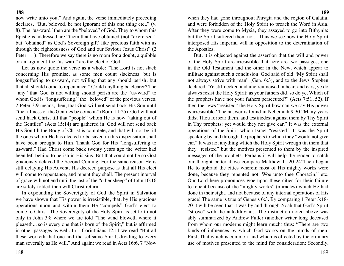### **188 189**

now write unto you." And again, the verse immediately preceding declares, "But, beloved, be not ignorant of this one thing etc.," (v. 8). The "us-ward" then are the "beloved" of God. They to whom this Epistle is addressed are "them that have obtained (not "exercised," but "obtained" as God's Sovereign gift) like precious faith with us through the righteousness of God and our Saviour Jesus Christ" (2 Peter 1:1). Therefore we say there is no room for a doubt, a quibble or an argument-the "us-ward" are the elect of God.

Let us now quote the verse as a whole: "The Lord is not slack concerning His promise, as some men count slackness; but is longsuffering to us-ward, not willing that any should perish, but that all should come to repentance." Could anything be clearer? The "any" that God is not willing should perish are the "us-ward" to whom God is "longsuffering," the "beloved" of the previous verses. 2 Peter 3:9 means, then, that God will not send back His Son until "the fullness of the Gentiles be come in" (Rom. 11:25). God will not send hack Christ till that "people" whom He is now "taking out of the Gentiles" (Acts 15:14) are gathered in. God will not send back His Son till the Body of Christ is complete, and that will not be till the ones whom He has elected to be saved in this dispensation shall have been brought to Him. Thank God for His "longsuffering to us-ward." Had Christ come back twenty years ago the writer had been left behind to perish in His sins. But that could not be so God graciously delayed the Second Coming. For the same reason He is still delaying His Advent. His decreed purpose is that all His elect will come to repentance, and repent they shall. The present interval of grace will not end until the last of the "other sheep" of John 10:16 are safely folded-then will Christ return.

In expounding the Sovereignty of God the Spirit in Salvation we have shown that His power is irresistible, that, by His gracious operations upon and within them He "compels" God's elect to come to Christ. The Sovereignty of the Holy Spirit is set forth not only in John 3:8 where we are told "The wind bloweth where it pleaseth... so is every one that is born of the Spirit," but is affirmed in other passages as well. In 1 Corinthians 12:11 we read "But all these worketh that one and the selfsame Spirit, dividing to every man severally as He will." And again; we read in Acts 16:6, 7 "Now

when they had gone throughout Phrygia and the region of Galatia, and were forbidden of the Holy Spirit to preach the Word in Asia. After they were come to Mysia, they assayed to go into Bithynia: but the Spirit suffered them not." Thus we see how the Holy Spirit interposed His imperial will in opposition to the determination of the Apostles.

But, it is objected against the assertion that the will and power of the Holy Spirit are irresistible that here are two passages, one in the Old Testament and the other in the New, which appear to militate against such a conclusion. God said of old "My Spirit shall not always strive with man" (Gen. 6:3), and to the Jews Stephen declared "Ye stiffnecked and uncircumcised in heart and ears, ye do always resist the Holy Spirit: as your fathers did, so do ye. Which of the prophets have not your fathers persecuted?" (Acts 7:51, 52). If then the Jews "resisted" the Holy Spirit how can we say His power is irresistible? The answer is found in Nehemiah 9:30 "Many years didst Thou forbear them, and testifiedest against them by Thy Spirit in Thy prophets: yet would they not give ear." It was the external operations of the Spirit which Israel "resisted." It was the Spirit speaking by and through the prophets to which they "would not give ear." It was not anything which the Holy Spirit wrough tin them that they "resisted" but the motives presented to them by the inspired messages of the prophets. Perhaps it will help the reader to catch our thought better if we compare Matthew 11:20-24"Then began He to upbraid the cities wherein most of His mighty works were done, because they repented not. Woe unto thee Chorazin," etc. Our Lord here pronounces woe upon these cities for their failure to repent because of the "mighty works" (miracles) which He had done in their sight, and not because of any internal operations of His grace! The same is true of Genesis 6:3. By comparing 1 Peter 3:18- 20 it will be seen that it was by and through Noah that God's Spirit "strove" with the antediluvians. The distinction noted above was ably summarized by Andrew Fuller (another writer long deceased from whom our moderns might learn much) thus: "There are two kinds of influences by which God works on the minds of men. First, That which is common, and which is effected by the ordinary use of motives presented to the mind for consideration: Secondly,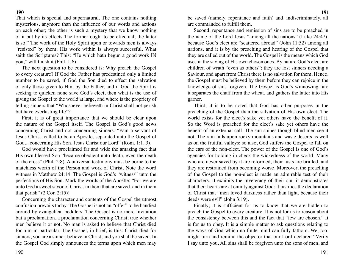## **190 191**

That which is special and supernatural. The one contains nothing mysterious, anymore than the influence of our words and actions on each other; the other is such a mystery that we know nothing of it but by its effects-The former ought to be effectual; the latter is so." The work of the Holy Spirit upon or towards men is always "resisted" by them; His work within is always successful. What saith the Scriptures? This: "He which hath begun a good work IN you," will finish it (Phil. 1:6).

The next question to be considered is: Why preach the Gospel to every creature? If God the Father has predestined only a limited number to be saved, if God the Son died to effect the salvation of only those given to Him by the Father, and if God the Spirit is seeking to quicken none save God's elect, then what is the use of giving the Gospel to the world at large, and where is the propriety of telling sinners that "Whosoever believeth in Christ shall not perish but have everlasting life"?

First; it is of great importance that we should be clear upon the nature of the Gospel itself. The Gospel is God's good news concerning Christ and not concerning sinners: "Paul a servant of Jesus Christ, called to be an Apostle, separated unto the Gospel of God... concerning His Son, Jesus Christ our Lord" (Rom. 1:1, 3).

God would have proclaimed far and wide the amazing fact that His own blessed Son "became obedient unto death, even the death of the cross" (Phil. 2:8). A universal testimony must be borne to the matchless worth of the Person and work of Christ. Note the word witness in Matthew 24:14. The Gospel is God's "witness" unto the perfections of His Son. Mark the words of the Apostle: "For we are unto God a sweet savor of Christ, in them that are saved, and in them that perish" (2 Cor. 2:15)!

Concerning the character and contents of the Gospel the utmost confusion prevails today. The Gospel is not an "offer" to be bandied around by evangelical peddlers. The Gospel is no mere invitation but a proclamation, a proclamation concerning Christ; true whether men believe it or not. No man is asked to believe that Christ died for him in particular. The Gospel, in brief, is this: Christ died for sinners, you are a sinner, believe in Christ, and you shall be saved. In the Gospel God simply announces the terms upon which men may

be saved (namely, repentance and faith) and, indiscriminately, all are commanded to fulfill them.

Second, repentance and remission of sins are to be preached in the name of the Lord Jesus "among all the nations" (Luke 24:47), because God's elect are "scattered abroad" (John 11:52) among all nations, and it is by the preaching and hearing of the Gospel that they are called out of the world. The Gospel is the means which God uses in the saving of His own chosen ones. By nature God's elect are children of wrath "even as others"; they are lost sinners needing a Saviour, and apart from Christ there is no salvation for them. Hence, the Gospel must be believed by them before they can rejoice in the knowledge of sins forgiven. The Gospel is God's winnowing fan: it separates the chaff from the wheat, and gathers the latter into His garner.

Third; it is to be noted that God has other purposes in the preaching of the Gospel than the salvation of His own elect. The world exists for the elect's sake yet others have the benefit of it. So the Word is preached for the elect's sake yet others have the benefit of an external call. The sun shines though blind men see it not. The rain falls upon rocky mountains and waste deserts as well as on the fruitful valleys; so also, God suffers the Gospel to fall on the ears of the non-elect. The power of the Gospel is one of God's agencies for holding in check the wickedness of the world. Many who are never saved by it are reformed, their lusts are bridled, and they are restrained from becoming worse. Moreover, the preaching of the Gospel to the non-elect is made an admirable test of their characters. It exhibits the inveteracy of their sin: it demonstrates that their hearts are at enmity against God: it justifies the declaration of Christ that "men loved darkness rather than light, because their deeds were evil" (John 3:19).

Finally; it is sufficient for us to know that we are bidden to preach the Gospel to every creature. It is not for us to reason about the consistency between this and the fact that "few are chosen." It is for us to obey. It is a simple matter to ask questions relating to the ways of God which no finite mind can fully fathom. We, too, might turn and remind the objector that our Lord declared "Verily I say unto you, All sins shall be forgiven unto the sons of men, and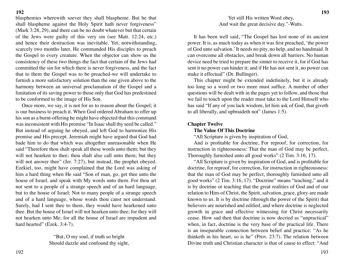blasphemies wherewith soever they shall blaspheme. But he that shall blaspheme against the Holy Spirit hath never forgiveness" (Mark 3:28, 29), and there can be no doubt whatever but that certain of the Jews were guilty of this very sin (see Matt. 12:24, etc.) and hence their destruction was inevitable. Yet, notwithstanding, scarcely two months later, He commanded His disciples to preach the Gospel to every creature. When the objector can show us the consistency of these two things-the fact that certain of the Jews had committed the sin for which there is never forgiveness, and the fact that to them the Gospel was to be preached-we will undertake to furnish a more satisfactory solution than the one given above to the harmony between an universal proclamation of the Gospel and a limitation of its saving power to those only that God has predestined to be conformed to the image of His Son.

Once more, we say, it is not for us to reason about the Gospel; it is our business to preach it. When God ordered Abraham to offer up his son as a burnt-offering he might have objected that this command was inconsistent with His promise "In Isaac shall thy seed be called." But instead of arguing he obeyed, and left God to harmonize His promise and His precept. Jeremiah might have argued that God had bade him to do that which was altogether unreasonable when He said "Therefore thou shalt speak all these words unto them; but they will not hearken to thee; thou shalt also call unto them; but they will not answer thee" (Jer. 7:27), but instead, the prophet obeyed. Ezekiel, too, might have complained that the Lord was asking of him a hard thing when He said "Son of man, go, get thee unto the house of Israel, and speak with My words unto them. For thou art not sent to a people of a strange speech and of an hard language, but to the house of Israel; Not to many people of a strange speech and of a hard language, whose words thou canst not understand. Surely, had I sent thee to them, they would have hearkened unto thee. But the house of Israel will not hearken unto thee; for they will not hearken unto Me; for all the house of Israel are impudent and hard hearted" (Ezek. 3:4-7).

> "But, O my soul, if truth so bright Should dazzle and confound thy sight,

Yet still His written Word obey, And wait the great decisive day."-Watts.

It has been well said, "The Gospel has lost none of its ancient power. It is, as much today as when it was first preached, 'the power of God unto salvation.' It needs no pity, no help, and no handmaid. It can overcome all obstacles, and break down all barriers. No human device need be tried to prepare the sinner to receive it, for if God has sent it no power can hinder it; and if He has not sent it, no power can make it effectual" (Dr. Bullinger).

This chapter might be extended indefinitely, but it is already too long so a word or two more must suffice. A number of other questions will be dealt with in the pages yet to follow, and those that we fail to touch upon the reader must take to the Lord Himself who has said "If any of you lack wisdom, let him ask of God, that giveth to all liberally, and upbraideth not" (James 1:5).

# **Chapter Twelve**

### **The Value Of This Doctrine**

"All Scripture is given by inspiration of God,

And is profitable for doctrine, For reproof, for correction, for instruction in righteousness: That the man of God may be perfect, Thoroughly furnished unto all good works" (2 Tim. 3:16, 17).

"All Scripture is given by inspiration of God, and is profitable for doctrine, for reproof, for correction, for instruction in righteousness: that the man of God may be perfect, thoroughly furnished unto all good works" (2 Tim. 3:16, 17). "Doctrine" means "teaching," and it is by doctrine or teaching that the great realities of God and of our relation to Him-of Christ, the Spirit, salvation, grace, glory-are made known to us. It is by doctrine (through the power of the Spirit) that believers are nourished and edified, and where doctrine is neglected growth in grace and effective witnessing for Christ necessarily cease. How sad then that doctrine is now decried as "unpractical" when, in fact, doctrine is the very base of the practical life. There is an inseparable connection between belief and practice: "As he thinketh in his heart, so is he" (Prov. 23:7). The relation between Divine truth and Christian character is that of cause to effect: "And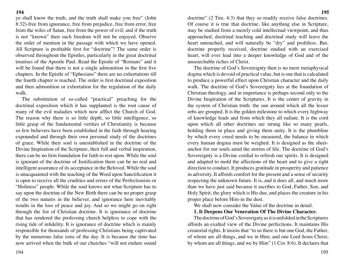### **194 195**

ye shall know the truth, and the truth shall make you free" (John 8:32)-free from ignorance, free from prejudice, free from error, free from the wiles of Satan, free from the power of evil; and if the truth is not "known" then such freedom will not be enjoyed. Observe the order of mention in the passage with which we have opened. All Scripture is profitable first for "doctrine"! The same order is observed throughout the Epistles, particularly in the great doctrinal treatises of the Apostle Paul. Read the Epistle of "Romans" and it will be found that there is not a single admonition in the first five chapters. In the Epistle of "Ephesians" there are no exhortations till the fourth chapter is reached. The order is first doctrinal exposition and then admonition or exhortation for the regulation of the daily walk.

The substitution of so-called "practical" preaching for the doctrinal exposition which it has supplanted is the root cause of many of the evil maladies which now afflict the Church of God. The reason why there is so little depth, so little intelligence, so little grasp of the fundamental verities of Christianity is because so few believers have been established in the faith through hearing expounded and through their own personal study of the doctrines of grace. While their soul is unestablished in the doctrine of the Divine Inspiration of the Scripture, their full and verbal inspiration, there can be no firm foundation for faith to rest upon. While the soul is ignorant of the doctrine of Justification there can be no real and intelligent assurance of its acceptance in the Beloved. While the soul is unacquainted with the teaching of the Word upon Sanctification it is open to receive all the crudities and errors of the Perfectionists or "Holiness" people. While the soul knows not what Scripture has to say upon the doctrine of the New Birth there can be no proper grasp of the two natures in the believer, and ignorance here inevitably results in the loss of peace and joy. And so we might go on right through the list of Christian doctrine. It is ignorance of doctrine that has rendered the professing church helpless to cope with the rising tide of infidelity. It is ignorance of doctrine which is mainly responsible for thousands of professing Christians being captivated by the numerous false isms of the day. It is because the time has now arrived when the bulk of our churches "will not endure sound

doctrine" (2 Tim. 4:3) that they so readily receive false doctrines. Of course it is true that doctrine, like anything else in Scripture, may be studied from a merely cold intellectual viewpoint, and thus approached, doctrinal teaching and doctrinal study will leave the heart untouched, and will naturally be "dry" and profitless. But, doctrine properly received, doctrine studied with an exercised heart, will ever lead into a deeper knowledge of God and of the unsearchable riches of Christ.

The doctrine of God's Sovereignty then is no mere metaphysical dogma which is devoid of practical value, but is one that is calculated to produce a powerful effect upon Christian character and the daily walk. The doctrine of God's Sovereignty lies at the foundation of Christian theology, and in importance is perhaps second only to the Divine Inspiration of the Scriptures. It is the center of gravity in the system of Christian truth: the sun around which all the lesser orbs are grouped. It is the golden milestone to which every highway of knowledge leads and from which they all radiate. It is the cord upon which all other doctrines are strung like so many pearls, holding them in place and giving them unity. It is the plumbline by which every creed needs to be measured, the balance in which every human dogma must be weighed. It is designed as the sheetanchor for our souls amid the storms of life. The doctrine of God's Sovereignty is a Divine cordial to refresh our spirits. It is designed and adapted to mold the affections of the heart and to give a right direction to conduct. It produces gratitude in prosperity and patience in adversity. It affords comfort for the present and a sense of security respecting the unknown future. It is, and it does all, and much more than we have just said because it ascribes to God, Father, Son, and Holy Spirit, the glory which is His due, and places the creature in his proper place before Him-in the dust.

We shall now consider the Value of the doctrine in detail.

#### **1. It Deepens Our Veneration Of The Divine Character.**

The doctrine of God's Sovereignty as it is unfolded in the Scriptures affords an exalted view of the Divine perfections. It maintains His creatorial rights. It insists that "to us there is but one God, the Father, of whom are all things, and we in Him; and one Lord Jesus Christ, by whom are all things, and we by Him" (1 Cor. 8:6). It declares that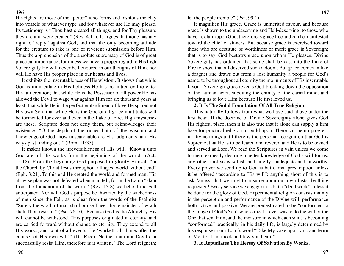His rights are those of the "potter" who forms and fashions the clay into vessels of whatever type and for whatever use He may please. Its testimony is "Thou hast created all things, and for Thy pleasure they are and were created" (Rev. 4:11). It argues that none has any right to "reply" against God, and that the only becoming attitude for the creature to take is one of reverent submission before Him. Thus the apprehension of the absolute supremacy of God is of great practical importance, for unless we have a proper regard to His high Sovereignty He will never be honoured in our thoughts of Him, nor will He have His proper place in our hearts and lives.

It exhibits the inscrutableness of His wisdom. It shows that while God is immaculate in His holiness He has permitted evil to enter His fair creation; that while He is the Possessor of all power He has allowed the Devil to wage war against Him for six thousand years at least; that while He is the perfect embodiment of love He spared not His own Son; that while He is the God of all grace multitudes will be tormented for ever and ever in the Lake of Fire. High mysteries are these. Scripture does not deny them, but acknowledges their existence: "O the depth of the riches both of the wisdom and knowledge of God! how unsearchable are His judgments, and His ways past finding out!" (Rom. 11:33).

It makes known the irreversibleness of His will. "Known unto God are all His works from the beginning of the world" (Acts 15:18). From the beginning God purposed to glorify Himself "in the Church by Christ Jesus throughout all ages, world without end" (Eph. 3:21). To this end He created the world and formed man. His all-wise plan was not defeated when man fell, for in the Lamb "slain from the foundation of the world" (Rev. 13:8) we behold the Fall anticipated. Nor will God's purpose be thwarted by the wickedness of men since the Fall, as is clear from the words of the Psalmist "Surely the wrath of man shall praise Thee: the remainder of wrath shalt Thou restrain" (Psa. 76:10). Because God is the Almighty His will cannot be withstood. "His purposes originated in eternity, and are carried forward without change to eternity. They extend to all His works, and control all events. He 'worketh all things after the counsel of His own will'" (Dr. Rice). Neither man nor Devil can successfully resist Him, therefore is it written, "The Lord reigneth;

let the people tremble" (Psa. 99:1).

It magnifies His grace. Grace is unmerited favour, and because grace is shown to the undeserving and Hell-deserving, to those who have no claim upon God, therefore is grace free and can be manifested toward the chief of sinners. But because grace is exercised toward those who are destitute of worthiness or merit grace is Sovereign; that is to say, God bestows grace upon whom He pleases. Divine Sovereignty has ordained that some shall be cast into the Lake of Fire to show that all deserved such a doom. But grace comes in like a dragnet and draws out from a lost humanity a people for God's name, to be throughout all eternity the monuments of His inscrutable favour. Sovereign grace reveals God breaking down the opposition of the human heart, subduing the enmity of the carnal mind, and bringing us to love Him because He first loved us.

## **2. It Is The Solid Foundation Of All True Religion.**

This naturally follows from what we have said above under the first head. If the doctrine of Divine Sovereignty alone gives God His rightful place, then it is also true that it alone can supply a firm base for practical religion to build upon. There can be no progress in Divine things until there is the personal recognition that God is Supreme, that He is to be feared and revered and He is to be owned and served as Lord. We read the Scriptures in vain unless we come to them earnestly desiring a better knowledge of God's will for us: any other motive is selfish and utterly inadequate and unworthy. Every prayer we send up to God is but carnal presumption unless it be offered "according to His will": anything short of this is to ask 'amiss' that we might consume upon our own lusts the thing requested! Every service we engage in is but a "dead work" unless it be done for the glory of God. Experimental religion consists mainly in the perception and performance of the Divine will, performance both active and passive. We are predestinated to be "conformed to the image of God's Son" whose meat it ever was to do the will of the One that sent Him, and the measure in which each saint is becoming "conformed" practically, in his daily life, is largely determined by his response to our Lord's word "Take My yoke upon you, and learn of Me; for I am meek and lowly in heart."

**3. It Repudiates The Heresy Of Salvation By Works.**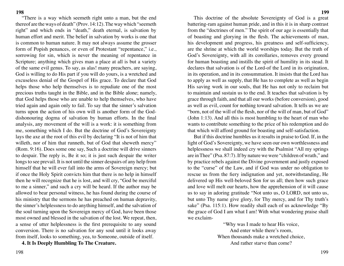"There is a way which seemeth right unto a man, but the end thereof are the ways of death" (Prov. 14:12). The way which "seemeth right" and which ends in "death," death eternal, is salvation by human effort and merit. The belief in salvation by works is one that is common to human nature. It may not always assume the grosser form of Popish penances, or even of Protestant "repentance," i.e., sorrowing for sin, which is never the meaning of repentance in Scripture; anything which gives man a place at all is but a variety of the same evil genus. To say, as alas! many preachers, are saying, God is willing to do His part if you will do yours, is a wretched and excuseless denial of the Gospel of His grace. To declare that God helps those who help themselves is to repudiate one of the most precious truths taught in the Bible, and in the Bible alone; namely, that God helps those who are unable to help themselves, who have tried again and again only to fail. To say that the sinner's salvation turns upon the action of his own will is another form of the Goddishonouring dogma of salvation by human efforts. In the final analysis, any movement of the will is a work: it is something from me, something which I do. But the doctrine of God's Sovereignty lays the axe at the root of this evil by declaring "It is not of him that willeth, nor of him that runneth, but of God that sheweth mercy" (Rom. 9:16). Does some one say, Such a doctrine will drive sinners to despair. The reply is, Be it so; it is just such despair the writer longs to see prevail. It is not until the sinner despairs of any help from himself that he will ever fall into the arms of Sovereign mercy; but if once the Holy Spirit convicts him that there is no help in himself then he will recognize that he is lost, and will cry, "God be merciful to me a sinner," and such a cry will be heard. If the author may be allowed to bear personal witness, he has found during the course of his ministry that the sermons he has preached on human depravity, the sinner's helplessness to do anything himself, and the salvation of the soul turning upon the Sovereign mercy of God, have been those most owned and blessed in the salvation of the lost. We repeat, then, a sense of utter helplessness is the first prerequisite to any sound conversion. There is no salvation for any soul until it looks away from itself, looks to something, yea, to Someone, outside of itself.

**4. It Is Deeply Humbling To The Creature.**

**198 199** This doctrine of the absolute Sovereignty of God is a great battering-ram against human pride, and in this it is in sharp contrast from the "doctrines of men." The spirit of our age is essentially that of boasting and glorying in the flesh. The achievements of man, his development and progress, his greatness and self-sufficiency, are the shrine at which the world worships today. But the truth of God's Sovereignty, with all its corollaries, removes every ground for human boasting and instills the spirit of humility in its stead. It declares that salvation is of the Lord-of the Lord in its origination, in its operation, and in its consummation. It insists that the Lord has to apply as well as supply, that He has to complete as well as begin His saving work in our souls, that He has not only to reclaim but to maintain and sustain us to the end. It teaches that salvation is by grace through faith, and that all our works (before conversion), good as well as evil, count for nothing toward salvation. It tells us we are "born, not of the will of the flesh, nor of the will of man, but of God" (John 1:13). And all this is most humbling to the heart of man who wants to contribute something to the price of his redemption and do that which will afford ground for boasting and self-satisfaction.

> But if this doctrine humbles us it results in praise to God. If, in the light of God's Sovereignty, we have seen our own worthlessness and helplessness we shall indeed cry with the Psalmist "All my springs are in Thee" (Psa. 87:7). If by nature we were "children of wrath," and by practice rebels against the Divine government and justly exposed to the "curse" of the Law, and if God was under no obligation to rescue us from the fiery indignation and yet, notwithstanding, He delivered up His well-beloved Son for us all; then how such grace and love will melt our hearts, how the apprehension of it will cause us to say in adoring gratitude "Not unto us, O LORD, not unto us, but unto Thy name give glory, for Thy mercy, and for Thy truth's sake" (Psa. 115:1). How readily shall each of us acknowledge "By the grace of God I am what I am! With what wondering praise shall we exclaim-

> > "Why was I made to hear His voice, And enter while there's room, When thousands make a wretched choice, And rather starve than come?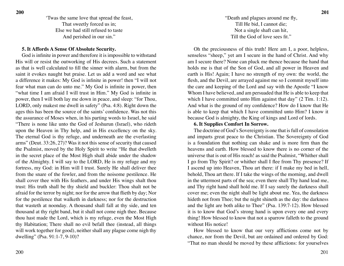'Twas the same love that spread the feast, That sweetly forced us in; Else we had still refused to taste And perished in our sin."

### **5. It Affords A Sense Of Absolute Security.**

God is infinite in power and therefore it is impossible to withstand His will or resist the outworking of His decrees. Such a statement as that is well calculated to fill the sinner with alarm, but from the saint it evokes naught but praise. Let us add a word and see what a difference it makes: My God is infinite in power! then "I will not fear what man can do unto me." My God is infinite in power, then "what time I am afraid I will trust in Him." My God is infinite in power, then I will both lay me down in peace, and sleep: "for Thou, LORD, only makest me dwell in safety" (Psa. 4:8). Right down the ages this has been the source of the saints' confidence. Was not this the assurance of Moses when, in his parting words to Israel, he said "There is none like unto the God of Jeshurun (Israel), who rideth upon the Heaven in Thy help, and in His excellency on the sky. The eternal God is thy refuge, and underneath are the everlasting arms" (Deut. 33:26, 27)? Was it not this sense of security that caused the Psalmist, moved by the Holy Spirit to write "He that dwelleth in the secret place of the Most High shall abide under the shadow of the Almighty. I will say to the LORD, He is my refuge and my fortress, my God: in Him will I trust. Surely He shall deliver thee from the snare of the fowler, and from the noisome pestilence. He shall cover thee with His feathers, and under His wings shalt thou trust: His truth shall be thy shield and buckler: Thou shalt not be afraid for the terror by night; nor for the arrow that flieth by day; Nor for the pestilence that walketh in darkness; nor for the destruction that wasteth at noonday. A thousand shall fall at thy side, and ten thousand at thy right band, but it shall not come nigh thee. Because thou hast made the Lord, which is my refuge, even the Most High thy Habitation; There shall no evil befall thee (instead, all things will work together for good), neither shall any plague come nigh thy dwelling" (Psa. 91:1-7, 9-10)?

200 201

"Death and plagues around me fly, Till He bid, I cannot die; Not a single shaft can hit, Till the God of love sees fit."

Oh the preciousness of this truth! Here am I, a poor, helpless, senseless "sheep," yet am I secure in the hand of Christ. And why am I secure there? None can pluck me thence because the hand that holds me is that of the Son of God, and all power in Heaven and earth is His! Again; I have no strength of my own: the world, the flesh, and the Devil, are arrayed against me so I commit myself into the care and keeping of the Lord and say with the Apostle "I know Whom I have believed, and am persuaded that He is able to keep that which I have committed unto Him against that day" (2 Tim. 1:12). And what is the ground of my confidence? How do I know that He is able to keep that which I have committed unto Him? I know it because God is almighty, the King of kings and Lord of lords.

#### **6. It Supplies Comfort In Sorrow.**

The doctrine of God's Sovereignty is one that is full of consolation and imparts great peace to the Christian. The Sovereignty of God is a foundation that nothing can shake and is more firm than the heavens and earth. How blessed to know there is no corner of the universe that is out of His reach! as said the Psalmist, "Whither shall I go from Thy Spirit? or whither shall I flee from Thy presence? If I ascend up into Heaven, Thou art there: if I make my bed in hell, behold, Thou art there. If I take the wings of the morning, and dwell in the uttermost parts of the sea; even there shall Thy hand lead me, and Thy right hand shall hold me. If I say surely the darkness shall cover me; even the night shall be light about me. Yea, the darkness hideth not from Thee; but the night shineth as the day: the darkness and the light are both alike to Thee" (Psa. 139:7-12). How blessed it is to know that God's strong hand is upon every one and every thing! How blessed to know that not a sparrow falleth to the ground without His notice!

How blessed to know that our very afflictions come not by chance, nor from the Devil, but are ordained and ordered by God: "That no man should be moved by these afflictions: for yourselves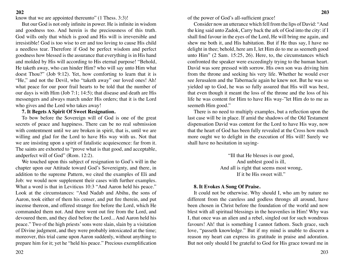# **202 203**

know that we are appointed thereunto" (1 Thess. 3:3)!

But our God is not only infinite in power. He is infinite in wisdom and goodness too. And herein is the preciousness of this truth. God wills only that which is good and His will is irreversible and irresistible! God is too wise to err and too loving to cause His child a needless tear. Therefore if God be perfect wisdom and perfect goodness how blessed is the assurance that everything is in His hand and molded by His will according to His eternal purpose! "Behold, He taketh away, who can hinder Him? who will say unto Him what doest Thou?" (Job 9:12). Yet, how comforting to learn that it is "He," and not the Devil, who "taketh away" our loved ones! Ah! what peace for our poor frail hearts to be told that the number of our days is with Him (Job 7:1; 14:5); that disease and death are His messengers and always march under His orders; that it is the Lord who gives and the Lord who takes away!

# **7. It Begets A Spirit Of Sweet Resignation.**

To bow before the Sovereign will of God is one of the great secrets of peace and happiness. There can be no real submission with contentment until we are broken in spirit, that is, until we are willing and glad for the Lord to have His way with us. Not that we are insisting upon a spirit of fatalistic acquiescence: far from it. The saints are exhorted to "prove what is that good, and acceptable, andperfect will of God" (Rom. 12:2).

We touched upon this subject of resignation to God's will in the chapter upon our Attitude toward God's Sovereignty, and there, in addition to the supreme Pattern, we cited the examples of Eli and Job: we would now supplement their cases with further examples. What a word is that in Leviticus 10:3 "And Aaron held his peace." Look at the circumstances: "And Nadab and Abihu, the sons of Aaron, took either of them his censer, and put fire therein, and put incense thereon, and offered strange fire before the Lord, which He commanded them not. And there went out fire from the Lord, and devoured them, and they died before the Lord... And Aaron held his peace." Two of the high priests' sons were slain, slain by a visitation of Divine judgment, and they were probably intoxicated at the time; moreover, this trial came upon Aaron suddenly, without anything to prepare him for it; yet he "held his peace." Precious exemplification of the power of God's all-sufficient grace!

Consider now an utterance which fell from the lips of David: "And the king said unto Zadok, Carry back the ark of God into the city: if I shall find favour in the eyes of the Lord, He will bring me again, and shew me both it, and His habitation. But if He thus say, I have no delight in thee; behold, here am I, let Him do to me as seemeth good unto Him" (2 Sam. 15:25, 26). Here, to, the circumstances which confronted the speaker were exceedingly trying to the human heart. David was sore pressed with sorrow. His own son was driving him from the throne and seeking his very life. Whether he would ever see Jerusalem and the Tabernacle again he knew not. But he was so yielded up to God, he was so fully assured that His will was best, that even though it meant the loss of the throne and the loss of his life he was content for Him to have His way-"let Him do to me as seemeth Him good."

There is no need to multiply examples, but a reflection upon the last case will be in place. If amid the shadows of the Old Testament dispensation David was content for the Lord to have His way, now that the heart of God has been fully revealed at the Cross how much more ought we to delight in the execution of His will! Surely we shall have no hesitation in saying-

> "Ill that He blesses is our good, And unblest good is ill, And all is right that seems most wrong, If it be His sweet will."

#### **8. It Evokes A Song Of Praise.**

It could not be otherwise. Why should I, who am by nature no different from the careless and godless throngs all around, have been chosen in Christ before the foundation of the world and now blest with all spiritual blessings in the heavenlies in Him! Why was I, that once was an alien and a rebel, singled out for such wondrous favours! Ah! that is something I cannot fathom. Such grace, such love, "passeth knowledge." But if my mind is unable to discern a reason my heart can express its gratitude in praise and adoration. But not only should I be grateful to God for His grace toward me in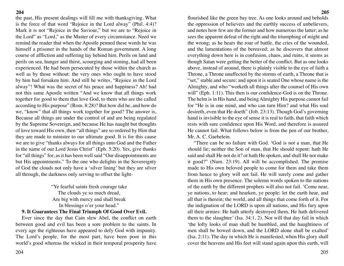the past, His present dealings will fill me with thanksgiving. What is the force of that word "Rejoice in the Lord alway" (Phil. 4:4)? Mark it is not "Rejoice in the Saviour," but we are to "Rejoice in the Lord" as "Lord," as the Master of every circumstance. Need we remind the reader that when the Apostle penned these words he was himself a prisoner in the hands of the Roman government. A long course of affliction and suffering lay behind him. Perils on land and perils on sea, hunger and thirst, scourging and stoning, had all been experienced. He had been persecuted by those within the church as well as by those without: the very ones who ought to have stood by him had forsaken him. And still he writes, "Rejoice in the Lord alway"! What was the secret of his peace and happiness? Ah! had not this same Apostle written "And we know that all things work together for good to them that love God, to them who are the called according to His purpose" (Rom. 8:28)? But how did he, and how do we, "know" that all things work together for good? The answer is, Because all things are under the control of and are being regulated by the Supreme Sovereign, and because He has naught but thoughts of love toward His own, then "all things" are so ordered by Him that they are made to minister to our ultimate good. It is for this cause we are to give "thanks always for all things unto God and the Father in the name of our Lord Jesus Christ" (Eph. 5:20). Yes, give thanks for "all things" for, as it has been well said "Our disappointments are but His appointments." To the one who delights in the Sovereignty of God the clouds not only have a 'silver lining' but they are silver all through, the darkness only serving to offset the light-

> "Ye fearful saints fresh courage take The clouds ye so much dread, Are big with mercy and shall break In blessings o'er your head."

### **9. It Guarantees The Final Triumph Of Good Over Evil.**

Ever since the day that Cain slew Abel, the conflict on earth between good and evil has been a sore problem to the saints. In every age the righteous have appeared to defy God with impunity. The Lord's people, for the most part, have been poor in this world's good whereas the wicked in their temporal prosperity have

**204 205** flourished like the green bay tree. As one looks around and beholds the oppression of believers and the earthly success of unbelievers, and notes how few are the former and how numerous the latter; as he sees the apparent defeat of the right and the triumphing of might and the wrong; as he hears the roar of battle, the cries of the wounded, and the lamentations of the bereaved; as he discovers that almost everything down here is in confusion, chaos, and ruins, it seems as though Satan were getting the better of the conflict. But as one looks above, instead of around, there is plainly visible to the eye of faith a Throne, a Throne unaffected by the storms of earth, a Throne that is "set," stable and secure; and upon it is seated One whose name is the Almighty, and who "worketh all things after the counsel of His own will" (Eph. 1:11). This then is our confidence-God is on the Throne. The helm is in His hand, and being Almighty His purpose cannot fail for "He is in one mind, and who can turn Him? and what His soul desireth, even that He doeth" (Job. 23:13). Though God's governing hand is invisible to the eye of sense it is real to faith, that faith which rests with sure confidence upon His Word, and therefore is assured He cannot fail. What follows below is from the pen of our brother, Mr. A. C. Gaebelein.

> "There can be no failure with God. 'God is not a man, that He should lie; neither the Son of man, that He should repent: hath He said and shall He not do it? or hath He spoken, and shall He not make it good?" (Num. 23:19). All will be accomplished. The promise made to His own beloved people to come for them and take them from hence to glory will not fail. He will surely come and gather them in His own presence. The solemn words spoken to the nations of the earth by the different prophets will also not fail. 'Come near, ye nations, to hear; and hearken, ye people: let the earth hear, and all that is therein; the world, and all things that come forth of it. For the indignation of the LORD is upon all nations, and His fury upon all their armies: He hath utterly destroyed them, He hath delivered them to the slaughter' (Isa. 34:1, 2). Nor will that day fail in which 'the lofty looks of man shall be humbled, and the haughtiness of men shall be bowed down, and the LORD alone shall be exalted' (Isa. 2:11). The day in which He is manifested, when His glory shall cover the heavens and His feet will stand again upon this earth, will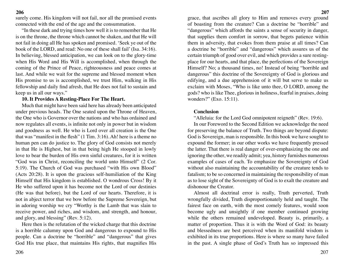surely come. His kingdom will not fail, nor all the promised events connected with the end of the age and the consummation.

"In these dark and trying times how well it is to remember that He is on the throne, the throne which cannot be shaken, and that He will not fail in doing all He has spoken and promised. 'Seek ye out of the book of the LORD, and read: No one of these shall fail' (Isa. 34:16). In believing, blessed anticipation, we can look on to the glory-time when His Word and His Will is accomplished, when through the coming of the Prince of Peace, righteousness and peace comes at last. And while we wait for the supreme and blessed moment when His promise to us is accomplished, we trust Him, walking in His fellowship and daily find afresh, that He does not fail to sustain and keep us in all our ways."

## **10. It Provides A Resting-Place For The Heart.**

Much that might have been said here has already been anticipated under previous heads. The One seated upon the Throne of Heaven, the One who is Governor over the nations and who has ordained and now regulates all events, is infinite not only in power but in wisdom and goodness as well. He who is Lord over all creation is the One that was "manifest in the flesh" (1 Tim. 3:16). Ah! here is a theme no human pen can do justice to. The glory of God consists not merely in that He is Highest, but in that being high He stooped in lowly love to bear the burden of His own sinful creatures, for it is written "God was in Christ, reconciling the world unto Himself" (2 Cor. 5:19). The Church of God was purchased "with His own Blood" (Acts 20:28). It is upon the gracious self-humiliation of the King Himself that His kingdom is established. O wondrous Cross! By it He who suffered upon it has become not the Lord of our destinies (He was that before), but the Lord of our hearts. Therefore, it is not in abject terror that we bow before the Supreme Sovereign, but in adoring worship we cry "Worthy is the Lamb that was slain to receive power, and riches, and wisdom, and strength, and honour, and glory, and blessing" (Rev. 5:12).

Here then is the refutation of the wicked charge that this doctrine is a horrible calumny upon God and dangerous to expound to His people. Can a doctrine be "horrible" and "dangerous" that gives God His true place, that maintains His rights, that magnifies His

**206 207** grace, that ascribes all glory to Him and removes every ground of boasting from the creature? Can a doctrine be "horrible" and "dangerous" which affords the saints a sense of security in danger, that supplies them comfort in sorrow, that begets patience within them in adversity, that evokes from them praise at all times? Can a doctrine be "horrible" and "dangerous" which assures us of the certain triumph of good over evil, and which provides a sure restingplace for our hearts, and that place, the perfections of the Sovereign Himself? No; a thousand times, no! Instead of being "horrible and dangerous" this doctrine of the Sovereignty of God is glorious and edifying, and a due apprehension of it will but serve to make us exclaim with Moses, "Who is like unto thee, O LORD, among the gods? who is like Thee, glorious in holiness, fearful in praises, doing wonders?" (Exo. 15:11).

### **Conclusion**

"Alleluia: for the Lord God omnipotent reigneth" (Rev. 19:6).

In our Foreword to the Second Edition we acknowledge the need for preserving the balance of Truth. Two things are beyond dispute: God is Sovereign, man is responsible. In this book we have sought to expound the former; in our other works we have frequently pressed the latter. That there is real danger of over-emphasizing the one and ignoring the other, we readily admit; yea, history furnishes numerous examples of cases of each. To emphasize the Sovereignty of God without also maintaining the accountability of the creature tends to fatalism; to be so concerned in maintaining the responsibility of man as to lose sight of the Sovereignty of God is to exalt the creature and dishonour the Creator.

Almost all doctrinal error is really, Truth perverted, Truth wrongfully divided, Truth disproportionately held and taught. The fairest face on earth, with the most comely features, would soon become ugly and unsightly if one member continued growing while the others remained undeveloped. Beauty is, primarily, a matter of proportion. Thus it is with the Word of God: its beauty and blessedness are best perceived when its manifold wisdom is exhibited in its true proportions. Here is where so many have failed in the past. A single phase of God's Truth has so impressed this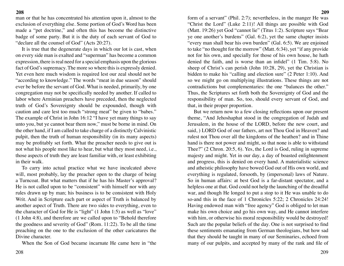man or that he has concentrated his attention upon it, almost to the exclusion of everything else. Some portion of God's Word has been made a "pet doctrine," and often this has become the distinctive badge of some party. But it is the duty of each servant of God to "declare all the counsel of God" (Acts 20:27).

It is true that the degenerate days in which our lot is cast, when on every side man is exalted and "superman" has become a common expression, there is real need for a special emphasis upon the glorious fact of God's supremacy. The more so where this is expressly denied. Yet even here much wisdom is required lest our zeal should not be "according to knowledge." The words "meat in due season" should ever be before the servant of God. What is needed, primarily, by one congregation may not be specifically needed by another. If called to labor where Arminian preachers have preceded, then the neglected truth of God's Sovereignty should be expounded, though with caution and care lest too much "strong meat" be given to "babes." The example of Christ in John 16:12 "I have yet many things to say unto you, but ye cannot bear them now," must be borne in mind. On the other hand, if I am called to take charge of a distinctly Calvinistic pulpit, then the truth of human responsibility (in its many aspects) may be profitably set forth. What the preacher needs to give out is not what his people most like to hear, but what they most need, i.e., those aspects of truth they are least familiar with, or least exhibiting in their walk.

To carry into actual practice what we have inculcated above will, most probably, lay the preacher open to the charge of being a Turncoat. But what matters that if he has his Master's approval? He is not called upon to be "consistent" with himself nor with any rules drawn up by man; his business is to be consistent with Holy Writ. And in Scripture each part or aspect of Truth is balanced by another aspect of Truth. There are two sides to everything, even to the character of God for He is "light" (1 John 1:5) as well as "love" (1 John 4:8), and therefore are we called upon to "Behold therefore the goodness and severity of God" (Rom. 11:22). To be all the time preaching on the one to the exclusion of the other caricatures the Divine character.

When the Son of God became incarnate He came here in "the

**208 209** form of a servant" (Phil. 2:7); nevertheless, in the manger He was "Christ the Lord" (Luke 2:11)! All things are possible with God (Matt. 19:26) yet God "cannot lie" (Titus 1:2). Scripture says "Bear ye one another's burdens" (Gal. 6:2), yet the same chapter insists "every man shall bear his own burden" (Gal. 6:5). We are enjoined to take "no thought for the morrow" (Matt. 6:34), yet "if any provide not for his own, and specially for those of his own house, he hath denied the faith, and is worse than an infidel" (1 Tim. 5:8). No sheep of Christ's can perish (John 10:28, 29), yet the Christian is bidden to make his "calling and election sure" (2 Peter 1:10). And so we might go on multiplying illustrations. These things are not contradictions but complementaries: the one "balances the other." Thus, the Scriptures set forth both the Sovereignty of God and the responsibility of man. So, too, should every servant of God, and that, in their proper proportion.

> But we return now to a few closing reflections upon our present theme, "And Jehoshaphat stood in the congregation of Judah and Jerusalem, in the house of the LORD, before the new court, and said, ) LORD God of our fathers, art not Thou God in Heaven? and rulest not Thou over all the kingdoms of the heathen? and in Thine hand is there not power and might, so that none is able to withstand Thee?" (2 Chron. 20:5, 6). Yes, the Lord is God, ruling in supreme majesty and might. Yet in our day, a day of boasted enlightenment and progress, this is denied on every hand. A materialistic science and atheistic philosophy have bowed God out of His own world, and everything is regulated, forsooth, by (impersonal) laws of Nature. So in human affairs: at best God is a far-distant spectator, and a helpless one at that. God could not help the launching of the dreadful war, and though He longed to put a stop to it He was unable to do so-and this in the face of 1 Chronicles 5:22; 2 Chronicles 24:24! Having endowed man with "free agency" God is obliged to let man make his own choice and go his own way, and He cannot interfere with him, or otherwise his moral responsibility would be destroyed! Such are the popular beliefs of the day. One is not surprised to find these sentiments emanating from German theologians, but how sad that they should be taught in many of our Seminaries, echoed from many of our pulpits, and accepted by many of the rank and file of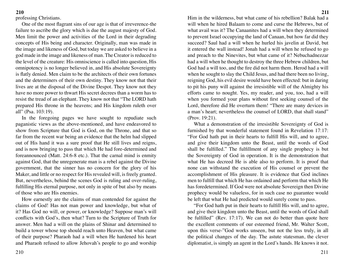professing Christians.

One of the most flagrant sins of our age is that of irreverence-the failure to ascribe the glory which is due the august majesty of God. Men limit the power and activities of the Lord in their degrading concepts of His being and character. Originally, man was made in the image and likeness of God, but today we are asked to believe in a god made in the image and likeness of man. The Creator is reduced to the level of the creature: His omniscience is called into question, His omnipotency is no longer believed in, and His absolute Sovereignty is flatly denied. Men claim to be the architects of their own fortunes and the determiners of their own destiny. They know not that their lives are at the disposal of the Divine Despot. They know not they have no more power to thwart His secret decrees than a worm has to resist the tread of an elephant. They know not that "The LORD hath prepared His throne in the heavens; and His kingdom ruleth over all" (Psa. 103:19).

In the foregoing pages we have sought to repudiate such paganistic views as the above-mentioned, and have endeavored to show from Scripture that God is God, on the Throne, and that so far from the recent war being an evidence that the helm had slipped out of His hand it was a sure proof that He still lives and reigns, and is now bringing to pass that which He had fore-determined and foreannounced (Matt. 24:6-8 etc.). That the carnal mind is enmity against God, that the unregenerate man is a rebel against the Divine government, that the sinner has no concern for the glory of his Maker, and little or no respect for His revealed will, is freely granted. But, nevertheless, behind the scenes God is ruling and over-ruling, fulfilling His eternal purpose, not only in spite of but also by means of those who are His enemies.

How earnestly are the claims of man contended for against the claims of God! Has not man power and knowledge, but what of it? Has God no will, or power, or knowledge? Suppose man's will conflicts with God's, then what? Turn to the Scripture of Truth for answer. Men had a will on the plains of Shinar and determined to build a tower whose top should reach unto Heaven, but what came of their purpose? Pharaoh had a will when He hardened his heart and Pharaoh refused to allow Jehovah's people to go and worship

**210 211** Him in the wilderness, but what came of his rebellion? Balak had a will when he hired Balaam to come and curse the Hebrews, but of what avail was it? The Canaanites had a will when they determined to prevent Israel occupying the land of Canaan, but how far did they succeed? Saul had a will when he hurled his javelin at David, but it entered the wall instead! Jonah had a will when he refused to go and preach to the Ninevites, but what came of it? Nebuchadnezzar had a will when he thought to destroy the three Hebrew children, but God had a will too, and the fire did not harm them. Herod had a will when he sought to slay the Child Jesus, and had there been no living, reigning God, his evil desire would have been effected: but in daring to pit his puny will against the irresistible will of the Almighty his efforts came to nought. Yes, my reader, and you, too, had a will when you formed your plans without first seeking counsel of the Lord, therefore did He overturn them! "There are many devices in a man's heart; nevertheless the counsel of LORD, that shall stand"

> What a demonstration of the irresistible Sovereignty of God is furnished by that wonderful statement found in Revelation 17:17: "For God hath put in their hearts to fulfill His will, and to agree, and give their kingdom unto the Beast, until the words of God shall be fulfilled." The fulfillment of any single prophecy is but the Sovereignty of God in operation. It is the demonstration that what He has decreed He is able also to perform. It is proof that none can withstand the execution of His counsel or prevent the accomplishment of His pleasure. It is evidence that God inclines men to fulfill that which He has ordained and perform that which He has foredetermined. If God were not absolute Sovereign then Divine prophecy would be valueless, for in such case no guarantee would be left that what He had predicted would surely come to pass.

(Prov. 19:21).

"For God hath put in their hearts to fulfill His will, and to agree, and give their kingdom unto the Beast, until the words of God shall be fulfilled" (Rev. 17:17). We can not do better than quote here the excellent comments of our esteemed friend, Mr. Walter Scott, upon this verse-"God works unseen, but not the less truly, in all the political changes of the day. The astute statesman, the clever diplomatist, is simply an agent in the Lord's hands. He knows it not.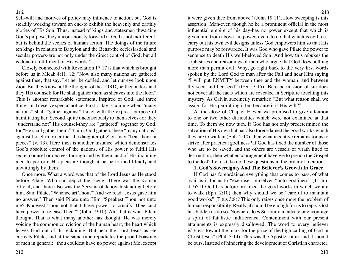## **212 213**

Self-will and motives of policy may influence to action, but God is steadily working toward an end-to exhibit the heavenly and earthly glories of His Son. Thus, instead of kings and statesmen thwarting God's purpose, they unconsciously forward it. God is not indifferent, but is behind the scenes of human action. The doings of the future ten kings in relation to Babylon and the Beast-the ecclesiastical and secular powers-are not only under the direct control of God, but all is done in fulfillment of His words."

Closely connected with Revelation 17:17 is that which is brought before us in Micah 4:11, 12: "Now also many nations are gathered against thee, that say, Let her be defiled, and let our eye look upon Zion. But they know not the thoughts of the LORD, neither understand they His counsel: for He shall gather them as sheaves into the floor." This is another remarkable statement, inspired of God, and three things in it deserve special notice. First, a day is coming when "many nations" shall "gather against" Israel with the express purpose of humiliating her. Second, quite unconsciously to themselves-for they "understand not" His counsel-they are "gathered" together by God, for "He shall gather them." Third, God gathers these "many nations" against Israel in order that the daughter of Zion may "beat them in pieces" (v. 13). Here then is another instance which demonstrates God's absolute control of the nations, of His power to fulfill His secret counsel or decrees through and by them, and of His inclining men to perform His pleasure though it be performed blindly and unwittingly by them.

Once more. What a word was that of the Lord Jesus as He stood before Pilate! Who can depict the scene! There was the Roman official, and there also was the Servant of Jehovah standing before him. Said Pilate, "Whence art Thou?" And we read "Jesus gave him no answer." Then said Pilate unto Him "Speakest Thou not unto me? Knowest Thou not that I have power to crucify Thee, and have power to release Thee?" (John 19:10). Ah! that is what Pilate thought. That is what many another has thought. He was merely voicing the common conviction of the human heart, the heart which leaves God out of its reckoning. But hear the Lord Jesus as He corrects Pilate, and at the same time repudiates the proud boasting of men in general: "thou couldest have no power against Me, except it were given thee from above" (John 19:11). How sweeping is this assertion! Man-even though he be a prominent official in the most influential empire of his day-has no power except that which is given him from above, no power, even, to do that which is evil, i.e., carry out his own evil designs unless God empowers him so that His purpose may be forwarded. It was God who gave Pilate the power to sentence to death His well-beloved Son! And how this rebukes the sophistries and reasonings of men who argue that God does nothing more than permit evil! Why, go right back to the very first words spoken by the Lord God to man after the Fall and hear Him saying "I will put ENMITY between thee and the woman, and between thy seed and her seed" (Gen. 3:15)! Bare permission of sin does not cover all the facts which are revealed in Scripture touching this mystery. As Calvin succinctly remarked "But what reason shall we assign for His permitting it but because it is His will?"

At the close of Chapter Eleven we promised to give attention to one or two other difficulties which were not examined at that time. To them we now turn. If God has not only predetermined the salvation of His own but has also foreordained the good works which they are to walk in (Eph. 2:10), then what incentive remains for us to strive after practical godliness? If God has fixed the number of those who are to be saved, and the others are vessels of wrath fitted to destruction, then what encouragement have we to preach the Gospel to the lost? Let us take up these questions in the order of mention.

#### **1. God's Sovereignty And The Believer's Growth In Grace.**

If God has foreordained everything that comes to pass, of what avail is it for us to "exercise" ourselves "unto godliness" (1 Tim. 4:7)? If God has before ordained the good works in which we are to walk (Eph. 2:10) then why should we be "careful to maintain good works" (Titus 3:8)? This only raises once more the problem of human responsibility. Really, it should be enough for us to reply, God has bidden us do so. Nowhere does Scripture inculcate or encourage a spirit of fatalistic indifference. Contentment with our present attainments is expressly disallowed. The word to every believer is"Press toward the mark for the prize of the high calling of God in Christ Jesus" (Phil. 3:14). This was the Apostle's aim, and it should be ours. Instead of hindering the development of Christian character,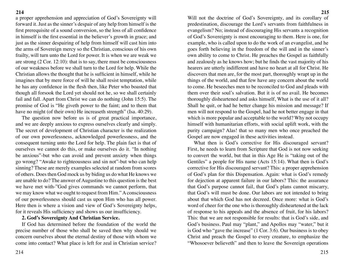a proper apprehension and appreciation of God's Sovereignty will forward it. Just as the sinner's despair of any help from himself is the first prerequisite of a sound conversion, so the loss of all confidence in himself is the first essential in the believer's growth in grace; and just as the sinner despairing of help from himself will cast him into the arms of Sovereign mercy so the Christian, conscious of his own frailty, will turn unto the Lord for power. It is when we are weak we are strong (2 Cor. 12:10): that is to say, there must be consciousness of our weakness before we shall turn to the Lord for help. While the Christian allows the thought that he is sufficient in himself, while he imagines that by mere force of will he shall resist temptation, while he has any confidence in the flesh then, like Peter who boasted that though all forsook the Lord yet should not he, so we shall certainly fail and fall. Apart from Christ we can do nothing (John 15:5). The promise of God is "He giveth power to the faint; and to them that have no might (of their own) He increaseth strength" (Isa. 40:29).

The question now before us is of great practical importance, and we are deeply anxious to express ourselves clearly and simply. The secret of development of Christian character is the realization of our own powerlessness, acknowledged powerlessness, and the consequent turning unto the Lord for help. The plain fact is that of ourselves we cannot do this, or make ourselves do it. "In nothing be anxious"-but who can avoid and prevent anxiety when things go wrong? "Awake to righteousness and sin not"-but who can help sinning? These are merely examples selected at random from scores of others. Does then God mock us by biding us do what He knows we are unable to do? The answer of Augustine to this question is the best we have met with-"God gives commands we cannot perform, that we may know what we ought to request from Him." A consciousness of our powerlessness should cast us upon Him who has all power. Here then is where a vision and view of God's Sovereignty helps, for it reveals His sufficiency and shows us our insufficiency.

### **2. God's Sovereignty And Christian Service.**

If God has determined before the foundation of the world the precise number of those who shall be saved then why should we concern ourselves about the eternal destiny of those with whom we come into contact? What place is left for zeal in Christian service?

**214 215** Will not the doctrine of God's Sovereignty, and its corollary of predestination, discourage the Lord's servants from faithfulness in evangelism? No; instead of discouraging His servants a recognition of God's Sovereignty is most encouraging to them. Here is one, for example, who is called upon to do the work of an evangelist, and he goes forth believing in the freedom of the will and in the sinner's own ability to come to Christ. He preaches the Gospel as faithfully and zealously as he knows how; but he finds the vast majority of his hearers are utterly indifferent and have no heart at all for Christ. He discovers that men are, for the most part, thoroughly wrapt up in the things of the world, and that few have any concern about the world to come. He beseeches men to be reconciled to God and pleads with them over their soul's salvation. But it is of no avail. He becomes thoroughly disheartened and asks himself, What is the use of it all? Shall he quit, or had he better change his mission and message? If men will not respond to the Gospel, had he not better engage in that which is more popular and acceptable to the world? Why not occupy himself with humanitarian efforts, with social uplift work, with the purity campaign? Alas! that so many men who once preached the Gospel are now engaged in these activities instead.

> What then is God's corrective for His discouraged servant? First, he needs to learn from Scripture that God is not now seeking to convert the world, but that in this Age He is "taking out of the Gentiles" a people for His name (Acts 15:14). What then is God's corrective for His discouraged servant? This: a proper apprehension of God's plan for this Dispensation. Again: what is God's remedy for dejection at apparent failure in our labors? This: the assurance that God's purpose cannot fail, that God's plans cannot miscarry, that God's will must be done. Our labors are not intended to bring about that which God has not decreed. Once more: what is God's word of cheer for the one who is thoroughly disheartened at the lack of response to his appeals and the absence of fruit, for his labors? This: that we are not responsible for results: that is God's side, and God's business. Paul may "plant," and Apollos may "water," but it is God who "gave the increase" (1 Cor. 3:6). Our business is to obey Christ and preach the Gospel to every creature, to emphasize the "Whosoever believeth" and then to leave the Sovereign operations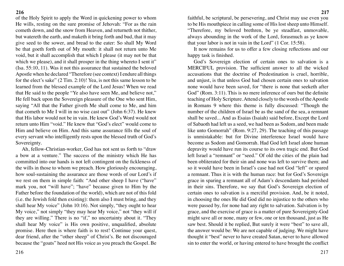of the Holy Spirit to apply the Word in quickening power to whom He wills, resting on the sure promise of Jehovah: "For as the rain cometh down, and the snow from Heaven, and returneth not thither, but watereth the earth, and maketh it bring forth and bud, that it may give seed to the sower, and bread to the eater: So shall My Word be that goeth forth out of My mouth: it shall not return unto Me void, but it shall accomplish that which I please (it may not be that which we please), and it shall prosper in the thing whereto I sent it" (Isa. 55:10, 11). Was it not this assurance that sustained the beloved Apostle when he declared "Therefore (see context) I endure all things for the elect's sake" (2 Tim. 2:10)! Yea, is not this same lesson to be learned from the blessed example of the Lord Jesus! When we read that He said to the people "Ye also have seen Me, and believe not," He fell back upon the Sovereign pleasure of the One who sent Him, saying "All that the Father giveth Me shall come to Me, and him that cometh to Me I will in no wise cast out" (John 6:37). He knew that His labor would not be in vain. He knew God's Word would not return unto Him "void." He knew that "God's elect" would come to Him and believe on Him. And this same assurance fills the soul of every servant who intelligently rests upon the blessed truth of God's Sovereignty.

Ah, fellow-Christian-worker, God has not sent us forth to "draw a bow at a venture." The success of the ministry which He has committed into our hands is not left contingent on the fickleness of the wills in those to whom we preach. How gloriously encouraging, how soul-sustaining the assurance are those words of our Lord's if we rest on them in simple faith: "And other sheep I have ("have" mark you, not "will have"; "have" because given to Him by the Father before the foundation of the world), which are not of this fold (i.e. the Jewish fold then existing): them also I must bring, and they shall hear My voice" (John 10:16). Not simply, "they ought to hear My voice," not simply "they may hear My voice," not "they will if they are willing." There is no "if," no uncertainty about it. "They shall hear My voice" is His own positive, unqualified, absolute promise. Here then is where faith is to rest! Continue your quest, dear friend, after the "other sheep" of Christ's. Be not discouraged because the "goats" heed not His voice as you preach the Gospel. Be

**216 217** faithful, be scriptural, be persevering, and Christ may use even you to be His mouthpiece in calling some of His lost sheep unto Himself. "Therefore, my beloved brethren, be ye steadfast, unmovable, always abounding in the work of the Lord, forasmuch as ye know that your labor is not in vain in the Lord" (1 Cor. 15:58).

> It now remains for us to offer a few closing reflections and our happy task is finished.

> God's Sovereign election of certain ones to salvation is a MERCIFUL provision. The sufficient answer to all the wicked accusations that the doctrine of Predestination is cruel, horrible, and unjust, is that unless God had chosen certain ones to salvation none would have been saved, for "there is none that seeketh after God" (Rom. 3:11). This is no mere inference of ours but the definite teaching of Holy Scripture. Attend closely to the words of the Apostle in Romans 9 where this theme is fully discussed: "Though the number of the children of Israel be as the sand of the sea, a remnant shall be saved... And as Esaias (Isaiah) said before, Except the Lord of Sabaoth had left us a seed, we had been as Sodom, and been made like unto Gomorrah" (Rom. 9:27, 29). The teaching of this passage is unmistakable: but for Divine interference Israel would have become as Sodom and Gomorrah. Had God left Israel alone human depravity would have run its course to its own tragic end. But God left Israel a "remnant" or "seed." Of old the cities of the plain had been obliterated for their sin and none was left to survive them; and so it would have been in Israel's case had not God "left" or spared a remnant. Thus it is with the human race: but for God's Sovereign grace in sparing a remnant all of Adam's descendants had perished in their sins. Therefore, we say that God's Sovereign election of certain ones to salvation is a merciful provision. And, be it noted, in choosing the ones He did God did no injustice to the others who were passed by, for none had any right to salvation. Salvation is by grace, and the exercise of grace is a matter of pure Sovereignty-God might save all or none, many or few, one or ten thousand, just as He saw best. Should it be replied, But surely it were "best" to save all, the answer would be: We are not capable of judging. We might have thought it "best" never to have created Satan, never to have allowed sin to enter the world, or having entered to have brought the conflict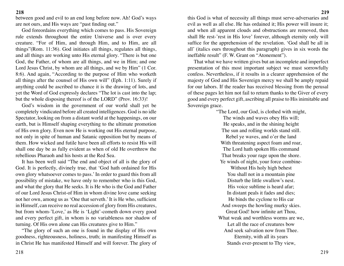between good and evil to an end long before now. Ah! God's ways are not ours, and His ways are "past finding out."

God foreordains everything which comes to pass. His Sovereign rule extends throughout the entire Universe and is over every creature. "For of Him, and through Him, and to Him, are all things"(Rom. 11:36). God initiates all things, regulates all things, and all things are working unto His eternal glory. "There is but one God, the Father, of whom are all things, and we in Him; and one Lord Jesus Christ, by whom are all things, and we by Him" (1 Cor. 8:6). And again, "According to the purpose of Him who worketh all things after the counsel of His own will" (Eph. 1:11). Surely if anything could be ascribed to chance it is the drawing of lots, and yet the Word of God expressly declares "The lot is cast into the lap; but the whole disposing thereof is of the LORD" (Prov. 16:33)!

God's wisdom in the government of our world shall yet be completely vindicated before all created intelligences. God is no idle Spectator, looking on from a distant world at the happenings, on our earth, but is Himself shaping everything to the ultimate promotion of His own glory. Even now He is working out His eternal purpose, not only in spite of human and Satanic opposition but by means of them. How wicked and futile have been all efforts to resist His will shall one day be as fully evident as when of old He overthrew the rebellious Pharaoh and his hosts at the Red Sea.

It has been well said "The end and object of all is the glory of God. It is perfectly, divinely true, that 'God hath ordained for His own glory whatsoever comes to pass.' In order to guard this from all possibility of mistake, we have only to remember who is this God, and what the glory that He seeks. It is He who is the God and Father of our Lord Jesus Christ-of Him in whom divine love came seeking not her own, among us as 'One that serveth.' It is He who, sufficient in Himself, can receive no real accession of glory from His creatures, but from whom-'Love,' as He is 'Light'-cometh down every good and every perfect gift, in whom is no variableness nor shadow of turning. Of His own alone can His creatures give to Him."

"The glory of such an one is found in the display of His own goodness, righteousness, holiness, truth; in manifesting Himself as in Christ He has manifested Himself and will forever. The glory of

**218 219** this God is what of necessity all things must serve-adversaries and evil as well as all else. He has ordained it; His power will insure it; and when all apparent clouds and obstructions are removed, then shall He rest-'rest in His love' forever, although eternity only will suffice for the apprehension of the revelation. 'God shall be all in all' (italics ours throughout this paragraph) gives in six words the ineffable result" (F. W. Grant on "Atonement").

> That what we have written gives but an incomplete and imperfect presentation of this most important subject we must sorrowfully confess. Nevertheless, if it results in a clearer apprehension of the majesty of God and His Sovereign mercy we shall be amply repaid for our labors. If the reader has received blessing from the perusal of these pages let him not fail to return thanks to the Giver of every good and every perfect gift, ascribing all praise to His inimitable and Sovereign grace.

> > "The Lord, our God, is clothed with might, The winds and waves obey His will; He speaks, and in the shining height The sun and rolling worlds stand still. Rebel ye waves, and o'er the land With threatening aspect foam and roar, The Lord hath spoken His command That breaks your rage upon the shore. Ye winds of night, your force combine-Without His holy high behest You shall not in a mountain pine

Disturb the little swallow's nest. His voice sublime is heard afar; In distant peals it fades and dies; He binds the cyclone to His car And sweeps the howling murky skies. Great God! how infinite art Thou, What weak and worthless worms are we, Let all the race of creatures bow And seek salvation now from Thee. Eternity, with all its years Stands ever-present to Thy view,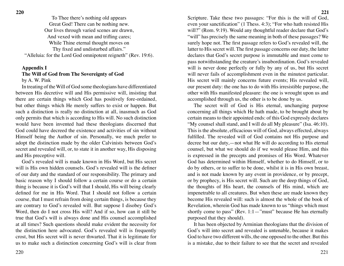To Thee there's nothing old appears Great God! There can be nothing new. Our lives through varied scenes are drawn, And vexed with mean and trifling cares; While Thine eternal thought moves on Thy fixed and undisturbed affairs." "Alleluia: for the Lord God omnipotent reigneth" (Rev. 19:6).

# **Appendix I The Will of God from The Sovereignty of God**  by A. W. Pink

In treating of the Will of God some theologians have differentiated between His decretive will and His permissive will, insisting that there are certain things which God has positively fore-ordained, but other things which He merely suffers to exist or happen. But such a distinction is really no distinction at all, inasmuch as God only permits that which is according to His will. No such distinction would have been invented had these theologians discerned that God could have decreed the existence and activities of sin without Himself being the Author of sin. Personally, we much prefer to adopt the distinction made by the older Calvinists between God's secret and revealed will, or, to state it in another way, His disposing and His preceptive will.

God's revealed will is made known in His Word, but His secret will is His own hidden counsels. God's revealed will is the definer of our duty and the standard of our responsibility. The primary and basic reason why I should follow a certain course or do a certain thing is because it is God's will that I should, His will being clearly defined for me in His Word. That I should not follow a certain course, that I must refrain from doing certain things, is because they are contrary to God's revealed will. But suppose I disobey God's Word, then do I not cross His will? And if so, how can it still be true that God's will is always done and His counsel accomplished at all times? Such questions should make evident the necessity for the distinction here advocated. God's revealed will is frequently crost, but His secret will is never thwarted. That it is legitimate for us to make such a distinction concerning God's will is clear from

**220 221** Scripture. Take these two passages: "For this is the will of God, even your sanctification" (1 Thess. 4:3); "For who hath resisted His will?" (Rom. 9:19). Would any thoughtful reader declare that God's "will" has precisely the same meaning in both of these passages? We surely hope not. The first passage refers to God's revealed will, the latter to His secret will. The first passage concerns our duty, the latter declares that God's secret purpose is immutable and must come to pass notwithstanding the creature's insubordination. God's revealed will is never done perfectly or fully by any of us, but His secret will never fails of accomplishment even in the minutest particular. His secret will mainly concerns future events; His revealed will, our present duty: the one has to do with His irresistible purpose, the other with His manifested pleasure: the one is wrought upon us and accomplished through us, the other is to be done by us.

> The secret will of God is His eternal, unchanging purpose concerning all things which He hath made, to be brought about by certain means to their appointed ends: of this God expressly declares "My counsel shall stand, and I will do all My pleasure" (Isa. 46:10). This is the absolute, efficacious will of God, always effected, always fulfilled. The revealed will of God contains not His purpose and decree but our duty,—not what He will do according to His eternal counsel, but what we should do if we would please Him, and this is expressed in the precepts and promises of His Word. Whatever God has determined within Himself, whether to do Himself, or to do by others, or to suffer to be done, whilst it is in His own breast, and is not made known by any event in providence, or by precept, or by prophecy, is His secret will. Such are the deep things of God, the thoughts of His heart, the counsels of His mind, which are impenetrable to all creatures. But when these are made known they become His revealed will: such is almost the whole of the book of Revelation, wherein God has made known to us "things which must shortly come to pass" (Rev. 1:1—"must" because He has eternally purposed that they should).

> It has been objected by Arminian theologians that the division of God's will into secret and revealed is untenable, because it makes God to have two different wills, the one opposed to the other. But this is a mistake, due to their failure to see that the secret and revealed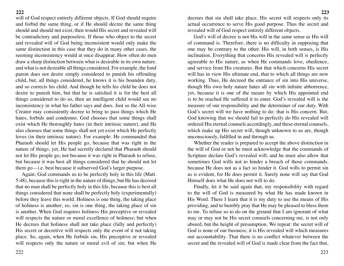will of God respect entirely different objects. If God should require and forbid the same thing, or if He should decree the same thing should and should not exist, then would His secret and revealed will be contradictory and purposeless. If those who object to the secret and revealed will of God being inconsistent would only make the same distinction in this case that they do in many other cases, the seeming inconsistency would at once disappear. How often do men draw a sharp distinction between what is desirable in its own nature. and what is not desirable all things considered. For example, the fond parent does not desire simply considered to punish his offending child, but, all things considered, he knows it is his bounden duty, and so corrects his child. And though he tells his child he does not desire to punish him, but that he is satisfied it is for the best all things considered to do so, then an intelligent child would see no inconsistency in what his father says and does. Just so the All-wise Creator may consistently decree to bring to pass things which He hates, forbids and condemns. God chooses that some things shall exist which He thoroughly hates (in their intrinsic nature), and He also chooses that some things shall not yet exist which He perfectly loves (in their intrinsic nature). For example: He commanded that Pharaoh should let His people go, because that was right in the nature of things, yet, He had secretly declared that Pharaoh should not let His people go, not because it was right in Pharaoh to refuse, but because it was best all things considered that he should not let them go—i.e. best because it subserved God's larger purpose.

Again; God commands us to be perfectly holy in this life (Matt. 5:48), because this is right in the nature of things, but He has decreed that no man shall be perfectly holy in this life, because this is best all things considered that none shall be perfectly holy (experimentally) before they leave this world. Holiness is one thing, the taking place of holiness is another; so, sin is one thing, the taking place of sin is another. When God requires holiness His preceptive or revealed will respects the nature or moral excellence of holiness; but when He decrees that holiness shall not take place (fully and perfectly) His secret or decretive will respects only the event of it not taking place. So, again, when He forbids sin, His preceptive or revealed will respects only the nature or moral evil of sin; but when He

**222 223** decrees that sin shall take place, His secret will respects only its actual occurrence to serve His good purpose. Thus the secret and revealed will of God respect entirely different objects.

> God's will of decree is not His will in the same sense as His will of command is. Therefore, there is no difficulty in supposing that one may be contrary to the other. His will, in both senses, is His inclination. Everything that concerns His revealed will is perfectly agreeable to His nature, as when He commands love, obedience, and service from His creatures. But that which concerns His secret will has in view His ultimate end, that to which all things are now working. Thus, He decreed the entrance of sin into His universe, though His own holy nature hates all sin with infinite abhorrence, yet, because it is one of the means by which His appointed end is to be reached He suffered it to enter. God's revealed will is the measure of our responsibility and the determiner of our duty. With God's secret will we have nothing to do: that is His concern. But, God knowing that we should fail to perfectly do His revealed will ordered His eternal counsels accordingly, and these eternal counsels, which make up His secret will, though unknown to us are, though unconsciously, fulfilled in and through us.

> Whether the reader is prepared to accept the above distinction in the will of God or not he must acknowledge that the commands of Scripture declare God's revealed will, and he must also allow that sometimes God wills not to hinder a breach of those commands, because He does not as a fact so hinder it. God wills to permit sin as is evident, for He does permit it. Surely none will say that God Himself does what He does not will to do.

> Finally, let it be said again that, my responsibility with regard to the will of God is measured by what He has made known in His Word. There I learn that it is my duty to use the means of His providing, and to humbly pray that He may be pleased to bless them to me. To refuse so to do on the ground that I am ignorant of what may or may not be His secret counsels concerning me, is not only absurd, but the height of presumption. We repeat: the secret will of God is none of our business; it is His revealed will which measures our accountability. That there is no conflict whatever between the secret and the revealed will of God is made clear from the fact that,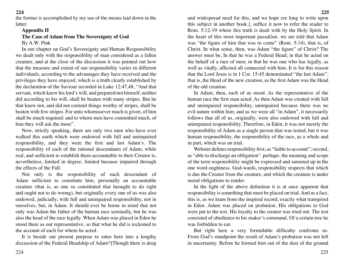the former is accomplished by my use of the means laid down in the latter.

# **Appendix II**

### **The Case of Adam from The Sovereignty of God** By A.W. Pink

In our chapter on God's Sovereignty and Human Responsibility we dealt only with the responsibility of man considered as a fallen creature, and at the close of the discussion it was pointed out how that the measure and extent of our responsibility varies in different individuals, according to the advantages they have received and the privileges they have enjoyed, which is a truth clearly established by the declaration of the Saviour recorded in Luke 12:47,48, "And that servant, which knew his lord's will, and prepared not himself, neither did according to his will, shall be beaten with many stripes. But he that knew not, and did not commit things worthy of stripes, shall be beaten with few stripes. For unto whomsoever much is given, of him shall be much required: and to whom men have committed much, of him they will ask the more".

Now, strictly speaking, there are only two men who have ever walked this earth which were endowed with full and unimpaired responsibility, and they were the first and last Adam's. The responsibility of each of the rational descendants of Adam, while real, and sufficient to establish them accountable to their Creator is, nevertheless, limited in degree, limited because impaired through the effects of the Fall.

Not only is the responsibility of each descendant of Adam sufficient to constitute him, personally an accountable creature (that is, as one so constituted that heought to do right and ought not to do wrong), but originally every one of us was also endowed, judicially, with full and unimpaired responsibility, not in ourselves, but, in Adam. It should ever be borne in mind that not only was Adam the father of the human race seminally, but he was also the head of the race legally. When Adam was placed in Eden he stood there as our representative, so that what he did is reckoned to the account of each for whom he acted.

It is beside our present purpose to enter here into a lengthy discussion of the Federal Headship of Adam\*[Though there is deep

and widespread need for this, and we hope ere long to write upon this subject in another book.], suffice it now to refer the reader to Rom. 5:12-19 where this truth is dealt with by the Holy Spirit. In the heart of this most important passaGen. we are told that Adam was "the figure of him that was to come" (Rom. 5:14), that is, of Christ. In what sense, then, was Adam "the figure" of Christ? The answer must be, In that he was a Federal Head; in that he acted on the behalf of a race of men; in that he was one who has legally, as well as vitally, affected all connected with him. It is for this reason that the Lord Jesus is in 1 Cor. 15:45 denominated "the last Adam", that is, the Head of the new creation, as the first Adam was the Head of the old creation.

In Adam, then, each of us stood. As the representative of the human race the first man acted. As then Adam was created with full and unimpaired responsibility, unimpaired because there was no evil nature within him; and as we were all "in Adam", it necessarily follows that all of us, originally, were also endowed with full and unimpaired responsibility. Therefore, in Eden, it was not merely the responsibility of Adam as a single person that was tested, but it was human responsibility, the responsibility of the race, as a whole and in part, which was on trial.

Webster defines responsibility first, as "liable to account"; second, as "able to discharge an obligation". perhaps. the meaning and scope of the term responsibility might be expressed and summed up in the one word oughtness. God-wards, responsibility respects that which is due the Creator from the creature, and which the creature is under moral obligations to render.

In the light of the above definition it is at once apparent that responsibility is something that must be placed on trial. And as a fact, this is, as we learn from the inspired record, exactly what transpired in Eden. Adam was placed on probation. His obligations to God were put to the test. His loyalty to the creator was tried out. The test consisted of obedience to his maker's command. Of a certain tree he was forbidden to eat.

But right here a very formidable difficulty confronts us. From God's standpoint the result of Adam's probation was not left in uncertainty. Before he formed him out of the dust of the ground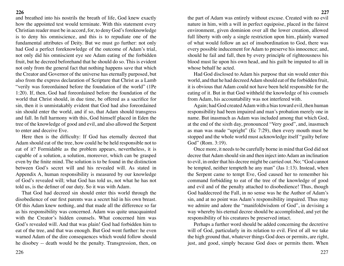and breathed into his nostrils the breath of life, God knew exactly how the appointed test would terminate. With this statement every Christian reader must be in accord, for, to deny God's foreknowledge is to deny his omniscience, and this is to repudiate one of the fundamental attributes of Deity. But we must go further: not only had God a perfect foreknowledge of the outcome of Adam's trial, not only did his omniscient eye see Adam eating of the forbidden fruit, but he decreed beforehand that he should do so. This is evident not only from the general fact that nothing happens save that which the Creator and Governor of the universe has eternally purposed, but also from the express declaration of Scripture that Christ as a Lamb "verily was foreordained before the foundation of the world" (1Pe 1:20). If, then, God had foreordained before the foundation of the world that Christ should, in due time, be offered as a sacrifice for sin, then it is unmistakably evident that God had also foreordained sin should enter the world, and if so, that Adam should transgress and fall. In full harmony with this, God himself placed in Eden the tree of the knowledge of good and evil, and also allowed the Serpent to enter and deceive Eve.

Here then is the difficulty: If God has eternally decreed that Adam should eat of the tree, how could he be held responsible not to eat of it? Formidable as the problem appears, nevertheless, it is capable of a solution, a solution, moreover, which can be grasped even by the finite mind. The solution is to be found in the distinction between God's secret will and his revealed will. As stated in Appendix A, human responsibility is measured by our knowledge of God's revealed will; what God has told us, not what he has not told us, is the definer of our duty. So it was with Adam.

That God had decreed sin should enter this world through the disobedience of our first parents was a secret hid in his own breast. Of this Adam knew nothing, and that made all the difference so far as his responsibility was concerned. Adam was quite unacquainted with the Creator's hidden counsels. What concerned him was God's revealed will. And that was plain! God had forbidden him to eat of the tree, and that was enough. But God went further: he even warned Adam of the dire consequences which would follow should he disobey -- death would be the penalty. Transgression, then, on

the part of Adam was entirely without excuse. Created with no evil nature in him, with a will in perfect equipoise, placed in the fairest environment, given dominion over all the lower creation, allowed full liberty with only a single restriction upon him, plainly warned of what would follow an act of insubordination to God, there was every possible inducement for Adam to preserve his innocence; and, should he fail and fall, then by every principle of righteousness his blood must lie upon his own head, and his guilt be imputed to all in whose behalf he acted.

Had God disclosed to Adam his purpose that sin would enter this world, and that he had decreed Adamshould eat of the forbidden fruit, it is obvious that Adam could not have been held responsible for the eating of it. But in that God withheld the knowledge of his counsels from Adam, his accountability was not interfered with.

Again; had God created Adam with a bias toward evil, then human responsibility had been impaired and man's probation merely one in name. But inasmuch as Adam was included among that which God, at the end of the sixth day, pronounced "Very good", and, inasmuch as man was made "upright" (Ec 7:29), then every mouth must be stopped and the whole world must acknowledge itself "guilty before God" (Rom. 3:19).

Once more, it needs to be carefully borne in mind that God did not decree that Adam should sin and then inject into Adam an inclination to evil, in order that his decree might be carried out. No; "God cannot be tempted, neither tempteth he any man" (Jas 1:13). Instead, when the Serpent came to tempt Eve, God caused her to remember his command forbidding to eat of the tree of the knowledge of good and evil and of the penalty attached to disobedience! Thus, though God haddecreed the Fall, in no sense was he the Author of Adam's sin, and at no point was Adam's responsibility impaired. Thus may we admire and adore the "manifoldwisdom of God", in devising a way whereby his eternal decree should be accomplished, and yet the responsibility of his creatures be preserved intact.

Perhaps a further word should be added concerning the decretive will of God, particularly in its relation to evil. First of all we take the high ground that, whatever things God does or permits, are right, just, and good, simply because God does or permits them. When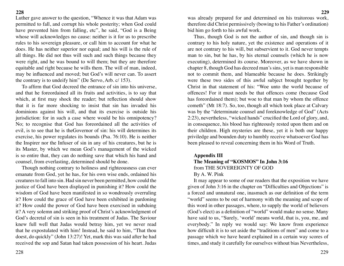Luther gave answer to the question, "Whence it was that Adam was permitted to fall, and corrupt his whole posterity; when God could have prevented him from falling, etc", he said, "God is a Being whose will acknowledges no cause: neither is it for us to prescribe rules to his sovereign pleasure, or call him to account for what he does. He has neither superior nor equal; and his will is the rule of all things. He did not thus will such and such things because they were right, and he was bound to will them; but they are therefore equitable and right because he wills them. The will of man, indeed, may be influenced and moved; but God's will never can. To assert the contrary is to undeify him" (De Servo, Arb. c/ 153).

To affirm that God decreed the entrance of sin into his universe, and that he foreordained all its fruits and activities, is to say that which, at first may shock the reader; but reflection should show that it is far more shocking to insist that sin has invaded his dominions against his will, and that its exercise is outside his jurisdiction: for in such a case where would be his omnipotency? No; to recognise that God has foreordained all the activities of evil, is to see that he is theGovernor of sin: his will determines its exercise, his power regulates its bounds (Psa. 76:10). He is neither the Inspirer nor the Infuser of sin in any of his creatures, but he is its Master, by which we mean God's management of the wicked is so entire that, they can do nothing save that which his hand and counsel, from everlasting, determined should be done.

Though nothing contrary to holiness and righteousness can ever emanate from God, yet he has, for his own wise ends, ordained his creatures to fall into sin. Had sin never been permitted, how could the justice of God have been displayed in punishing it? How could the wisdom of God have been manifested in so wondrously overruling it? How could the grace of God have been exhibited in pardoning it? How could the power of God have been exercised in subduing it? A very solemn and striking proof of Christ's acknowledgment of God's decretal of sin is seen in his treatment of Judas. The Saviour knew full well that Judas would betray him, yet we never read that he expostulated with him! Instead, he said to him, "That thou doest, do quickly" (John 13:27)! Yet, mark this was said after he had received the sop and Satan had taken possession of his heart. Judas was already prepared for and determined on his traitorous work, therefore did Christ permissively (bowing to his Father's ordination) bid him go forth to his awful work.

Thus, though God is not the author of sin, and though sin is contrary to his holy nature, yet the existence and operations of it are not contrary to his will, but subservient to it. God never tempts man to sin, but he has, by his eternal counsels (which he is now executing), determined its course. Moreover, as we have shown in chapter 8, though God has decreed man's sins, yet is man responsible not to commit them, and blameable because he does. Strikingly were these two sides of this awful subject brought together by Christ in that statement of his: "Woe unto the world because of offences! For it must needs be that offences come (because God has foreordained them); but woe to that man by whom the offence cometh" (Mt 18:7). So, too, though all which took place at Calvary was by the "determinate counsel and foreknowledge of God" (Acts 2:23), nevertheless, "wicked hands" crucified the Lord of glory, and, in consequence, his blood has righteously rested upon them and on their children. High mysteries are these, yet it is both our happy priviledge and bounden duty to humbly receive whatsoever God has been pleased to reveal concerning them in his Word of Truth.

# **Appendix III The Meaning of "KOSMOS" In John 3:16**  from THE SOVEREIGNTY OF GOD By A. W. Pink

It may appear to some of our readers that the exposition we have given of John 3:16 in the chapter on "Difficulties and Objections" is a forced and unnatural one, inasmuch as our definition of the term "world" seems to be out of harmony with the meaning and scope of this word in other passages, where, to supply the world of believers (God's elect) as a definition of "world" would make no sense. Many have said to us, "Surely, 'world' means world, that is, you, me, and everybody." In reply we would say: We know from experience how difficult it is to set aside the "traditions of men" and come to a passage which we have heard explained in a certain way scores of times, and study it carefully for ourselves without bias Nevertheless,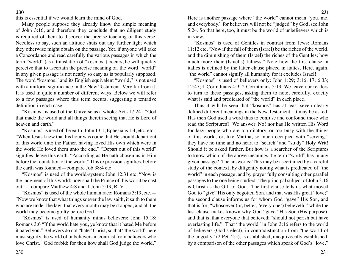this is essential if we would learn the mind of God.

Many people suppose they already know the simple meaning of John 3:16, and therefore they conclude that no diligent study is required of them to discover the precise teaching of this verse. Needless to say, such an attitude shuts out any further light which they otherwise might obtain on the passage. Yet, if anyone will take a Concordance and read carefully the various passages in which the term "world" (as a translation of "kosmos") occurs, he will quickly perceive that to ascertain the precise meaning of, the word "world" in any given passage is not nearly so easy as is popularly supposed. The word "kosmos," and its English equivalent "world," is not used with a uniform significance in the New Testament. Very far from it. It is used in quite a number of different ways. Below we will refer to a few passages where this term occurs, suggesting a tentative definition in each case:

"Kosmos" is used of the Universe as a whole: Acts 17:24 - "God that made the world and all things therein seeing that He is Lord of heaven and earth."

"Kosmos" is used of the earth: John 13:1; Ephesians 1:4, etc., etc.- "When Jesus knew that his hour was come that He should depart out of this world unto the Father, having loved His own which were in the world He loved them unto the end." "Depart out of this world" signifies, leave this earth. "According as He hath chosen us in Him before the foundation of the world." This expression signifies, before the earth was founded—compare Job 38:4 etc.

"Kosmos" is used of the world-system: John 12:31 etc. "Now is the judgment of this world: now shall the Prince of this world be cast out"— compare Matthew 4:8 and 1 John 5:19, R. V.

"Kosmos" is used of the whole human race: Romans 3:19, etc.— "Now we know that what things soever the law saith, it saith to them who are under the law: that every mouth may be stopped, and all the world may become guilty before God."

"Kosmos" is used of humanity minus believers: John 15:18; Romans 3:6 "If the world hate you, ye know that it hated Me before it hated you." Believers do not "hate" Christ, so that "the world" here must signify the world of unbelievers in contrast from believers who love Christ. "God forbid: for then how shall God judge the world."

**230 231** Here is another passage where "the world" cannot mean "you, me, and everybody," for believers will not be "judged" by God, see John 5:24. So that here, too, it must be the world of unbelievers which is in view.

> "Kosmos" is used of Gentiles in contrast from Jews: Romans 11:12 etc. "Now if the fall of them (Israel) be the riches of the world, and the diminishing of them (Israel) the riches of the Gentiles; how much more their (Israel's) fulness." Note how the first clause in italics is defined by the latter clause placed in italics. Here, again, "the world" cannot signify all humanity for it excludes Israel!

> "Kosmos" is used of believers only: John 1:29;  $3:16$ ,  $17$ ;  $6:33$ ; 12:47; 1 Corinthians 4:9; 2 Corinthians 5:19. We leave our readers to turn to these passages, asking them to note, carefully, exactly what is said and predicated of "the world" in each place.

> Thus it will be seen that "kosmos" has at least seven clearly defined different meanings in the New Testament. It may be asked, Has then God used a word thus to confuse and confound those who read the Scriptures? We answer, No! nor has He written His Word for lazy people who are too dilatory, or too busy with the things of this world, or, like Martha, so much occupied with "serving," they have no time and no heart to "search" and "study" Holy Writ! Should it be asked further, But how is a searcher of the Scriptures to know which of the above meanings the term "world" has in any given passage? The answer is: This may be ascertained by a careful study of the context, by diligently noting what is predicated of "the world" in each passage, and by prayer fully consulting other parallel passages to the one being studied. The principal subject of John 3:16 is Christ as the Gift of God. The first clause tells us what moved God to "give" His only begotten Son, and that was His great "love;" the second clause informs us for whom God "gave" His Son, and that is for, "whosoever (or, better, 'every one') believeth;" while the last clause makes known why God "gave" His Son (His purpose), and that is, that everyone that believeth "should not perish but have everlasting life." That "the world" in John 3:16 refers to the world of believers (God's elect), in contradistinction from "the world of the ungodly" (2 Pet. 2:5), is established, unequivocally established, by a comparison of the other passages which speak of God's "love."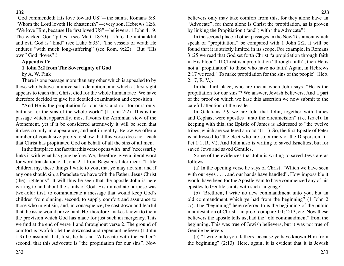"God commendeth His love toward US"—the saints, Romans 5:8. "Whom the Lord loveth He chasteneth"—every son, Hebrews 12:6. "We love Him, because He first loved US"—believers, 1 John 4:19. The wicked God "pities" (see Matt. 18:33). Unto the unthankful and evil God is "kind" (see Luke 6:35). The vessels of wrath He endures "with much long-suffering" (see Rom. 9:22). But "His own" God "loves"!!

### **Appendix IV**

# **1 John 2:2 from The Sovereignty of God**

# by A. W. Pink

There is one passage more than any other which is appealed to by those who believe in universal redemption, and which at first sight appears to teach that Christ died for the whole human race. We have therefore decided to give it a detailed examination and exposition.

"And He is the propitiation for our sins: and not for ours only, but also for the sins of the whole world" (1 John 2:2). This is the passage which, apparently, most favours the Arminian view of the Atonement, yet if it be considered attentively it will be seen that it does so only in appearance, and not in reality. Below we offer a number of conclusive proofs to show that this verse does not teach that Christ has propitiated God on behalf of all the sins of all men.

In the first place, the fact that this verse opens with "and" necessarily links it with what has gone before. We, therefore, give a literal word for word translation of 1 John 2 :1 from Bagster's Interlinear: "Little children my, these things I write to you, that ye may not sin; and if any one should sin, a Paraclete we have with the Father, Jesus Christ (the) righteous". It will thus be seen that the apostle John is here writing to and about the saints of God. His immediate purpose was two-fold: first, to communicate a message that would keep God's children from sinning; second, to supply comfort and assurance to those who might sin, and, in consequence, be cast down and fearful that the issue would prove fatal. He, therefore, makes known to them the provision which God has made for just such an mergency. This we find at the end of verse 1 and throughout verse 2. The ground of comfort is twofold: let the downcast and repentant believer (1 John 1:9) be assured that, first, he has an "Advocate with the Father"; second, that this Advocate is "the propitiation for our sins". Now

**232 233** believers only may take comfort from this, for they alone have an "Advocate", for them alone is Christ the propitiation, as is proven by linking the Propitiation ("and") with "the Advocate"!

In the second place, if other passages in the New Testament which speak of "propitiation," be compared with 1 John 2:2, it will be found that it is strictly limited in its scope. For example, in Romans 3 :25 we read that God set forth Christ "a propitiation through faith in His blood". If Christ is a propitiation "through faith", then He is not a "propitiation" to those who have no faith! Again, in Hebrews 2:17 we read, "To make propitiation for the sins of the people" (Heb. 2:17, R. V.).

In the third place, who are meant when John says, "He is the propitiation for our sins"? We answer, Jewish believers. And a part of the proof on which we base this assertion we now submit to the careful attention of the reader.

In Galatians 2:9 we are told that John, together with James and Cephas, were apostles "unto the circumcision" (i.e. Israel). In keeping with this, the Epistle of James is addressed to "the twelve tribes, which are scattered abroad" (1:1). So, the first Epistle of Peter is addressed to "the elect who are sojourners of the Dispersion" (1 Pet.1:1, R. V.). And John also is writing to saved Israelites, but for saved Jews and saved Gentiles.

Some of the evidences that John is writing to saved Jews are as follows.

(a) In the opening verse he says of Christ, "Which we have seen with our eyes . . . . and our hands have handled". How impossible it would have been for the Apostle Paul to have commenced any of his epistles to Gentile saints with such language!

(b) "Brethren, I write no new commandment unto you, but an old commandment which ye had from the beginning" (1 John 2 :7). The "beginning" here referred to is the beginning of the public manifestation of Christ—in proof compare 1:1; 2:13, etc. Now these believers the apostle tells us, had the "old commandment" from the beginning. This was true of Jewish believers, but it was not true of Gentile believers.

(c) "I write unto you, fathers, because ye have known Him from the beginning" (2:13). Here, again, it is evident that it is Jewish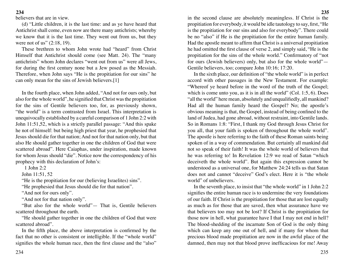believers that are in view.

(d) "Little children, it is the last time: and as ye have heard that Antichrist shall come, even now are there many antichrists; whereby we know that it is the last time. They went out from us, but they were not of us" (2:18, 19).

These brethren to whom John wrote had "heard" from Christ Himself that Antichrist should come (see Matt. 24). The "many antichrists" whom John declares "went out from us" were all Jews, for during the first century none but a Jew posed as the Messiah. Therefore, when John says "He is the propitiation for our sins" he can only mean for the sins of Jewish believers.[1]

In the fourth place, when John added, "And not for ours only, but also for the whole world", he signified that Christ was the propitiation for the sins of Gentile believers too, for, as previously shown, "the world" is a term contrasted from Israel. This interpretation is unequivocally established by a careful comparison of 1 John 2:2 with John 11:51,52, which is a strictly parallel passage: "And this spake he not of himself: but being high priest that year, he prophesied that Jesus should die for that nation; And not for that nation only, but that also He should gather together in one the children of God that were scattered abroad". Here Caiaphas, under inspiration, made known for whom Jesus should "die". Notice now the correspondency of his prophecy with this declaration of John's:

1 John 2:2

John 11:51, 52

"He is the propitiation for our (believing Israelites) sins".

"He prophesied that Jesus should die for that nation".

"And not for ours only".

"And not for that nation only".

"But also for the whole world"— That is, Gentile believers scattered throughout the earth.

"He should gather together in one the children of God that were scattered abroad".

In the fifth place, the above interpretation is confirmed by the fact that no other is consistent or intelligible. If the "whole world" signifies the whole human race, then the first clause and the "also"

234 235

**234 235** in the second clause are absolutely meaningless. If Christ is the propitiation for everybody, it would be idle tautology to say, first, "He is the propitiation for our sins and also for everybody". There could be no "also" if He is the propitiation for the entire human family. Had the apostle meant to affirm that Christ is a universal propitiation he had omitted the first clause of verse 2, and simply said, "He is the propitiation for the sins of the whole world." Confirmatory of "not for ours (Jewish believers) only, but also for the whole world"— Gentile believers, too; compare John 10:16; 17:20.

> In the sixth place, our definition of "the whole world" is in perfect accord with other passages in the New Testament. For example: "Whereof ye heard before in the word of the truth of the Gospel; which is come unto you, as it is in all the world" (Col. 1:5, 6). Does "all the world" here mean, absolutely and unqualifiedly, all mankind? Had all the human family heard the Gospel? No; the apostle's obvious meaning is that, the Gospel, instead of being confined to the land of Judea, had gone abroad, without restraint, into Gentile lands. So in Romans 1:8: "First, I thank my God through Jesus Christ for you all, that your faith is spoken of throughout the whole world". The apostle is here referring to the faith of these Roman saints being spoken of in a way of commendation. But certainly all mankind did not so speak of their faith! It was the whole world of believers that he was referring to! In Revelation 12:9 we read of Satan "which deceiveth the whole world". But again this expression cannot be understood as a universal one, for Matthew 24:24 tells us that Satan does not and cannot "deceive" God's elect. Here it is "the whole world" of unbelievers.

> In the seventh place, to insist that "the whole world" in 1 John 2:2 signifies the entire human race is to undermine the very foundations of our faith. If Christ is the propitiation for those that are lost equally as much as for those that are saved, then what assurance have we that believers too may not be lost? If Christ is the propitiation for those now in hell, what guarantee have I that I may not end in hell? The blood-shedding of the incarnate Son of God is the only thing which can keep any one out of hell, and if many for whom that precious blood made propitiation are now in the awful place of the damned, then may not that blood prove inefficacious for me! Away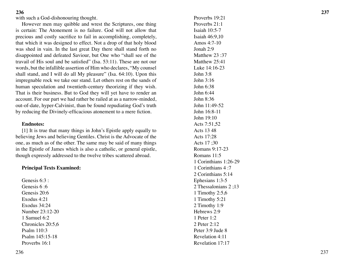with such a God-dishonouring thought.

However men may quibble and wrest the Scriptures, one thing is certain: The Atonement is no failure. God will not allow that precious and costly sacrifice to fail in accomplishing, completely, that which it was designed to effect. Not a drop of that holy blood was shed in vain. In the last great Day there shall stand forth no disappointed and defeated Saviour, but One who "shall see of the travail of His soul and be satisfied" (Isa. 53:11). These are not our words, but the infallible assertion of Him who declares, "My counsel shall stand, and I will do all My pleasure" (Isa. 64:10). Upon this impregnable rock we take our stand. Let others rest on the sands of human speculation and twentieth-century theorizing if they wish. That is their business. But to God they will yet have to render an account. For our part we had rather be railed at as a narrow-minded, out-of-date, hyper-Calvinist, than be found repudiating God's truth by reducing the Divinely-efficacious atonement to a mere fiction.

## **Endnotes:**

[1] It is true that many things in John's Epistle apply equally to believing Jews and believing Gentiles. Christ is the Advocate of the one, as much as of the other. The same may be said of many things in the Epistle of James which is also a catholic, or general epistle, though expressly addressed to the twelve tribes scattered abroad.

### **Principal Texts Examined:**

Genesis 6:3 : Genesis 6 :6 Genesis 20:6 Exodus 4:21 Exodus 34:24 Number 23:12-20 1 Samuel 6:2 Chronicles 20:5,6 Psalm 110:3 Psalm 145:15-18 Proverbs 16:1

Proverbs 19:21 Proverbs 21:1 Isaiah  $10:5-7$ Isaiah 46:9,10 Amos 4:7-10 Jonah 2:9 Matthew 23:37 Matthew 25:41 Luke 14:16-23 John 3:8 John 3:16 John 6:38 John 6:44 John 8:36 John 11:49-52 John 16:8-11 John 19:10 Acts 7:51,52 Acts 13 48 Acts 17:28 Acts 17 ;30 Romans 9:17-23 Romans 11:5 1 Corinthians 1:26-29 1 Corinthians 4 :7 2 Corinthians 5:14 Ephesians 1:3-5 2 Thessalonians 2 ;13 1 Timothy 2:5,6 1 Timothy 5:21 2 Timothy 1:9 Hebrews 2:9 1 Peter 1:2 2 Peter 2:12 Peter 3:9 Jude 8 Revelation 4:11 Revelation 17:17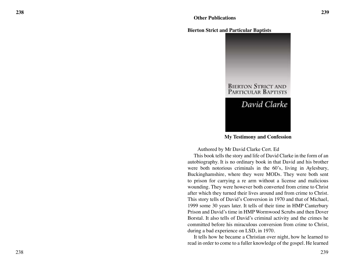### **Other Publications**

**Bierton Strict and Particular Baptists**



**My Testimony and Confession**

Authored by Mr David Clarke Cert. Ed

This book tells the story and life of David Clarke in the form of an autobiography. It is no ordinary book in that David and his brother were both notorious criminals in the 60's, living in Aylesbury, Buckinghamshire, where they were MODs. They were both sent to prison for carrying a re arm without a license and malicious wounding. They were however both converted from crime to Christ after which they turned their lives around and from crime to Christ. This story tells of David's Conversion in 1970 and that of Michael, 1999 some 30 years later. It tells of their time in HMP Canterbury Prison and David's time in HMP Wormwood Scrubs and then Dover Borstal. It also tells of David's criminal activity and the crimes he committed before his miraculous conversion from crime to Christ, during a bad experience on LSD, in 1970.

It tells how he became a Christian over night, how he learned to read in order to come to a fuller knowledge of the gospel. He learned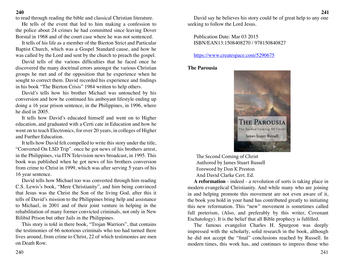to read through reading the bible and classical Christian literature.

He tells of the event that led to him making a confession to the police about 24 crimes he had committed since leaving Dover Borstal in 1968 and of the court case where he was not sentenced.

It tells of his life as a member of the Bierton Strict and Particular Baptist Church, which was a Gospel Standard cause, and how he was called by the Lord and sent by the church to preach the gospel.

David tells of the various difficulties that he faced once he discovered the many doctrinal errors amongst the various Christian groups he met and of the opposition that he experience when he sought to correct them. David recorded his experience and findings in his book "The Bierton Crisis" 1984 written to help others.

David's tells how his brother Michael was untouched by his conversion and how he continued his amboyant lifestyle ending up doing a 16 year prison sentence, in the Philippines, in 1996, where he died in 2005.

It tells how David's educated himself and went on to Higher education, and graduated with a Certi cate in Education and how he went on to teach Electronics, for over 20 years, in colleges of Higher and Further Education.

It tells how David felt compelled to write this story under the title, "Converted On LSD Trip". once he got news of his brothers arrest, in the Philippines, via ITN Television news broadcast, in 1995. This book was published when he got news of his brothers conversion from crime to Christ in 1999, which was after serving 5 years of his 16 year sentence.

David tells how Michael too was converted through him reading C.S. Lewis's book, "Mere Christianity", and him being convinced that Jesus was the Christ the Son of the living God, after this it tells of David's mission to the Philippines bring help and assistance to Michael, in 2001 and of their joint venture in helping in the rehabilitation of many former convicted criminals, not only in New Bilibid Prison but other Jails in the Philippines.

This story is told in there book, "Trojan Warriors", that contains the testimonies of 66 notorious criminals who too had turned there lives around, from crime to Christ, 22 of which testimonies are men on Death Row.

**240 241** David say he believes his story could be of great help to any one seeking to follow the Lord Jesus.

> Publication Date: Mar 03 2015 ISBN/EAN13:1508408270 / 978150840827

<https://www.createspace.com/5290675>

**The Parousia**



The Second Coming of Christ Authored by James Stuart Russell Foreword by Don K Preston And David Clarke Cert. Ed.

**A reformation** - indeed - a revolution of sorts is taking place in modern evangelical Christianity. And while many who are joining in and helping promote this movement are not even aware of it, the book you hold in your hand has contributed greatly to initiating this new reformation. This "new" movement is sometimes called full preterism, (Also, and preferably by this writer, Covenant Eschatology). It is the belief that all Bible prophecy is fulfilled.

The famous evangelist Charles H. Spurgeon was deeply impressed with the scholarly, solid research in the book, although he did not accept the "final" conclusions reached by Russell. In modern times, this work has, and continues to impress those who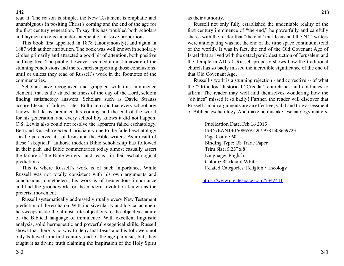read it. The reason is simple, the New Testament is emphatic and unambiguous in positing Christ's coming and the end of the age for the first century generation. To say this has troubled both scholars and laymen alike is an understatement of massive proportions.

This book first appeared in 1878 (anonymously), and again in 1887 with author attribution. The book was well known in scholarly circles primarily and attracted a good bit of attention, both positive and negative. The public, however, seemed almost unaware of the stunning conclusions and the research supporting those conclusions, until or unless they read of Russell's work in the footnotes of the commentaries.

Scholars have recognized and grappled with this imminence element, that is the stated nearness of the day of the Lord, seldom finding satisfactory answers. Scholars such as David Strauss accused Jesus of failure. Later, Bultmann said that every school boy knows that Jesus predicted his coming and the end of the world for his generation, and every school boy knows it did not happen. C.S. Lewis also could not resolve the apparent failed eschatology. Bertrand Russell rejected Christianity due to the failed eschatology - as he perceived it - of Jesus and the Bible writers. As a result of these "skeptical" authors, modern Bible scholarship has followed in their path and Bible commentaries today almost casually assert the failure of the Bible writers - and Jesus - in their eschatological predictions.

This is where Russell's work is of such importance. While Russell was not totally consistent with his own arguments and conclusions, nonetheless, his work is of tremendous importance and laid the groundwork for the modern revolution known as the preterist movement.

Russell systematically addressed virtually every New Testament prediction of the eschaton. With incisive clarity and logical acumen, he sweeps aside the almost trite objections to the objective nature of the Biblical language of imminence. With excellent linguistic analysis, solid hermeneutic and powerful exegetical skills, Russell shows that there is no way to deny that Jesus and his followers not only believed in a first century, end of the age parousia, but, they taught it as divine truth claiming the inspiration of the Holy Spirit

as their authority.

Russell not only fully established the undeniable reality of the first century imminence of "the end," he powerfully and carefully shares with the reader that "the end" that Jesus and the N.T. writers were anticipating was not the end of the time space continuum (end of the world). It was in fact, the end of the Old Covenant Age of Israel that arrived with the cataclysmic destruction of Jerusalem and the Temple in AD 70. Russell properly shows how the traditional church has so badly missed the incredible significance of the end of that Old Covenant Age.

Russell's work is a stunning rejection - and corrective -- of what the "Orthodox" historical "Creedal" church has and continues to affirm. The reader may well find themselves wondering how the "divines" missed it so badly! Further, the reader will discover that Russell's main arguments are an effective, valid and true assessment of Biblical eschatology. And make no mistake, eschatology matters.

> Publication Date: Feb 16 2015 ISBN/EAN13:1508659729 / 9781508659723 Page Count: 604 Binding Type: US Trade Paper Trim Size: 5.25" x 8" Language: English Colour: Black and White Related Categories: Religion / Theology

<https://www.createspace.com/5342411>